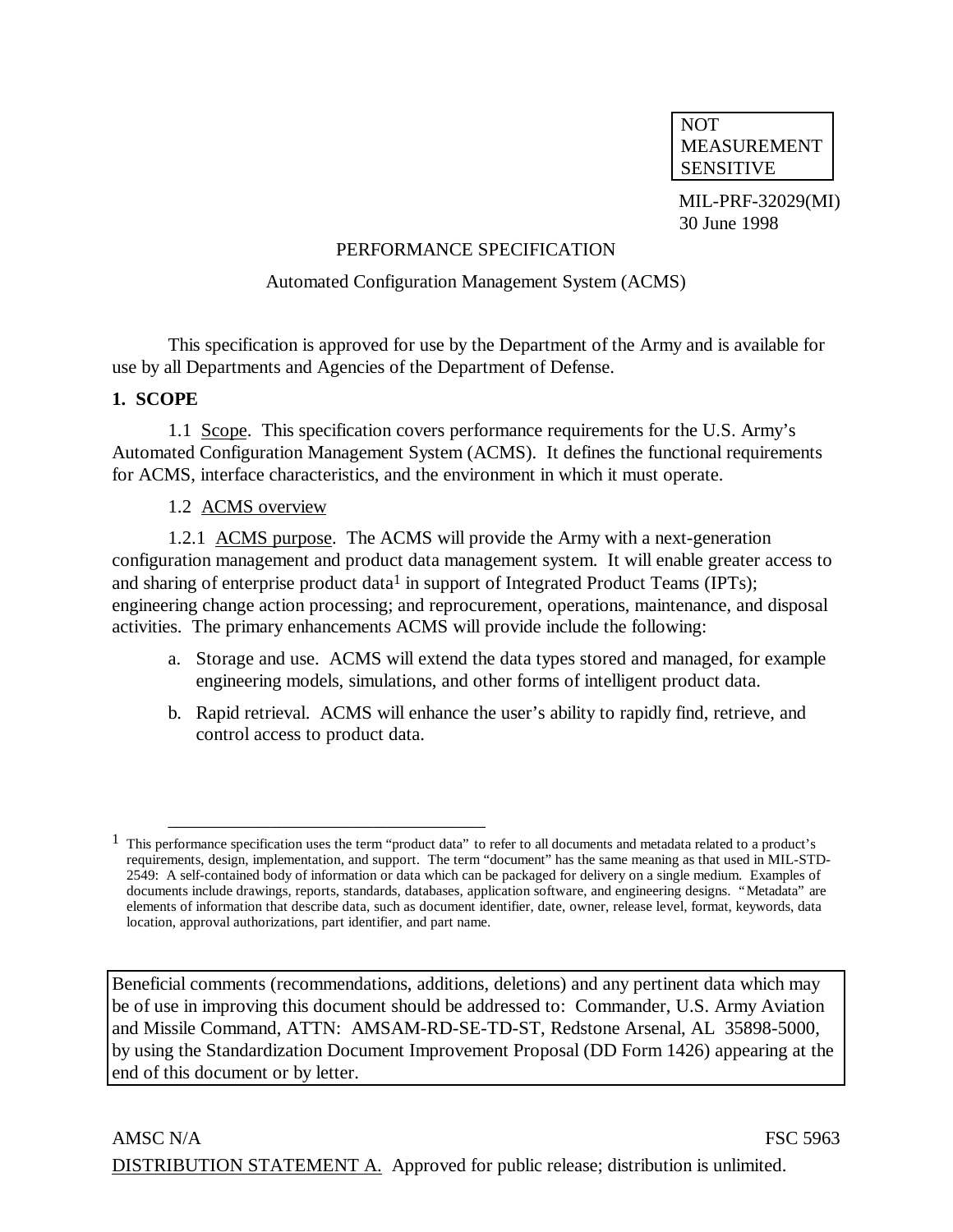NOT MEASUREMENT SENSITIVE

MIL-PRF-32029(MI) 30 June 1998

#### PERFORMANCE SPECIFICATION

#### Automated Configuration Management System (ACMS)

This specification is approved for use by the Department of the Army and is available for use by all Departments and Agencies of the Department of Defense.

#### **1. SCOPE**

1.1 Scope. This specification covers performance requirements for the U.S. Army's Automated Configuration Management System (ACMS). It defines the functional requirements for ACMS, interface characteristics, and the environment in which it must operate.

#### 1.2 ACMS overview

\_\_\_\_\_\_\_\_\_\_\_\_\_\_\_\_\_\_\_\_\_\_\_\_\_\_\_\_\_\_\_\_\_\_

1.2.1 ACMS purpose. The ACMS will provide the Army with a next-generation configuration management and product data management system. It will enable greater access to and sharing of enterprise product data<sup>1</sup> in support of Integrated Product Teams (IPTs); engineering change action processing; and reprocurement, operations, maintenance, and disposal activities. The primary enhancements ACMS will provide include the following:

- a. Storage and use. ACMS will extend the data types stored and managed, for example engineering models, simulations, and other forms of intelligent product data.
- b. Rapid retrieval. ACMS will enhance the user's ability to rapidly find, retrieve, and control access to product data.

Beneficial comments (recommendations, additions, deletions) and any pertinent data which may be of use in improving this document should be addressed to: Commander, U.S. Army Aviation and Missile Command, ATTN: AMSAM-RD-SE-TD-ST, Redstone Arsenal, AL 35898-5000, by using the Standardization Document Improvement Proposal (DD Form 1426) appearing at the end of this document or by letter.

 $<sup>1</sup>$  This performance specification uses the term "product data" to refer to all documents and metadata related to a product's</sup> requirements, design, implementation, and support. The term "document" has the same meaning as that used in MIL-STD-2549: A self-contained body of information or data which can be packaged for delivery on a single medium. Examples of documents include drawings, reports, standards, databases, application software, and engineering designs. "Metadata" are elements of information that describe data, such as document identifier, date, owner, release level, format, keywords, data location, approval authorizations, part identifier, and part name.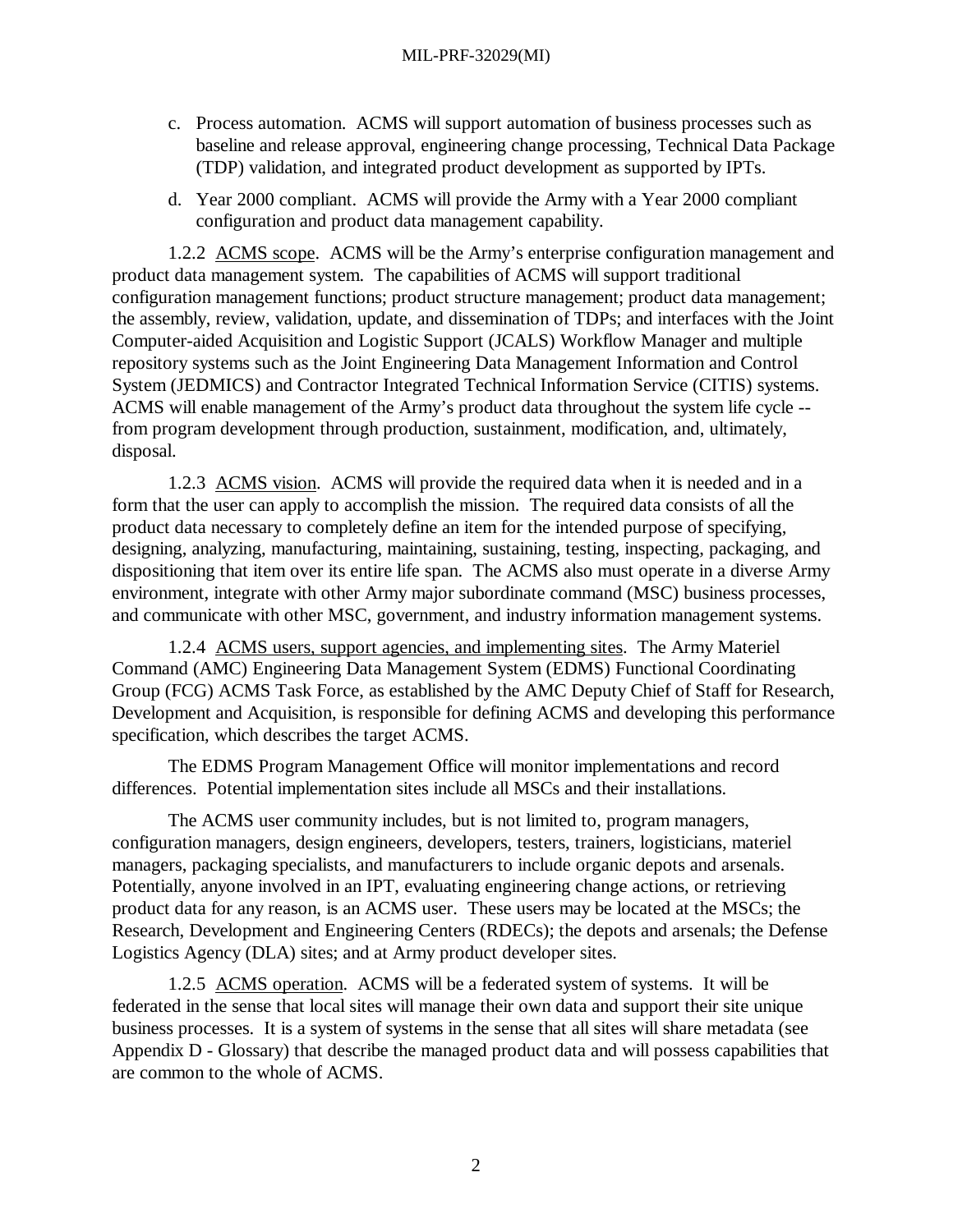- c. Process automation. ACMS will support automation of business processes such as baseline and release approval, engineering change processing, Technical Data Package (TDP) validation, and integrated product development as supported by IPTs.
- d. Year 2000 compliant. ACMS will provide the Army with a Year 2000 compliant configuration and product data management capability.

1.2.2 ACMS scope. ACMS will be the Army's enterprise configuration management and product data management system. The capabilities of ACMS will support traditional configuration management functions; product structure management; product data management; the assembly, review, validation, update, and dissemination of TDPs; and interfaces with the Joint Computer-aided Acquisition and Logistic Support (JCALS) Workflow Manager and multiple repository systems such as the Joint Engineering Data Management Information and Control System (JEDMICS) and Contractor Integrated Technical Information Service (CITIS) systems. ACMS will enable management of the Army's product data throughout the system life cycle - from program development through production, sustainment, modification, and, ultimately, disposal.

1.2.3 ACMS vision. ACMS will provide the required data when it is needed and in a form that the user can apply to accomplish the mission. The required data consists of all the product data necessary to completely define an item for the intended purpose of specifying, designing, analyzing, manufacturing, maintaining, sustaining, testing, inspecting, packaging, and dispositioning that item over its entire life span. The ACMS also must operate in a diverse Army environment, integrate with other Army major subordinate command (MSC) business processes, and communicate with other MSC, government, and industry information management systems.

1.2.4 ACMS users, support agencies, and implementing sites. The Army Materiel Command (AMC) Engineering Data Management System (EDMS) Functional Coordinating Group (FCG) ACMS Task Force, as established by the AMC Deputy Chief of Staff for Research, Development and Acquisition, is responsible for defining ACMS and developing this performance specification, which describes the target ACMS.

The EDMS Program Management Office will monitor implementations and record differences. Potential implementation sites include all MSCs and their installations.

The ACMS user community includes, but is not limited to, program managers, configuration managers, design engineers, developers, testers, trainers, logisticians, materiel managers, packaging specialists, and manufacturers to include organic depots and arsenals. Potentially, anyone involved in an IPT, evaluating engineering change actions, or retrieving product data for any reason, is an ACMS user. These users may be located at the MSCs; the Research, Development and Engineering Centers (RDECs); the depots and arsenals; the Defense Logistics Agency (DLA) sites; and at Army product developer sites.

1.2.5 ACMS operation. ACMS will be a federated system of systems. It will be federated in the sense that local sites will manage their own data and support their site unique business processes. It is a system of systems in the sense that all sites will share metadata (see Appendix D - Glossary) that describe the managed product data and will possess capabilities that are common to the whole of ACMS.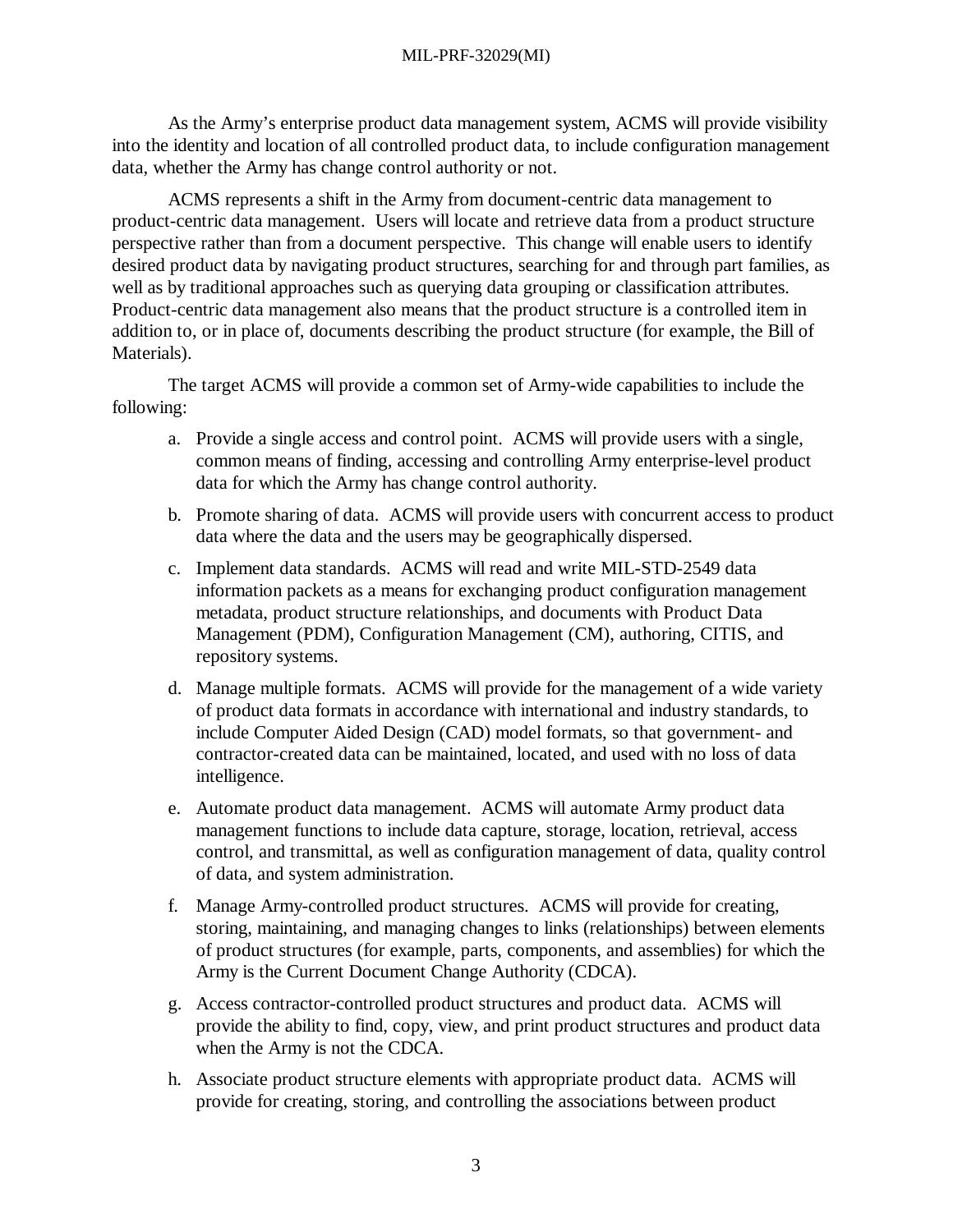As the Army's enterprise product data management system, ACMS will provide visibility into the identity and location of all controlled product data, to include configuration management data, whether the Army has change control authority or not.

ACMS represents a shift in the Army from document-centric data management to product-centric data management. Users will locate and retrieve data from a product structure perspective rather than from a document perspective. This change will enable users to identify desired product data by navigating product structures, searching for and through part families, as well as by traditional approaches such as querying data grouping or classification attributes. Product-centric data management also means that the product structure is a controlled item in addition to, or in place of, documents describing the product structure (for example, the Bill of Materials).

The target ACMS will provide a common set of Army-wide capabilities to include the following:

- a. Provide a single access and control point. ACMS will provide users with a single, common means of finding, accessing and controlling Army enterprise-level product data for which the Army has change control authority.
- b. Promote sharing of data. ACMS will provide users with concurrent access to product data where the data and the users may be geographically dispersed.
- c. Implement data standards. ACMS will read and write MIL-STD-2549 data information packets as a means for exchanging product configuration management metadata, product structure relationships, and documents with Product Data Management (PDM), Configuration Management (CM), authoring, CITIS, and repository systems.
- d. Manage multiple formats. ACMS will provide for the management of a wide variety of product data formats in accordance with international and industry standards, to include Computer Aided Design (CAD) model formats, so that government- and contractor-created data can be maintained, located, and used with no loss of data intelligence.
- e. Automate product data management. ACMS will automate Army product data management functions to include data capture, storage, location, retrieval, access control, and transmittal, as well as configuration management of data, quality control of data, and system administration.
- f. Manage Army-controlled product structures. ACMS will provide for creating, storing, maintaining, and managing changes to links (relationships) between elements of product structures (for example, parts, components, and assemblies) for which the Army is the Current Document Change Authority (CDCA).
- g. Access contractor-controlled product structures and product data. ACMS will provide the ability to find, copy, view, and print product structures and product data when the Army is not the CDCA.
- h. Associate product structure elements with appropriate product data. ACMS will provide for creating, storing, and controlling the associations between product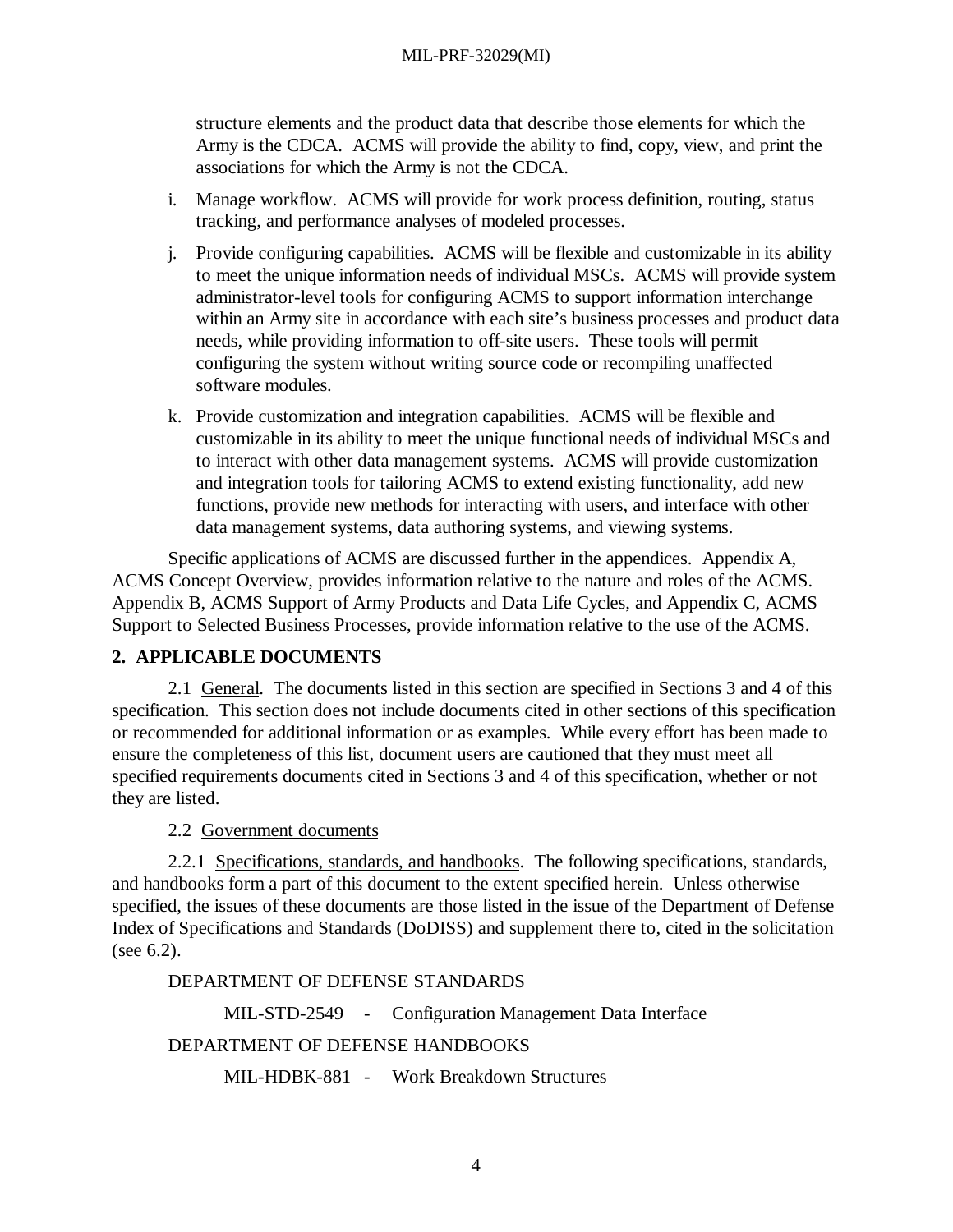structure elements and the product data that describe those elements for which the Army is the CDCA. ACMS will provide the ability to find, copy, view, and print the associations for which the Army is not the CDCA.

- i. Manage workflow. ACMS will provide for work process definition, routing, status tracking, and performance analyses of modeled processes.
- j. Provide configuring capabilities. ACMS will be flexible and customizable in its ability to meet the unique information needs of individual MSCs. ACMS will provide system administrator-level tools for configuring ACMS to support information interchange within an Army site in accordance with each site's business processes and product data needs, while providing information to off-site users. These tools will permit configuring the system without writing source code or recompiling unaffected software modules.
- k. Provide customization and integration capabilities. ACMS will be flexible and customizable in its ability to meet the unique functional needs of individual MSCs and to interact with other data management systems. ACMS will provide customization and integration tools for tailoring ACMS to extend existing functionality, add new functions, provide new methods for interacting with users, and interface with other data management systems, data authoring systems, and viewing systems.

Specific applications of ACMS are discussed further in the appendices. Appendix A, ACMS Concept Overview, provides information relative to the nature and roles of the ACMS. Appendix B, ACMS Support of Army Products and Data Life Cycles, and Appendix C, ACMS Support to Selected Business Processes, provide information relative to the use of the ACMS.

## **2. APPLICABLE DOCUMENTS**

2.1 General. The documents listed in this section are specified in Sections 3 and 4 of this specification. This section does not include documents cited in other sections of this specification or recommended for additional information or as examples. While every effort has been made to ensure the completeness of this list, document users are cautioned that they must meet all specified requirements documents cited in Sections 3 and 4 of this specification, whether or not they are listed.

2.2 Government documents

2.2.1 Specifications, standards, and handbooks. The following specifications, standards, and handbooks form a part of this document to the extent specified herein. Unless otherwise specified, the issues of these documents are those listed in the issue of the Department of Defense Index of Specifications and Standards (DoDISS) and supplement there to, cited in the solicitation (see 6.2).

### DEPARTMENT OF DEFENSE STANDARDS

MIL-STD-2549 - Configuration Management Data Interface

## DEPARTMENT OF DEFENSE HANDBOOKS

MIL-HDBK-881 - Work Breakdown Structures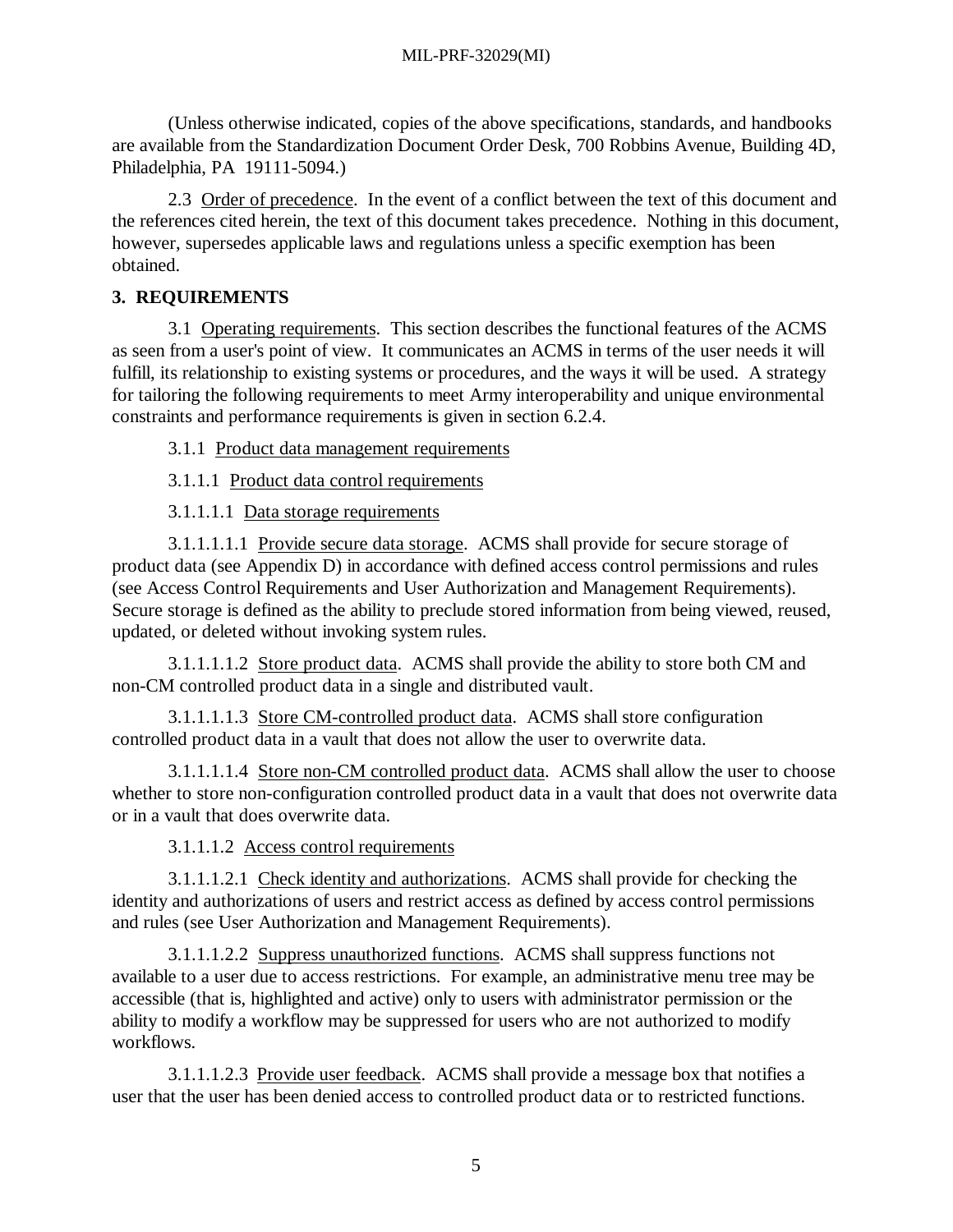(Unless otherwise indicated, copies of the above specifications, standards, and handbooks are available from the Standardization Document Order Desk, 700 Robbins Avenue, Building 4D, Philadelphia, PA 19111-5094.)

2.3 Order of precedence. In the event of a conflict between the text of this document and the references cited herein, the text of this document takes precedence. Nothing in this document, however, supersedes applicable laws and regulations unless a specific exemption has been obtained.

## **3. REQUIREMENTS**

3.1 Operating requirements. This section describes the functional features of the ACMS as seen from a user's point of view. It communicates an ACMS in terms of the user needs it will fulfill, its relationship to existing systems or procedures, and the ways it will be used. A strategy for tailoring the following requirements to meet Army interoperability and unique environmental constraints and performance requirements is given in section 6.2.4.

3.1.1 Product data management requirements

3.1.1.1 Product data control requirements

3.1.1.1.1 Data storage requirements

3.1.1.1.1.1 Provide secure data storage. ACMS shall provide for secure storage of product data (see Appendix D) in accordance with defined access control permissions and rules (see Access Control Requirements and User Authorization and Management Requirements). Secure storage is defined as the ability to preclude stored information from being viewed, reused, updated, or deleted without invoking system rules.

3.1.1.1.1.2 Store product data. ACMS shall provide the ability to store both CM and non-CM controlled product data in a single and distributed vault.

3.1.1.1.1.3 Store CM-controlled product data. ACMS shall store configuration controlled product data in a vault that does not allow the user to overwrite data.

3.1.1.1.1.4 Store non-CM controlled product data. ACMS shall allow the user to choose whether to store non-configuration controlled product data in a vault that does not overwrite data or in a vault that does overwrite data.

3.1.1.1.2 Access control requirements

3.1.1.1.2.1 Check identity and authorizations. ACMS shall provide for checking the identity and authorizations of users and restrict access as defined by access control permissions and rules (see User Authorization and Management Requirements).

3.1.1.1.2.2 Suppress unauthorized functions. ACMS shall suppress functions not available to a user due to access restrictions. For example, an administrative menu tree may be accessible (that is, highlighted and active) only to users with administrator permission or the ability to modify a workflow may be suppressed for users who are not authorized to modify workflows.

3.1.1.1.2.3 Provide user feedback. ACMS shall provide a message box that notifies a user that the user has been denied access to controlled product data or to restricted functions.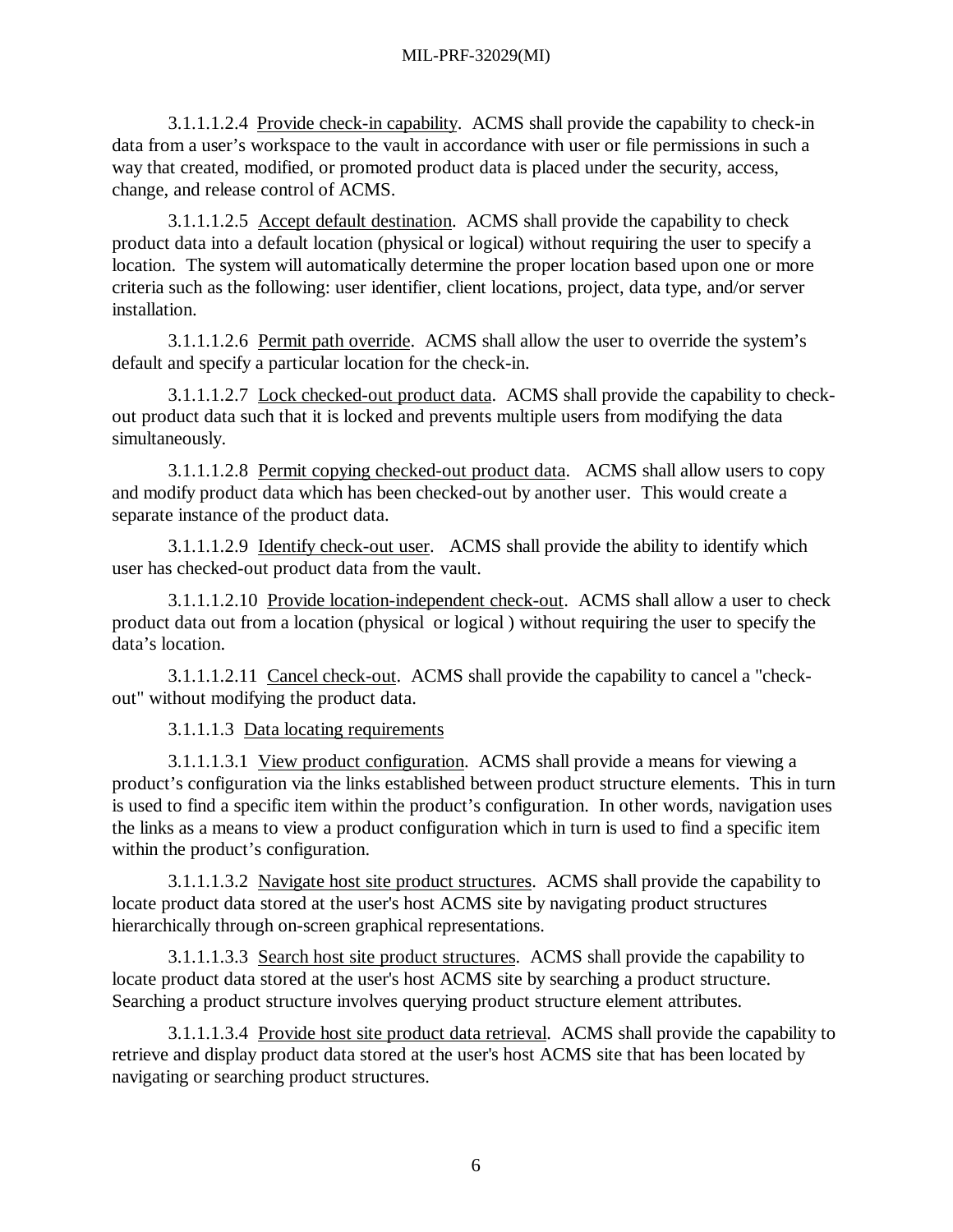3.1.1.1.2.4 Provide check-in capability. ACMS shall provide the capability to check-in data from a user's workspace to the vault in accordance with user or file permissions in such a way that created, modified, or promoted product data is placed under the security, access, change, and release control of ACMS.

3.1.1.1.2.5 Accept default destination. ACMS shall provide the capability to check product data into a default location (physical or logical) without requiring the user to specify a location. The system will automatically determine the proper location based upon one or more criteria such as the following: user identifier, client locations, project, data type, and/or server installation.

3.1.1.1.2.6 Permit path override. ACMS shall allow the user to override the system's default and specify a particular location for the check-in.

3.1.1.1.2.7 Lock checked-out product data. ACMS shall provide the capability to checkout product data such that it is locked and prevents multiple users from modifying the data simultaneously.

3.1.1.1.2.8 Permit copying checked-out product data. ACMS shall allow users to copy and modify product data which has been checked-out by another user. This would create a separate instance of the product data.

3.1.1.1.2.9 Identify check-out user. ACMS shall provide the ability to identify which user has checked-out product data from the vault.

3.1.1.1.2.10 Provide location-independent check-out. ACMS shall allow a user to check product data out from a location (physical or logical ) without requiring the user to specify the data's location.

3.1.1.1.2.11 Cancel check-out. ACMS shall provide the capability to cancel a "checkout" without modifying the product data.

3.1.1.1.3 Data locating requirements

3.1.1.1.3.1 View product configuration. ACMS shall provide a means for viewing a product's configuration via the links established between product structure elements. This in turn is used to find a specific item within the product's configuration. In other words, navigation uses the links as a means to view a product configuration which in turn is used to find a specific item within the product's configuration.

3.1.1.1.3.2 Navigate host site product structures. ACMS shall provide the capability to locate product data stored at the user's host ACMS site by navigating product structures hierarchically through on-screen graphical representations.

3.1.1.1.3.3 Search host site product structures. ACMS shall provide the capability to locate product data stored at the user's host ACMS site by searching a product structure. Searching a product structure involves querying product structure element attributes.

3.1.1.1.3.4 Provide host site product data retrieval. ACMS shall provide the capability to retrieve and display product data stored at the user's host ACMS site that has been located by navigating or searching product structures.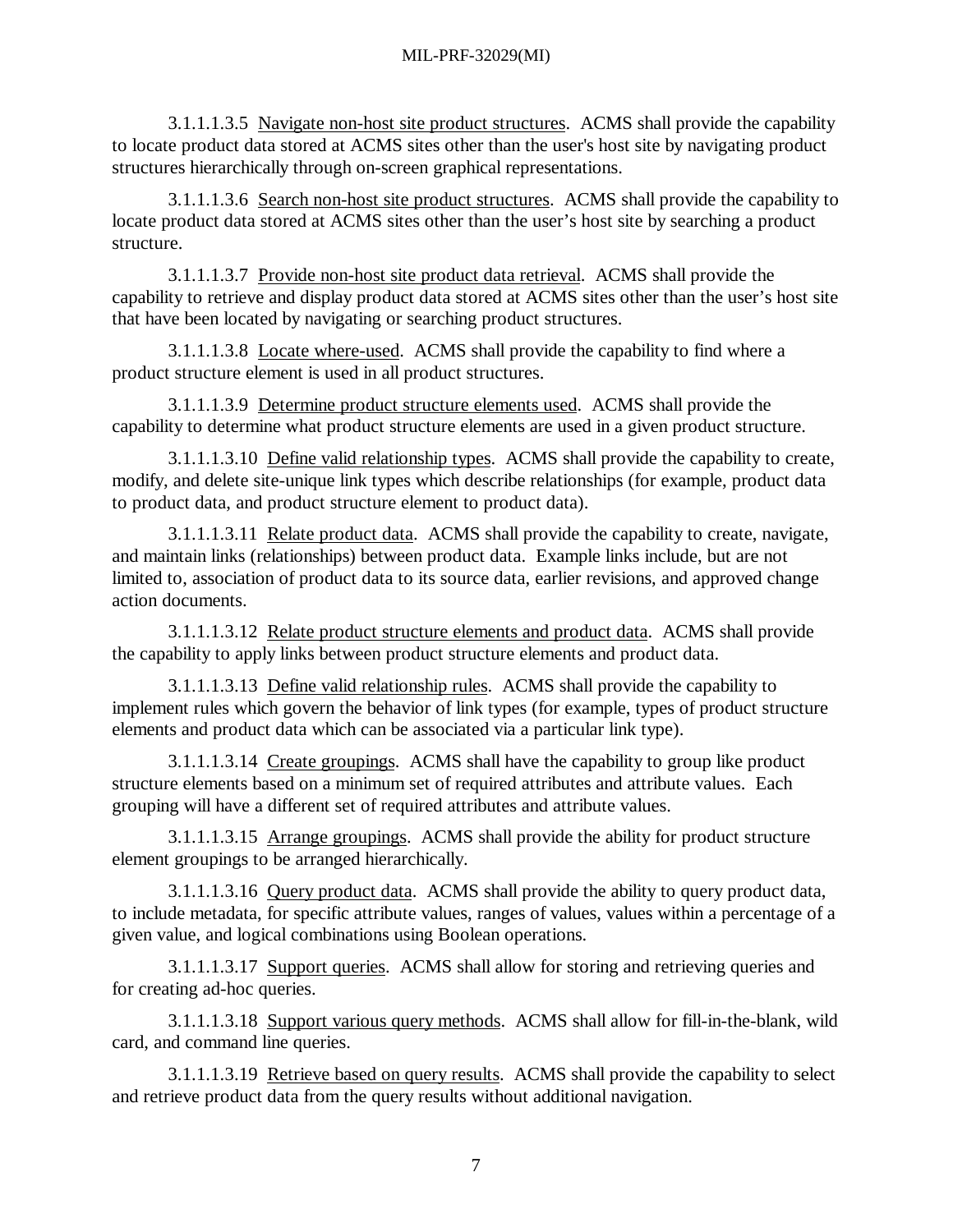3.1.1.1.3.5 Navigate non-host site product structures. ACMS shall provide the capability to locate product data stored at ACMS sites other than the user's host site by navigating product structures hierarchically through on-screen graphical representations.

3.1.1.1.3.6 Search non-host site product structures. ACMS shall provide the capability to locate product data stored at ACMS sites other than the user's host site by searching a product structure.

3.1.1.1.3.7 Provide non-host site product data retrieval. ACMS shall provide the capability to retrieve and display product data stored at ACMS sites other than the user's host site that have been located by navigating or searching product structures.

3.1.1.1.3.8 Locate where-used. ACMS shall provide the capability to find where a product structure element is used in all product structures.

3.1.1.1.3.9 Determine product structure elements used. ACMS shall provide the capability to determine what product structure elements are used in a given product structure.

3.1.1.1.3.10 Define valid relationship types. ACMS shall provide the capability to create, modify, and delete site-unique link types which describe relationships (for example, product data to product data, and product structure element to product data).

3.1.1.1.3.11 Relate product data. ACMS shall provide the capability to create, navigate, and maintain links (relationships) between product data. Example links include, but are not limited to, association of product data to its source data, earlier revisions, and approved change action documents.

3.1.1.1.3.12 Relate product structure elements and product data. ACMS shall provide the capability to apply links between product structure elements and product data.

3.1.1.1.3.13 Define valid relationship rules. ACMS shall provide the capability to implement rules which govern the behavior of link types (for example, types of product structure elements and product data which can be associated via a particular link type).

3.1.1.1.3.14 Create groupings. ACMS shall have the capability to group like product structure elements based on a minimum set of required attributes and attribute values. Each grouping will have a different set of required attributes and attribute values.

3.1.1.1.3.15 Arrange groupings. ACMS shall provide the ability for product structure element groupings to be arranged hierarchically.

3.1.1.1.3.16 Query product data. ACMS shall provide the ability to query product data, to include metadata, for specific attribute values, ranges of values, values within a percentage of a given value, and logical combinations using Boolean operations.

3.1.1.1.3.17 Support queries. ACMS shall allow for storing and retrieving queries and for creating ad-hoc queries.

3.1.1.1.3.18 Support various query methods. ACMS shall allow for fill-in-the-blank, wild card, and command line queries.

3.1.1.1.3.19 Retrieve based on query results. ACMS shall provide the capability to select and retrieve product data from the query results without additional navigation.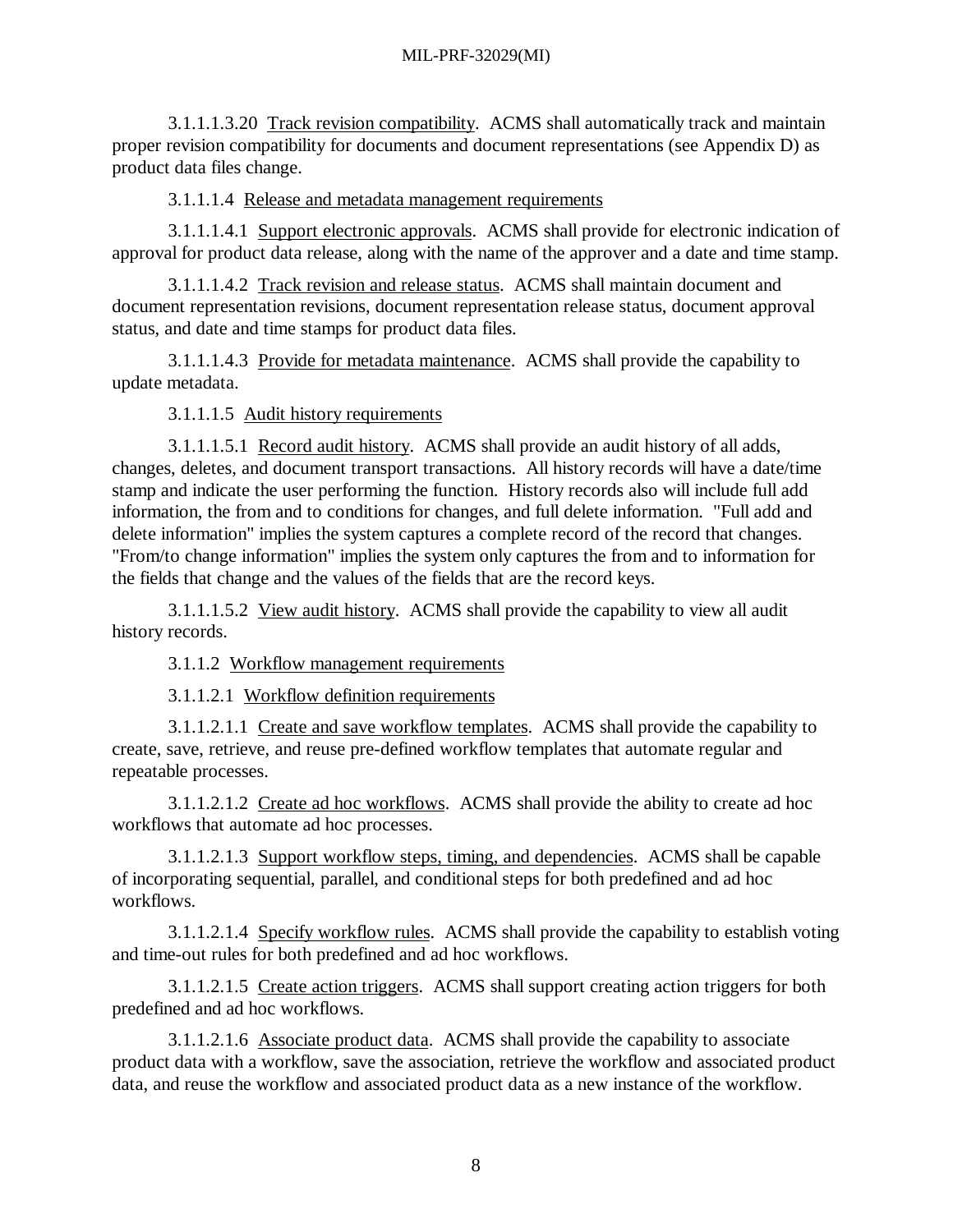3.1.1.1.3.20 Track revision compatibility. ACMS shall automatically track and maintain proper revision compatibility for documents and document representations (see Appendix D) as product data files change.

3.1.1.1.4 Release and metadata management requirements

3.1.1.1.4.1 Support electronic approvals. ACMS shall provide for electronic indication of approval for product data release, along with the name of the approver and a date and time stamp.

3.1.1.1.4.2 Track revision and release status. ACMS shall maintain document and document representation revisions, document representation release status, document approval status, and date and time stamps for product data files.

3.1.1.1.4.3 Provide for metadata maintenance. ACMS shall provide the capability to update metadata.

3.1.1.1.5 Audit history requirements

3.1.1.1.5.1 Record audit history. ACMS shall provide an audit history of all adds, changes, deletes, and document transport transactions. All history records will have a date/time stamp and indicate the user performing the function. History records also will include full add information, the from and to conditions for changes, and full delete information. "Full add and delete information" implies the system captures a complete record of the record that changes. "From/to change information" implies the system only captures the from and to information for the fields that change and the values of the fields that are the record keys.

3.1.1.1.5.2 View audit history. ACMS shall provide the capability to view all audit history records.

3.1.1.2 Workflow management requirements

3.1.1.2.1 Workflow definition requirements

3.1.1.2.1.1 Create and save workflow templates. ACMS shall provide the capability to create, save, retrieve, and reuse pre-defined workflow templates that automate regular and repeatable processes.

3.1.1.2.1.2 Create ad hoc workflows. ACMS shall provide the ability to create ad hoc workflows that automate ad hoc processes.

3.1.1.2.1.3 Support workflow steps, timing, and dependencies. ACMS shall be capable of incorporating sequential, parallel, and conditional steps for both predefined and ad hoc workflows.

3.1.1.2.1.4 Specify workflow rules. ACMS shall provide the capability to establish voting and time-out rules for both predefined and ad hoc workflows.

3.1.1.2.1.5 Create action triggers. ACMS shall support creating action triggers for both predefined and ad hoc workflows.

3.1.1.2.1.6 Associate product data. ACMS shall provide the capability to associate product data with a workflow, save the association, retrieve the workflow and associated product data, and reuse the workflow and associated product data as a new instance of the workflow.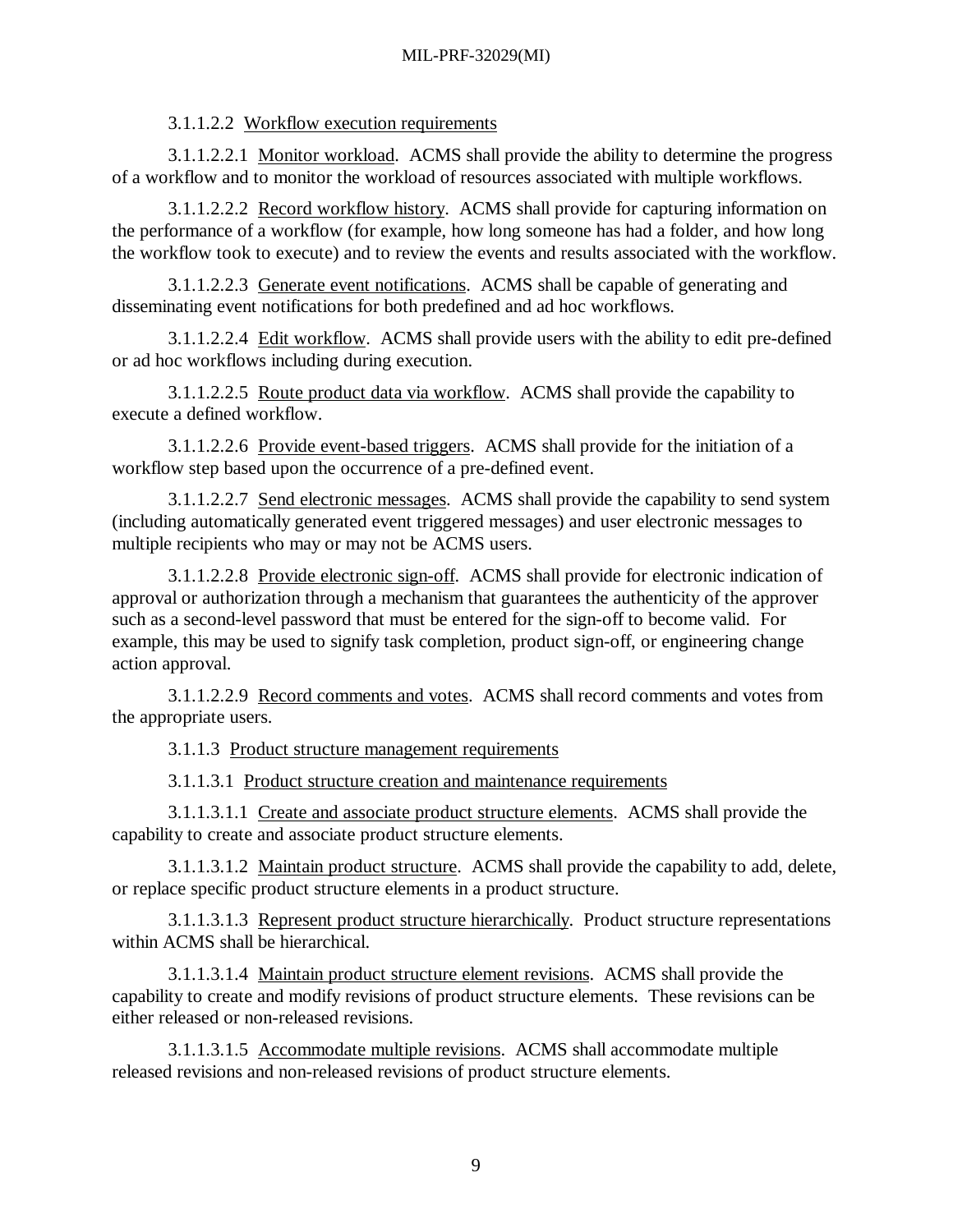3.1.1.2.2 Workflow execution requirements

3.1.1.2.2.1 Monitor workload. ACMS shall provide the ability to determine the progress of a workflow and to monitor the workload of resources associated with multiple workflows.

3.1.1.2.2.2 Record workflow history. ACMS shall provide for capturing information on the performance of a workflow (for example, how long someone has had a folder, and how long the workflow took to execute) and to review the events and results associated with the workflow.

3.1.1.2.2.3 Generate event notifications. ACMS shall be capable of generating and disseminating event notifications for both predefined and ad hoc workflows.

3.1.1.2.2.4 Edit workflow. ACMS shall provide users with the ability to edit pre-defined or ad hoc workflows including during execution.

3.1.1.2.2.5 Route product data via workflow. ACMS shall provide the capability to execute a defined workflow.

3.1.1.2.2.6 Provide event-based triggers. ACMS shall provide for the initiation of a workflow step based upon the occurrence of a pre-defined event.

3.1.1.2.2.7 Send electronic messages. ACMS shall provide the capability to send system (including automatically generated event triggered messages) and user electronic messages to multiple recipients who may or may not be ACMS users.

3.1.1.2.2.8 Provide electronic sign-off. ACMS shall provide for electronic indication of approval or authorization through a mechanism that guarantees the authenticity of the approver such as a second-level password that must be entered for the sign-off to become valid. For example, this may be used to signify task completion, product sign-off, or engineering change action approval.

3.1.1.2.2.9 Record comments and votes. ACMS shall record comments and votes from the appropriate users.

3.1.1.3 Product structure management requirements

3.1.1.3.1 Product structure creation and maintenance requirements

3.1.1.3.1.1 Create and associate product structure elements. ACMS shall provide the capability to create and associate product structure elements.

3.1.1.3.1.2 Maintain product structure. ACMS shall provide the capability to add, delete, or replace specific product structure elements in a product structure.

3.1.1.3.1.3 Represent product structure hierarchically. Product structure representations within ACMS shall be hierarchical.

3.1.1.3.1.4 Maintain product structure element revisions. ACMS shall provide the capability to create and modify revisions of product structure elements. These revisions can be either released or non-released revisions.

3.1.1.3.1.5 Accommodate multiple revisions. ACMS shall accommodate multiple released revisions and non-released revisions of product structure elements.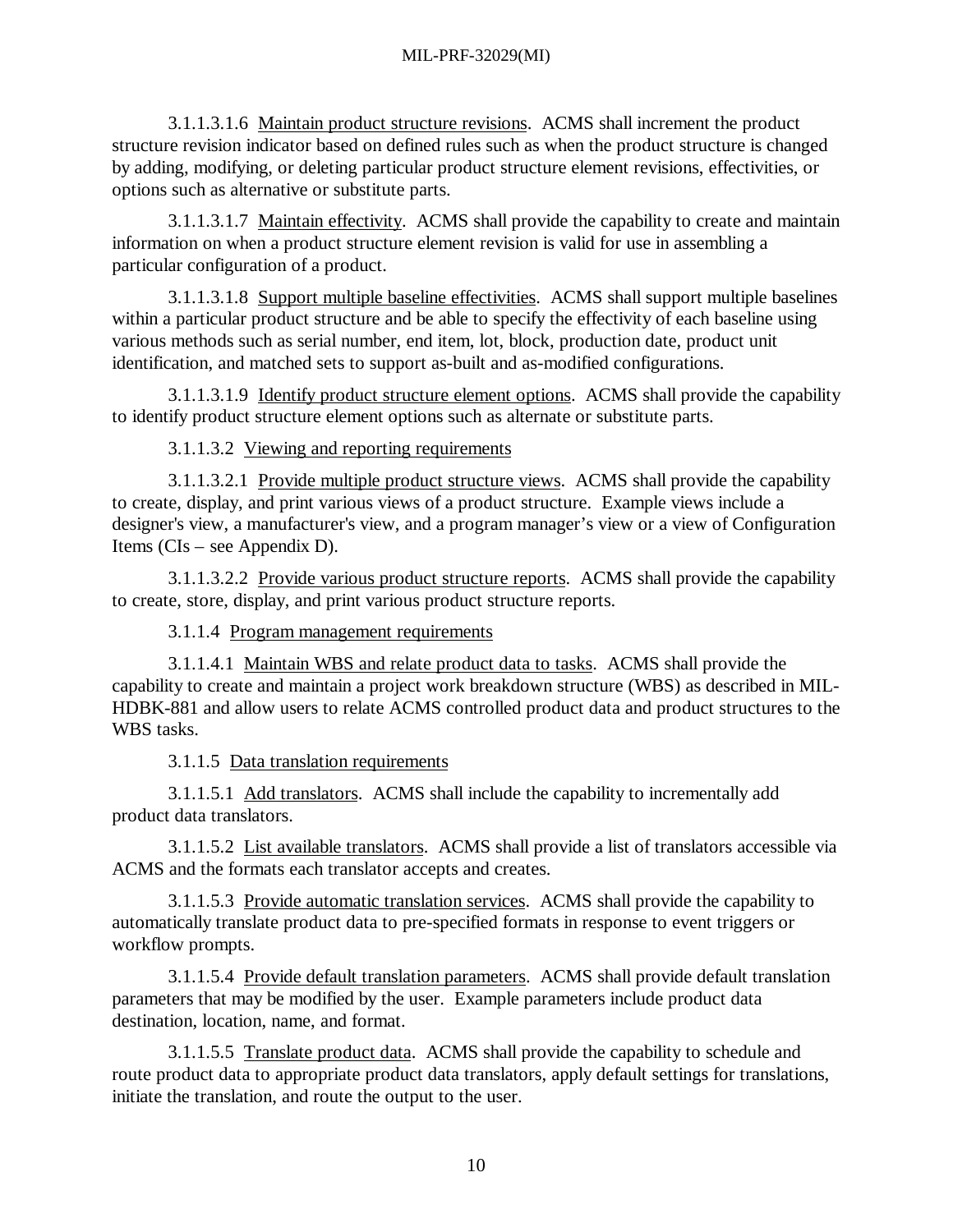3.1.1.3.1.6 Maintain product structure revisions. ACMS shall increment the product structure revision indicator based on defined rules such as when the product structure is changed by adding, modifying, or deleting particular product structure element revisions, effectivities, or options such as alternative or substitute parts.

3.1.1.3.1.7 Maintain effectivity. ACMS shall provide the capability to create and maintain information on when a product structure element revision is valid for use in assembling a particular configuration of a product.

3.1.1.3.1.8 Support multiple baseline effectivities. ACMS shall support multiple baselines within a particular product structure and be able to specify the effectivity of each baseline using various methods such as serial number, end item, lot, block, production date, product unit identification, and matched sets to support as-built and as-modified configurations.

3.1.1.3.1.9 Identify product structure element options. ACMS shall provide the capability to identify product structure element options such as alternate or substitute parts.

3.1.1.3.2 Viewing and reporting requirements

3.1.1.3.2.1 Provide multiple product structure views. ACMS shall provide the capability to create, display, and print various views of a product structure. Example views include a designer's view, a manufacturer's view, and a program manager's view or a view of Configuration Items (CIs – see Appendix D).

3.1.1.3.2.2 Provide various product structure reports. ACMS shall provide the capability to create, store, display, and print various product structure reports.

3.1.1.4 Program management requirements

3.1.1.4.1 Maintain WBS and relate product data to tasks. ACMS shall provide the capability to create and maintain a project work breakdown structure (WBS) as described in MIL-HDBK-881 and allow users to relate ACMS controlled product data and product structures to the WBS tasks.

3.1.1.5 Data translation requirements

3.1.1.5.1 Add translators. ACMS shall include the capability to incrementally add product data translators.

3.1.1.5.2 List available translators. ACMS shall provide a list of translators accessible via ACMS and the formats each translator accepts and creates.

3.1.1.5.3 Provide automatic translation services. ACMS shall provide the capability to automatically translate product data to pre-specified formats in response to event triggers or workflow prompts.

3.1.1.5.4 Provide default translation parameters. ACMS shall provide default translation parameters that may be modified by the user. Example parameters include product data destination, location, name, and format.

3.1.1.5.5 Translate product data. ACMS shall provide the capability to schedule and route product data to appropriate product data translators, apply default settings for translations, initiate the translation, and route the output to the user.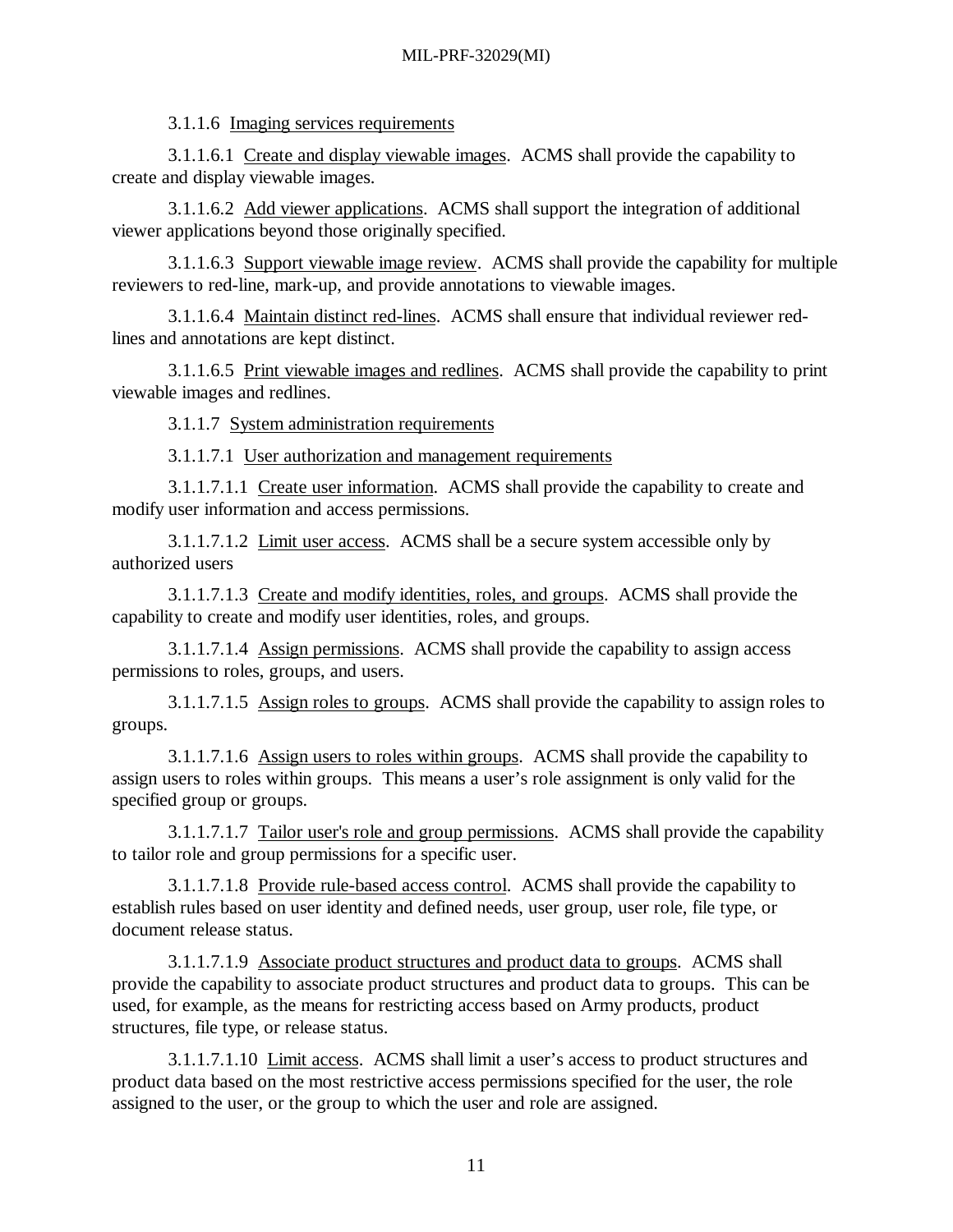3.1.1.6 Imaging services requirements

3.1.1.6.1 Create and display viewable images. ACMS shall provide the capability to create and display viewable images.

3.1.1.6.2 Add viewer applications. ACMS shall support the integration of additional viewer applications beyond those originally specified.

3.1.1.6.3 Support viewable image review. ACMS shall provide the capability for multiple reviewers to red-line, mark-up, and provide annotations to viewable images.

3.1.1.6.4 Maintain distinct red-lines. ACMS shall ensure that individual reviewer redlines and annotations are kept distinct.

3.1.1.6.5 Print viewable images and redlines. ACMS shall provide the capability to print viewable images and redlines.

3.1.1.7 System administration requirements

3.1.1.7.1 User authorization and management requirements

3.1.1.7.1.1 Create user information. ACMS shall provide the capability to create and modify user information and access permissions.

3.1.1.7.1.2 Limit user access. ACMS shall be a secure system accessible only by authorized users

3.1.1.7.1.3 Create and modify identities, roles, and groups. ACMS shall provide the capability to create and modify user identities, roles, and groups.

3.1.1.7.1.4 Assign permissions. ACMS shall provide the capability to assign access permissions to roles, groups, and users.

3.1.1.7.1.5 Assign roles to groups. ACMS shall provide the capability to assign roles to groups.

3.1.1.7.1.6 Assign users to roles within groups. ACMS shall provide the capability to assign users to roles within groups. This means a user's role assignment is only valid for the specified group or groups.

3.1.1.7.1.7 Tailor user's role and group permissions. ACMS shall provide the capability to tailor role and group permissions for a specific user.

3.1.1.7.1.8 Provide rule-based access control. ACMS shall provide the capability to establish rules based on user identity and defined needs, user group, user role, file type, or document release status.

3.1.1.7.1.9 Associate product structures and product data to groups. ACMS shall provide the capability to associate product structures and product data to groups. This can be used, for example, as the means for restricting access based on Army products, product structures, file type, or release status.

3.1.1.7.1.10 Limit access. ACMS shall limit a user's access to product structures and product data based on the most restrictive access permissions specified for the user, the role assigned to the user, or the group to which the user and role are assigned.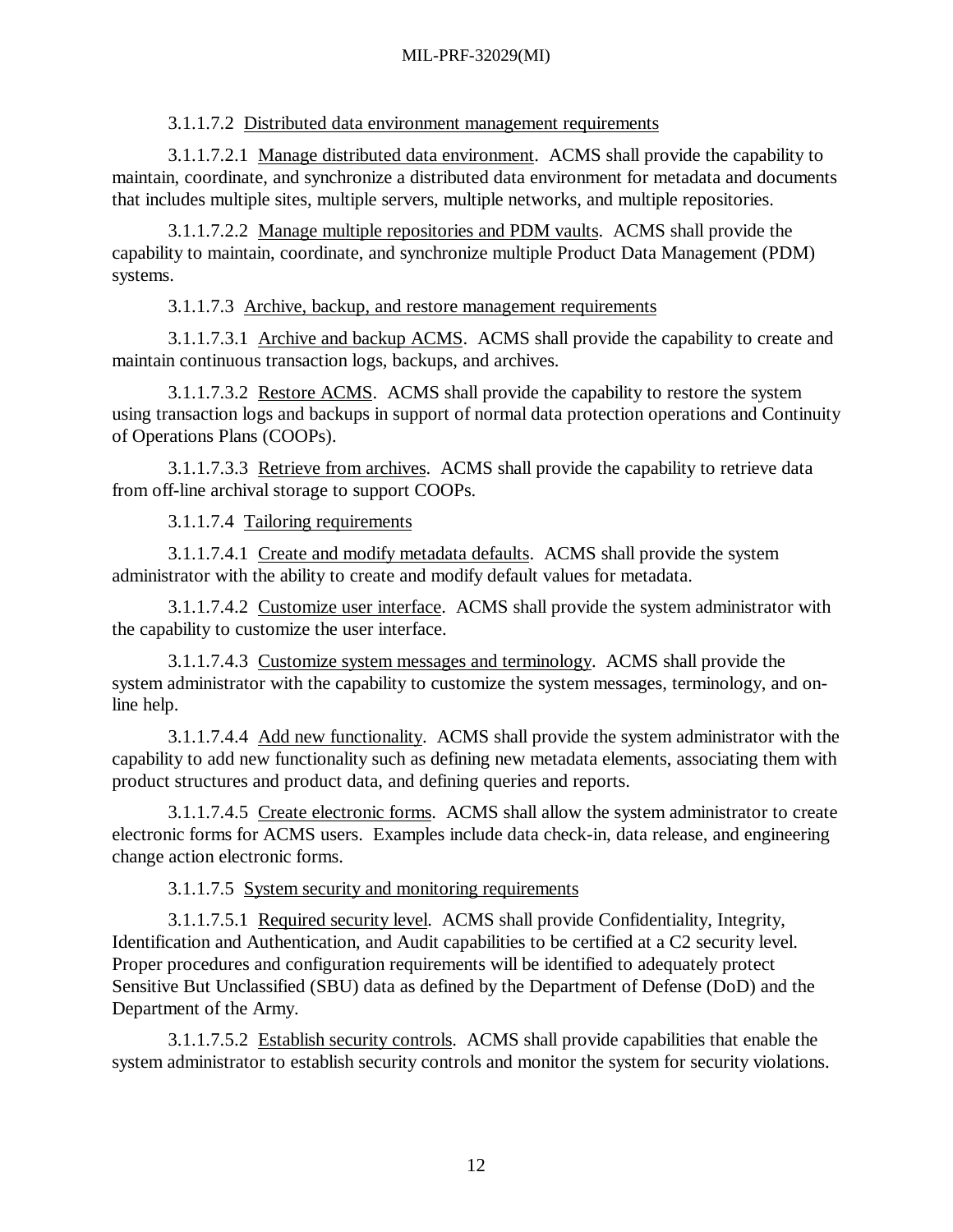3.1.1.7.2 Distributed data environment management requirements

3.1.1.7.2.1 Manage distributed data environment. ACMS shall provide the capability to maintain, coordinate, and synchronize a distributed data environment for metadata and documents that includes multiple sites, multiple servers, multiple networks, and multiple repositories.

3.1.1.7.2.2 Manage multiple repositories and PDM vaults. ACMS shall provide the capability to maintain, coordinate, and synchronize multiple Product Data Management (PDM) systems.

3.1.1.7.3 Archive, backup, and restore management requirements

3.1.1.7.3.1 Archive and backup ACMS. ACMS shall provide the capability to create and maintain continuous transaction logs, backups, and archives.

3.1.1.7.3.2 Restore ACMS. ACMS shall provide the capability to restore the system using transaction logs and backups in support of normal data protection operations and Continuity of Operations Plans (COOPs).

3.1.1.7.3.3 Retrieve from archives. ACMS shall provide the capability to retrieve data from off-line archival storage to support COOPs.

3.1.1.7.4 Tailoring requirements

3.1.1.7.4.1 Create and modify metadata defaults. ACMS shall provide the system administrator with the ability to create and modify default values for metadata.

3.1.1.7.4.2 Customize user interface. ACMS shall provide the system administrator with the capability to customize the user interface.

3.1.1.7.4.3 Customize system messages and terminology. ACMS shall provide the system administrator with the capability to customize the system messages, terminology, and online help.

3.1.1.7.4.4 Add new functionality. ACMS shall provide the system administrator with the capability to add new functionality such as defining new metadata elements, associating them with product structures and product data, and defining queries and reports.

3.1.1.7.4.5 Create electronic forms. ACMS shall allow the system administrator to create electronic forms for ACMS users. Examples include data check-in, data release, and engineering change action electronic forms.

3.1.1.7.5 System security and monitoring requirements

3.1.1.7.5.1 Required security level. ACMS shall provide Confidentiality, Integrity, Identification and Authentication, and Audit capabilities to be certified at a C2 security level. Proper procedures and configuration requirements will be identified to adequately protect Sensitive But Unclassified (SBU) data as defined by the Department of Defense (DoD) and the Department of the Army.

3.1.1.7.5.2 Establish security controls. ACMS shall provide capabilities that enable the system administrator to establish security controls and monitor the system for security violations.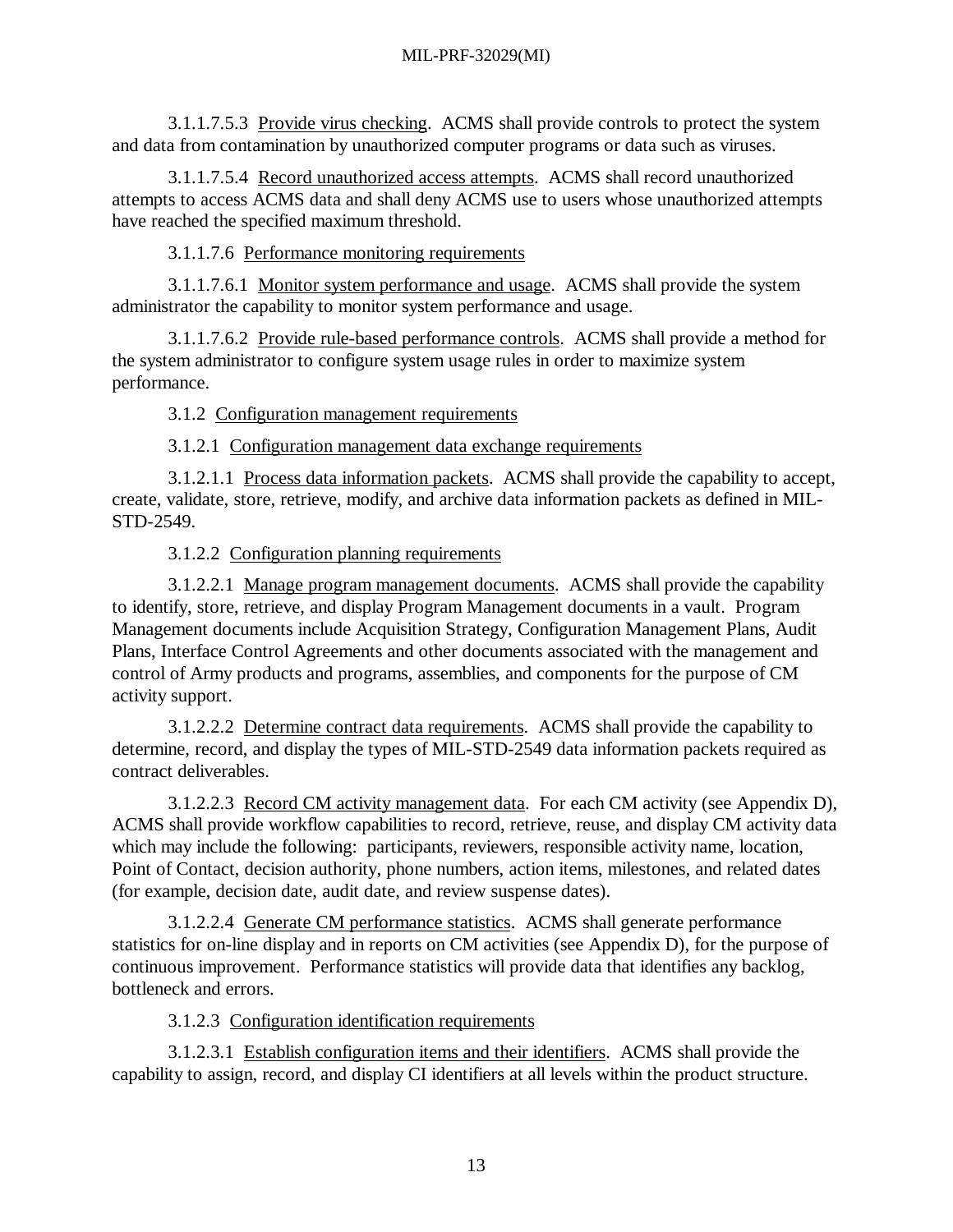3.1.1.7.5.3 Provide virus checking. ACMS shall provide controls to protect the system and data from contamination by unauthorized computer programs or data such as viruses.

3.1.1.7.5.4 Record unauthorized access attempts. ACMS shall record unauthorized attempts to access ACMS data and shall deny ACMS use to users whose unauthorized attempts have reached the specified maximum threshold.

3.1.1.7.6 Performance monitoring requirements

3.1.1.7.6.1 Monitor system performance and usage. ACMS shall provide the system administrator the capability to monitor system performance and usage.

3.1.1.7.6.2 Provide rule-based performance controls. ACMS shall provide a method for the system administrator to configure system usage rules in order to maximize system performance.

3.1.2 Configuration management requirements

3.1.2.1 Configuration management data exchange requirements

3.1.2.1.1 Process data information packets. ACMS shall provide the capability to accept, create, validate, store, retrieve, modify, and archive data information packets as defined in MIL-STD-2549.

3.1.2.2 Configuration planning requirements

3.1.2.2.1 Manage program management documents. ACMS shall provide the capability to identify, store, retrieve, and display Program Management documents in a vault. Program Management documents include Acquisition Strategy, Configuration Management Plans, Audit Plans, Interface Control Agreements and other documents associated with the management and control of Army products and programs, assemblies, and components for the purpose of CM activity support.

3.1.2.2.2 Determine contract data requirements. ACMS shall provide the capability to determine, record, and display the types of MIL-STD-2549 data information packets required as contract deliverables.

3.1.2.2.3 Record CM activity management data. For each CM activity (see Appendix D), ACMS shall provide workflow capabilities to record, retrieve, reuse, and display CM activity data which may include the following: participants, reviewers, responsible activity name, location, Point of Contact, decision authority, phone numbers, action items, milestones, and related dates (for example, decision date, audit date, and review suspense dates).

3.1.2.2.4 Generate CM performance statistics. ACMS shall generate performance statistics for on-line display and in reports on CM activities (see Appendix D), for the purpose of continuous improvement. Performance statistics will provide data that identifies any backlog, bottleneck and errors.

3.1.2.3 Configuration identification requirements

3.1.2.3.1 Establish configuration items and their identifiers. ACMS shall provide the capability to assign, record, and display CI identifiers at all levels within the product structure.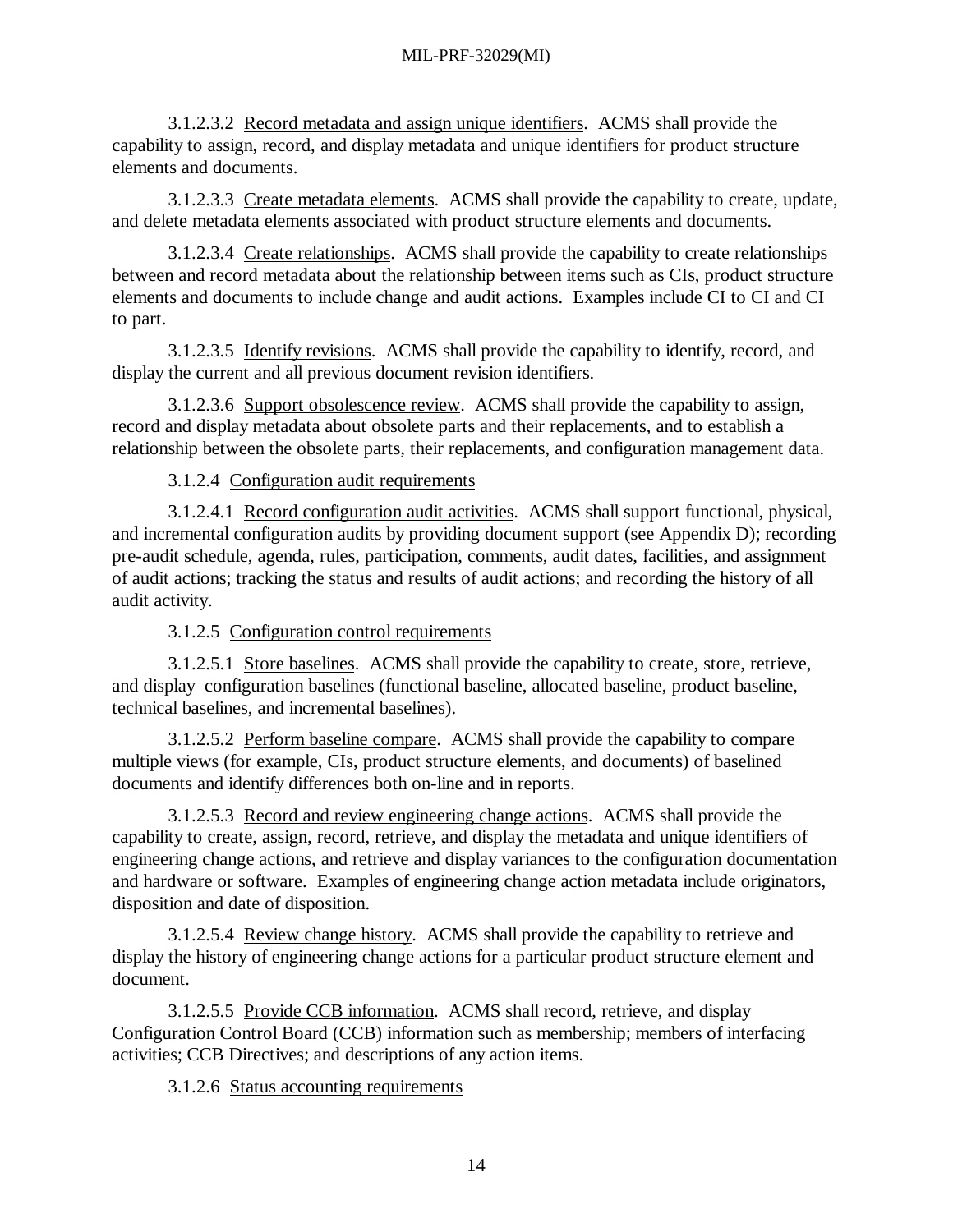3.1.2.3.2 Record metadata and assign unique identifiers. ACMS shall provide the capability to assign, record, and display metadata and unique identifiers for product structure elements and documents.

3.1.2.3.3 Create metadata elements. ACMS shall provide the capability to create, update, and delete metadata elements associated with product structure elements and documents.

3.1.2.3.4 Create relationships. ACMS shall provide the capability to create relationships between and record metadata about the relationship between items such as CIs, product structure elements and documents to include change and audit actions. Examples include CI to CI and CI to part.

3.1.2.3.5 Identify revisions. ACMS shall provide the capability to identify, record, and display the current and all previous document revision identifiers.

3.1.2.3.6 Support obsolescence review. ACMS shall provide the capability to assign, record and display metadata about obsolete parts and their replacements, and to establish a relationship between the obsolete parts, their replacements, and configuration management data.

3.1.2.4 Configuration audit requirements

3.1.2.4.1 Record configuration audit activities. ACMS shall support functional, physical, and incremental configuration audits by providing document support (see Appendix D); recording pre-audit schedule, agenda, rules, participation, comments, audit dates, facilities, and assignment of audit actions; tracking the status and results of audit actions; and recording the history of all audit activity.

3.1.2.5 Configuration control requirements

3.1.2.5.1 Store baselines. ACMS shall provide the capability to create, store, retrieve, and display configuration baselines (functional baseline, allocated baseline, product baseline, technical baselines, and incremental baselines).

3.1.2.5.2 Perform baseline compare. ACMS shall provide the capability to compare multiple views (for example, CIs, product structure elements, and documents) of baselined documents and identify differences both on-line and in reports.

3.1.2.5.3 Record and review engineering change actions. ACMS shall provide the capability to create, assign, record, retrieve, and display the metadata and unique identifiers of engineering change actions, and retrieve and display variances to the configuration documentation and hardware or software. Examples of engineering change action metadata include originators, disposition and date of disposition.

3.1.2.5.4 Review change history. ACMS shall provide the capability to retrieve and display the history of engineering change actions for a particular product structure element and document.

3.1.2.5.5 Provide CCB information. ACMS shall record, retrieve, and display Configuration Control Board (CCB) information such as membership; members of interfacing activities; CCB Directives; and descriptions of any action items.

3.1.2.6 Status accounting requirements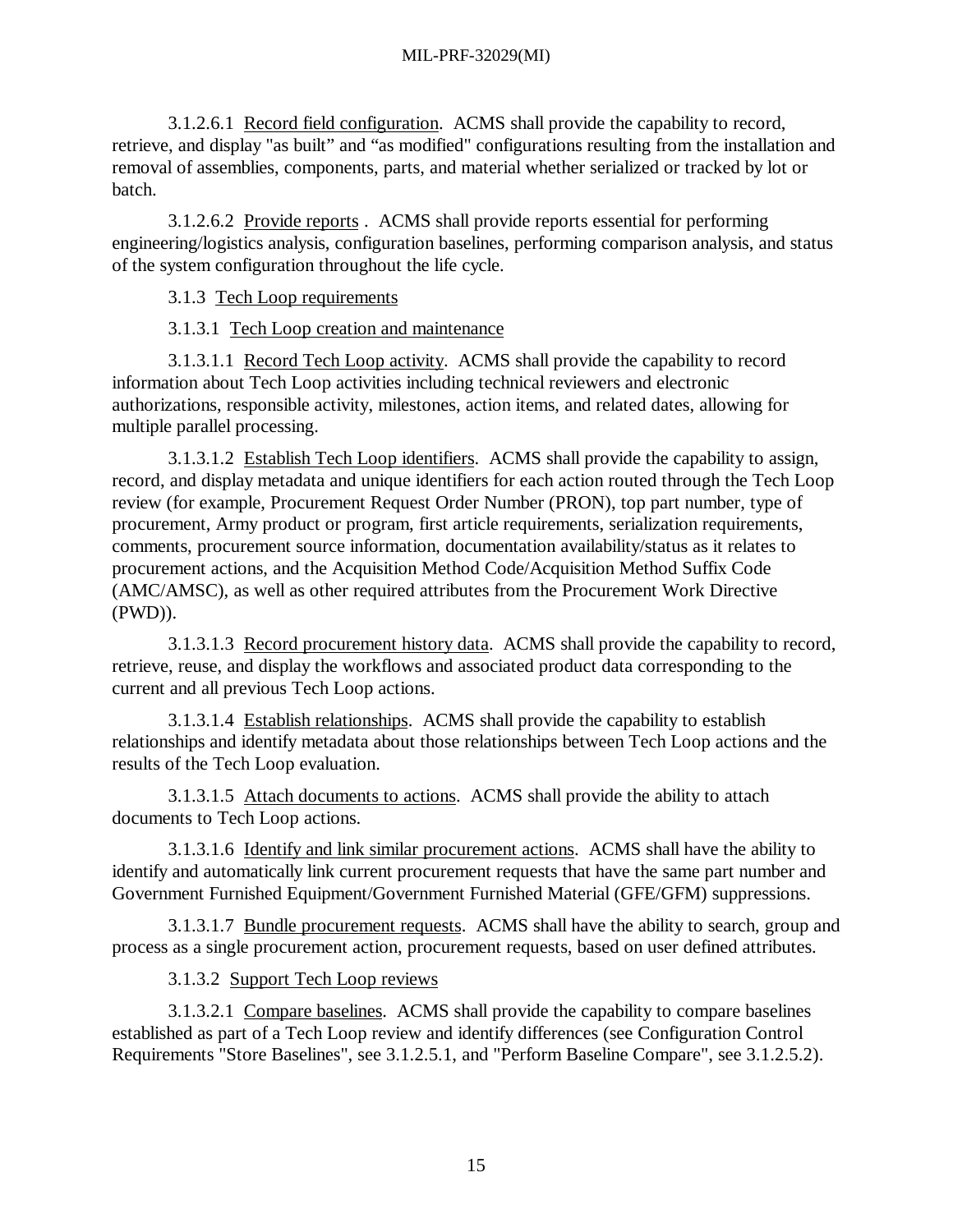3.1.2.6.1 Record field configuration. ACMS shall provide the capability to record, retrieve, and display "as built" and "as modified" configurations resulting from the installation and removal of assemblies, components, parts, and material whether serialized or tracked by lot or batch.

3.1.2.6.2 Provide reports . ACMS shall provide reports essential for performing engineering/logistics analysis, configuration baselines, performing comparison analysis, and status of the system configuration throughout the life cycle.

3.1.3 Tech Loop requirements

3.1.3.1 Tech Loop creation and maintenance

3.1.3.1.1 Record Tech Loop activity. ACMS shall provide the capability to record information about Tech Loop activities including technical reviewers and electronic authorizations, responsible activity, milestones, action items, and related dates, allowing for multiple parallel processing.

3.1.3.1.2 Establish Tech Loop identifiers. ACMS shall provide the capability to assign, record, and display metadata and unique identifiers for each action routed through the Tech Loop review (for example, Procurement Request Order Number (PRON), top part number, type of procurement, Army product or program, first article requirements, serialization requirements, comments, procurement source information, documentation availability/status as it relates to procurement actions, and the Acquisition Method Code/Acquisition Method Suffix Code (AMC/AMSC), as well as other required attributes from the Procurement Work Directive (PWD)).

3.1.3.1.3 Record procurement history data. ACMS shall provide the capability to record, retrieve, reuse, and display the workflows and associated product data corresponding to the current and all previous Tech Loop actions.

3.1.3.1.4 Establish relationships. ACMS shall provide the capability to establish relationships and identify metadata about those relationships between Tech Loop actions and the results of the Tech Loop evaluation.

3.1.3.1.5 Attach documents to actions. ACMS shall provide the ability to attach documents to Tech Loop actions.

3.1.3.1.6 Identify and link similar procurement actions. ACMS shall have the ability to identify and automatically link current procurement requests that have the same part number and Government Furnished Equipment/Government Furnished Material (GFE/GFM) suppressions.

3.1.3.1.7 Bundle procurement requests. ACMS shall have the ability to search, group and process as a single procurement action, procurement requests, based on user defined attributes.

3.1.3.2 Support Tech Loop reviews

3.1.3.2.1 Compare baselines. ACMS shall provide the capability to compare baselines established as part of a Tech Loop review and identify differences (see Configuration Control Requirements "Store Baselines", see 3.1.2.5.1, and "Perform Baseline Compare", see 3.1.2.5.2).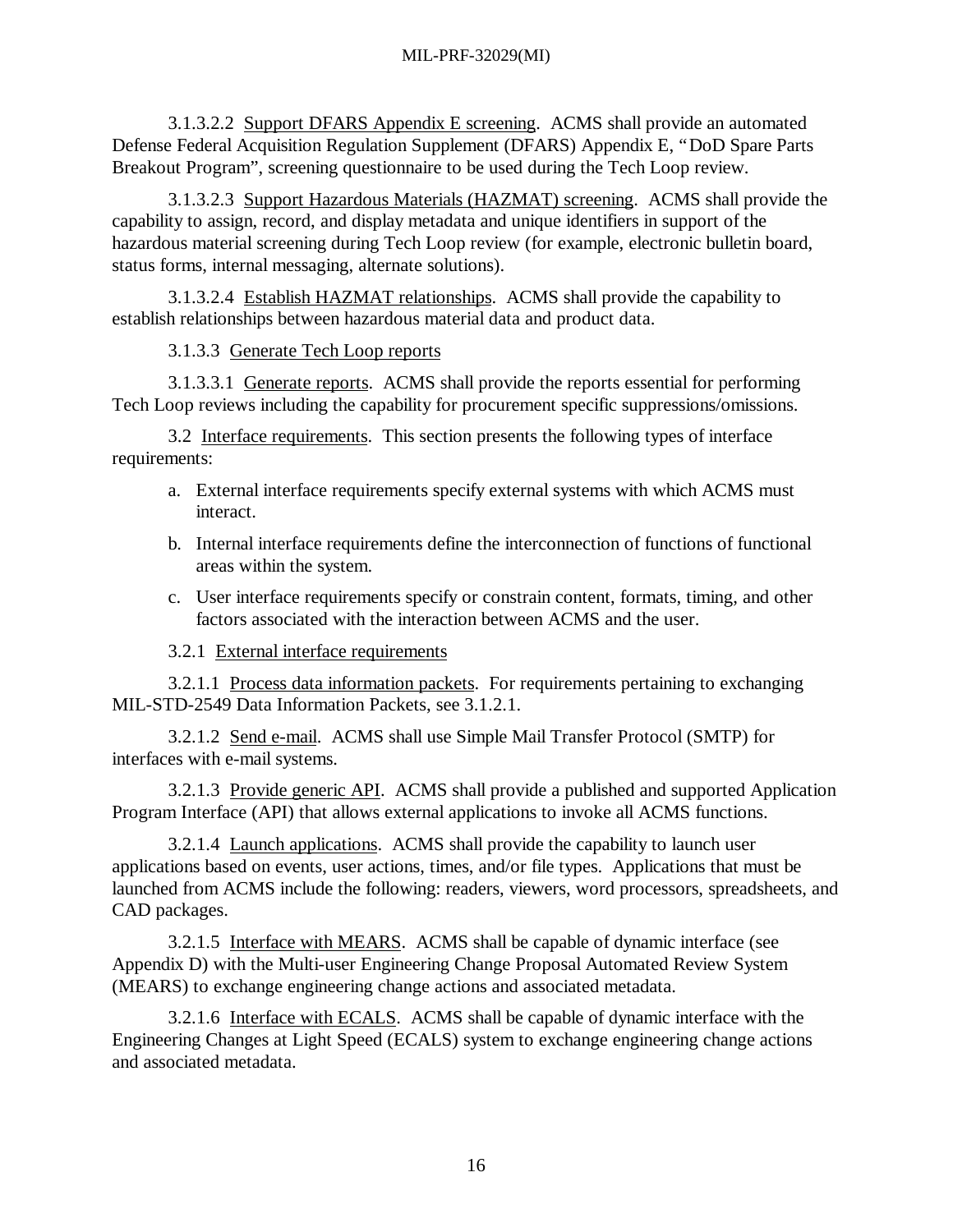3.1.3.2.2 Support DFARS Appendix E screening. ACMS shall provide an automated Defense Federal Acquisition Regulation Supplement (DFARS) Appendix E, "DoD Spare Parts Breakout Program", screening questionnaire to be used during the Tech Loop review.

3.1.3.2.3 Support Hazardous Materials (HAZMAT) screening. ACMS shall provide the capability to assign, record, and display metadata and unique identifiers in support of the hazardous material screening during Tech Loop review (for example, electronic bulletin board, status forms, internal messaging, alternate solutions).

3.1.3.2.4 Establish HAZMAT relationships. ACMS shall provide the capability to establish relationships between hazardous material data and product data.

3.1.3.3 Generate Tech Loop reports

3.1.3.3.1 Generate reports. ACMS shall provide the reports essential for performing Tech Loop reviews including the capability for procurement specific suppressions/omissions.

3.2 Interface requirements. This section presents the following types of interface requirements:

- a. External interface requirements specify external systems with which ACMS must interact.
- b. Internal interface requirements define the interconnection of functions of functional areas within the system.
- c. User interface requirements specify or constrain content, formats, timing, and other factors associated with the interaction between ACMS and the user.
- 3.2.1 External interface requirements

3.2.1.1 Process data information packets. For requirements pertaining to exchanging MIL-STD-2549 Data Information Packets, see 3.1.2.1.

3.2.1.2 Send e-mail. ACMS shall use Simple Mail Transfer Protocol (SMTP) for interfaces with e-mail systems.

3.2.1.3 Provide generic API. ACMS shall provide a published and supported Application Program Interface (API) that allows external applications to invoke all ACMS functions.

3.2.1.4 Launch applications. ACMS shall provide the capability to launch user applications based on events, user actions, times, and/or file types. Applications that must be launched from ACMS include the following: readers, viewers, word processors, spreadsheets, and CAD packages.

3.2.1.5 Interface with MEARS. ACMS shall be capable of dynamic interface (see Appendix D) with the Multi-user Engineering Change Proposal Automated Review System (MEARS) to exchange engineering change actions and associated metadata.

3.2.1.6 Interface with ECALS. ACMS shall be capable of dynamic interface with the Engineering Changes at Light Speed (ECALS) system to exchange engineering change actions and associated metadata.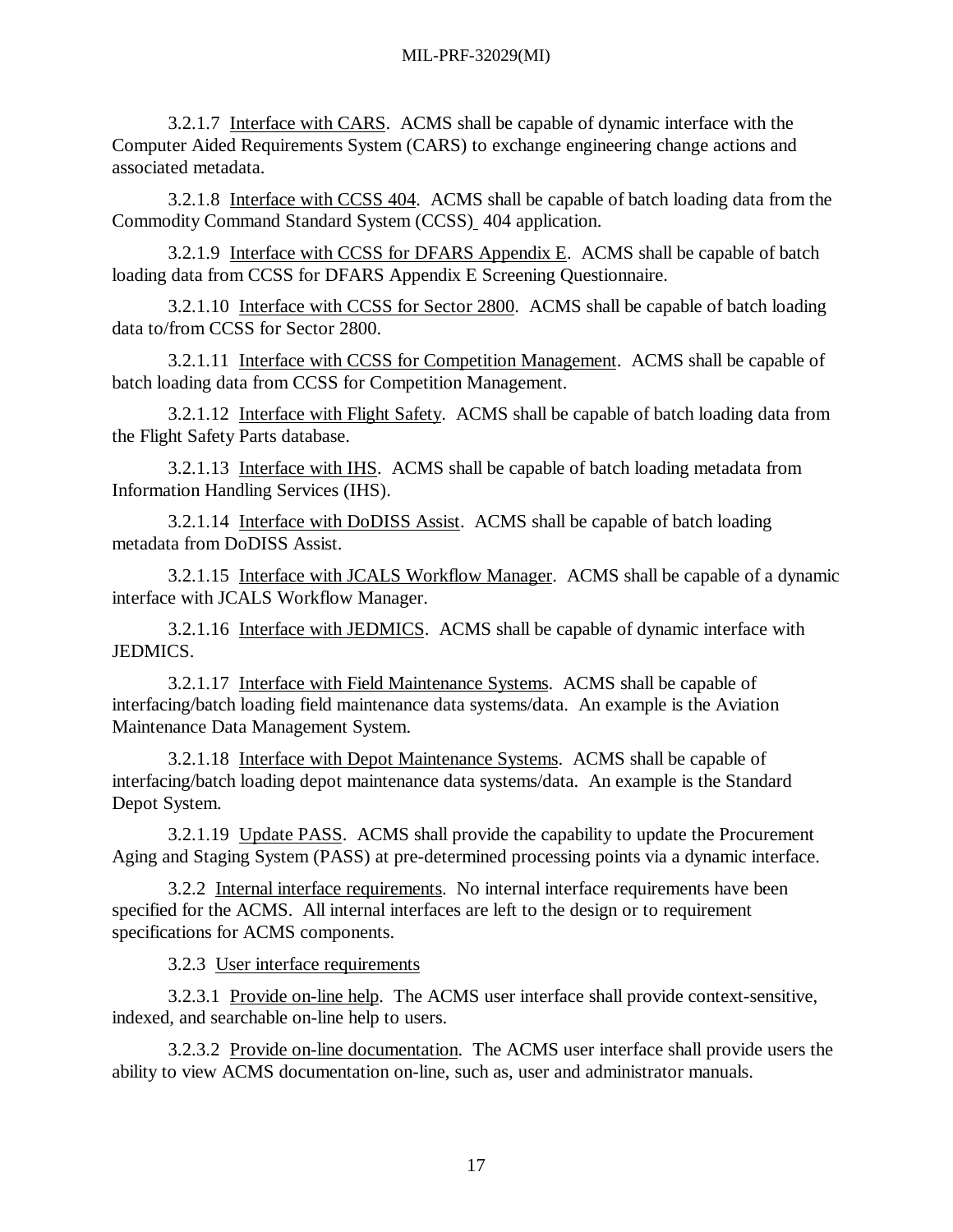3.2.1.7 Interface with CARS. ACMS shall be capable of dynamic interface with the Computer Aided Requirements System (CARS) to exchange engineering change actions and associated metadata.

3.2.1.8 Interface with CCSS 404. ACMS shall be capable of batch loading data from the Commodity Command Standard System (CCSS) 404 application.

3.2.1.9 Interface with CCSS for DFARS Appendix E. ACMS shall be capable of batch loading data from CCSS for DFARS Appendix E Screening Questionnaire.

3.2.1.10 Interface with CCSS for Sector 2800. ACMS shall be capable of batch loading data to/from CCSS for Sector 2800.

3.2.1.11 Interface with CCSS for Competition Management. ACMS shall be capable of batch loading data from CCSS for Competition Management.

3.2.1.12 Interface with Flight Safety. ACMS shall be capable of batch loading data from the Flight Safety Parts database.

3.2.1.13 Interface with IHS. ACMS shall be capable of batch loading metadata from Information Handling Services (IHS).

3.2.1.14 Interface with DoDISS Assist. ACMS shall be capable of batch loading metadata from DoDISS Assist.

3.2.1.15 Interface with JCALS Workflow Manager. ACMS shall be capable of a dynamic interface with JCALS Workflow Manager.

3.2.1.16 Interface with JEDMICS. ACMS shall be capable of dynamic interface with JEDMICS.

3.2.1.17 Interface with Field Maintenance Systems. ACMS shall be capable of interfacing/batch loading field maintenance data systems/data. An example is the Aviation Maintenance Data Management System.

3.2.1.18 Interface with Depot Maintenance Systems. ACMS shall be capable of interfacing/batch loading depot maintenance data systems/data. An example is the Standard Depot System.

3.2.1.19 Update PASS. ACMS shall provide the capability to update the Procurement Aging and Staging System (PASS) at pre-determined processing points via a dynamic interface.

3.2.2 Internal interface requirements. No internal interface requirements have been specified for the ACMS. All internal interfaces are left to the design or to requirement specifications for ACMS components.

3.2.3 User interface requirements

3.2.3.1 Provide on-line help. The ACMS user interface shall provide context-sensitive, indexed, and searchable on-line help to users.

3.2.3.2 Provide on-line documentation. The ACMS user interface shall provide users the ability to view ACMS documentation on-line, such as, user and administrator manuals.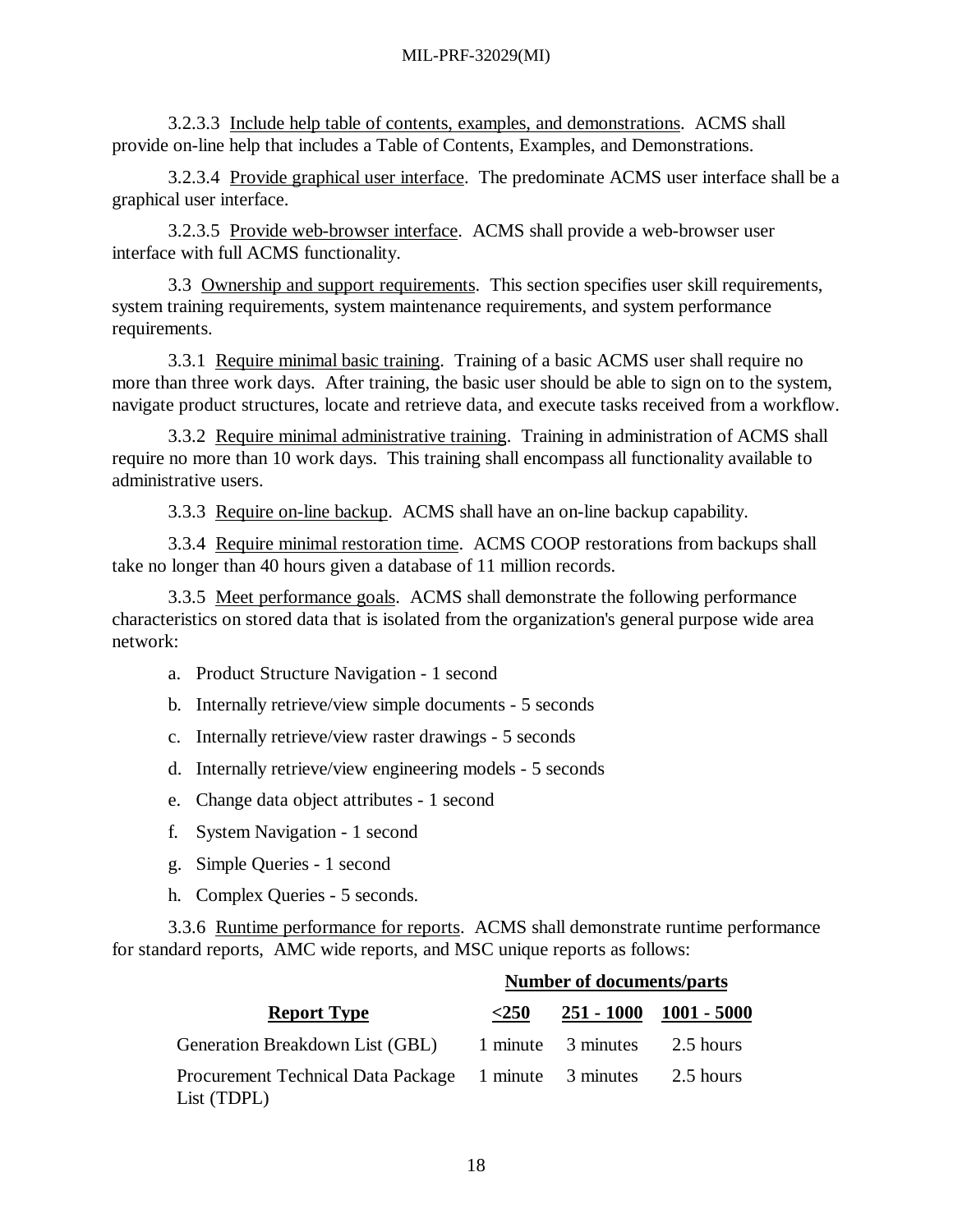3.2.3.3 Include help table of contents, examples, and demonstrations. ACMS shall provide on-line help that includes a Table of Contents, Examples, and Demonstrations.

3.2.3.4 Provide graphical user interface. The predominate ACMS user interface shall be a graphical user interface.

3.2.3.5 Provide web-browser interface. ACMS shall provide a web-browser user interface with full ACMS functionality.

3.3 Ownership and support requirements. This section specifies user skill requirements, system training requirements, system maintenance requirements, and system performance requirements.

3.3.1 Require minimal basic training. Training of a basic ACMS user shall require no more than three work days. After training, the basic user should be able to sign on to the system, navigate product structures, locate and retrieve data, and execute tasks received from a workflow.

3.3.2 Require minimal administrative training. Training in administration of ACMS shall require no more than 10 work days. This training shall encompass all functionality available to administrative users.

3.3.3 Require on-line backup. ACMS shall have an on-line backup capability.

3.3.4 Require minimal restoration time. ACMS COOP restorations from backups shall take no longer than 40 hours given a database of 11 million records.

3.3.5 Meet performance goals. ACMS shall demonstrate the following performance characteristics on stored data that is isolated from the organization's general purpose wide area network:

- a. Product Structure Navigation 1 second
- b. Internally retrieve/view simple documents 5 seconds
- c. Internally retrieve/view raster drawings 5 seconds
- d. Internally retrieve/view engineering models 5 seconds
- e. Change data object attributes 1 second
- f. System Navigation 1 second
- g. Simple Queries 1 second
- h. Complex Queries 5 seconds.

3.3.6 Runtime performance for reports. ACMS shall demonstrate runtime performance for standard reports, AMC wide reports, and MSC unique reports as follows:

|                                                                      | Number of documents/parts |                    |             |
|----------------------------------------------------------------------|---------------------------|--------------------|-------------|
| <b>Report Type</b>                                                   | $<$ 250                   | $251 - 1000$       | 1001 - 5000 |
| Generation Breakdown List (GBL)                                      |                           | 1 minute 3 minutes | 2.5 hours   |
| Procurement Technical Data Package 1 minute 3 minutes<br>List (TDPL) |                           |                    | 2.5 hours   |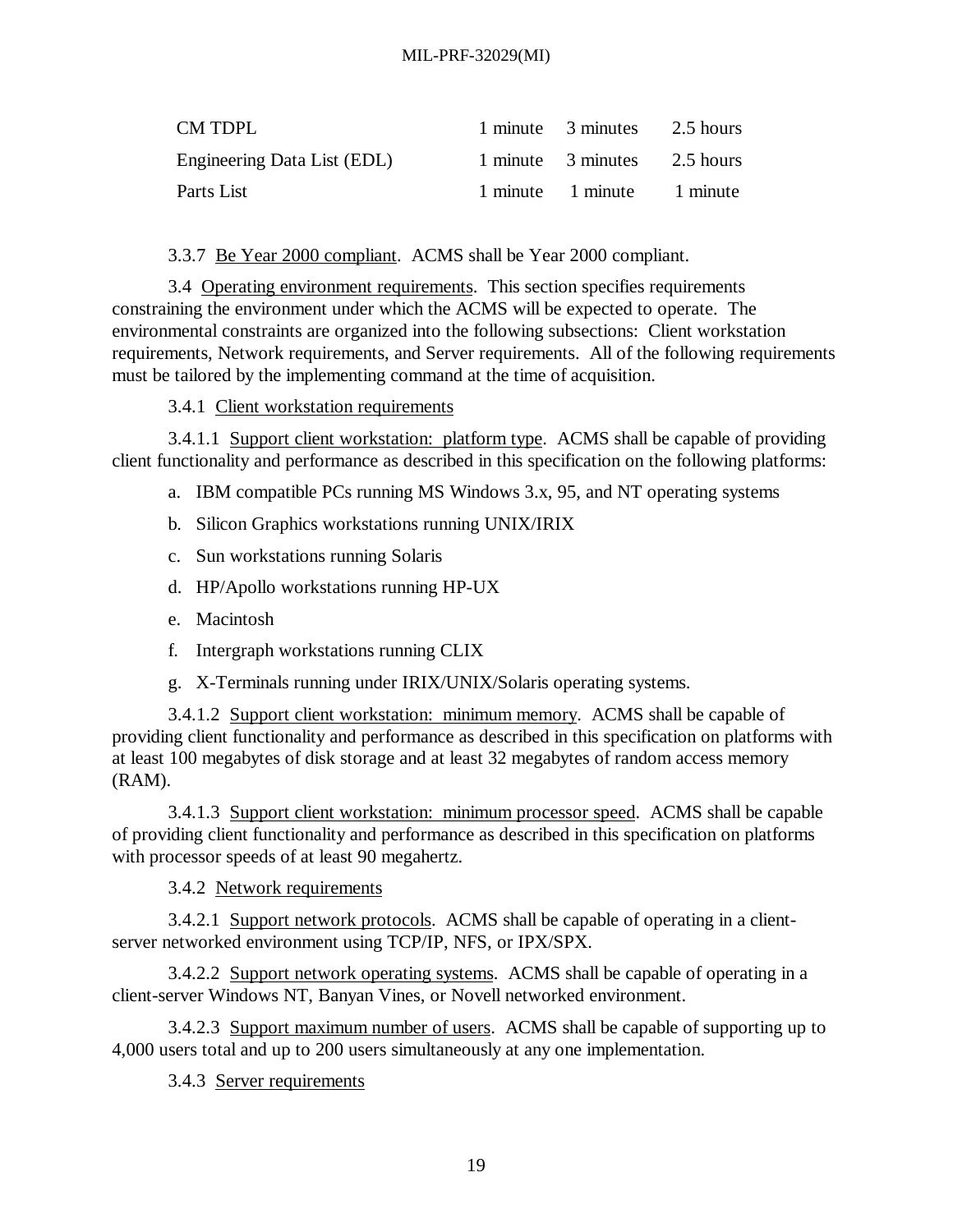| CM TDPL                     | 1 minute 3 minutes 2.5 hours |  |
|-----------------------------|------------------------------|--|
| Engineering Data List (EDL) | 1 minute 3 minutes 2.5 hours |  |
| Parts List                  | 1 minute 1 minute 1 minute   |  |

3.3.7 Be Year 2000 compliant. ACMS shall be Year 2000 compliant.

3.4 Operating environment requirements. This section specifies requirements constraining the environment under which the ACMS will be expected to operate. The environmental constraints are organized into the following subsections: Client workstation requirements, Network requirements, and Server requirements. All of the following requirements must be tailored by the implementing command at the time of acquisition.

3.4.1 Client workstation requirements

3.4.1.1 Support client workstation: platform type. ACMS shall be capable of providing client functionality and performance as described in this specification on the following platforms:

- a. IBM compatible PCs running MS Windows 3.x, 95, and NT operating systems
- b. Silicon Graphics workstations running UNIX/IRIX
- c. Sun workstations running Solaris
- d. HP/Apollo workstations running HP-UX
- e. Macintosh
- f. Intergraph workstations running CLIX
- g. X-Terminals running under IRIX/UNIX/Solaris operating systems.

3.4.1.2 Support client workstation: minimum memory. ACMS shall be capable of providing client functionality and performance as described in this specification on platforms with at least 100 megabytes of disk storage and at least 32 megabytes of random access memory (RAM).

3.4.1.3 Support client workstation: minimum processor speed. ACMS shall be capable of providing client functionality and performance as described in this specification on platforms with processor speeds of at least 90 megahertz.

3.4.2 Network requirements

3.4.2.1 Support network protocols. ACMS shall be capable of operating in a clientserver networked environment using TCP/IP, NFS, or IPX/SPX.

3.4.2.2 Support network operating systems. ACMS shall be capable of operating in a client-server Windows NT, Banyan Vines, or Novell networked environment.

3.4.2.3 Support maximum number of users. ACMS shall be capable of supporting up to 4,000 users total and up to 200 users simultaneously at any one implementation.

3.4.3 Server requirements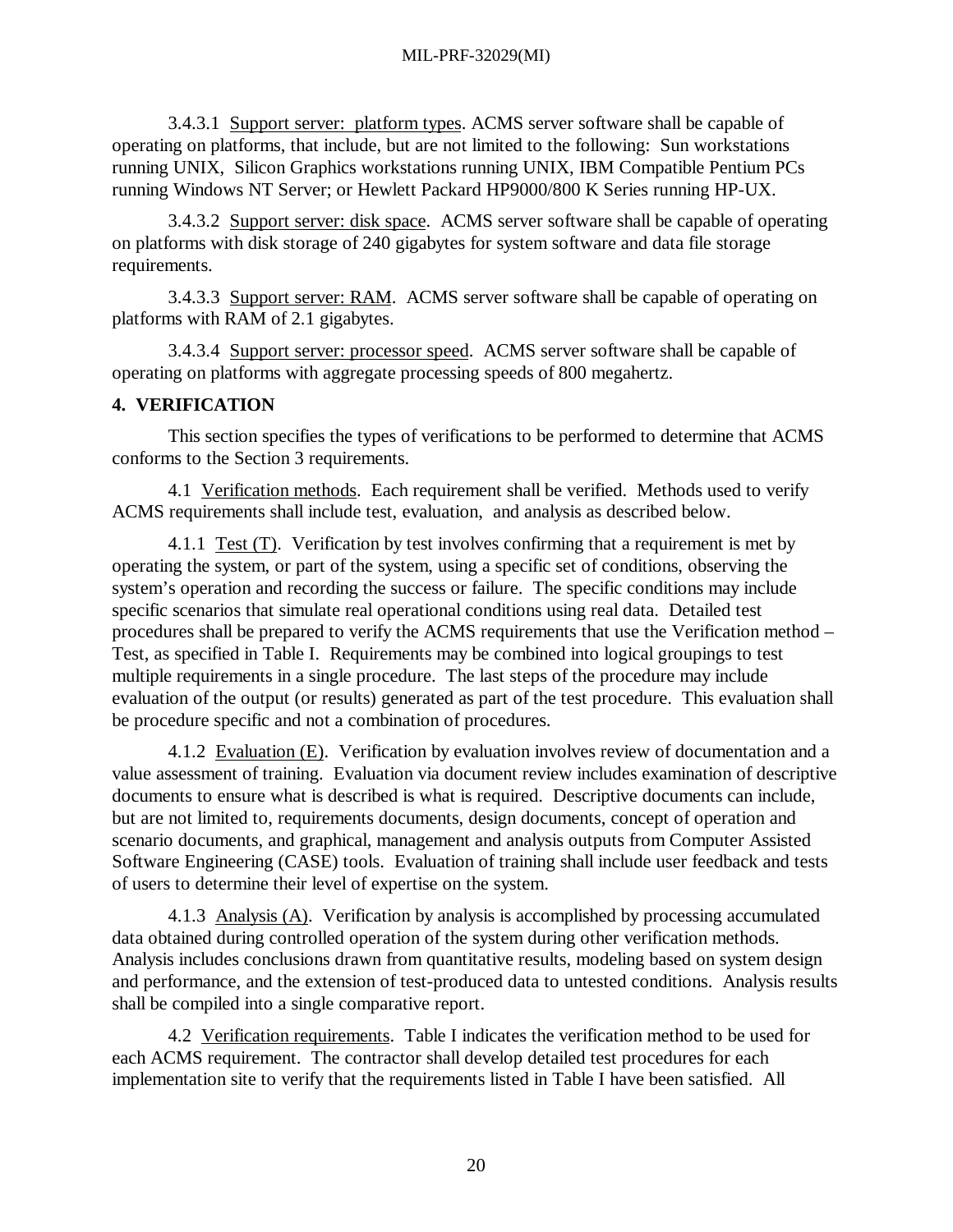3.4.3.1 Support server: platform types. ACMS server software shall be capable of operating on platforms, that include, but are not limited to the following: Sun workstations running UNIX, Silicon Graphics workstations running UNIX, IBM Compatible Pentium PCs running Windows NT Server; or Hewlett Packard HP9000/800 K Series running HP-UX.

3.4.3.2 Support server: disk space. ACMS server software shall be capable of operating on platforms with disk storage of 240 gigabytes for system software and data file storage requirements.

3.4.3.3 Support server: RAM. ACMS server software shall be capable of operating on platforms with RAM of 2.1 gigabytes.

3.4.3.4 Support server: processor speed. ACMS server software shall be capable of operating on platforms with aggregate processing speeds of 800 megahertz.

#### **4. VERIFICATION**

This section specifies the types of verifications to be performed to determine that ACMS conforms to the Section 3 requirements.

4.1 Verification methods. Each requirement shall be verified. Methods used to verify ACMS requirements shall include test, evaluation, and analysis as described below.

4.1.1 Test (T). Verification by test involves confirming that a requirement is met by operating the system, or part of the system, using a specific set of conditions, observing the system's operation and recording the success or failure. The specific conditions may include specific scenarios that simulate real operational conditions using real data. Detailed test procedures shall be prepared to verify the ACMS requirements that use the Verification method – Test, as specified in Table I. Requirements may be combined into logical groupings to test multiple requirements in a single procedure. The last steps of the procedure may include evaluation of the output (or results) generated as part of the test procedure. This evaluation shall be procedure specific and not a combination of procedures.

4.1.2 Evaluation (E). Verification by evaluation involves review of documentation and a value assessment of training. Evaluation via document review includes examination of descriptive documents to ensure what is described is what is required. Descriptive documents can include, but are not limited to, requirements documents, design documents, concept of operation and scenario documents, and graphical, management and analysis outputs from Computer Assisted Software Engineering (CASE) tools. Evaluation of training shall include user feedback and tests of users to determine their level of expertise on the system.

4.1.3 Analysis (A). Verification by analysis is accomplished by processing accumulated data obtained during controlled operation of the system during other verification methods. Analysis includes conclusions drawn from quantitative results, modeling based on system design and performance, and the extension of test-produced data to untested conditions. Analysis results shall be compiled into a single comparative report.

4.2 Verification requirements. Table I indicates the verification method to be used for each ACMS requirement. The contractor shall develop detailed test procedures for each implementation site to verify that the requirements listed in Table I have been satisfied. All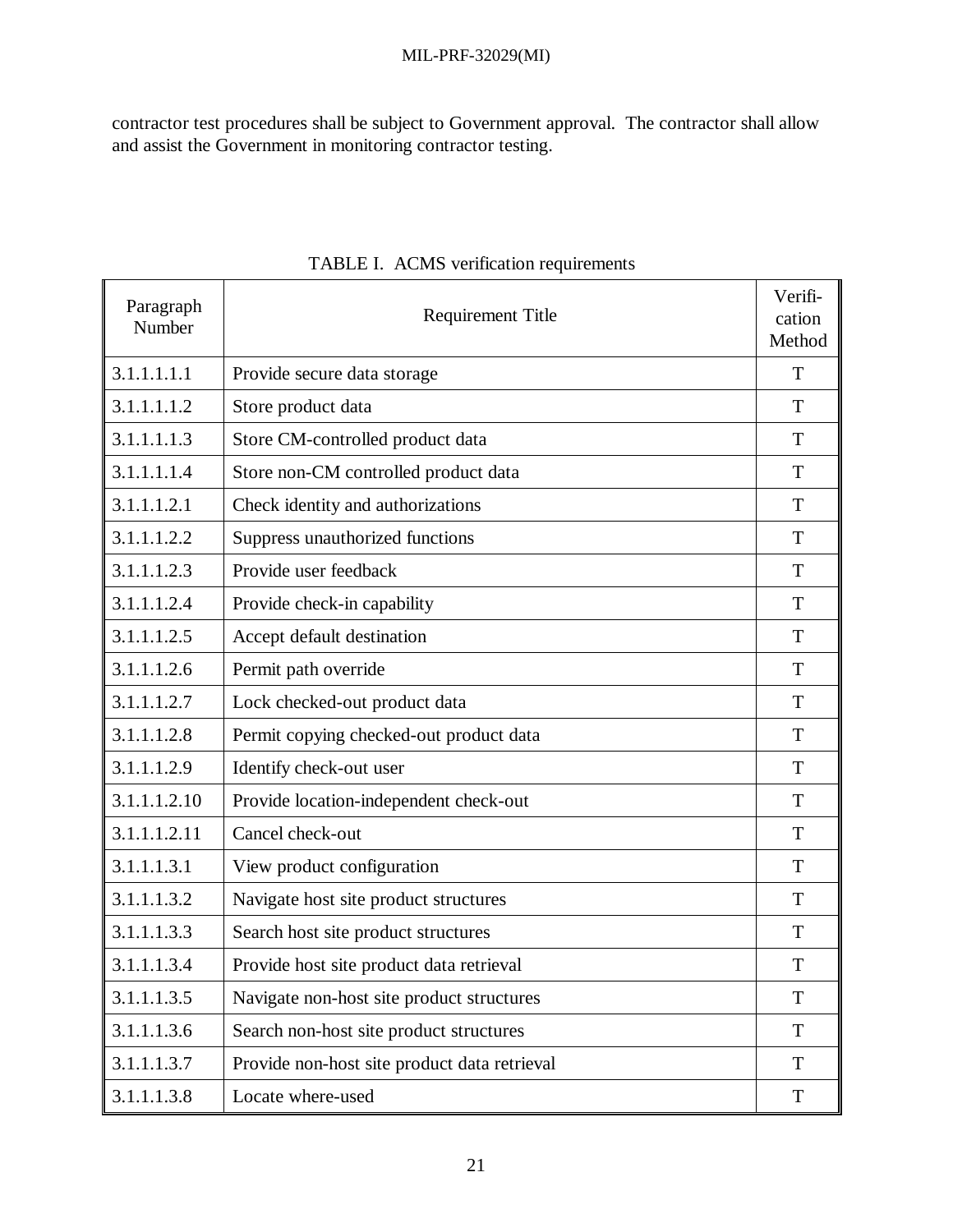contractor test procedures shall be subject to Government approval. The contractor shall allow and assist the Government in monitoring contractor testing.

| Paragraph<br>Number | <b>Requirement Title</b>                     | Verifi-<br>cation<br>Method |
|---------------------|----------------------------------------------|-----------------------------|
| 3.1.1.1.1.1         | Provide secure data storage                  | T                           |
| 3.1.1.1.1.2         | Store product data                           | T                           |
| 3.1.1.1.1.3         | Store CM-controlled product data             | T                           |
| 3.1.1.1.1.4         | Store non-CM controlled product data         | T                           |
| 3.1.1.1.2.1         | Check identity and authorizations            | T                           |
| 3.1.1.1.2.2         | Suppress unauthorized functions              | T                           |
| 3.1.1.1.2.3         | Provide user feedback                        | T                           |
| 3.1.1.1.2.4         | Provide check-in capability                  | T                           |
| 3.1.1.1.2.5         | Accept default destination                   | T                           |
| 3.1.1.1.2.6         | Permit path override                         | T                           |
| 3.1.1.1.2.7         | Lock checked-out product data                | T                           |
| 3.1.1.1.2.8         | Permit copying checked-out product data      | T                           |
| 3.1.1.1.2.9         | Identify check-out user                      | T                           |
| 3.1.1.1.2.10        | Provide location-independent check-out       | T                           |
| 3.1.1.1.2.11        | Cancel check-out                             | T                           |
| 3.1.1.1.3.1         | View product configuration                   | T                           |
| 3.1.1.1.3.2         | Navigate host site product structures        | T                           |
| 3.1.1.1.3.3         | Search host site product structures          | T                           |
| 3.1.1.1.3.4         | Provide host site product data retrieval     | T                           |
| 3.1.1.1.3.5         | Navigate non-host site product structures    | T                           |
| 3.1.1.1.3.6         | Search non-host site product structures      | T                           |
| 3.1.1.1.3.7         | Provide non-host site product data retrieval | T                           |
| 3.1.1.1.3.8         | Locate where-used                            | T                           |

TABLE I. ACMS verification requirements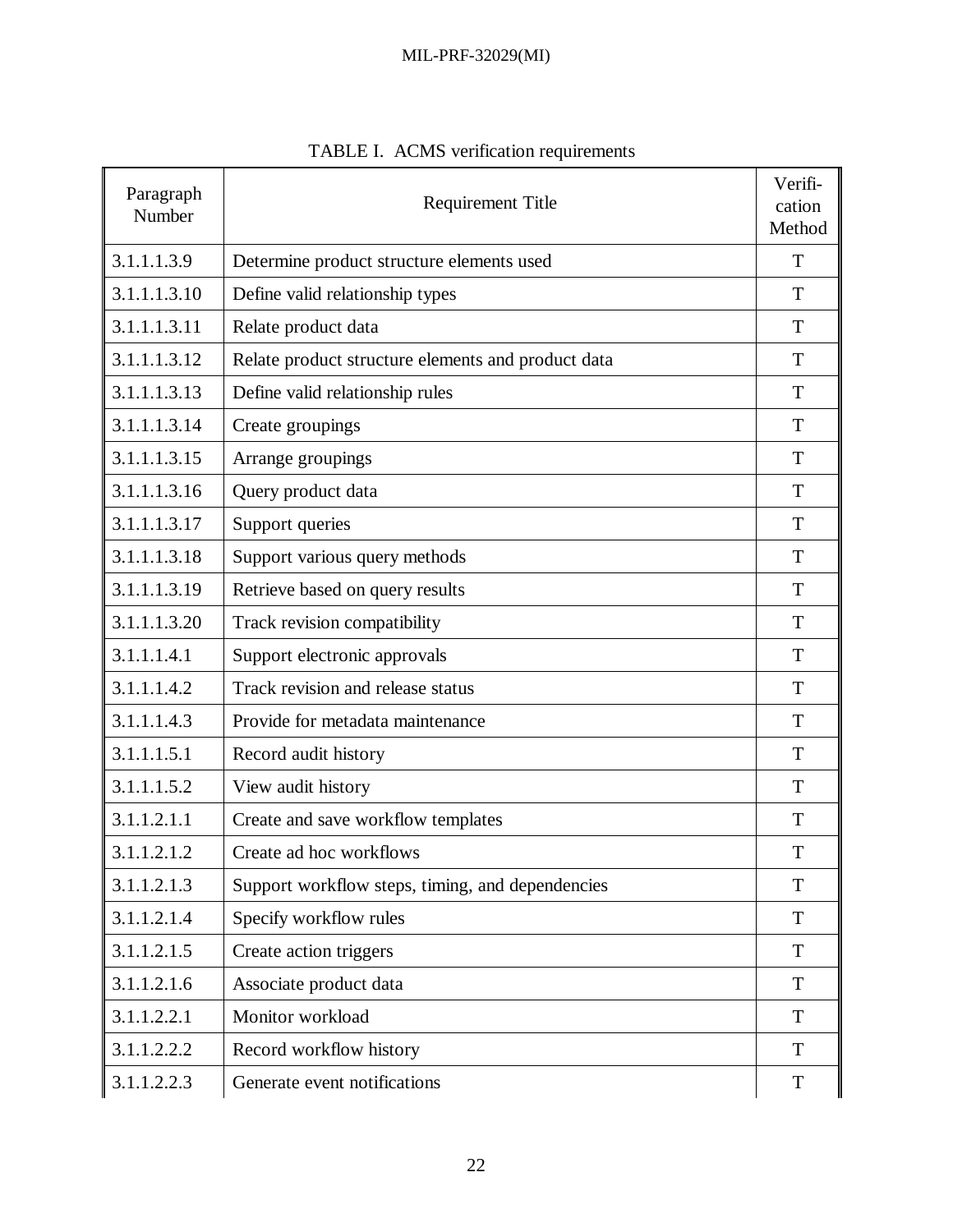| Paragraph<br>Number | <b>Requirement Title</b>                           |   |
|---------------------|----------------------------------------------------|---|
| 3.1.1.1.3.9         | Determine product structure elements used          | T |
| 3.1.1.1.3.10        | Define valid relationship types                    | T |
| 3.1.1.1.3.11        | Relate product data                                | T |
| 3.1.1.1.3.12        | Relate product structure elements and product data | T |
| 3.1.1.1.3.13        | Define valid relationship rules                    | T |
| 3.1.1.1.3.14        | Create groupings                                   | T |
| 3.1.1.1.3.15        | Arrange groupings                                  | T |
| 3.1.1.1.3.16        | Query product data                                 | T |
| 3.1.1.1.3.17        | Support queries                                    | T |
| 3.1.1.1.3.18        | Support various query methods                      | T |
| 3.1.1.1.3.19        | Retrieve based on query results                    | T |
| 3.1.1.1.3.20        | Track revision compatibility                       | T |
| 3.1.1.1.4.1         | Support electronic approvals                       | T |
| 3.1.1.1.4.2         | Track revision and release status                  | T |
| 3.1.1.1.4.3         | Provide for metadata maintenance                   | T |
| 3.1.1.1.5.1         | Record audit history                               | T |
| 3.1.1.1.5.2         | View audit history                                 | T |
| 3.1.1.2.1.1         | Create and save workflow templates                 | T |
| 3.1.1.2.1.2         | Create ad hoc workflows                            | T |
| 3.1.1.2.1.3         | Support workflow steps, timing, and dependencies   | T |
| 3.1.1.2.1.4         | Specify workflow rules                             | T |
| 3.1.1.2.1.5         | Create action triggers                             | T |
| 3.1.1.2.1.6         | Associate product data                             | T |
| 3.1.1.2.2.1         | Monitor workload                                   | T |
| 3.1.1.2.2.2         | Record workflow history                            | T |
| 3.1.1.2.2.3         | Generate event notifications                       | T |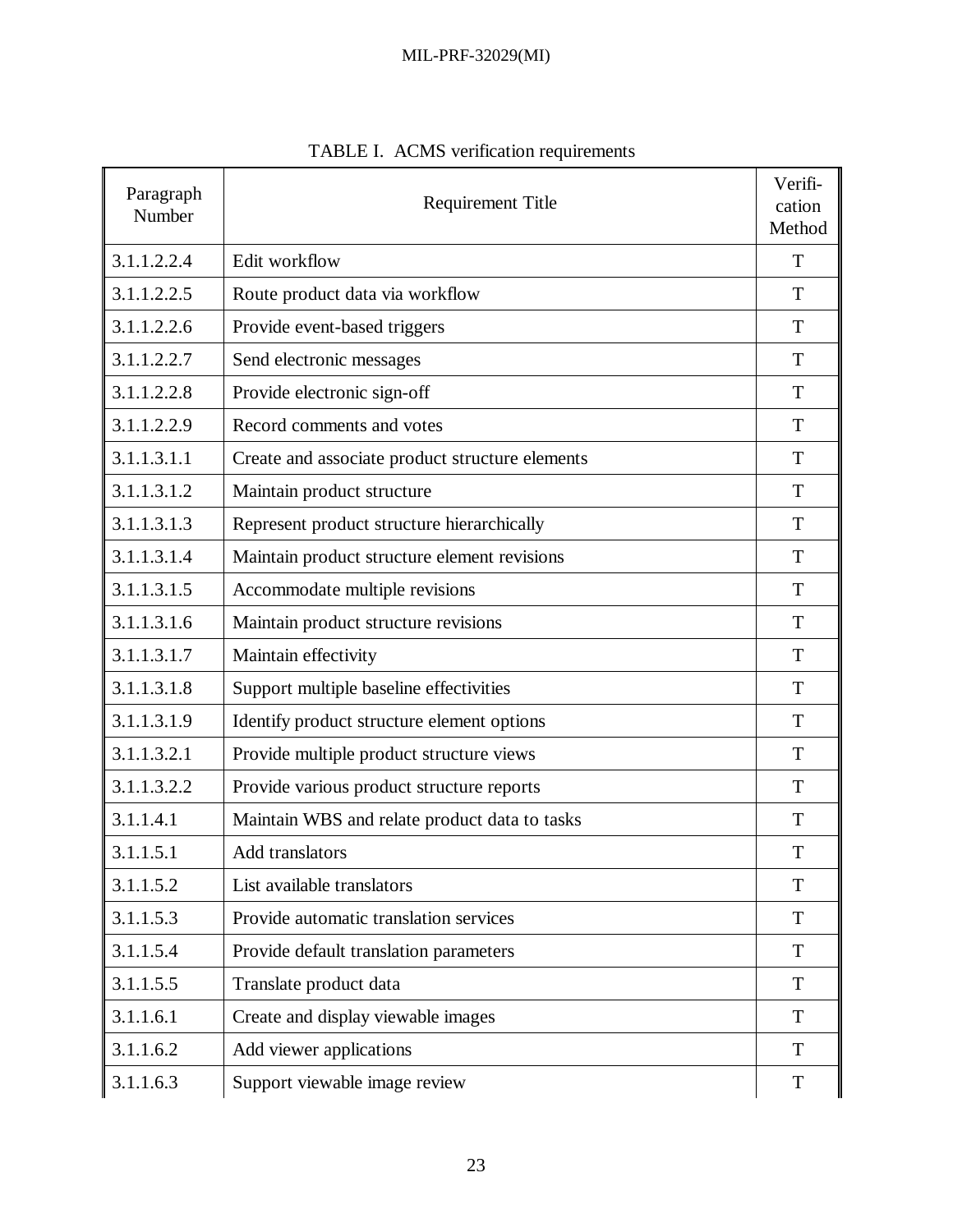| Paragraph<br>Number | <b>Requirement Title</b>                        |   |
|---------------------|-------------------------------------------------|---|
| 3.1.1.2.2.4         | Edit workflow                                   | T |
| 3.1.1.2.2.5         | Route product data via workflow                 | T |
| 3.1.1.2.2.6         | Provide event-based triggers                    | T |
| 3.1.1.2.2.7         | Send electronic messages                        | T |
| 3.1.1.2.2.8         | Provide electronic sign-off                     | T |
| 3.1.1.2.2.9         | Record comments and votes                       | T |
| 3.1.1.3.1.1         | Create and associate product structure elements | T |
| 3.1.1.3.1.2         | Maintain product structure                      | T |
| 3.1.1.3.1.3         | Represent product structure hierarchically      | T |
| 3.1.1.3.1.4         | Maintain product structure element revisions    | T |
| 3.1.1.3.1.5         | Accommodate multiple revisions                  | T |
| 3.1.1.3.1.6         | Maintain product structure revisions            | T |
| 3.1.1.3.1.7         | Maintain effectivity                            | T |
| 3.1.1.3.1.8         | Support multiple baseline effectivities         | T |
| 3.1.1.3.1.9         | Identify product structure element options      | T |
| 3.1.1.3.2.1         | Provide multiple product structure views        | T |
| 3.1.1.3.2.2         | Provide various product structure reports       | T |
| 3.1.1.4.1           | Maintain WBS and relate product data to tasks   | T |
| 3.1.1.5.1           | Add translators                                 | T |
| 3.1.1.5.2           | List available translators                      | T |
| 3.1.1.5.3           | Provide automatic translation services          | T |
| 3.1.1.5.4           | Provide default translation parameters          | T |
| 3.1.1.5.5           | Translate product data                          | T |
| 3.1.1.6.1           | Create and display viewable images              | T |
| 3.1.1.6.2           | Add viewer applications                         | T |
| 3.1.1.6.3           | Support viewable image review                   | T |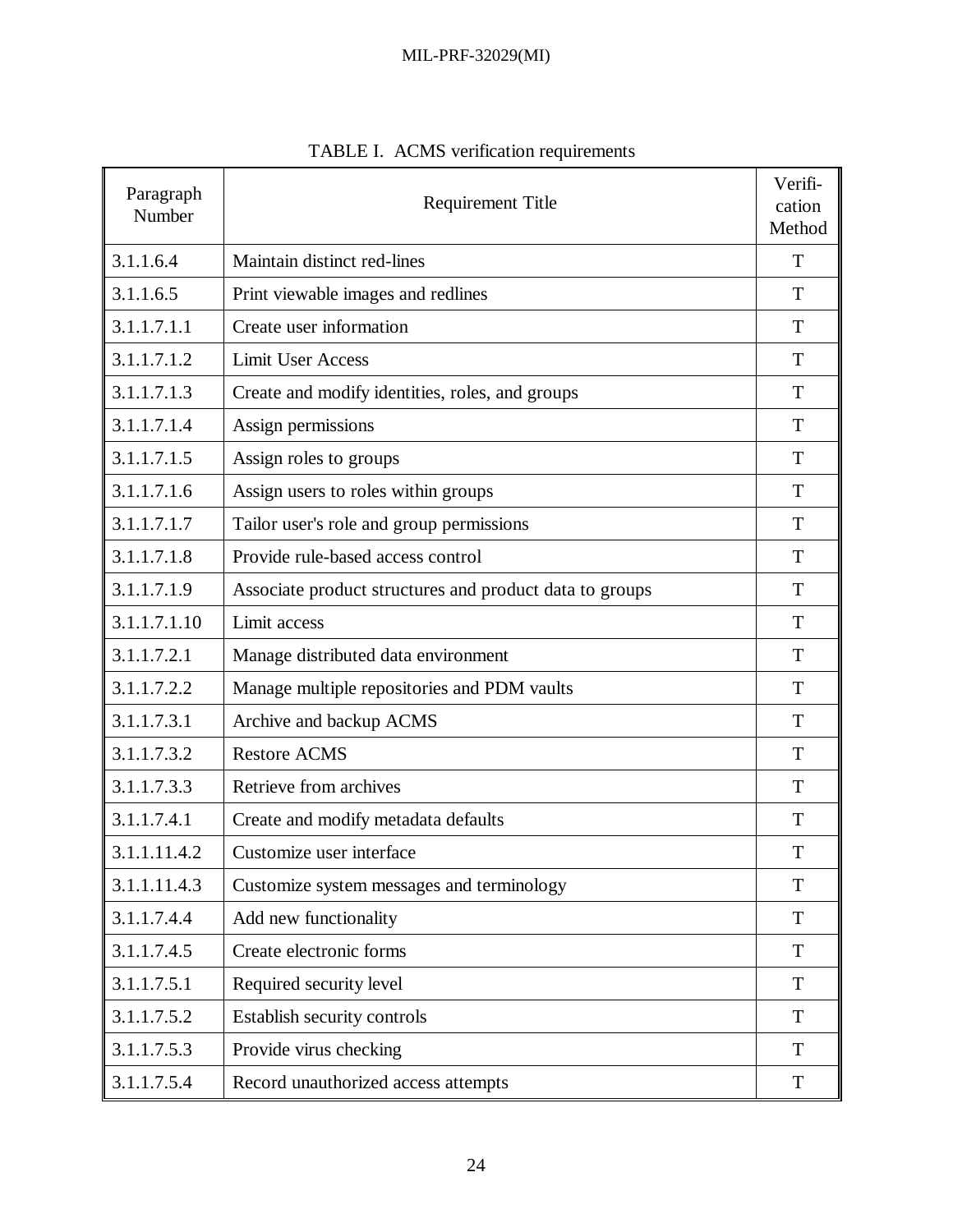| Paragraph<br>Number | <b>Requirement Title</b>                                |   |
|---------------------|---------------------------------------------------------|---|
| 3.1.1.6.4           | Maintain distinct red-lines                             | T |
| 3.1.1.6.5           | Print viewable images and redlines                      | T |
| 3.1.1.7.1.1         | Create user information                                 | T |
| 3.1.1.7.1.2         | <b>Limit User Access</b>                                | T |
| 3.1.1.7.1.3         | Create and modify identities, roles, and groups         | T |
| 3.1.1.7.1.4         | Assign permissions                                      | T |
| 3.1.1.7.1.5         | Assign roles to groups                                  | T |
| 3.1.1.7.1.6         | Assign users to roles within groups                     | T |
| 3.1.1.7.1.7         | Tailor user's role and group permissions                | T |
| 3.1.1.7.1.8         | Provide rule-based access control                       | T |
| 3.1.1.7.1.9         | Associate product structures and product data to groups | T |
| 3.1.1.7.1.10        | Limit access                                            | T |
| 3.1.1.7.2.1         | Manage distributed data environment                     | T |
| 3.1.1.7.2.2         | Manage multiple repositories and PDM vaults             | T |
| 3.1.1.7.3.1         | Archive and backup ACMS                                 | T |
| 3.1.1.7.3.2         | <b>Restore ACMS</b>                                     | T |
| 3.1.1.7.3.3         | Retrieve from archives                                  | T |
| 3.1.1.7.4.1         | Create and modify metadata defaults                     | T |
| 3.1.1.11.4.2        | Customize user interface                                | T |
| 3.1.1.11.4.3        | Customize system messages and terminology               | T |
| 3.1.1.7.4.4         | Add new functionality                                   | T |
| 3.1.1.7.4.5         | Create electronic forms                                 | T |
| 3.1.1.7.5.1         | Required security level                                 | T |
| 3.1.1.7.5.2         | Establish security controls                             | T |
| 3.1.1.7.5.3         | Provide virus checking                                  | T |
| 3.1.1.7.5.4         | Record unauthorized access attempts                     | T |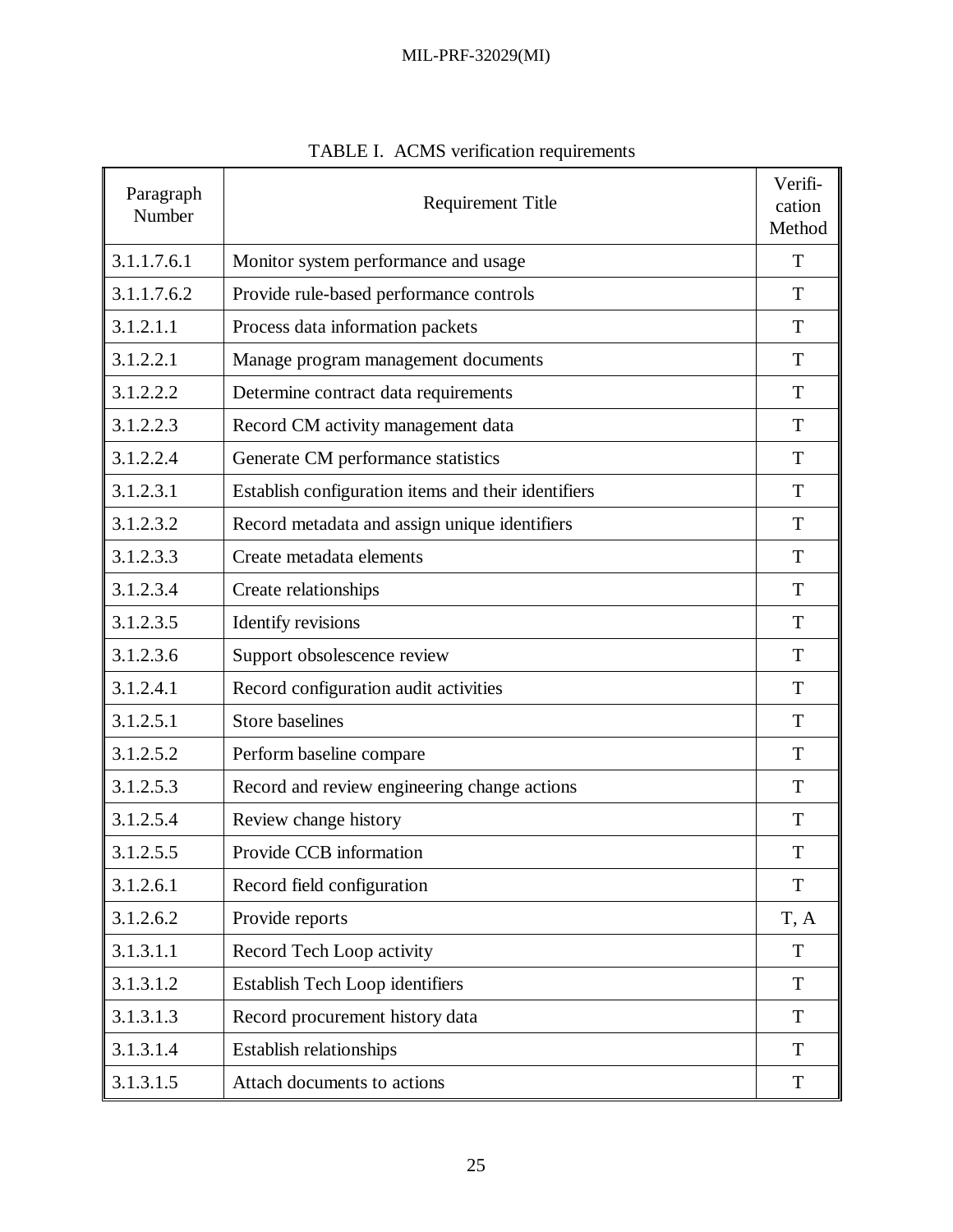| Paragraph<br>Number | <b>Requirement Title</b>                            |      |
|---------------------|-----------------------------------------------------|------|
| 3.1.1.7.6.1         | Monitor system performance and usage                | T    |
| 3.1.1.7.6.2         | Provide rule-based performance controls             | T    |
| 3.1.2.1.1           | Process data information packets                    | T    |
| 3.1.2.2.1           | Manage program management documents                 | T    |
| 3.1.2.2.2           | Determine contract data requirements                | T    |
| 3.1.2.2.3           | Record CM activity management data                  | T    |
| 3.1.2.2.4           | Generate CM performance statistics                  | T    |
| 3.1.2.3.1           | Establish configuration items and their identifiers | T    |
| 3.1.2.3.2           | Record metadata and assign unique identifiers       | T    |
| 3.1.2.3.3           | Create metadata elements                            | T    |
| 3.1.2.3.4           | Create relationships                                | T    |
| 3.1.2.3.5           | Identify revisions                                  | T    |
| 3.1.2.3.6           | Support obsolescence review                         | T    |
| 3.1.2.4.1           | Record configuration audit activities               | T    |
| 3.1.2.5.1           | <b>Store baselines</b>                              | T    |
| 3.1.2.5.2           | Perform baseline compare                            | T    |
| 3.1.2.5.3           | Record and review engineering change actions        | T    |
| 3.1.2.5.4           | Review change history                               | T    |
| 3.1.2.5.5           | Provide CCB information                             | T    |
| 3.1.2.6.1           | Record field configuration                          | T    |
| 3.1.2.6.2           | Provide reports                                     | T, A |
| 3.1.3.1.1           | Record Tech Loop activity                           | T    |
| 3.1.3.1.2           | <b>Establish Tech Loop identifiers</b>              | T    |
| 3.1.3.1.3           | Record procurement history data                     | T    |
| 3.1.3.1.4           | <b>Establish relationships</b>                      | T    |
| 3.1.3.1.5           | Attach documents to actions                         | T    |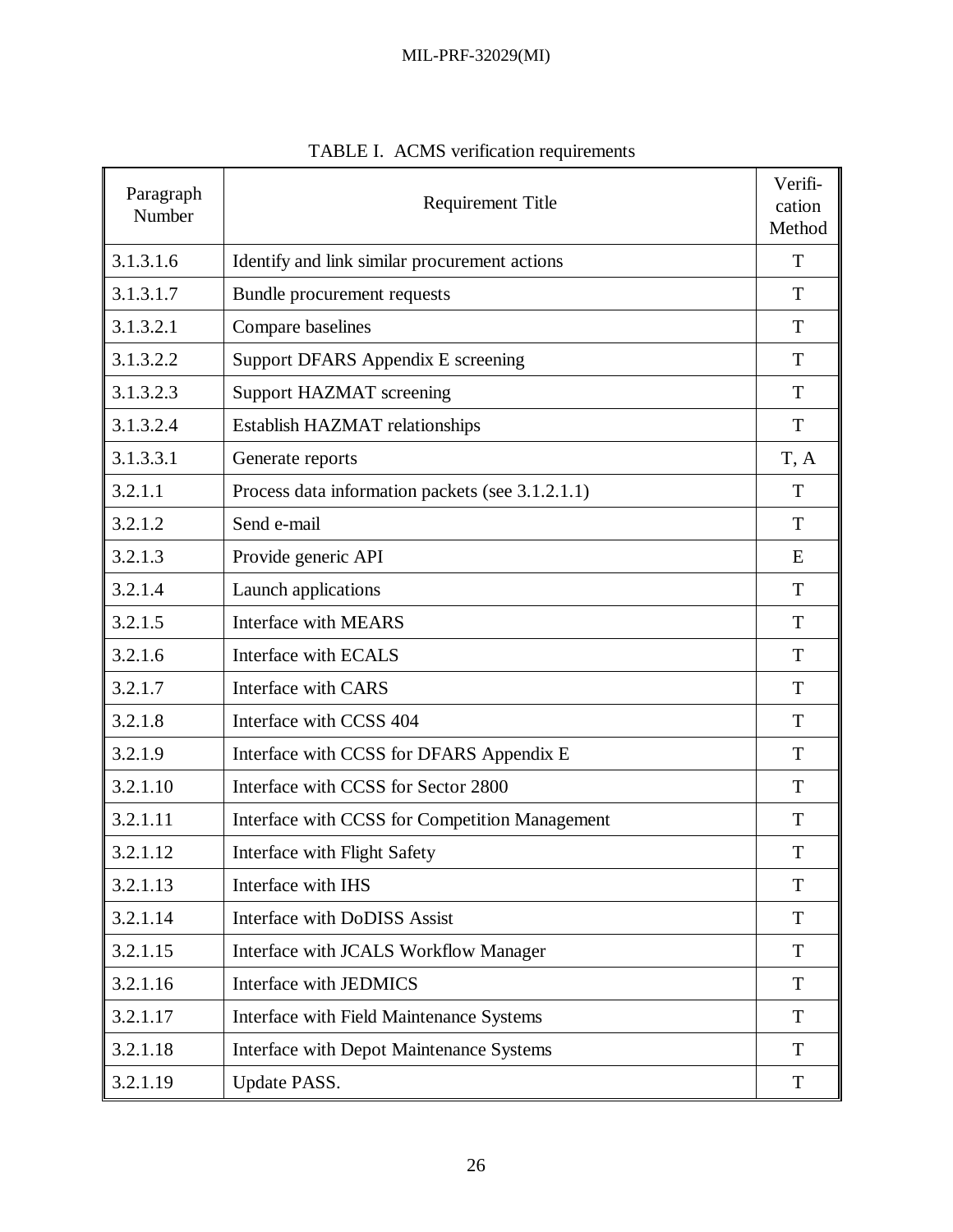| Paragraph<br>Number | <b>Requirement Title</b>                         |      |
|---------------------|--------------------------------------------------|------|
| 3.1.3.1.6           | Identify and link similar procurement actions    | T    |
| 3.1.3.1.7           | Bundle procurement requests                      | T    |
| 3.1.3.2.1           | Compare baselines                                | T    |
| 3.1.3.2.2           | Support DFARS Appendix E screening               | T    |
| 3.1.3.2.3           | Support HAZMAT screening                         | T    |
| 3.1.3.2.4           | Establish HAZMAT relationships                   | T    |
| 3.1.3.3.1           | Generate reports                                 | T, A |
| 3.2.1.1             | Process data information packets (see 3.1.2.1.1) | T    |
| 3.2.1.2             | Send e-mail                                      | T    |
| 3.2.1.3             | Provide generic API                              | E    |
| 3.2.1.4             | Launch applications                              | T    |
| 3.2.1.5             | <b>Interface with MEARS</b>                      | T    |
| 3.2.1.6             | Interface with ECALS                             | T    |
| 3.2.1.7             | Interface with CARS                              | T    |
| 3.2.1.8             | Interface with CCSS 404                          | T    |
| 3.2.1.9             | Interface with CCSS for DFARS Appendix E         | T    |
| 3.2.1.10            | Interface with CCSS for Sector 2800              | T    |
| 3.2.1.11            | Interface with CCSS for Competition Management   | T    |
| 3.2.1.12            | Interface with Flight Safety                     | T    |
| 3.2.1.13            | Interface with IHS                               | T    |
| 3.2.1.14            | Interface with DoDISS Assist                     | T    |
| 3.2.1.15            | Interface with JCALS Workflow Manager            | T    |
| 3.2.1.16            | Interface with JEDMICS                           | T    |
| 3.2.1.17            | Interface with Field Maintenance Systems         | T    |
| 3.2.1.18            | Interface with Depot Maintenance Systems         | T    |
| 3.2.1.19            | Update PASS.                                     | T    |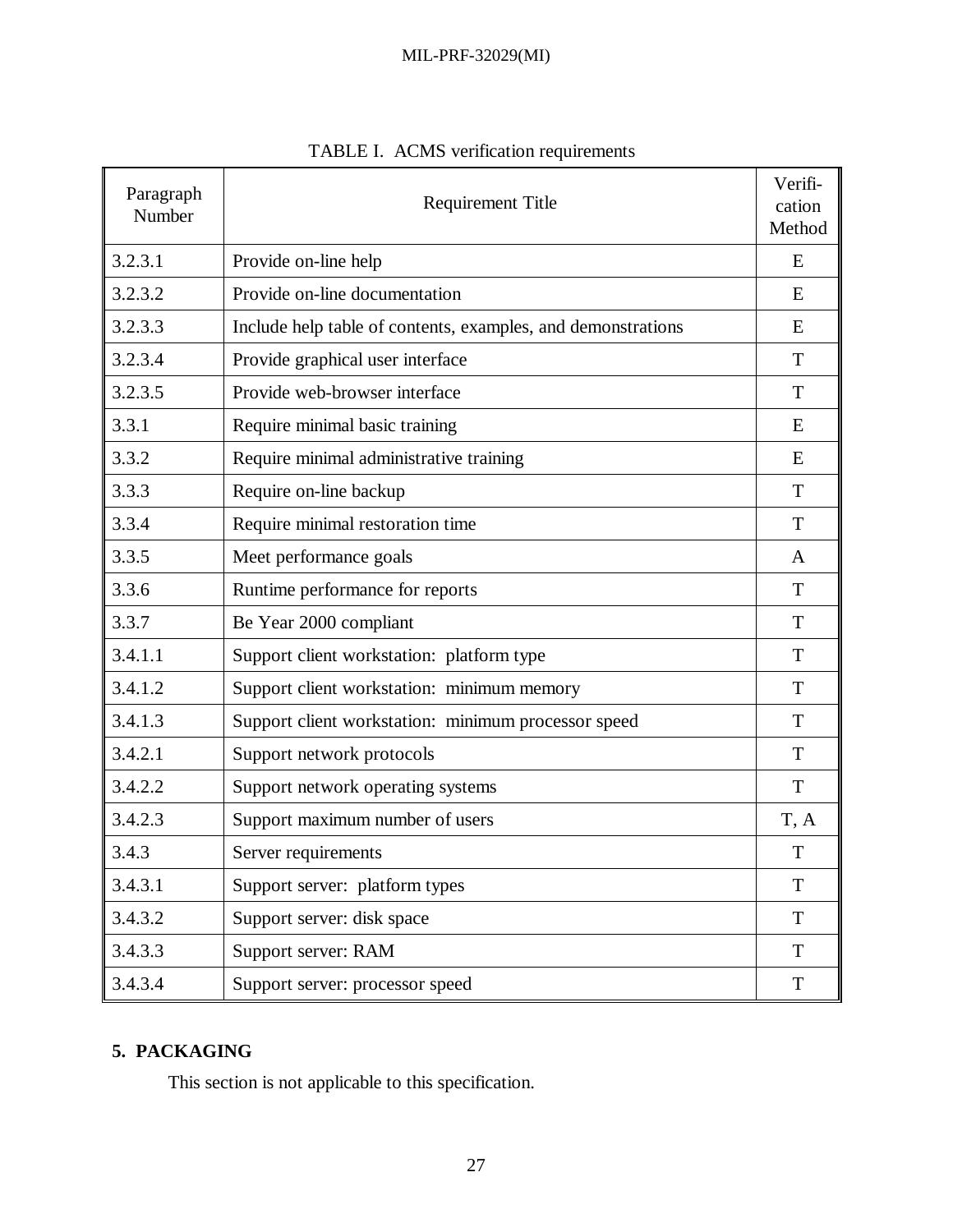| Paragraph<br>Number | <b>Requirement Title</b>                                     |             |
|---------------------|--------------------------------------------------------------|-------------|
| 3.2.3.1             | Provide on-line help                                         | E           |
| 3.2.3.2             | Provide on-line documentation                                | E           |
| 3.2.3.3             | Include help table of contents, examples, and demonstrations | E           |
| 3.2.3.4             | Provide graphical user interface                             | T           |
| 3.2.3.5             | Provide web-browser interface                                | T           |
| 3.3.1               | Require minimal basic training                               | E           |
| 3.3.2               | Require minimal administrative training                      | E           |
| 3.3.3               | Require on-line backup                                       | T           |
| 3.3.4               | Require minimal restoration time                             | T           |
| 3.3.5               | Meet performance goals                                       | A           |
| 3.3.6               | Runtime performance for reports                              | T           |
| 3.3.7               | Be Year 2000 compliant                                       | T           |
| 3.4.1.1             | Support client workstation: platform type                    | T           |
| 3.4.1.2             | Support client workstation: minimum memory                   | T           |
| 3.4.1.3             | Support client workstation: minimum processor speed          | T           |
| 3.4.2.1             | Support network protocols                                    | T           |
| 3.4.2.2             | Support network operating systems                            | T           |
| 3.4.2.3             | Support maximum number of users                              | T, A        |
| 3.4.3               | Server requirements                                          | T           |
| 3.4.3.1             | Support server: platform types                               | $\mathbf T$ |
| 3.4.3.2             | Support server: disk space                                   | T           |
| 3.4.3.3             | Support server: RAM                                          | $\mathbf T$ |
| 3.4.3.4             | Support server: processor speed                              | T           |

|  |  |  | TABLE I. ACMS verification requirements |  |
|--|--|--|-----------------------------------------|--|
|--|--|--|-----------------------------------------|--|

## **5. PACKAGING**

This section is not applicable to this specification.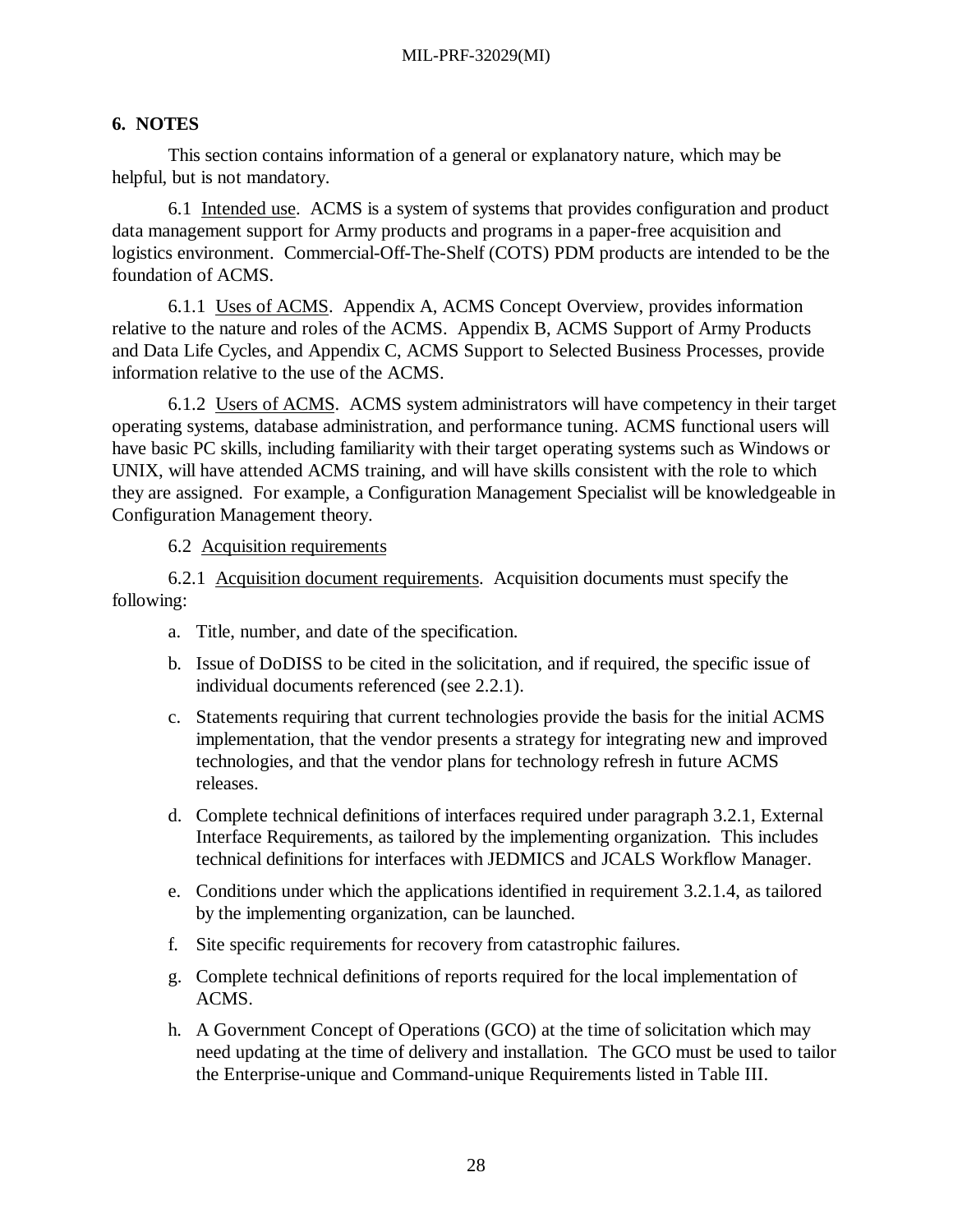### **6. NOTES**

This section contains information of a general or explanatory nature, which may be helpful, but is not mandatory.

6.1 Intended use. ACMS is a system of systems that provides configuration and product data management support for Army products and programs in a paper-free acquisition and logistics environment. Commercial-Off-The-Shelf (COTS) PDM products are intended to be the foundation of ACMS.

6.1.1 Uses of ACMS. Appendix A, ACMS Concept Overview, provides information relative to the nature and roles of the ACMS. Appendix B, ACMS Support of Army Products and Data Life Cycles, and Appendix C, ACMS Support to Selected Business Processes, provide information relative to the use of the ACMS.

6.1.2 Users of ACMS. ACMS system administrators will have competency in their target operating systems, database administration, and performance tuning. ACMS functional users will have basic PC skills, including familiarity with their target operating systems such as Windows or UNIX, will have attended ACMS training, and will have skills consistent with the role to which they are assigned. For example, a Configuration Management Specialist will be knowledgeable in Configuration Management theory.

6.2 Acquisition requirements

6.2.1 Acquisition document requirements. Acquisition documents must specify the following:

- a. Title, number, and date of the specification.
- b. Issue of DoDISS to be cited in the solicitation, and if required, the specific issue of individual documents referenced (see 2.2.1).
- c. Statements requiring that current technologies provide the basis for the initial ACMS implementation, that the vendor presents a strategy for integrating new and improved technologies, and that the vendor plans for technology refresh in future ACMS releases.
- d. Complete technical definitions of interfaces required under paragraph 3.2.1, External Interface Requirements, as tailored by the implementing organization. This includes technical definitions for interfaces with JEDMICS and JCALS Workflow Manager.
- e. Conditions under which the applications identified in requirement 3.2.1.4, as tailored by the implementing organization, can be launched.
- f. Site specific requirements for recovery from catastrophic failures.
- g. Complete technical definitions of reports required for the local implementation of ACMS.
- h. A Government Concept of Operations (GCO) at the time of solicitation which may need updating at the time of delivery and installation. The GCO must be used to tailor the Enterprise-unique and Command-unique Requirements listed in Table III.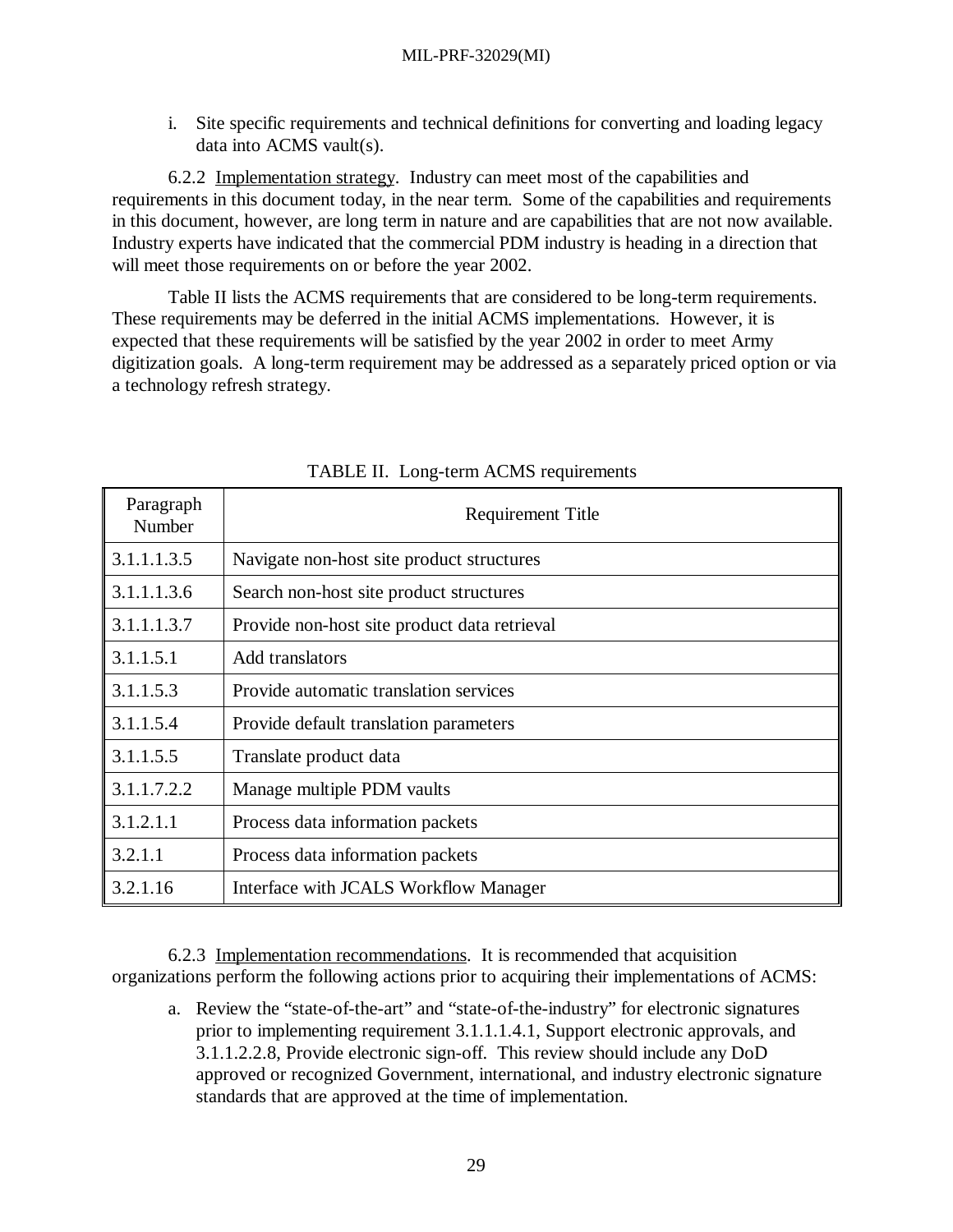i. Site specific requirements and technical definitions for converting and loading legacy data into ACMS vault(s).

6.2.2 Implementation strategy. Industry can meet most of the capabilities and requirements in this document today, in the near term. Some of the capabilities and requirements in this document, however, are long term in nature and are capabilities that are not now available. Industry experts have indicated that the commercial PDM industry is heading in a direction that will meet those requirements on or before the year 2002.

Table II lists the ACMS requirements that are considered to be long-term requirements. These requirements may be deferred in the initial ACMS implementations. However, it is expected that these requirements will be satisfied by the year 2002 in order to meet Army digitization goals. A long-term requirement may be addressed as a separately priced option or via a technology refresh strategy.

| Paragraph<br>Number | <b>Requirement Title</b>                     |
|---------------------|----------------------------------------------|
| 3.1.1.1.3.5         | Navigate non-host site product structures    |
| 3.1.1.1.3.6         | Search non-host site product structures      |
| 3.1.1.1.3.7         | Provide non-host site product data retrieval |
| 3.1.1.5.1           | Add translators                              |
| 3.1.1.5.3           | Provide automatic translation services       |
| 3.1.1.5.4           | Provide default translation parameters       |
| 3.1.1.5.5           | Translate product data                       |
| 3.1.1.7.2.2         | Manage multiple PDM vaults                   |
| 3.1.2.1.1           | Process data information packets             |
| 3.2.1.1             | Process data information packets             |
| 3.2.1.16            | Interface with JCALS Workflow Manager        |

TABLE II. Long-term ACMS requirements

6.2.3 Implementation recommendations. It is recommended that acquisition organizations perform the following actions prior to acquiring their implementations of ACMS:

a. Review the "state-of-the-art" and "state-of-the-industry" for electronic signatures prior to implementing requirement 3.1.1.1.4.1, Support electronic approvals, and 3.1.1.2.2.8, Provide electronic sign-off. This review should include any DoD approved or recognized Government, international, and industry electronic signature standards that are approved at the time of implementation.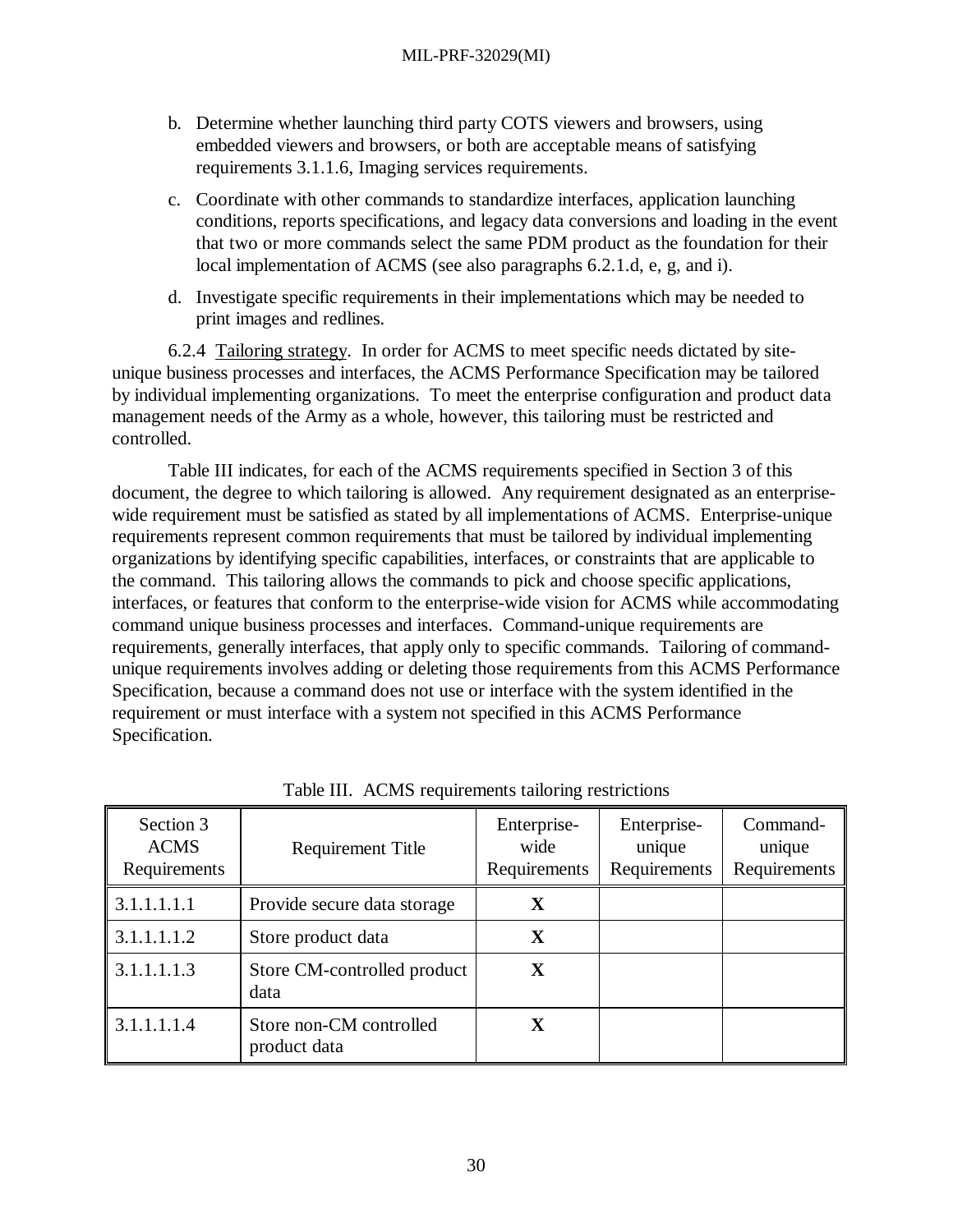- b. Determine whether launching third party COTS viewers and browsers, using embedded viewers and browsers, or both are acceptable means of satisfying requirements 3.1.1.6, Imaging services requirements.
- c. Coordinate with other commands to standardize interfaces, application launching conditions, reports specifications, and legacy data conversions and loading in the event that two or more commands select the same PDM product as the foundation for their local implementation of ACMS (see also paragraphs 6.2.1.d, e, g, and i).
- d. Investigate specific requirements in their implementations which may be needed to print images and redlines.

6.2.4 Tailoring strategy. In order for ACMS to meet specific needs dictated by siteunique business processes and interfaces, the ACMS Performance Specification may be tailored by individual implementing organizations. To meet the enterprise configuration and product data management needs of the Army as a whole, however, this tailoring must be restricted and controlled.

Table III indicates, for each of the ACMS requirements specified in Section 3 of this document, the degree to which tailoring is allowed. Any requirement designated as an enterprisewide requirement must be satisfied as stated by all implementations of ACMS. Enterprise-unique requirements represent common requirements that must be tailored by individual implementing organizations by identifying specific capabilities, interfaces, or constraints that are applicable to the command. This tailoring allows the commands to pick and choose specific applications, interfaces, or features that conform to the enterprise-wide vision for ACMS while accommodating command unique business processes and interfaces. Command-unique requirements are requirements, generally interfaces, that apply only to specific commands. Tailoring of commandunique requirements involves adding or deleting those requirements from this ACMS Performance Specification, because a command does not use or interface with the system identified in the requirement or must interface with a system not specified in this ACMS Performance Specification.

| Section 3<br><b>ACMS</b><br>Requirements | Requirement Title                       | Enterprise-<br>wide<br>Requirements | Enterprise-<br>unique<br>Requirements | Command-<br>unique<br>Requirements |
|------------------------------------------|-----------------------------------------|-------------------------------------|---------------------------------------|------------------------------------|
| $\vert 3.1.1.1.1.1$                      | Provide secure data storage             | $\mathbf X$                         |                                       |                                    |
| 3.1.1.1.1.2                              | Store product data                      | $\mathbf X$                         |                                       |                                    |
| 3.1.1.1.1.3                              | Store CM-controlled product<br>data     | X                                   |                                       |                                    |
| 3.1.1.1.1.4                              | Store non-CM controlled<br>product data | X                                   |                                       |                                    |

Table III. ACMS requirements tailoring restrictions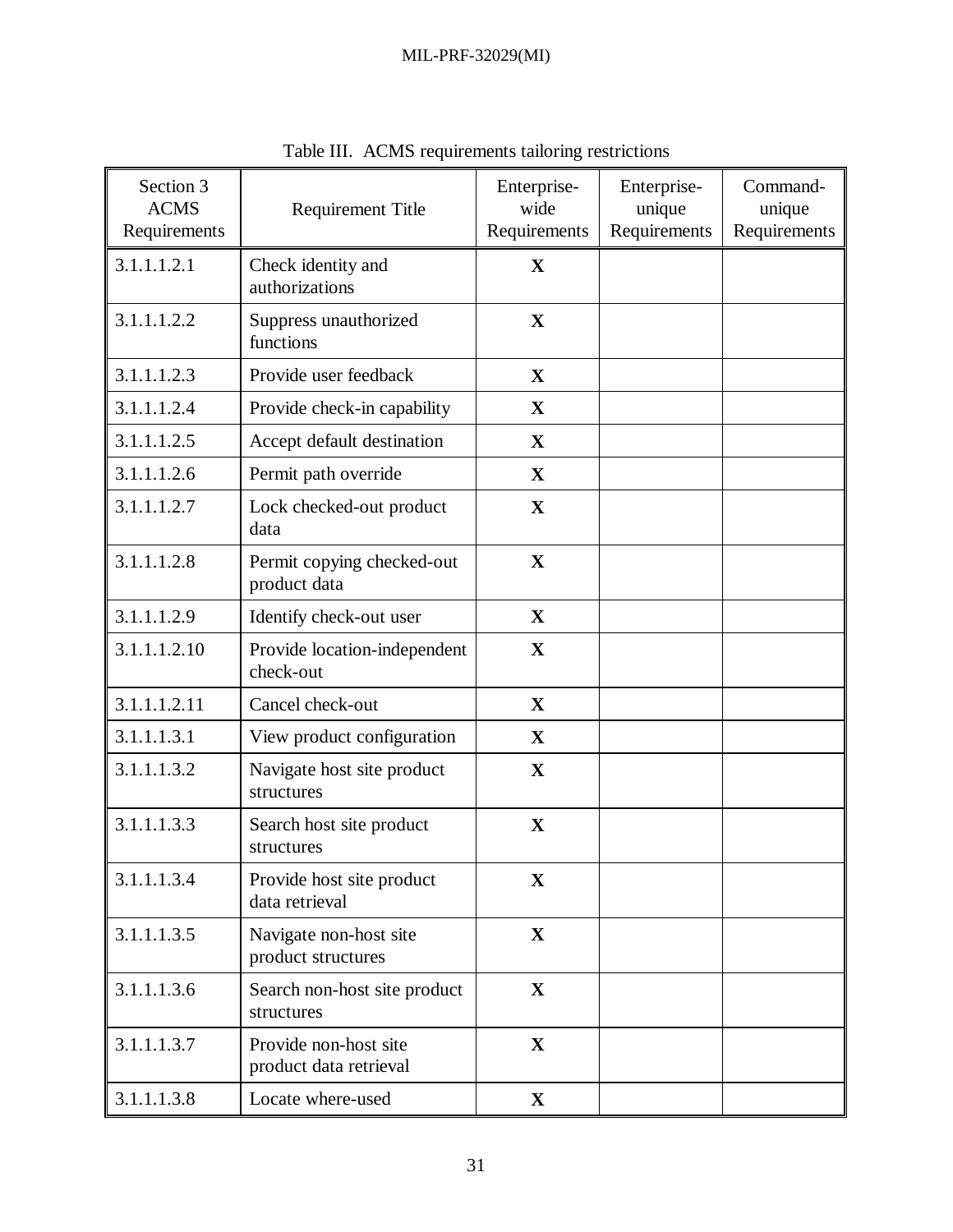| Section 3<br><b>ACMS</b><br>Requirements | <b>Requirement Title</b>                        | Enterprise-<br>wide<br>Requirements | Enterprise-<br>unique<br>Requirements | Command-<br>unique<br>Requirements |
|------------------------------------------|-------------------------------------------------|-------------------------------------|---------------------------------------|------------------------------------|
| 3.1.1.1.2.1                              | Check identity and<br>authorizations            | X                                   |                                       |                                    |
| 3.1.1.1.2.2                              | Suppress unauthorized<br>functions              | $\mathbf X$                         |                                       |                                    |
| 3.1.1.1.2.3                              | Provide user feedback                           | $\mathbf X$                         |                                       |                                    |
| 3.1.1.1.2.4                              | Provide check-in capability                     | $\mathbf X$                         |                                       |                                    |
| 3.1.1.1.2.5                              | Accept default destination                      | $\mathbf X$                         |                                       |                                    |
| 3.1.1.1.2.6                              | Permit path override                            | $\mathbf X$                         |                                       |                                    |
| 3.1.1.1.2.7                              | Lock checked-out product<br>data                | $\mathbf X$                         |                                       |                                    |
| 3.1.1.1.2.8                              | Permit copying checked-out<br>product data      | $\mathbf X$                         |                                       |                                    |
| 3.1.1.1.2.9                              | Identify check-out user                         | $\mathbf X$                         |                                       |                                    |
| 3.1.1.1.2.10                             | Provide location-independent<br>check-out       | $\mathbf X$                         |                                       |                                    |
| 3.1.1.1.2.11                             | Cancel check-out                                | $\mathbf X$                         |                                       |                                    |
| 3.1.1.1.3.1                              | View product configuration                      | X                                   |                                       |                                    |
| 3.1.1.1.3.2                              | Navigate host site product<br>structures        | $\mathbf X$                         |                                       |                                    |
| 3.1.1.1.3.3                              | Search host site product<br>structures          | $\mathbf X$                         |                                       |                                    |
| 3.1.1.1.3.4                              | Provide host site product<br>data retrieval     | $\mathbf X$                         |                                       |                                    |
| 3.1.1.1.3.5                              | Navigate non-host site<br>product structures    | $\mathbf X$                         |                                       |                                    |
| 3.1.1.1.3.6                              | Search non-host site product<br>structures      | $\mathbf X$                         |                                       |                                    |
| 3.1.1.1.3.7                              | Provide non-host site<br>product data retrieval | $\mathbf X$                         |                                       |                                    |
| 3.1.1.1.3.8                              | Locate where-used                               | $\mathbf X$                         |                                       |                                    |

Table III. ACMS requirements tailoring restrictions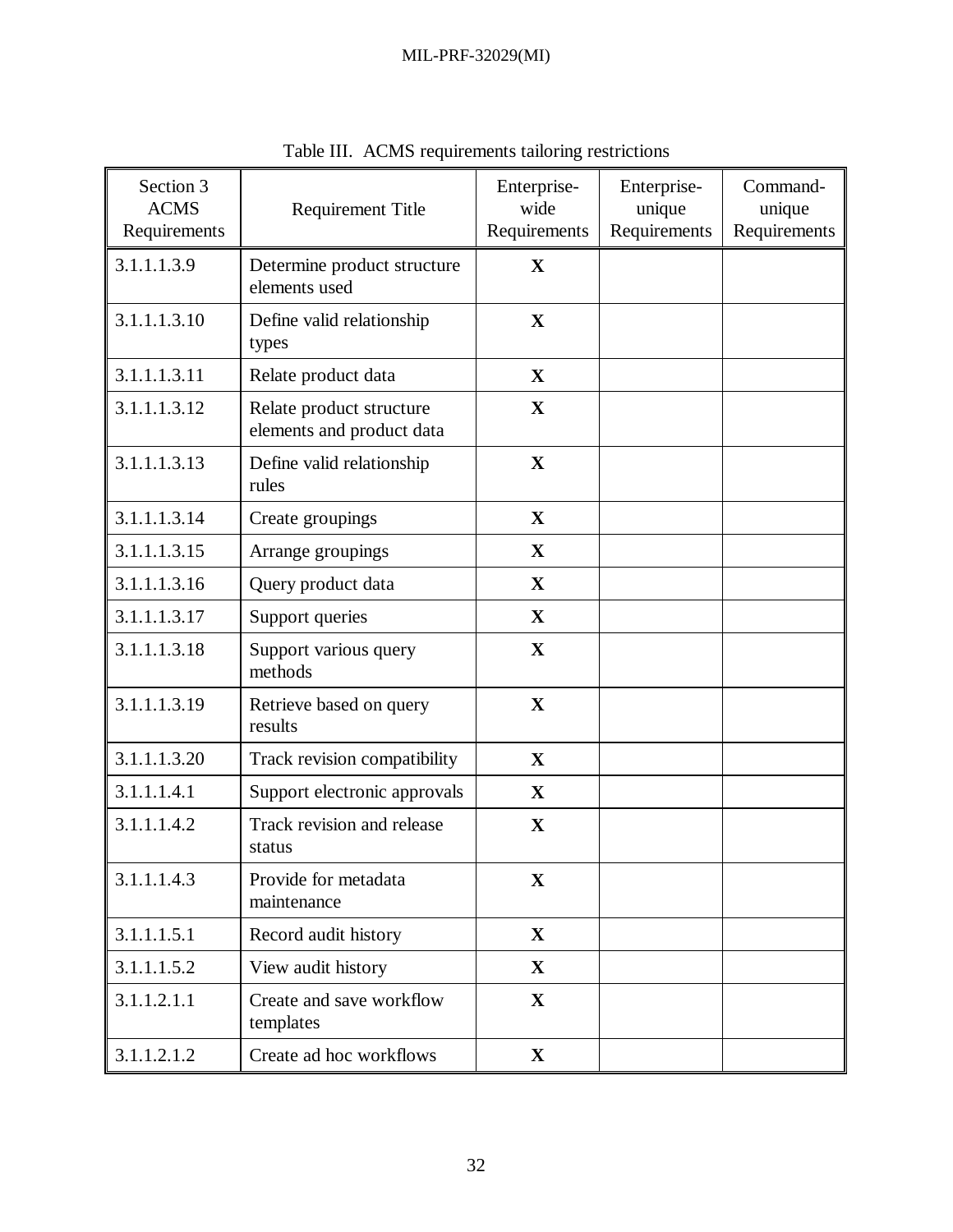| Section 3<br><b>ACMS</b><br>Requirements | <b>Requirement Title</b>                              | Enterprise-<br>wide<br>Requirements | Enterprise-<br>unique<br>Requirements | Command-<br>unique<br>Requirements |
|------------------------------------------|-------------------------------------------------------|-------------------------------------|---------------------------------------|------------------------------------|
| 3.1.1.1.3.9                              | Determine product structure<br>elements used          | $\mathbf{X}$                        |                                       |                                    |
| 3.1.1.1.3.10                             | Define valid relationship<br>types                    | $\mathbf X$                         |                                       |                                    |
| 3.1.1.1.3.11                             | Relate product data                                   | $\mathbf X$                         |                                       |                                    |
| 3.1.1.1.3.12                             | Relate product structure<br>elements and product data | $\mathbf X$                         |                                       |                                    |
| 3.1.1.1.3.13                             | Define valid relationship<br>rules                    | $\mathbf X$                         |                                       |                                    |
| 3.1.1.1.3.14                             | Create groupings                                      | $\mathbf X$                         |                                       |                                    |
| 3.1.1.1.3.15                             | Arrange groupings                                     | X                                   |                                       |                                    |
| 3.1.1.1.3.16                             | Query product data                                    | $\mathbf{X}$                        |                                       |                                    |
| 3.1.1.1.3.17                             | Support queries                                       | $\mathbf X$                         |                                       |                                    |
| 3.1.1.1.3.18                             | Support various query<br>methods                      | $\mathbf{X}$                        |                                       |                                    |
| 3.1.1.1.3.19                             | Retrieve based on query<br>results                    | $\mathbf X$                         |                                       |                                    |
| 3.1.1.1.3.20                             | Track revision compatibility                          | $\mathbf X$                         |                                       |                                    |
| 3.1.1.1.4.1                              | Support electronic approvals                          | X                                   |                                       |                                    |
| 3.1.1.1.4.2                              | Track revision and release<br>status                  | $\mathbf X$                         |                                       |                                    |
| 3.1.1.1.4.3                              | Provide for metadata<br>maintenance                   | $\mathbf X$                         |                                       |                                    |
| 3.1.1.1.5.1                              | Record audit history                                  | $\mathbf{X}$                        |                                       |                                    |
| 3.1.1.1.5.2                              | View audit history                                    | $\mathbf X$                         |                                       |                                    |
| 3.1.1.2.1.1                              | Create and save workflow<br>templates                 | $\mathbf X$                         |                                       |                                    |
| 3.1.1.2.1.2                              | Create ad hoc workflows                               | $\mathbf X$                         |                                       |                                    |

Table III. ACMS requirements tailoring restrictions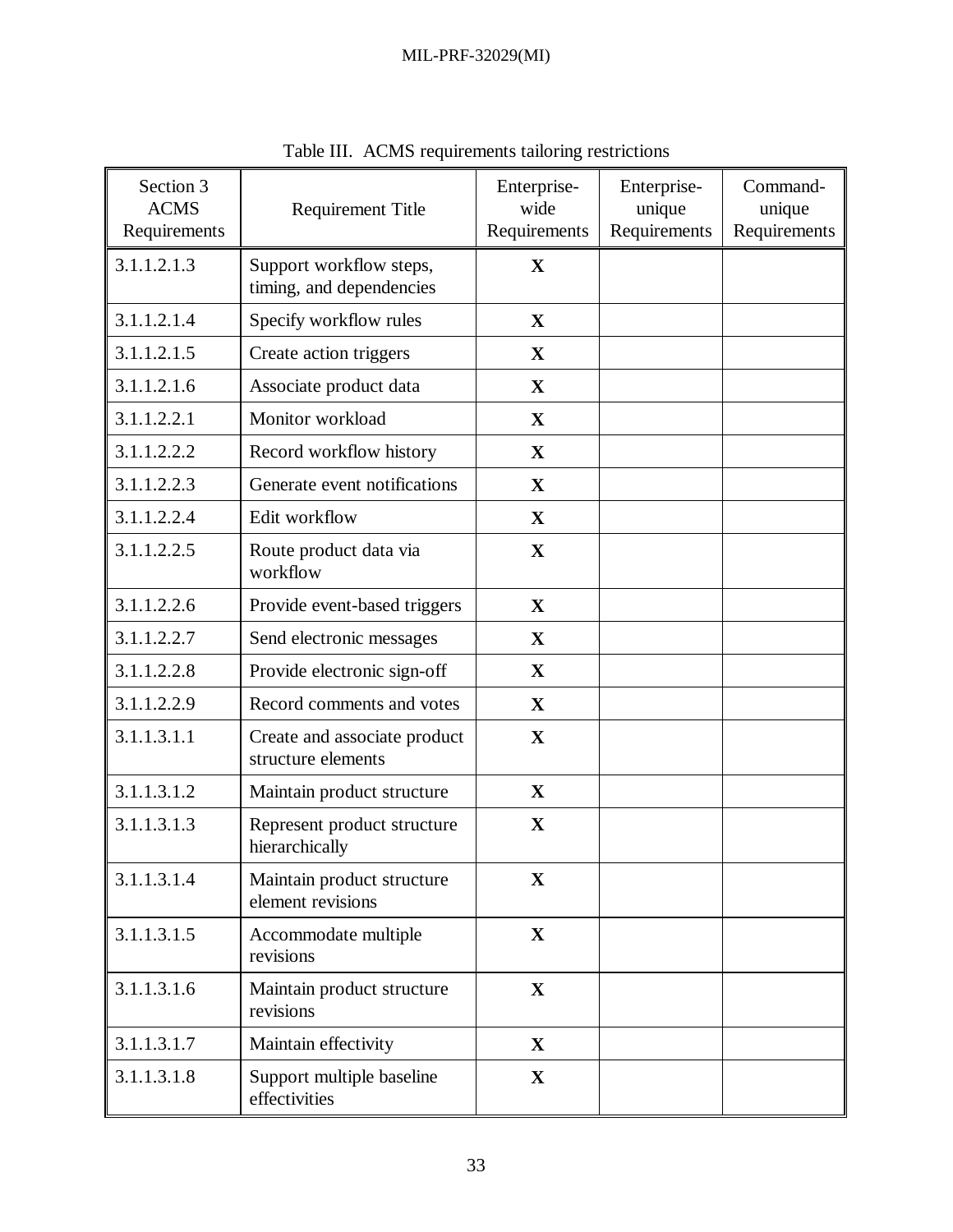| Section 3<br><b>ACMS</b><br>Requirements | <b>Requirement Title</b>                            | Enterprise-<br>wide<br>Requirements | Enterprise-<br>unique<br>Requirements | Command-<br>unique<br>Requirements |
|------------------------------------------|-----------------------------------------------------|-------------------------------------|---------------------------------------|------------------------------------|
| 3.1.1.2.1.3                              | Support workflow steps,<br>timing, and dependencies | $\mathbf{X}$                        |                                       |                                    |
| 3.1.1.2.1.4                              | Specify workflow rules                              | $\mathbf X$                         |                                       |                                    |
| 3.1.1.2.1.5                              | Create action triggers                              | $\mathbf X$                         |                                       |                                    |
| 3.1.1.2.1.6                              | Associate product data                              | $\mathbf X$                         |                                       |                                    |
| 3.1.1.2.2.1                              | Monitor workload                                    | $\mathbf X$                         |                                       |                                    |
| 3.1.1.2.2.2                              | Record workflow history                             | $\mathbf{X}$                        |                                       |                                    |
| 3.1.1.2.2.3                              | Generate event notifications                        | $\mathbf X$                         |                                       |                                    |
| 3.1.1.2.2.4                              | Edit workflow                                       | $\mathbf X$                         |                                       |                                    |
| 3.1.1.2.2.5                              | Route product data via<br>workflow                  | $\mathbf X$                         |                                       |                                    |
| 3.1.1.2.2.6                              | Provide event-based triggers                        | $\mathbf X$                         |                                       |                                    |
| 3.1.1.2.2.7                              | Send electronic messages                            | $\mathbf X$                         |                                       |                                    |
| 3.1.1.2.2.8                              | Provide electronic sign-off                         | $\mathbf X$                         |                                       |                                    |
| 3.1.1.2.2.9                              | Record comments and votes                           | $\mathbf{X}$                        |                                       |                                    |
| 3.1.1.3.1.1                              | Create and associate product<br>structure elements  | $\mathbf X$                         |                                       |                                    |
| 3.1.1.3.1.2                              | Maintain product structure                          | $\mathbf{X}$                        |                                       |                                    |
| 3.1.1.3.1.3                              | Represent product structure<br>hierarchically       | $\mathbf X$                         |                                       |                                    |
| 3.1.1.3.1.4                              | Maintain product structure<br>element revisions     | $\mathbf X$                         |                                       |                                    |
| 3.1.1.3.1.5                              | Accommodate multiple<br>revisions                   | $\mathbf{X}$                        |                                       |                                    |
| 3.1.1.3.1.6                              | Maintain product structure<br>revisions             | $\mathbf X$                         |                                       |                                    |
| 3.1.1.3.1.7                              | Maintain effectivity                                | $\mathbf{X}$                        |                                       |                                    |
| 3.1.1.3.1.8                              | Support multiple baseline<br>effectivities          | $\mathbf{X}$                        |                                       |                                    |

Table III. ACMS requirements tailoring restrictions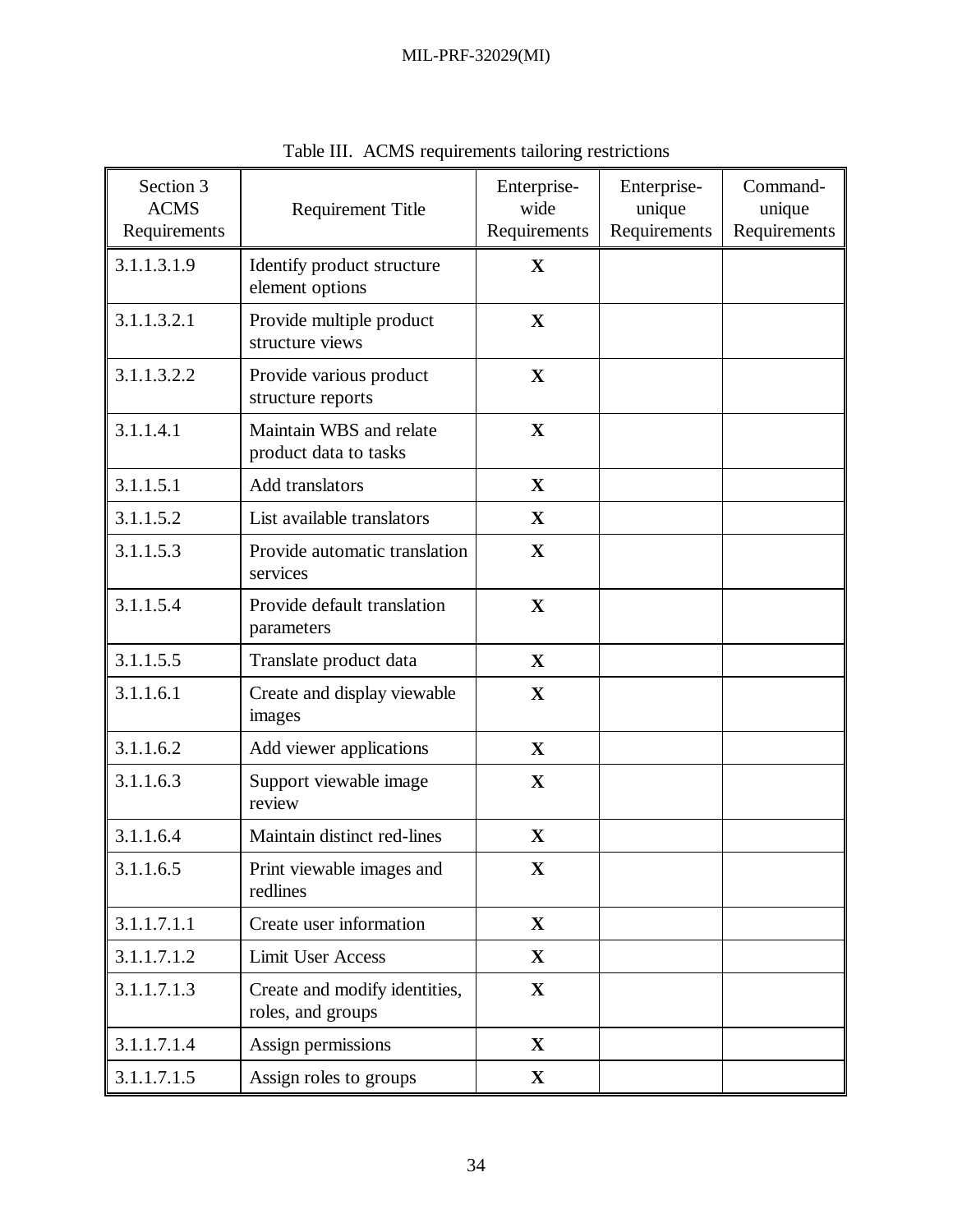| Section 3<br><b>ACMS</b><br>Requirements | <b>Requirement Title</b>                           | Enterprise-<br>wide<br>Requirements | Enterprise-<br>unique<br>Requirements | Command-<br>unique<br>Requirements |
|------------------------------------------|----------------------------------------------------|-------------------------------------|---------------------------------------|------------------------------------|
| 3.1.1.3.1.9                              | Identify product structure<br>element options      | $\mathbf X$                         |                                       |                                    |
| 3.1.1.3.2.1                              | Provide multiple product<br>structure views        | $\mathbf X$                         |                                       |                                    |
| 3.1.1.3.2.2                              | Provide various product<br>structure reports       | $\mathbf X$                         |                                       |                                    |
| 3.1.1.4.1                                | Maintain WBS and relate<br>product data to tasks   | $\mathbf X$                         |                                       |                                    |
| 3.1.1.5.1                                | Add translators                                    | $\mathbf X$                         |                                       |                                    |
| 3.1.1.5.2                                | List available translators                         | $\mathbf X$                         |                                       |                                    |
| 3.1.1.5.3                                | Provide automatic translation<br>services          | $\mathbf X$                         |                                       |                                    |
| 3.1.1.5.4                                | Provide default translation<br>parameters          | $\mathbf X$                         |                                       |                                    |
| 3.1.1.5.5                                | Translate product data                             | $\mathbf X$                         |                                       |                                    |
| 3.1.1.6.1                                | Create and display viewable<br>images              | $\mathbf X$                         |                                       |                                    |
| 3.1.1.6.2                                | Add viewer applications                            | $\mathbf X$                         |                                       |                                    |
| 3.1.1.6.3                                | Support viewable image<br>review                   | $\mathbf X$                         |                                       |                                    |
| 3.1.1.6.4                                | Maintain distinct red-lines                        | $\mathbf X$                         |                                       |                                    |
| 3.1.1.6.5                                | Print viewable images and<br>redlines              | $\mathbf X$                         |                                       |                                    |
| 3.1.1.7.1.1                              | Create user information                            | $\mathbf X$                         |                                       |                                    |
| 3.1.1.7.1.2                              | <b>Limit User Access</b>                           | $\mathbf X$                         |                                       |                                    |
| 3.1.1.7.1.3                              | Create and modify identities,<br>roles, and groups | $\mathbf X$                         |                                       |                                    |
| 3.1.1.7.1.4                              | Assign permissions                                 | $\mathbf X$                         |                                       |                                    |
| 3.1.1.7.1.5                              | Assign roles to groups                             | $\mathbf{X}$                        |                                       |                                    |

Table III. ACMS requirements tailoring restrictions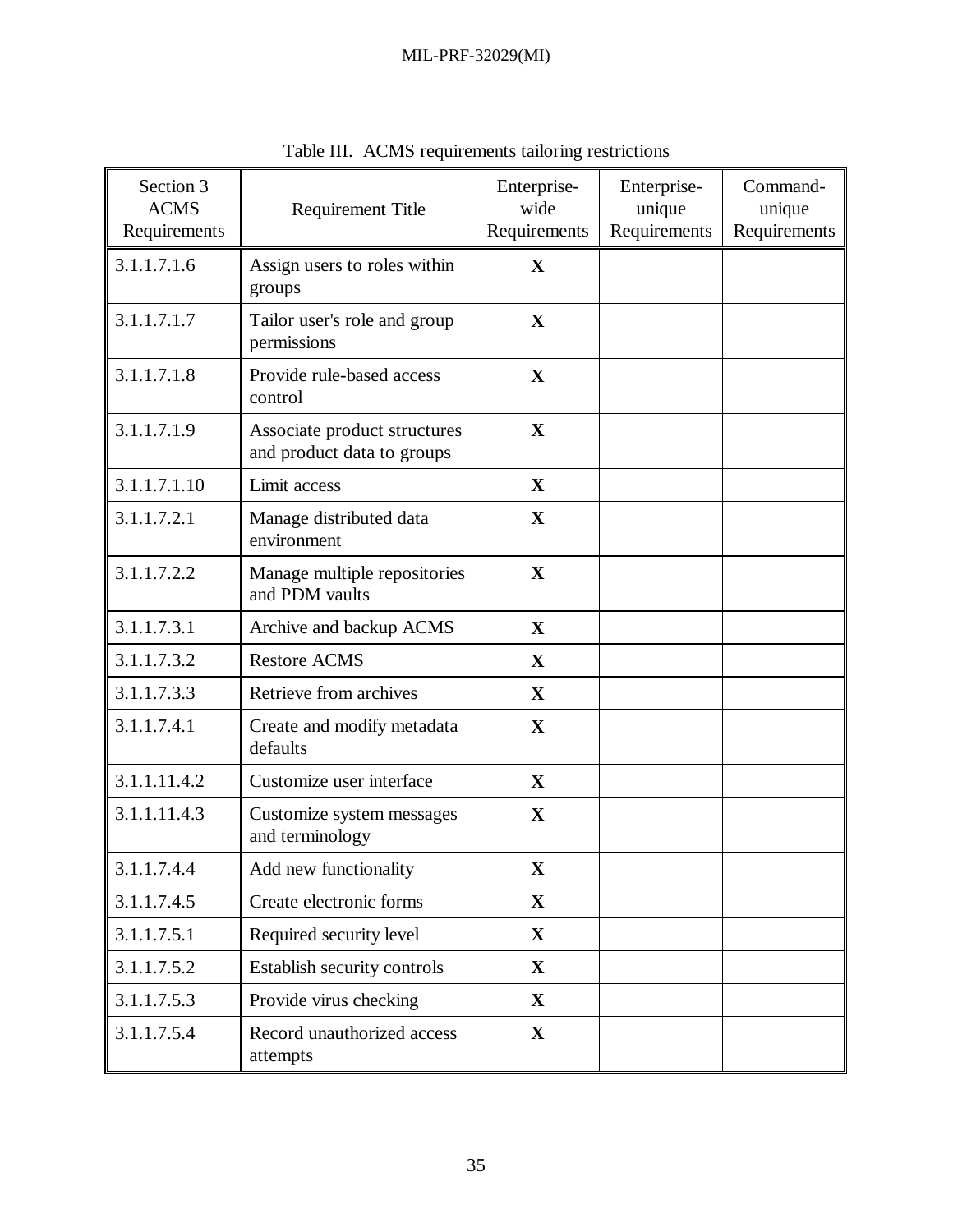| Section 3<br><b>ACMS</b><br>Requirements | <b>Requirement Title</b>                                   | Enterprise-<br>wide<br>Requirements | Enterprise-<br>unique<br>Requirements | Command-<br>unique<br>Requirements |
|------------------------------------------|------------------------------------------------------------|-------------------------------------|---------------------------------------|------------------------------------|
| 3.1.1.7.1.6                              | Assign users to roles within<br>groups                     | $\mathbf{X}$                        |                                       |                                    |
| 3.1.1.7.1.7                              | Tailor user's role and group<br>permissions                | $\mathbf X$                         |                                       |                                    |
| 3.1.1.7.1.8                              | Provide rule-based access<br>control                       | $\mathbf X$                         |                                       |                                    |
| 3.1.1.7.1.9                              | Associate product structures<br>and product data to groups | $\mathbf X$                         |                                       |                                    |
| 3.1.1.7.1.10                             | Limit access                                               | $\mathbf X$                         |                                       |                                    |
| 3.1.1.7.2.1                              | Manage distributed data<br>environment                     | $\mathbf X$                         |                                       |                                    |
| 3.1.1.7.2.2                              | Manage multiple repositories<br>and PDM vaults             | $\mathbf X$                         |                                       |                                    |
| 3.1.1.7.3.1                              | Archive and backup ACMS                                    | $\mathbf X$                         |                                       |                                    |
| 3.1.1.7.3.2                              | <b>Restore ACMS</b>                                        | $\mathbf X$                         |                                       |                                    |
| 3.1.1.7.3.3                              | Retrieve from archives                                     | $\mathbf X$                         |                                       |                                    |
| 3.1.1.7.4.1                              | Create and modify metadata<br>defaults                     | $\mathbf X$                         |                                       |                                    |
| 3.1.1.11.4.2                             | Customize user interface                                   | $\mathbf X$                         |                                       |                                    |
| 3.1.1.11.4.3                             | Customize system messages<br>and terminology               | $\mathbf X$                         |                                       |                                    |
| 3.1.1.7.4.4                              | Add new functionality                                      | $\mathbf X$                         |                                       |                                    |
| 3.1.1.7.4.5                              | Create electronic forms                                    | $\mathbf X$                         |                                       |                                    |
| 3.1.1.7.5.1                              | Required security level                                    | $\mathbf{X}$                        |                                       |                                    |
| 3.1.1.7.5.2                              | Establish security controls                                | $\mathbf{X}$                        |                                       |                                    |
| 3.1.1.7.5.3                              | Provide virus checking                                     | $\mathbf{X}$                        |                                       |                                    |
| 3.1.1.7.5.4                              | Record unauthorized access<br>attempts                     | $\mathbf{X}$                        |                                       |                                    |

Table III. ACMS requirements tailoring restrictions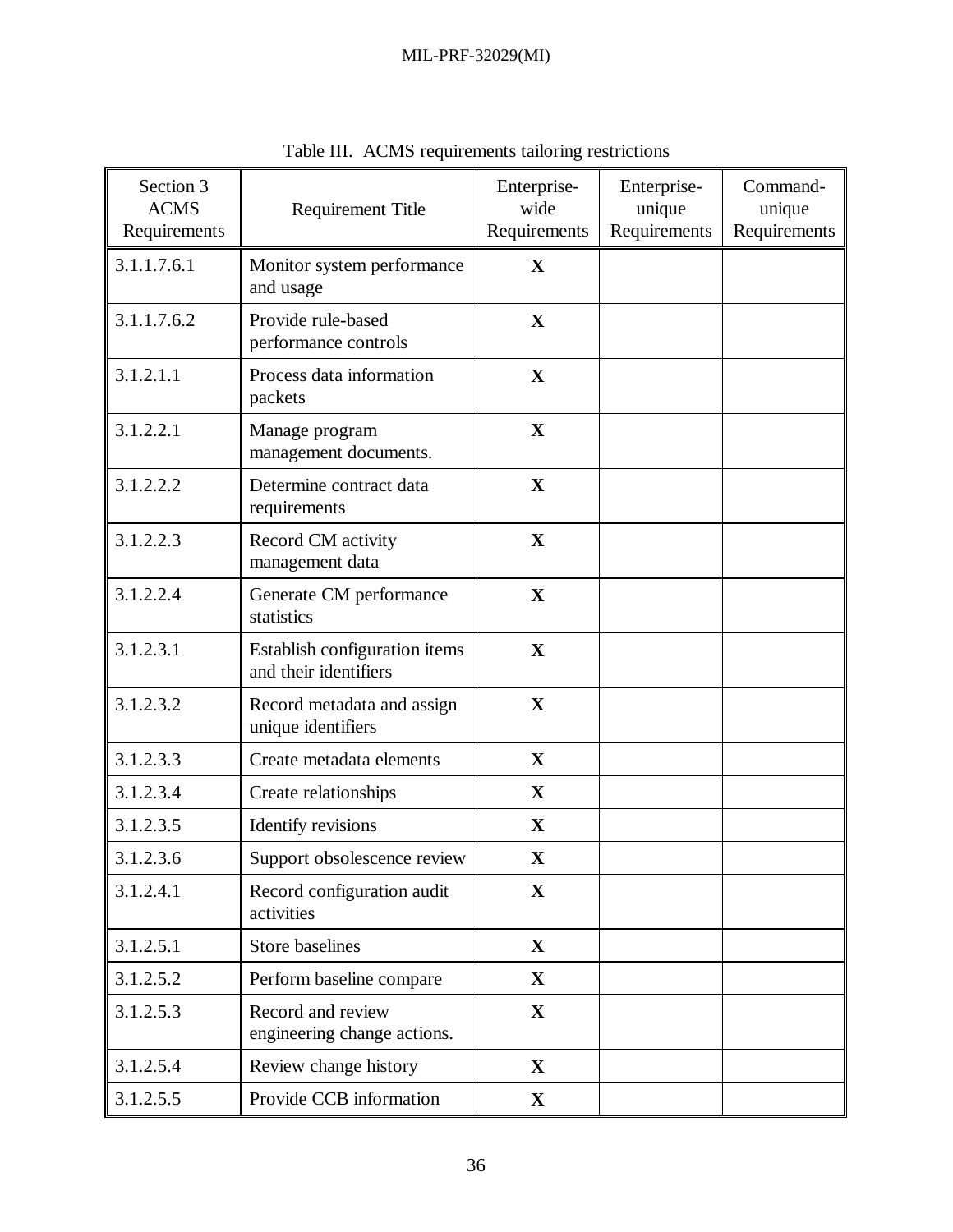| Section 3<br><b>ACMS</b><br>Requirements | <b>Requirement Title</b>                               | Enterprise-<br>wide<br>Requirements | Enterprise-<br>unique<br>Requirements | Command-<br>unique<br>Requirements |
|------------------------------------------|--------------------------------------------------------|-------------------------------------|---------------------------------------|------------------------------------|
| 3.1.1.7.6.1                              | Monitor system performance<br>and usage                | $\mathbf{X}$                        |                                       |                                    |
| 3.1.1.7.6.2                              | Provide rule-based<br>performance controls             | $\mathbf X$                         |                                       |                                    |
| 3.1.2.1.1                                | Process data information<br>packets                    | $\mathbf X$                         |                                       |                                    |
| 3.1.2.2.1                                | Manage program<br>management documents.                | $\mathbf X$                         |                                       |                                    |
| 3.1.2.2.2                                | Determine contract data<br>requirements                | $\mathbf X$                         |                                       |                                    |
| 3.1.2.2.3                                | Record CM activity<br>management data                  | $\mathbf X$                         |                                       |                                    |
| 3.1.2.2.4                                | Generate CM performance<br>statistics                  | $\mathbf X$                         |                                       |                                    |
| 3.1.2.3.1                                | Establish configuration items<br>and their identifiers | $\mathbf X$                         |                                       |                                    |
| 3.1.2.3.2                                | Record metadata and assign<br>unique identifiers       | $\mathbf{X}$                        |                                       |                                    |
| 3.1.2.3.3                                | Create metadata elements                               | $\mathbf{X}$                        |                                       |                                    |
| 3.1.2.3.4                                | Create relationships                                   | $\mathbf X$                         |                                       |                                    |
| 3.1.2.3.5                                | Identify revisions                                     | $\mathbf X$                         |                                       |                                    |
| 3.1.2.3.6                                | Support obsolescence review                            | $\mathbf X$                         |                                       |                                    |
| 3.1.2.4.1                                | Record configuration audit<br>activities               | $\mathbf X$                         |                                       |                                    |
| 3.1.2.5.1                                | <b>Store baselines</b>                                 | $\mathbf X$                         |                                       |                                    |
| 3.1.2.5.2                                | Perform baseline compare                               | $\mathbf{X}$                        |                                       |                                    |
| 3.1.2.5.3                                | Record and review<br>engineering change actions.       | $\mathbf{X}$                        |                                       |                                    |
| 3.1.2.5.4                                | Review change history                                  | $\mathbf{X}$                        |                                       |                                    |
| 3.1.2.5.5                                | Provide CCB information                                | $\mathbf X$                         |                                       |                                    |

Table III. ACMS requirements tailoring restrictions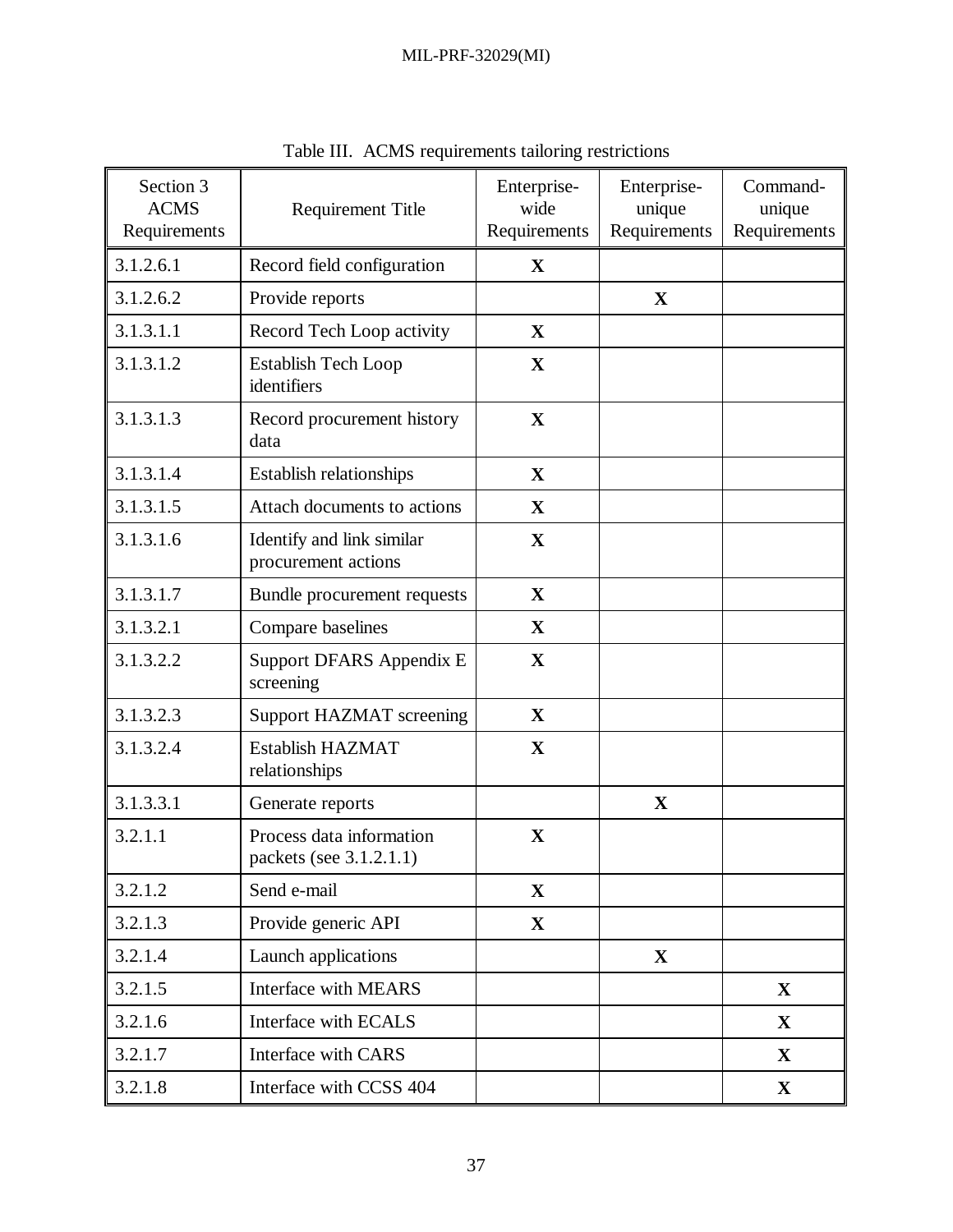| Section 3<br><b>ACMS</b><br>Requirements | <b>Requirement Title</b>                            | Enterprise-<br>wide<br>Requirements | Enterprise-<br>unique<br>Requirements | Command-<br>unique<br>Requirements |
|------------------------------------------|-----------------------------------------------------|-------------------------------------|---------------------------------------|------------------------------------|
| 3.1.2.6.1                                | Record field configuration                          | $\mathbf{X}$                        |                                       |                                    |
| 3.1.2.6.2                                | Provide reports                                     |                                     | $\mathbf X$                           |                                    |
| 3.1.3.1.1                                | Record Tech Loop activity                           | $\mathbf{X}$                        |                                       |                                    |
| 3.1.3.1.2                                | <b>Establish Tech Loop</b><br>identifiers           | $\mathbf{X}$                        |                                       |                                    |
| 3.1.3.1.3                                | Record procurement history<br>data                  | $\mathbf X$                         |                                       |                                    |
| 3.1.3.1.4                                | <b>Establish relationships</b>                      | $\mathbf{X}$                        |                                       |                                    |
| 3.1.3.1.5                                | Attach documents to actions                         | $\mathbf{X}$                        |                                       |                                    |
| 3.1.3.1.6                                | Identify and link similar<br>procurement actions    | $\mathbf{X}$                        |                                       |                                    |
| 3.1.3.1.7                                | Bundle procurement requests                         | $\mathbf{X}$                        |                                       |                                    |
| 3.1.3.2.1                                | Compare baselines                                   | $\mathbf X$                         |                                       |                                    |
| 3.1.3.2.2                                | Support DFARS Appendix E<br>screening               | $\mathbf X$                         |                                       |                                    |
| 3.1.3.2.3                                | Support HAZMAT screening                            | $\mathbf{X}$                        |                                       |                                    |
| 3.1.3.2.4                                | Establish HAZMAT<br>relationships                   | $\mathbf X$                         |                                       |                                    |
| 3.1.3.3.1                                | Generate reports                                    |                                     | $\mathbf X$                           |                                    |
| 3.2.1.1                                  | Process data information<br>packets (see 3.1.2.1.1) | $\mathbf X$                         |                                       |                                    |
| 3.2.1.2                                  | Send e-mail                                         | $\mathbf{X}$                        |                                       |                                    |
| 3.2.1.3                                  | Provide generic API                                 | $\mathbf{X}$                        |                                       |                                    |
| 3.2.1.4                                  | Launch applications                                 |                                     | $\mathbf X$                           |                                    |
| 3.2.1.5                                  | Interface with MEARS                                |                                     |                                       | X                                  |
| 3.2.1.6                                  | Interface with ECALS                                |                                     |                                       | $\mathbf{X}$                       |
| 3.2.1.7                                  | <b>Interface with CARS</b>                          |                                     |                                       | $\mathbf X$                        |
| 3.2.1.8                                  | Interface with CCSS 404                             |                                     |                                       | $\mathbf{X}$                       |

Table III. ACMS requirements tailoring restrictions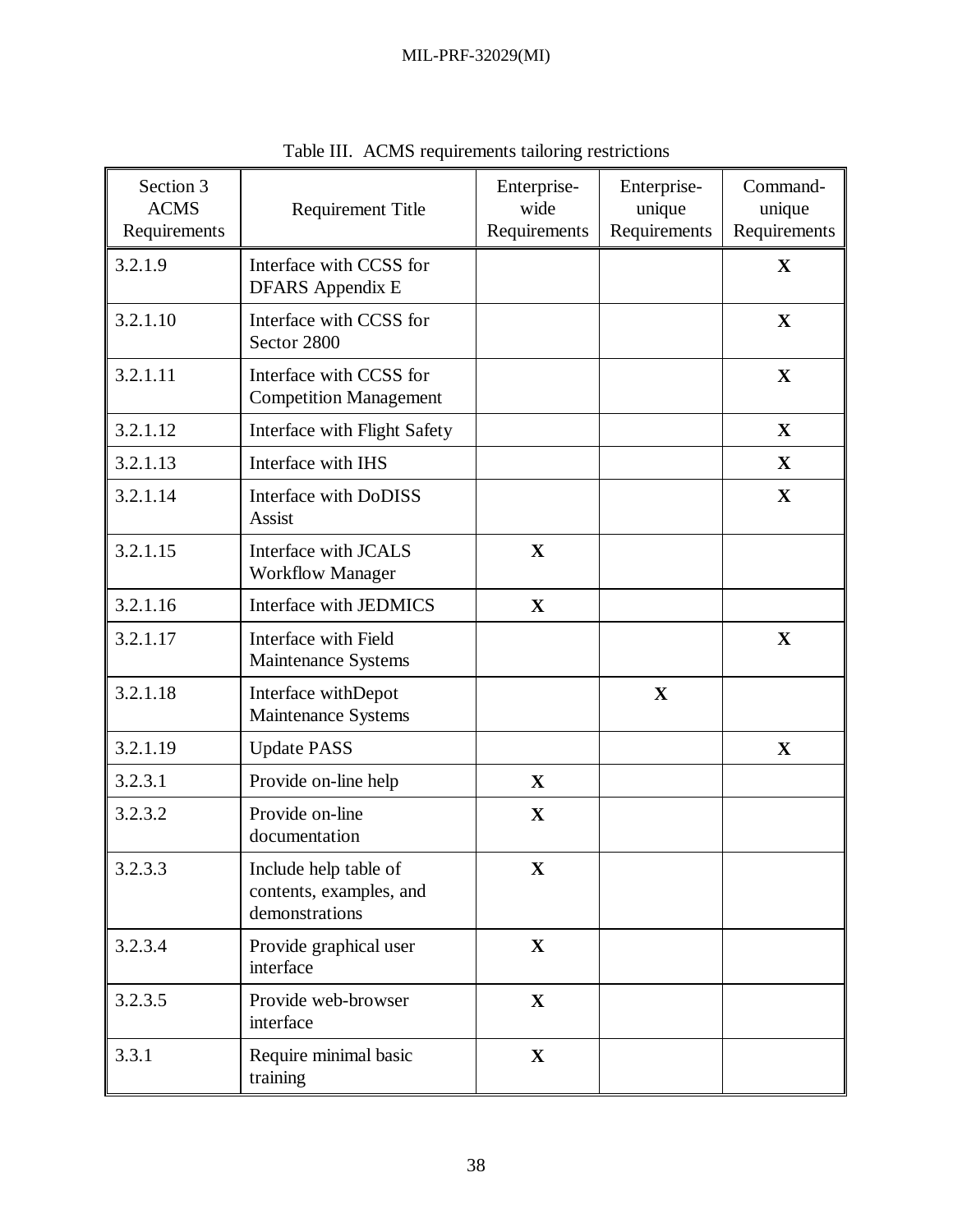| Section 3<br><b>ACMS</b><br>Requirements | <b>Requirement Title</b>                                           | Enterprise-<br>wide<br>Requirements | Enterprise-<br>unique<br>Requirements | Command-<br>unique<br>Requirements |
|------------------------------------------|--------------------------------------------------------------------|-------------------------------------|---------------------------------------|------------------------------------|
| 3.2.1.9                                  | Interface with CCSS for<br><b>DFARS</b> Appendix E                 |                                     |                                       | $\mathbf X$                        |
| 3.2.1.10                                 | Interface with CCSS for<br>Sector 2800                             |                                     |                                       | $\mathbf X$                        |
| 3.2.1.11                                 | Interface with CCSS for<br><b>Competition Management</b>           |                                     |                                       | $\mathbf X$                        |
| 3.2.1.12                                 | Interface with Flight Safety                                       |                                     |                                       | $\mathbf X$                        |
| 3.2.1.13                                 | Interface with IHS                                                 |                                     |                                       | $\mathbf X$                        |
| 3.2.1.14                                 | Interface with DoDISS<br>Assist                                    |                                     |                                       | X                                  |
| 3.2.1.15                                 | Interface with JCALS<br><b>Workflow Manager</b>                    | $\mathbf X$                         |                                       |                                    |
| 3.2.1.16                                 | Interface with JEDMICS                                             | $\mathbf X$                         |                                       |                                    |
| 3.2.1.17                                 | Interface with Field<br>Maintenance Systems                        |                                     |                                       | $\mathbf X$                        |
| 3.2.1.18                                 | Interface withDepot<br>Maintenance Systems                         |                                     | $\mathbf X$                           |                                    |
| 3.2.1.19                                 | <b>Update PASS</b>                                                 |                                     |                                       | $\mathbf X$                        |
| 3.2.3.1                                  | Provide on-line help                                               | $\mathbf{X}$                        |                                       |                                    |
| 3.2.3.2                                  | Provide on-line<br>documentation                                   | $\mathbf X$                         |                                       |                                    |
| 3.2.3.3                                  | Include help table of<br>contents, examples, and<br>demonstrations | $\mathbf X$                         |                                       |                                    |
| 3.2.3.4                                  | Provide graphical user<br>interface                                | $\mathbf X$                         |                                       |                                    |
| 3.2.3.5                                  | Provide web-browser<br>interface                                   | $\mathbf X$                         |                                       |                                    |
| 3.3.1                                    | Require minimal basic<br>training                                  | $\mathbf X$                         |                                       |                                    |

Table III. ACMS requirements tailoring restrictions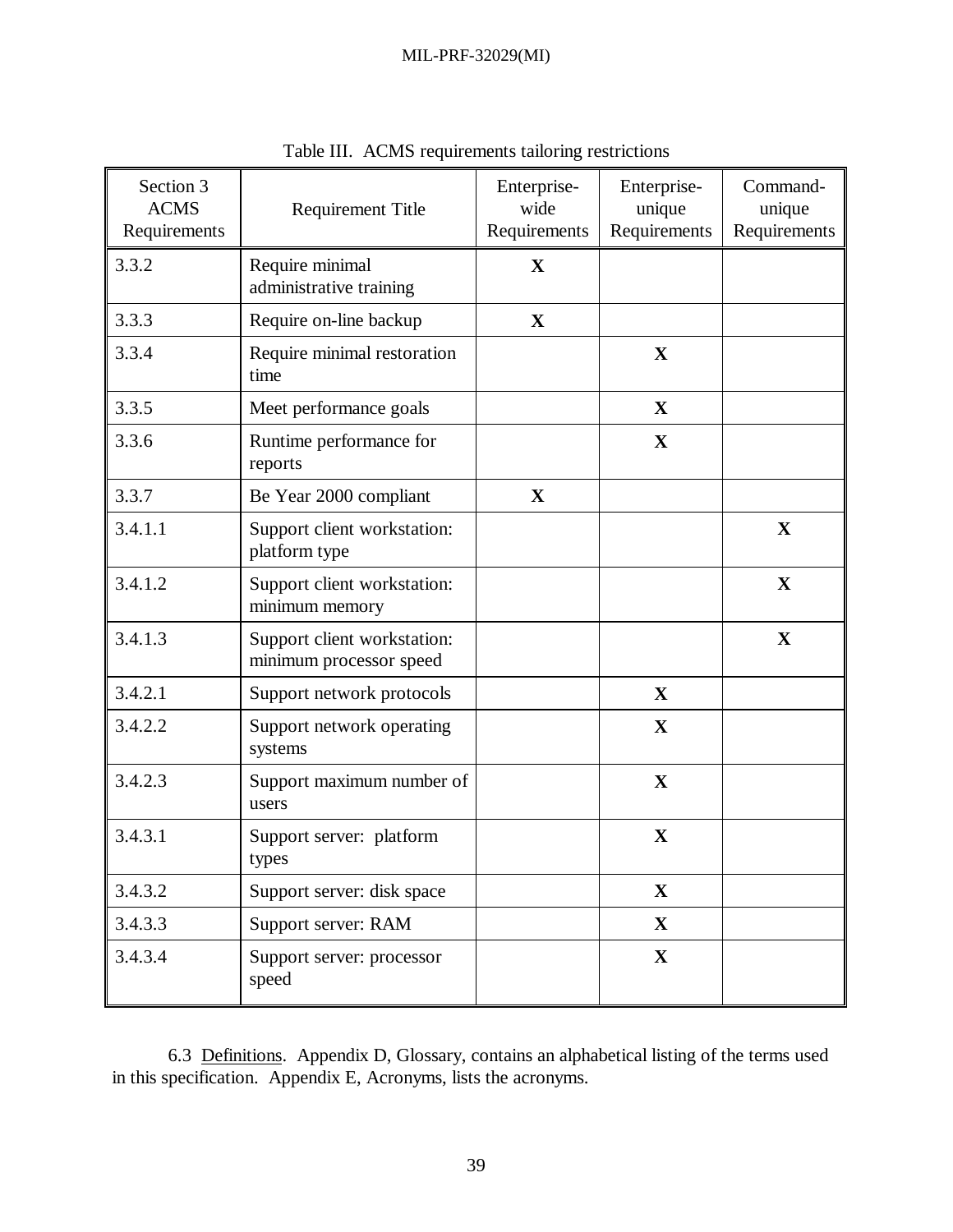| Section 3<br><b>ACMS</b><br>Requirements | <b>Requirement Title</b>                               | Enterprise-<br>wide<br>Requirements | Enterprise-<br>unique<br>Requirements | Command-<br>unique<br>Requirements |
|------------------------------------------|--------------------------------------------------------|-------------------------------------|---------------------------------------|------------------------------------|
| 3.3.2                                    | Require minimal<br>administrative training             | $\mathbf{X}$                        |                                       |                                    |
| 3.3.3                                    | Require on-line backup                                 | $\mathbf X$                         |                                       |                                    |
| 3.3.4                                    | Require minimal restoration<br>time                    |                                     | $\mathbf X$                           |                                    |
| 3.3.5                                    | Meet performance goals                                 |                                     | $\mathbf X$                           |                                    |
| 3.3.6                                    | Runtime performance for<br>reports                     |                                     | $\mathbf X$                           |                                    |
| 3.3.7                                    | Be Year 2000 compliant                                 | $\mathbf X$                         |                                       |                                    |
| 3.4.1.1                                  | Support client workstation:<br>platform type           |                                     |                                       | $\mathbf X$                        |
| 3.4.1.2                                  | Support client workstation:<br>minimum memory          |                                     |                                       | $\mathbf X$                        |
| 3.4.1.3                                  | Support client workstation:<br>minimum processor speed |                                     |                                       | $\mathbf X$                        |
| 3.4.2.1                                  | Support network protocols                              |                                     | $\mathbf X$                           |                                    |
| 3.4.2.2                                  | Support network operating<br>systems                   |                                     | $\mathbf X$                           |                                    |
| 3.4.2.3                                  | Support maximum number of<br>users                     |                                     | $\mathbf X$                           |                                    |
| 3.4.3.1                                  | Support server: platform<br>types                      |                                     | $\mathbf X$                           |                                    |
| 3.4.3.2                                  | Support server: disk space                             |                                     | $\mathbf X$                           |                                    |
| 3.4.3.3                                  | Support server: RAM                                    |                                     | $\mathbf X$                           |                                    |
| 3.4.3.4                                  | Support server: processor<br>speed                     |                                     | $\mathbf X$                           |                                    |

Table III. ACMS requirements tailoring restrictions

6.3 Definitions. Appendix D, Glossary, contains an alphabetical listing of the terms used in this specification. Appendix E, Acronyms, lists the acronyms.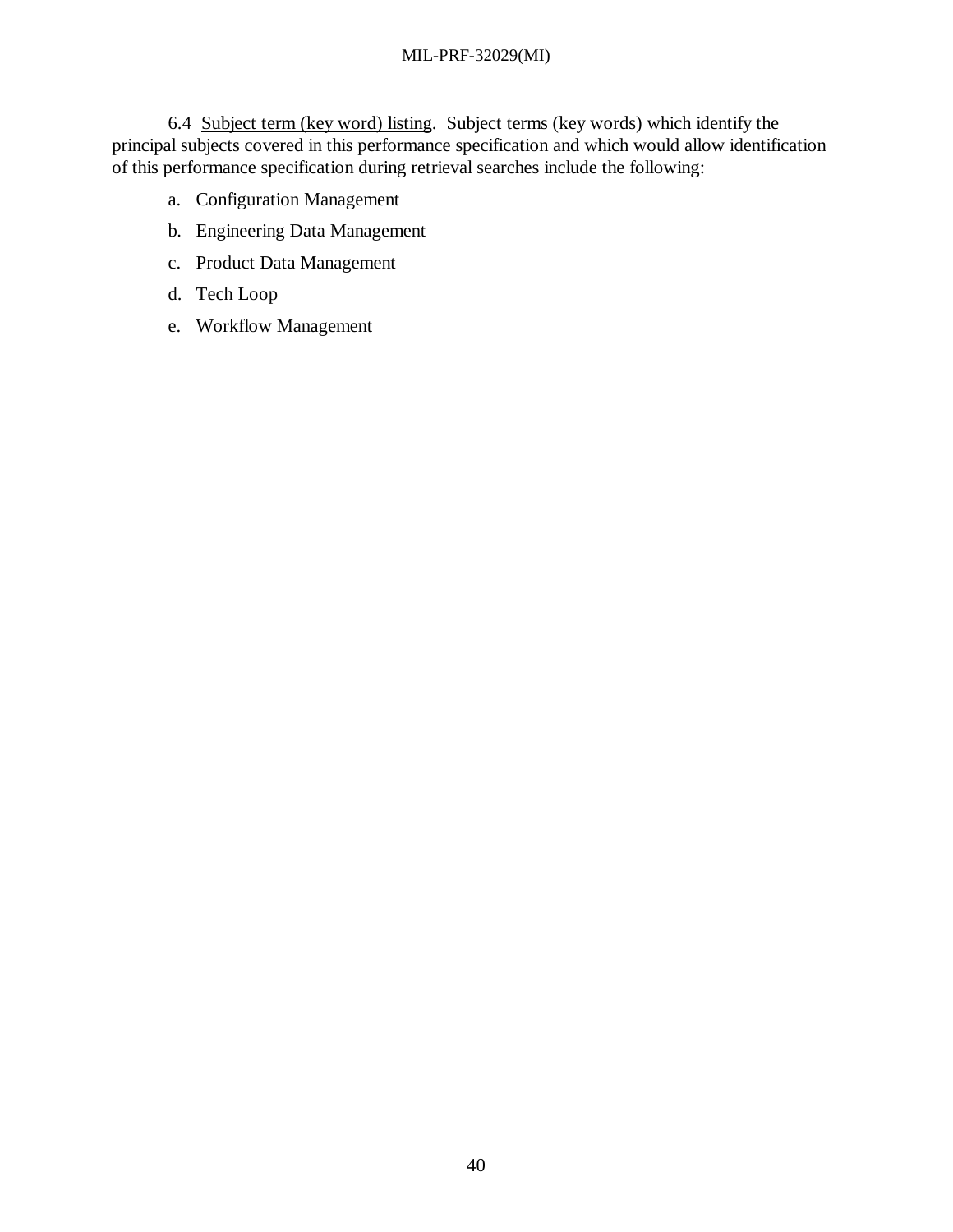6.4 Subject term (key word) listing. Subject terms (key words) which identify the principal subjects covered in this performance specification and which would allow identification of this performance specification during retrieval searches include the following:

- a. Configuration Management
- b. Engineering Data Management
- c. Product Data Management
- d. Tech Loop
- e. Workflow Management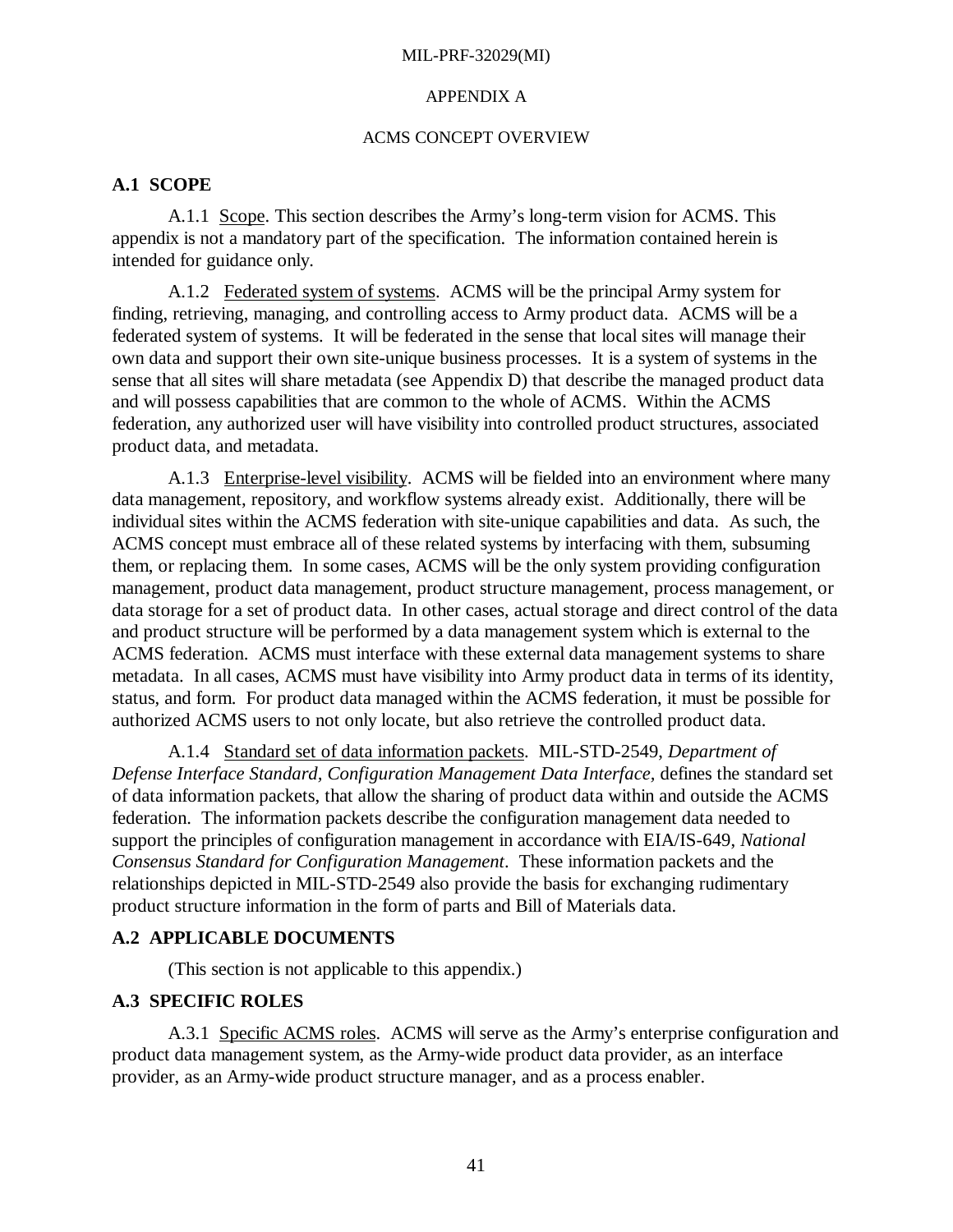#### APPENDIX A

## ACMS CONCEPT OVERVIEW

## **A.1 SCOPE**

A.1.1 Scope. This section describes the Army's long-term vision for ACMS. This appendix is not a mandatory part of the specification. The information contained herein is intended for guidance only.

A.1.2 Federated system of systems. ACMS will be the principal Army system for finding, retrieving, managing, and controlling access to Army product data. ACMS will be a federated system of systems. It will be federated in the sense that local sites will manage their own data and support their own site-unique business processes. It is a system of systems in the sense that all sites will share metadata (see Appendix D) that describe the managed product data and will possess capabilities that are common to the whole of ACMS. Within the ACMS federation, any authorized user will have visibility into controlled product structures, associated product data, and metadata.

A.1.3 Enterprise-level visibility. ACMS will be fielded into an environment where many data management, repository, and workflow systems already exist. Additionally, there will be individual sites within the ACMS federation with site-unique capabilities and data. As such, the ACMS concept must embrace all of these related systems by interfacing with them, subsuming them, or replacing them. In some cases, ACMS will be the only system providing configuration management, product data management, product structure management, process management, or data storage for a set of product data. In other cases, actual storage and direct control of the data and product structure will be performed by a data management system which is external to the ACMS federation. ACMS must interface with these external data management systems to share metadata. In all cases, ACMS must have visibility into Army product data in terms of its identity, status, and form. For product data managed within the ACMS federation, it must be possible for authorized ACMS users to not only locate, but also retrieve the controlled product data.

A.1.4 Standard set of data information packets. MIL-STD-2549, *Department of Defense Interface Standard, Configuration Management Data Interface,* defines the standard set of data information packets, that allow the sharing of product data within and outside the ACMS federation. The information packets describe the configuration management data needed to support the principles of configuration management in accordance with EIA/IS-649, *National Consensus Standard for Configuration Management*. These information packets and the relationships depicted in MIL-STD-2549 also provide the basis for exchanging rudimentary product structure information in the form of parts and Bill of Materials data.

# **A.2 APPLICABLE DOCUMENTS**

(This section is not applicable to this appendix.)

# **A.3 SPECIFIC ROLES**

A.3.1 Specific ACMS roles. ACMS will serve as the Army's enterprise configuration and product data management system, as the Army-wide product data provider, as an interface provider, as an Army-wide product structure manager, and as a process enabler.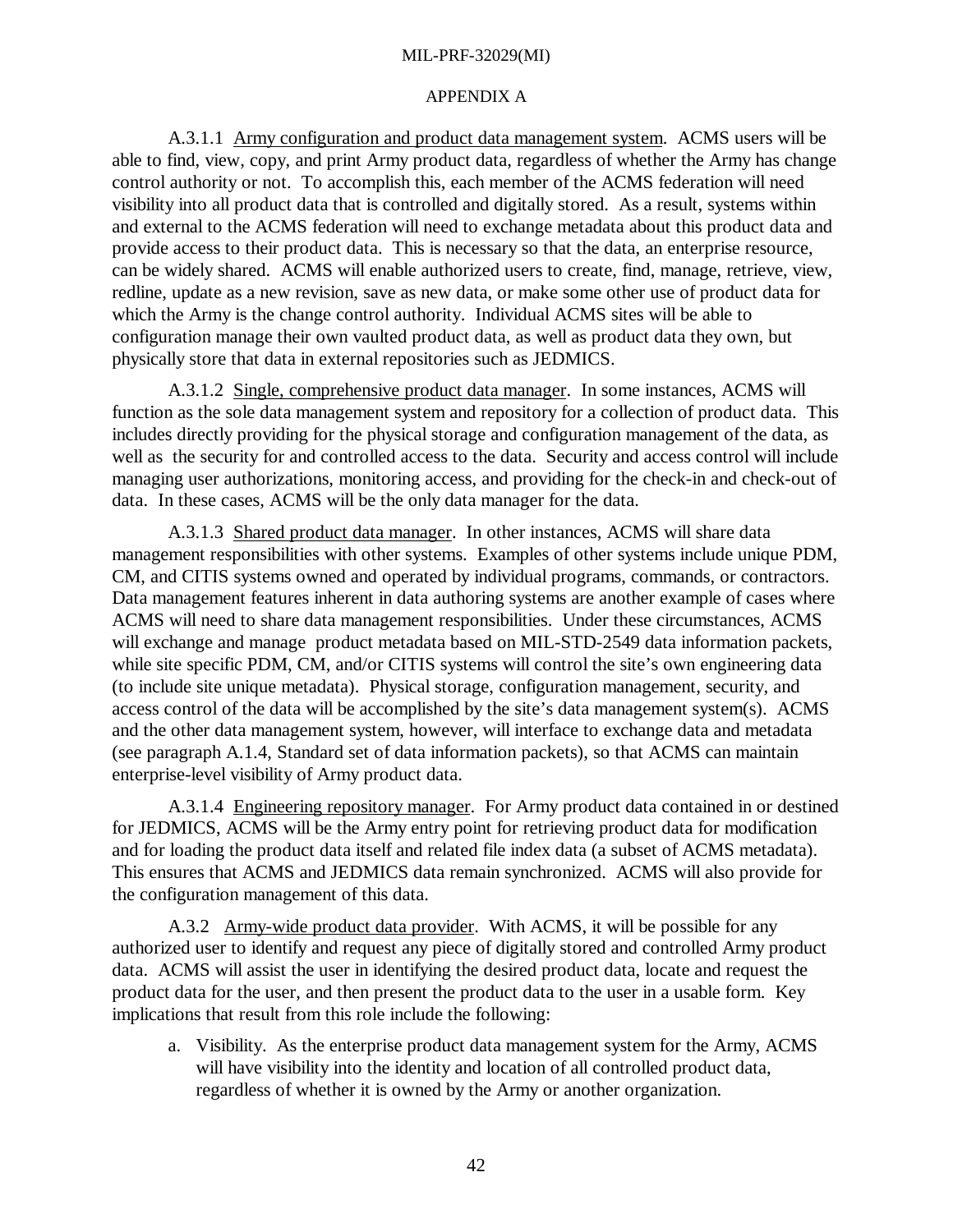#### APPENDIX A

A.3.1.1 Army configuration and product data management system. ACMS users will be able to find, view, copy, and print Army product data, regardless of whether the Army has change control authority or not. To accomplish this, each member of the ACMS federation will need visibility into all product data that is controlled and digitally stored. As a result, systems within and external to the ACMS federation will need to exchange metadata about this product data and provide access to their product data. This is necessary so that the data, an enterprise resource, can be widely shared. ACMS will enable authorized users to create, find, manage, retrieve, view, redline, update as a new revision, save as new data, or make some other use of product data for which the Army is the change control authority. Individual ACMS sites will be able to configuration manage their own vaulted product data, as well as product data they own, but physically store that data in external repositories such as JEDMICS.

A.3.1.2 Single, comprehensive product data manager. In some instances, ACMS will function as the sole data management system and repository for a collection of product data. This includes directly providing for the physical storage and configuration management of the data, as well as the security for and controlled access to the data. Security and access control will include managing user authorizations, monitoring access, and providing for the check-in and check-out of data. In these cases, ACMS will be the only data manager for the data.

A.3.1.3 Shared product data manager. In other instances, ACMS will share data management responsibilities with other systems. Examples of other systems include unique PDM, CM, and CITIS systems owned and operated by individual programs, commands, or contractors. Data management features inherent in data authoring systems are another example of cases where ACMS will need to share data management responsibilities. Under these circumstances, ACMS will exchange and manage product metadata based on MIL-STD-2549 data information packets, while site specific PDM, CM, and/or CITIS systems will control the site's own engineering data (to include site unique metadata). Physical storage, configuration management, security, and access control of the data will be accomplished by the site's data management system(s). ACMS and the other data management system, however, will interface to exchange data and metadata (see paragraph A.1.4, Standard set of data information packets), so that ACMS can maintain enterprise-level visibility of Army product data.

A.3.1.4 Engineering repository manager. For Army product data contained in or destined for JEDMICS, ACMS will be the Army entry point for retrieving product data for modification and for loading the product data itself and related file index data (a subset of ACMS metadata). This ensures that ACMS and JEDMICS data remain synchronized. ACMS will also provide for the configuration management of this data.

A.3.2 Army-wide product data provider. With ACMS, it will be possible for any authorized user to identify and request any piece of digitally stored and controlled Army product data. ACMS will assist the user in identifying the desired product data, locate and request the product data for the user, and then present the product data to the user in a usable form. Key implications that result from this role include the following:

a. Visibility. As the enterprise product data management system for the Army, ACMS will have visibility into the identity and location of all controlled product data, regardless of whether it is owned by the Army or another organization.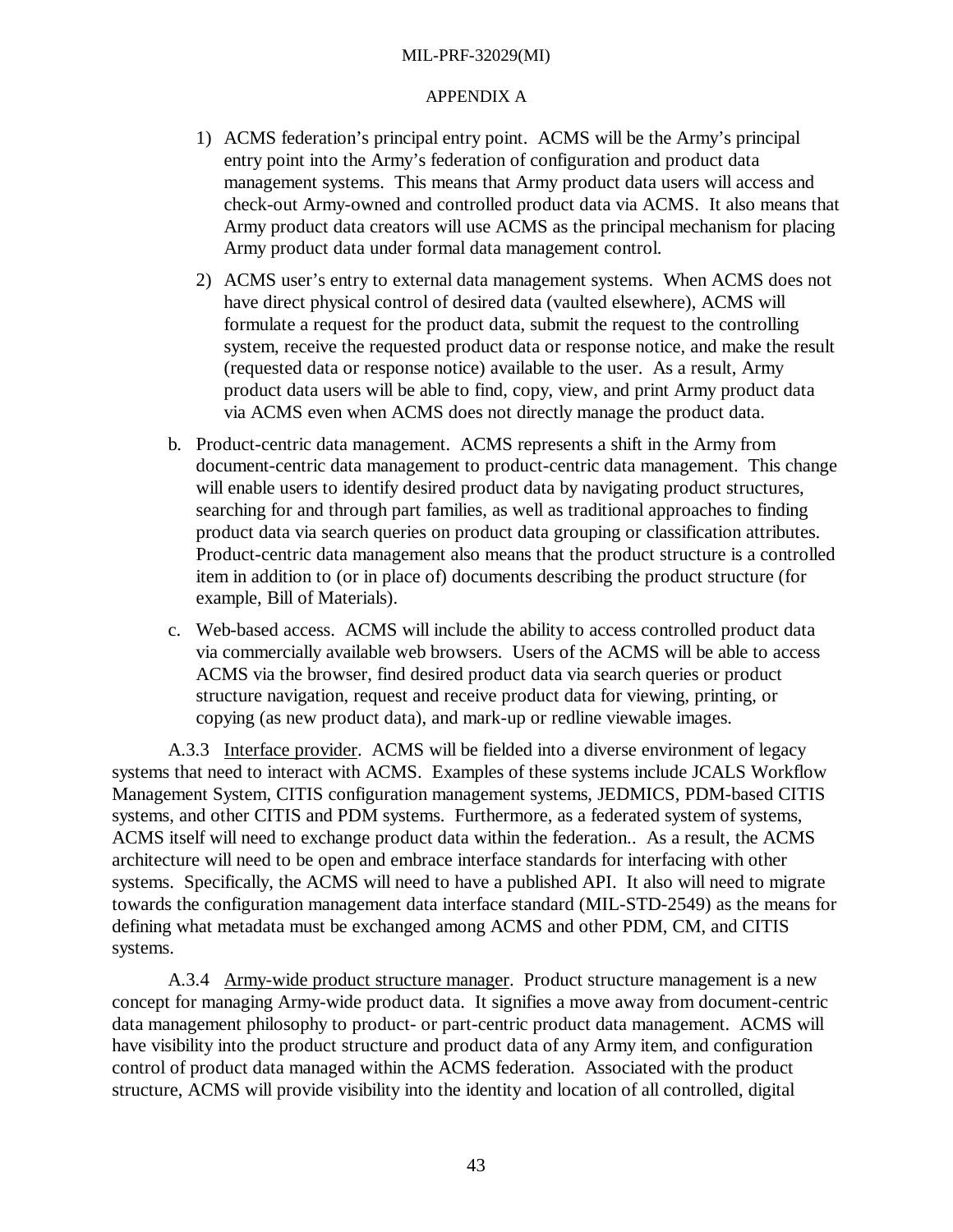## APPENDIX A

- 1) ACMS federation's principal entry point. ACMS will be the Army's principal entry point into the Army's federation of configuration and product data management systems. This means that Army product data users will access and check-out Army-owned and controlled product data via ACMS. It also means that Army product data creators will use ACMS as the principal mechanism for placing Army product data under formal data management control.
- 2) ACMS user's entry to external data management systems. When ACMS does not have direct physical control of desired data (vaulted elsewhere), ACMS will formulate a request for the product data, submit the request to the controlling system, receive the requested product data or response notice, and make the result (requested data or response notice) available to the user. As a result, Army product data users will be able to find, copy, view, and print Army product data via ACMS even when ACMS does not directly manage the product data.
- b. Product-centric data management. ACMS represents a shift in the Army from document-centric data management to product-centric data management. This change will enable users to identify desired product data by navigating product structures, searching for and through part families, as well as traditional approaches to finding product data via search queries on product data grouping or classification attributes. Product-centric data management also means that the product structure is a controlled item in addition to (or in place of) documents describing the product structure (for example, Bill of Materials).
- c. Web-based access. ACMS will include the ability to access controlled product data via commercially available web browsers. Users of the ACMS will be able to access ACMS via the browser, find desired product data via search queries or product structure navigation, request and receive product data for viewing, printing, or copying (as new product data), and mark-up or redline viewable images.

A.3.3 Interface provider. ACMS will be fielded into a diverse environment of legacy systems that need to interact with ACMS. Examples of these systems include JCALS Workflow Management System, CITIS configuration management systems, JEDMICS, PDM-based CITIS systems, and other CITIS and PDM systems. Furthermore, as a federated system of systems, ACMS itself will need to exchange product data within the federation.. As a result, the ACMS architecture will need to be open and embrace interface standards for interfacing with other systems. Specifically, the ACMS will need to have a published API. It also will need to migrate towards the configuration management data interface standard (MIL-STD-2549) as the means for defining what metadata must be exchanged among ACMS and other PDM, CM, and CITIS systems.

A.3.4 Army-wide product structure manager. Product structure management is a new concept for managing Army-wide product data. It signifies a move away from document-centric data management philosophy to product- or part-centric product data management. ACMS will have visibility into the product structure and product data of any Army item, and configuration control of product data managed within the ACMS federation. Associated with the product structure, ACMS will provide visibility into the identity and location of all controlled, digital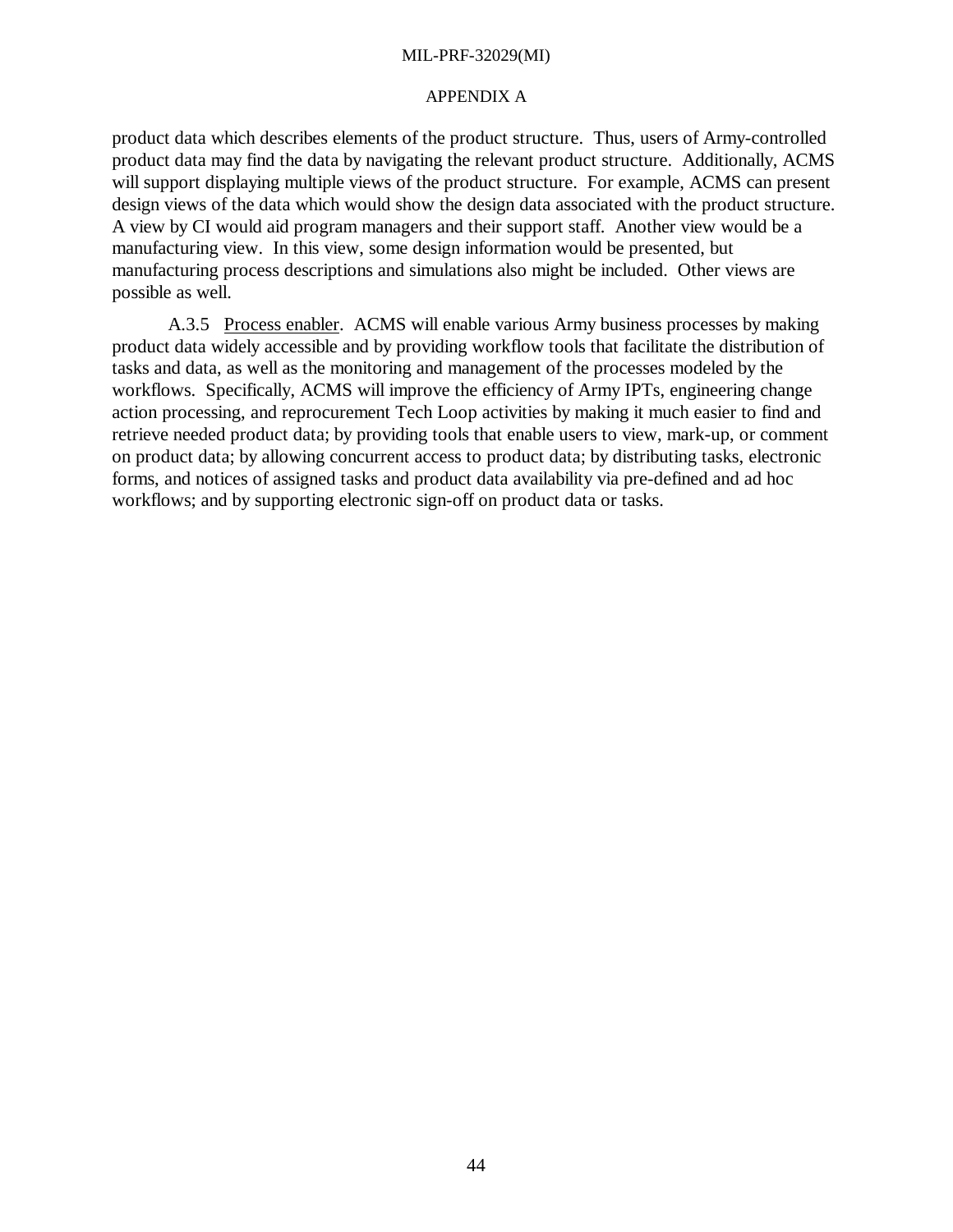#### APPENDIX A

product data which describes elements of the product structure. Thus, users of Army-controlled product data may find the data by navigating the relevant product structure. Additionally, ACMS will support displaying multiple views of the product structure. For example, ACMS can present design views of the data which would show the design data associated with the product structure. A view by CI would aid program managers and their support staff. Another view would be a manufacturing view. In this view, some design information would be presented, but manufacturing process descriptions and simulations also might be included. Other views are possible as well.

A.3.5 Process enabler. ACMS will enable various Army business processes by making product data widely accessible and by providing workflow tools that facilitate the distribution of tasks and data, as well as the monitoring and management of the processes modeled by the workflows. Specifically, ACMS will improve the efficiency of Army IPTs, engineering change action processing, and reprocurement Tech Loop activities by making it much easier to find and retrieve needed product data; by providing tools that enable users to view, mark-up, or comment on product data; by allowing concurrent access to product data; by distributing tasks, electronic forms, and notices of assigned tasks and product data availability via pre-defined and ad hoc workflows; and by supporting electronic sign-off on product data or tasks.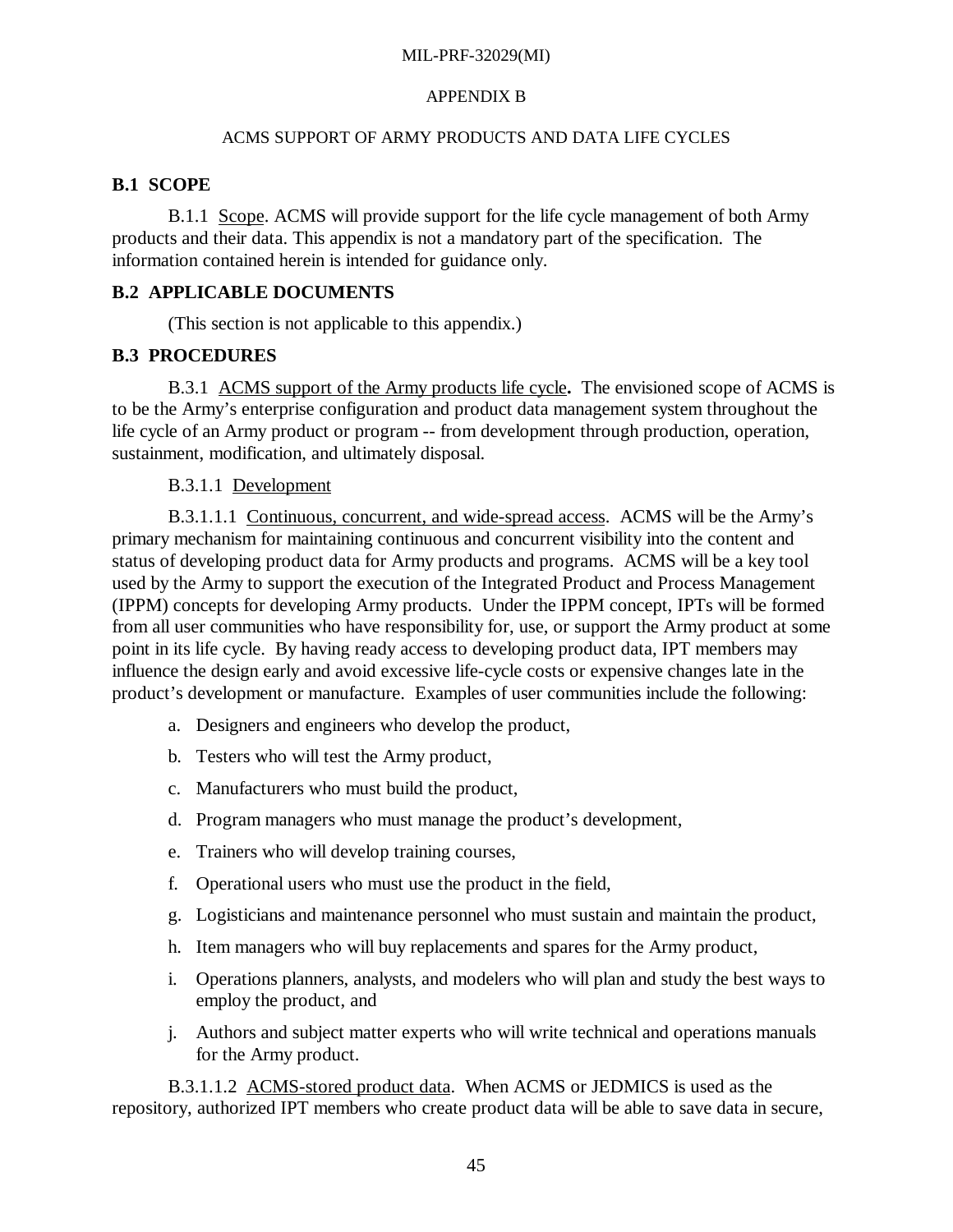## APPENDIX B

## ACMS SUPPORT OF ARMY PRODUCTS AND DATA LIFE CYCLES

# **B.1 SCOPE**

B.1.1 Scope. ACMS will provide support for the life cycle management of both Army products and their data. This appendix is not a mandatory part of the specification. The information contained herein is intended for guidance only.

# **B.2 APPLICABLE DOCUMENTS**

(This section is not applicable to this appendix.)

# **B.3 PROCEDURES**

B.3.1 ACMS support of the Army products life cycle**.** The envisioned scope of ACMS is to be the Army's enterprise configuration and product data management system throughout the life cycle of an Army product or program -- from development through production, operation, sustainment, modification, and ultimately disposal.

# B.3.1.1 Development

B.3.1.1.1 Continuous, concurrent, and wide-spread access. ACMS will be the Army's primary mechanism for maintaining continuous and concurrent visibility into the content and status of developing product data for Army products and programs. ACMS will be a key tool used by the Army to support the execution of the Integrated Product and Process Management (IPPM) concepts for developing Army products. Under the IPPM concept, IPTs will be formed from all user communities who have responsibility for, use, or support the Army product at some point in its life cycle. By having ready access to developing product data, IPT members may influence the design early and avoid excessive life-cycle costs or expensive changes late in the product's development or manufacture. Examples of user communities include the following:

- a. Designers and engineers who develop the product,
- b. Testers who will test the Army product,
- c. Manufacturers who must build the product,
- d. Program managers who must manage the product's development,
- e. Trainers who will develop training courses,
- f. Operational users who must use the product in the field,
- g. Logisticians and maintenance personnel who must sustain and maintain the product,
- h. Item managers who will buy replacements and spares for the Army product,
- i. Operations planners, analysts, and modelers who will plan and study the best ways to employ the product, and
- j. Authors and subject matter experts who will write technical and operations manuals for the Army product.

B.3.1.1.2 ACMS-stored product data. When ACMS or JEDMICS is used as the repository, authorized IPT members who create product data will be able to save data in secure,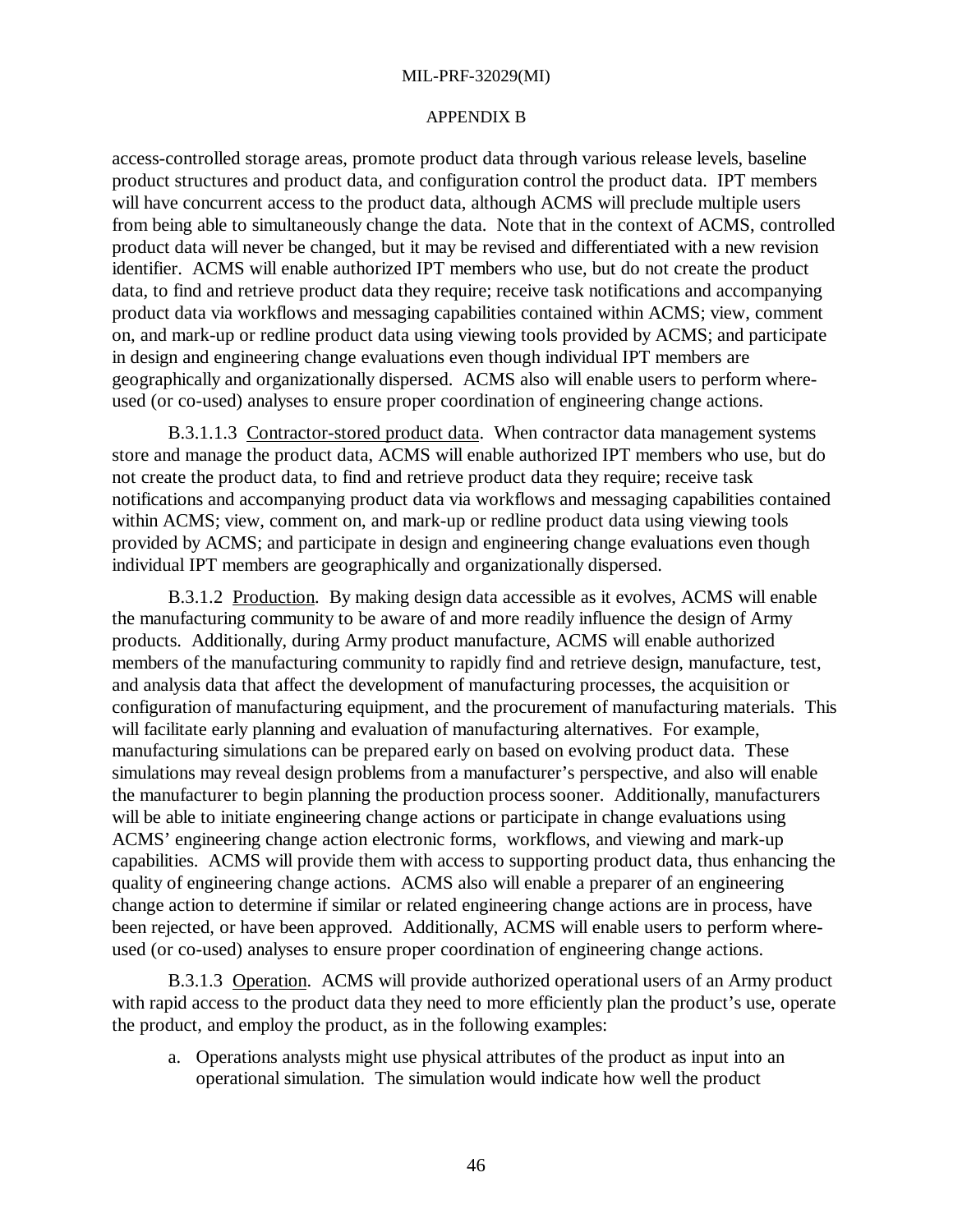#### APPENDIX B

access-controlled storage areas, promote product data through various release levels, baseline product structures and product data, and configuration control the product data. IPT members will have concurrent access to the product data, although ACMS will preclude multiple users from being able to simultaneously change the data. Note that in the context of ACMS, controlled product data will never be changed, but it may be revised and differentiated with a new revision identifier. ACMS will enable authorized IPT members who use, but do not create the product data, to find and retrieve product data they require; receive task notifications and accompanying product data via workflows and messaging capabilities contained within ACMS; view, comment on, and mark-up or redline product data using viewing tools provided by ACMS; and participate in design and engineering change evaluations even though individual IPT members are geographically and organizationally dispersed. ACMS also will enable users to perform whereused (or co-used) analyses to ensure proper coordination of engineering change actions.

B.3.1.1.3 Contractor-stored product data. When contractor data management systems store and manage the product data, ACMS will enable authorized IPT members who use, but do not create the product data, to find and retrieve product data they require; receive task notifications and accompanying product data via workflows and messaging capabilities contained within ACMS; view, comment on, and mark-up or redline product data using viewing tools provided by ACMS; and participate in design and engineering change evaluations even though individual IPT members are geographically and organizationally dispersed.

B.3.1.2 Production. By making design data accessible as it evolves, ACMS will enable the manufacturing community to be aware of and more readily influence the design of Army products. Additionally, during Army product manufacture, ACMS will enable authorized members of the manufacturing community to rapidly find and retrieve design, manufacture, test, and analysis data that affect the development of manufacturing processes, the acquisition or configuration of manufacturing equipment, and the procurement of manufacturing materials. This will facilitate early planning and evaluation of manufacturing alternatives. For example, manufacturing simulations can be prepared early on based on evolving product data. These simulations may reveal design problems from a manufacturer's perspective, and also will enable the manufacturer to begin planning the production process sooner. Additionally, manufacturers will be able to initiate engineering change actions or participate in change evaluations using ACMS' engineering change action electronic forms, workflows, and viewing and mark-up capabilities. ACMS will provide them with access to supporting product data, thus enhancing the quality of engineering change actions. ACMS also will enable a preparer of an engineering change action to determine if similar or related engineering change actions are in process, have been rejected, or have been approved. Additionally, ACMS will enable users to perform whereused (or co-used) analyses to ensure proper coordination of engineering change actions.

B.3.1.3 Operation. ACMS will provide authorized operational users of an Army product with rapid access to the product data they need to more efficiently plan the product's use, operate the product, and employ the product, as in the following examples:

a. Operations analysts might use physical attributes of the product as input into an operational simulation. The simulation would indicate how well the product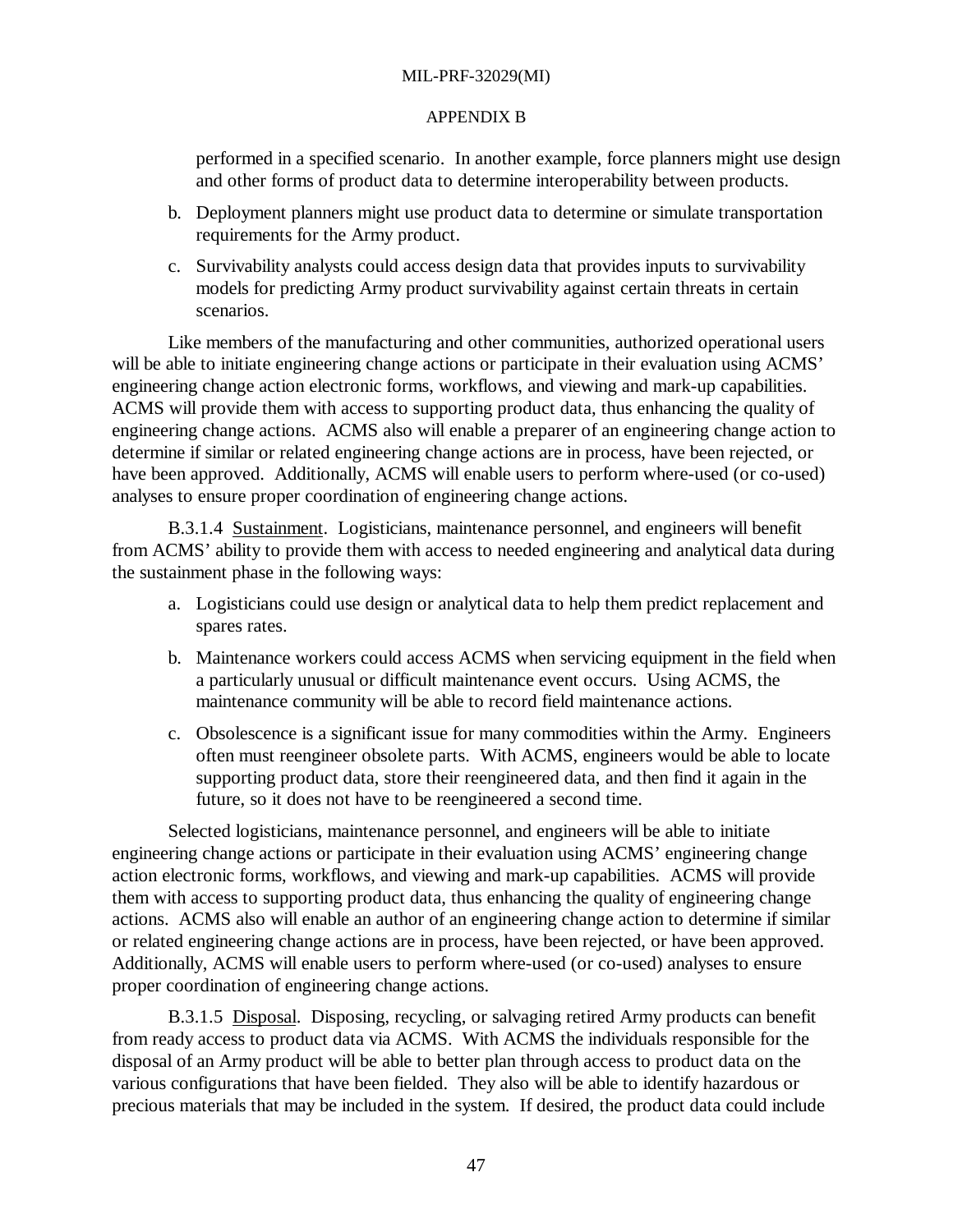#### APPENDIX B

performed in a specified scenario. In another example, force planners might use design and other forms of product data to determine interoperability between products.

- b. Deployment planners might use product data to determine or simulate transportation requirements for the Army product.
- c. Survivability analysts could access design data that provides inputs to survivability models for predicting Army product survivability against certain threats in certain scenarios.

Like members of the manufacturing and other communities, authorized operational users will be able to initiate engineering change actions or participate in their evaluation using ACMS' engineering change action electronic forms, workflows, and viewing and mark-up capabilities. ACMS will provide them with access to supporting product data, thus enhancing the quality of engineering change actions. ACMS also will enable a preparer of an engineering change action to determine if similar or related engineering change actions are in process, have been rejected, or have been approved. Additionally, ACMS will enable users to perform where-used (or co-used) analyses to ensure proper coordination of engineering change actions.

B.3.1.4 Sustainment. Logisticians, maintenance personnel, and engineers will benefit from ACMS' ability to provide them with access to needed engineering and analytical data during the sustainment phase in the following ways:

- a. Logisticians could use design or analytical data to help them predict replacement and spares rates.
- b. Maintenance workers could access ACMS when servicing equipment in the field when a particularly unusual or difficult maintenance event occurs. Using ACMS, the maintenance community will be able to record field maintenance actions.
- c. Obsolescence is a significant issue for many commodities within the Army. Engineers often must reengineer obsolete parts. With ACMS, engineers would be able to locate supporting product data, store their reengineered data, and then find it again in the future, so it does not have to be reengineered a second time.

Selected logisticians, maintenance personnel, and engineers will be able to initiate engineering change actions or participate in their evaluation using ACMS' engineering change action electronic forms, workflows, and viewing and mark-up capabilities. ACMS will provide them with access to supporting product data, thus enhancing the quality of engineering change actions. ACMS also will enable an author of an engineering change action to determine if similar or related engineering change actions are in process, have been rejected, or have been approved. Additionally, ACMS will enable users to perform where-used (or co-used) analyses to ensure proper coordination of engineering change actions.

B.3.1.5 Disposal. Disposing, recycling, or salvaging retired Army products can benefit from ready access to product data via ACMS. With ACMS the individuals responsible for the disposal of an Army product will be able to better plan through access to product data on the various configurations that have been fielded. They also will be able to identify hazardous or precious materials that may be included in the system. If desired, the product data could include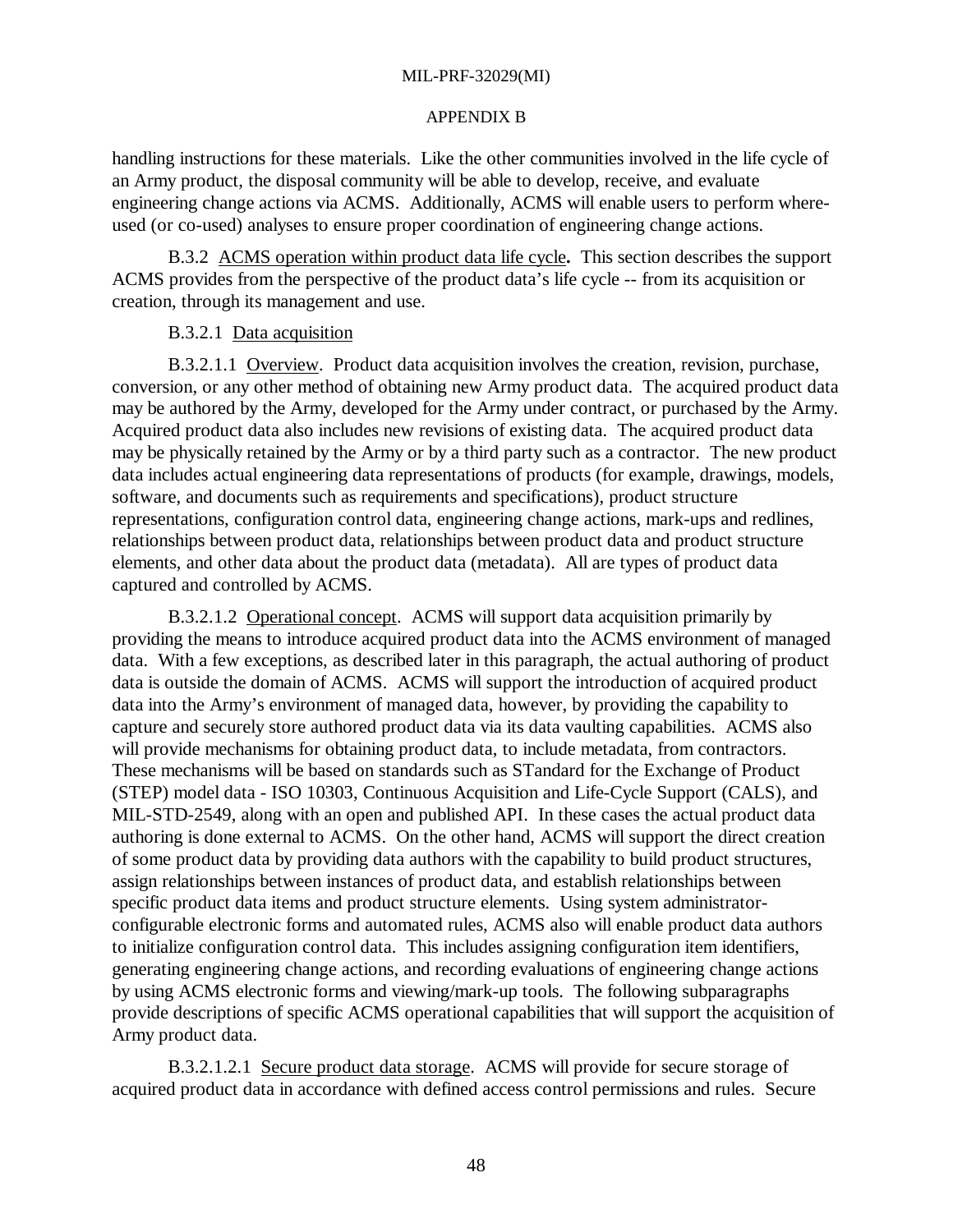#### APPENDIX B

handling instructions for these materials. Like the other communities involved in the life cycle of an Army product, the disposal community will be able to develop, receive, and evaluate engineering change actions via ACMS. Additionally, ACMS will enable users to perform whereused (or co-used) analyses to ensure proper coordination of engineering change actions.

B.3.2 ACMS operation within product data life cycle**.** This section describes the support ACMS provides from the perspective of the product data's life cycle -- from its acquisition or creation, through its management and use.

#### B.3.2.1 Data acquisition

B.3.2.1.1 Overview. Product data acquisition involves the creation, revision, purchase, conversion, or any other method of obtaining new Army product data. The acquired product data may be authored by the Army, developed for the Army under contract, or purchased by the Army. Acquired product data also includes new revisions of existing data. The acquired product data may be physically retained by the Army or by a third party such as a contractor. The new product data includes actual engineering data representations of products (for example, drawings, models, software, and documents such as requirements and specifications), product structure representations, configuration control data, engineering change actions, mark-ups and redlines, relationships between product data, relationships between product data and product structure elements, and other data about the product data (metadata). All are types of product data captured and controlled by ACMS.

B.3.2.1.2 Operational concept. ACMS will support data acquisition primarily by providing the means to introduce acquired product data into the ACMS environment of managed data. With a few exceptions, as described later in this paragraph, the actual authoring of product data is outside the domain of ACMS. ACMS will support the introduction of acquired product data into the Army's environment of managed data, however, by providing the capability to capture and securely store authored product data via its data vaulting capabilities. ACMS also will provide mechanisms for obtaining product data, to include metadata, from contractors. These mechanisms will be based on standards such as STandard for the Exchange of Product (STEP) model data - ISO 10303, Continuous Acquisition and Life-Cycle Support (CALS), and MIL-STD-2549, along with an open and published API. In these cases the actual product data authoring is done external to ACMS. On the other hand, ACMS will support the direct creation of some product data by providing data authors with the capability to build product structures, assign relationships between instances of product data, and establish relationships between specific product data items and product structure elements. Using system administratorconfigurable electronic forms and automated rules, ACMS also will enable product data authors to initialize configuration control data. This includes assigning configuration item identifiers, generating engineering change actions, and recording evaluations of engineering change actions by using ACMS electronic forms and viewing/mark-up tools. The following subparagraphs provide descriptions of specific ACMS operational capabilities that will support the acquisition of Army product data.

B.3.2.1.2.1 Secure product data storage. ACMS will provide for secure storage of acquired product data in accordance with defined access control permissions and rules. Secure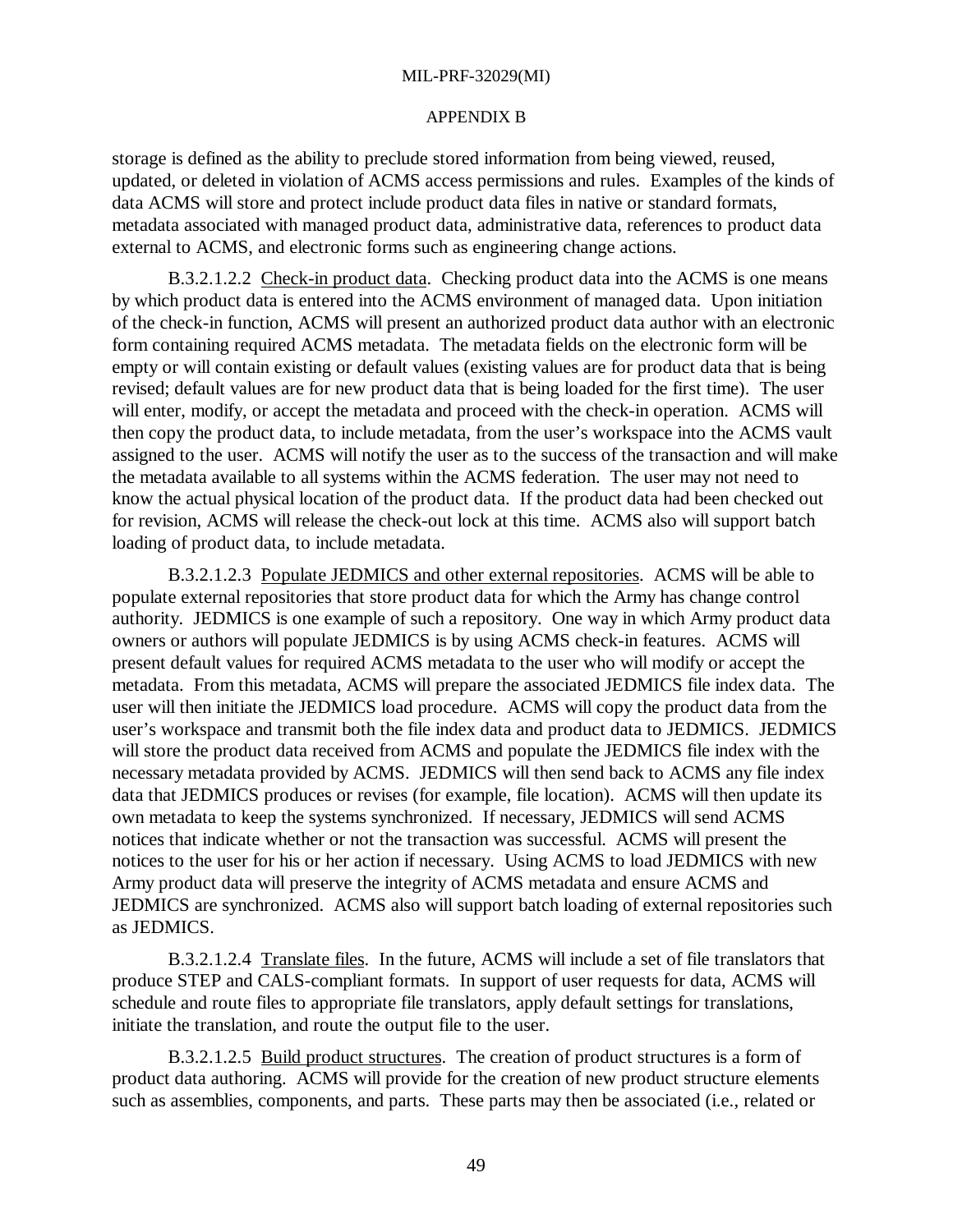#### APPENDIX B

storage is defined as the ability to preclude stored information from being viewed, reused, updated, or deleted in violation of ACMS access permissions and rules. Examples of the kinds of data ACMS will store and protect include product data files in native or standard formats, metadata associated with managed product data, administrative data, references to product data external to ACMS, and electronic forms such as engineering change actions.

B.3.2.1.2.2 Check-in product data. Checking product data into the ACMS is one means by which product data is entered into the ACMS environment of managed data. Upon initiation of the check-in function, ACMS will present an authorized product data author with an electronic form containing required ACMS metadata. The metadata fields on the electronic form will be empty or will contain existing or default values (existing values are for product data that is being revised; default values are for new product data that is being loaded for the first time). The user will enter, modify, or accept the metadata and proceed with the check-in operation. ACMS will then copy the product data, to include metadata, from the user's workspace into the ACMS vault assigned to the user. ACMS will notify the user as to the success of the transaction and will make the metadata available to all systems within the ACMS federation. The user may not need to know the actual physical location of the product data. If the product data had been checked out for revision, ACMS will release the check-out lock at this time. ACMS also will support batch loading of product data, to include metadata.

B.3.2.1.2.3 Populate JEDMICS and other external repositories. ACMS will be able to populate external repositories that store product data for which the Army has change control authority. JEDMICS is one example of such a repository. One way in which Army product data owners or authors will populate JEDMICS is by using ACMS check-in features. ACMS will present default values for required ACMS metadata to the user who will modify or accept the metadata. From this metadata, ACMS will prepare the associated JEDMICS file index data. The user will then initiate the JEDMICS load procedure. ACMS will copy the product data from the user's workspace and transmit both the file index data and product data to JEDMICS. JEDMICS will store the product data received from ACMS and populate the JEDMICS file index with the necessary metadata provided by ACMS. JEDMICS will then send back to ACMS any file index data that JEDMICS produces or revises (for example, file location). ACMS will then update its own metadata to keep the systems synchronized. If necessary, JEDMICS will send ACMS notices that indicate whether or not the transaction was successful. ACMS will present the notices to the user for his or her action if necessary. Using ACMS to load JEDMICS with new Army product data will preserve the integrity of ACMS metadata and ensure ACMS and JEDMICS are synchronized. ACMS also will support batch loading of external repositories such as JEDMICS.

B.3.2.1.2.4 Translate files. In the future, ACMS will include a set of file translators that produce STEP and CALS-compliant formats. In support of user requests for data, ACMS will schedule and route files to appropriate file translators, apply default settings for translations, initiate the translation, and route the output file to the user.

B.3.2.1.2.5 Build product structures. The creation of product structures is a form of product data authoring. ACMS will provide for the creation of new product structure elements such as assemblies, components, and parts. These parts may then be associated (i.e., related or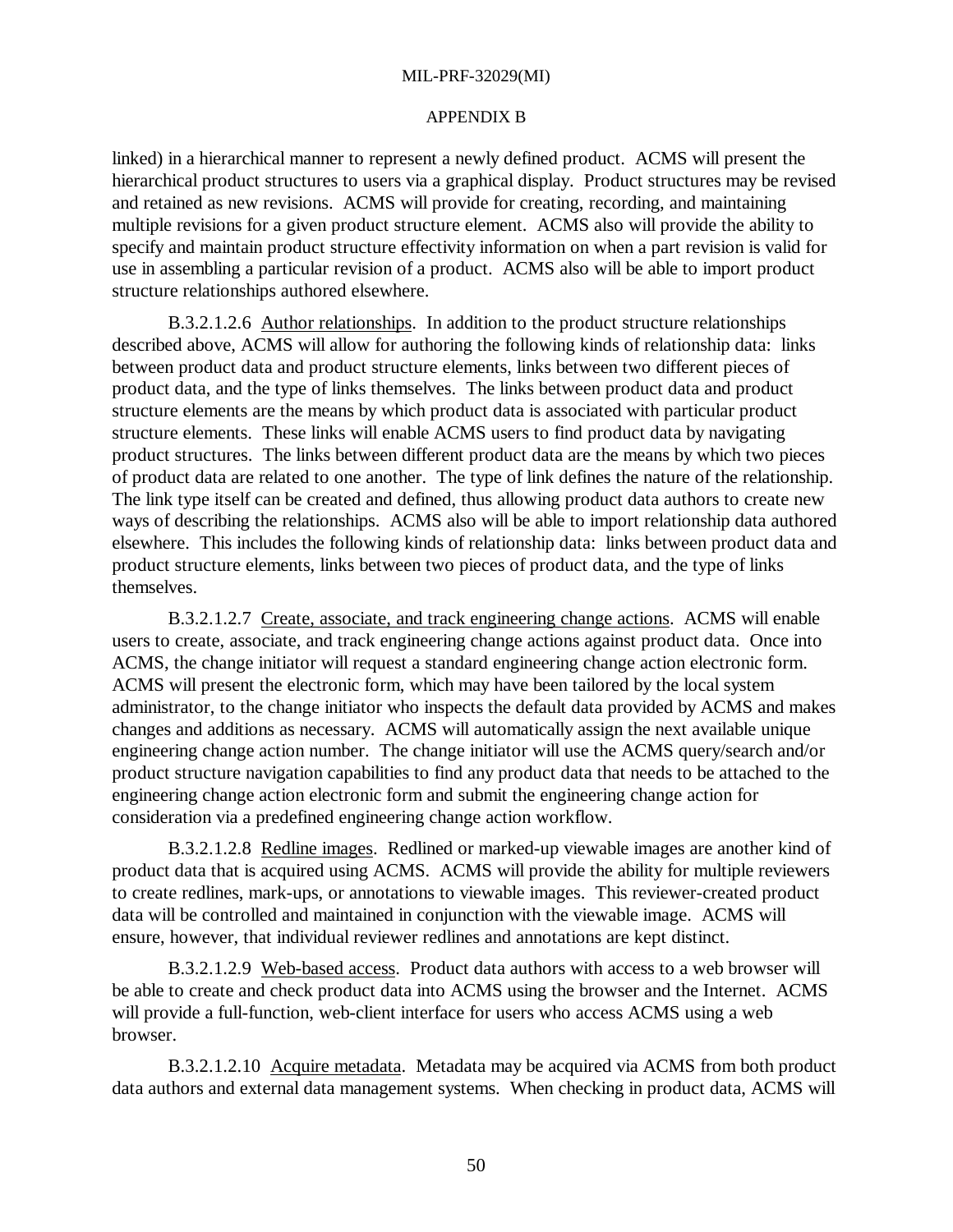#### APPENDIX B

linked) in a hierarchical manner to represent a newly defined product. ACMS will present the hierarchical product structures to users via a graphical display. Product structures may be revised and retained as new revisions. ACMS will provide for creating, recording, and maintaining multiple revisions for a given product structure element. ACMS also will provide the ability to specify and maintain product structure effectivity information on when a part revision is valid for use in assembling a particular revision of a product. ACMS also will be able to import product structure relationships authored elsewhere.

B.3.2.1.2.6 Author relationships. In addition to the product structure relationships described above, ACMS will allow for authoring the following kinds of relationship data: links between product data and product structure elements, links between two different pieces of product data, and the type of links themselves. The links between product data and product structure elements are the means by which product data is associated with particular product structure elements. These links will enable ACMS users to find product data by navigating product structures. The links between different product data are the means by which two pieces of product data are related to one another. The type of link defines the nature of the relationship. The link type itself can be created and defined, thus allowing product data authors to create new ways of describing the relationships. ACMS also will be able to import relationship data authored elsewhere. This includes the following kinds of relationship data: links between product data and product structure elements, links between two pieces of product data, and the type of links themselves.

B.3.2.1.2.7 Create, associate, and track engineering change actions. ACMS will enable users to create, associate, and track engineering change actions against product data. Once into ACMS, the change initiator will request a standard engineering change action electronic form. ACMS will present the electronic form, which may have been tailored by the local system administrator, to the change initiator who inspects the default data provided by ACMS and makes changes and additions as necessary. ACMS will automatically assign the next available unique engineering change action number. The change initiator will use the ACMS query/search and/or product structure navigation capabilities to find any product data that needs to be attached to the engineering change action electronic form and submit the engineering change action for consideration via a predefined engineering change action workflow.

B.3.2.1.2.8 Redline images. Redlined or marked-up viewable images are another kind of product data that is acquired using ACMS. ACMS will provide the ability for multiple reviewers to create redlines, mark-ups, or annotations to viewable images. This reviewer-created product data will be controlled and maintained in conjunction with the viewable image. ACMS will ensure, however, that individual reviewer redlines and annotations are kept distinct.

B.3.2.1.2.9 Web-based access. Product data authors with access to a web browser will be able to create and check product data into ACMS using the browser and the Internet. ACMS will provide a full-function, web-client interface for users who access ACMS using a web browser.

B.3.2.1.2.10 Acquire metadata. Metadata may be acquired via ACMS from both product data authors and external data management systems. When checking in product data, ACMS will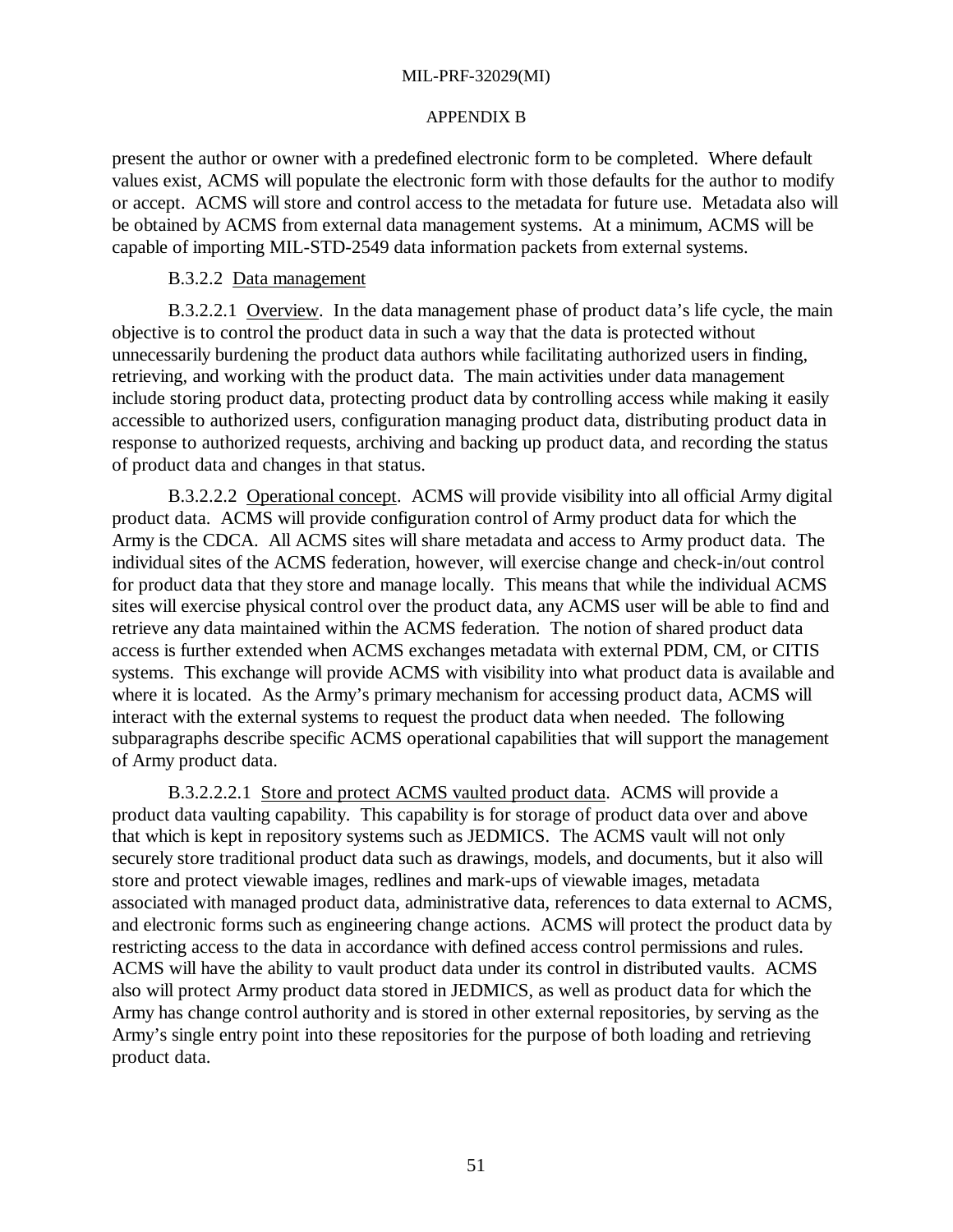#### APPENDIX B

present the author or owner with a predefined electronic form to be completed. Where default values exist, ACMS will populate the electronic form with those defaults for the author to modify or accept. ACMS will store and control access to the metadata for future use. Metadata also will be obtained by ACMS from external data management systems. At a minimum, ACMS will be capable of importing MIL-STD-2549 data information packets from external systems.

## B.3.2.2 Data management

B.3.2.2.1 Overview. In the data management phase of product data's life cycle, the main objective is to control the product data in such a way that the data is protected without unnecessarily burdening the product data authors while facilitating authorized users in finding, retrieving, and working with the product data. The main activities under data management include storing product data, protecting product data by controlling access while making it easily accessible to authorized users, configuration managing product data, distributing product data in response to authorized requests, archiving and backing up product data, and recording the status of product data and changes in that status.

B.3.2.2.2 Operational concept. ACMS will provide visibility into all official Army digital product data. ACMS will provide configuration control of Army product data for which the Army is the CDCA. All ACMS sites will share metadata and access to Army product data. The individual sites of the ACMS federation, however, will exercise change and check-in/out control for product data that they store and manage locally. This means that while the individual ACMS sites will exercise physical control over the product data, any ACMS user will be able to find and retrieve any data maintained within the ACMS federation. The notion of shared product data access is further extended when ACMS exchanges metadata with external PDM, CM, or CITIS systems. This exchange will provide ACMS with visibility into what product data is available and where it is located. As the Army's primary mechanism for accessing product data, ACMS will interact with the external systems to request the product data when needed. The following subparagraphs describe specific ACMS operational capabilities that will support the management of Army product data.

B.3.2.2.2.1 Store and protect ACMS vaulted product data. ACMS will provide a product data vaulting capability. This capability is for storage of product data over and above that which is kept in repository systems such as JEDMICS. The ACMS vault will not only securely store traditional product data such as drawings, models, and documents, but it also will store and protect viewable images, redlines and mark-ups of viewable images, metadata associated with managed product data, administrative data, references to data external to ACMS, and electronic forms such as engineering change actions. ACMS will protect the product data by restricting access to the data in accordance with defined access control permissions and rules. ACMS will have the ability to vault product data under its control in distributed vaults. ACMS also will protect Army product data stored in JEDMICS, as well as product data for which the Army has change control authority and is stored in other external repositories, by serving as the Army's single entry point into these repositories for the purpose of both loading and retrieving product data.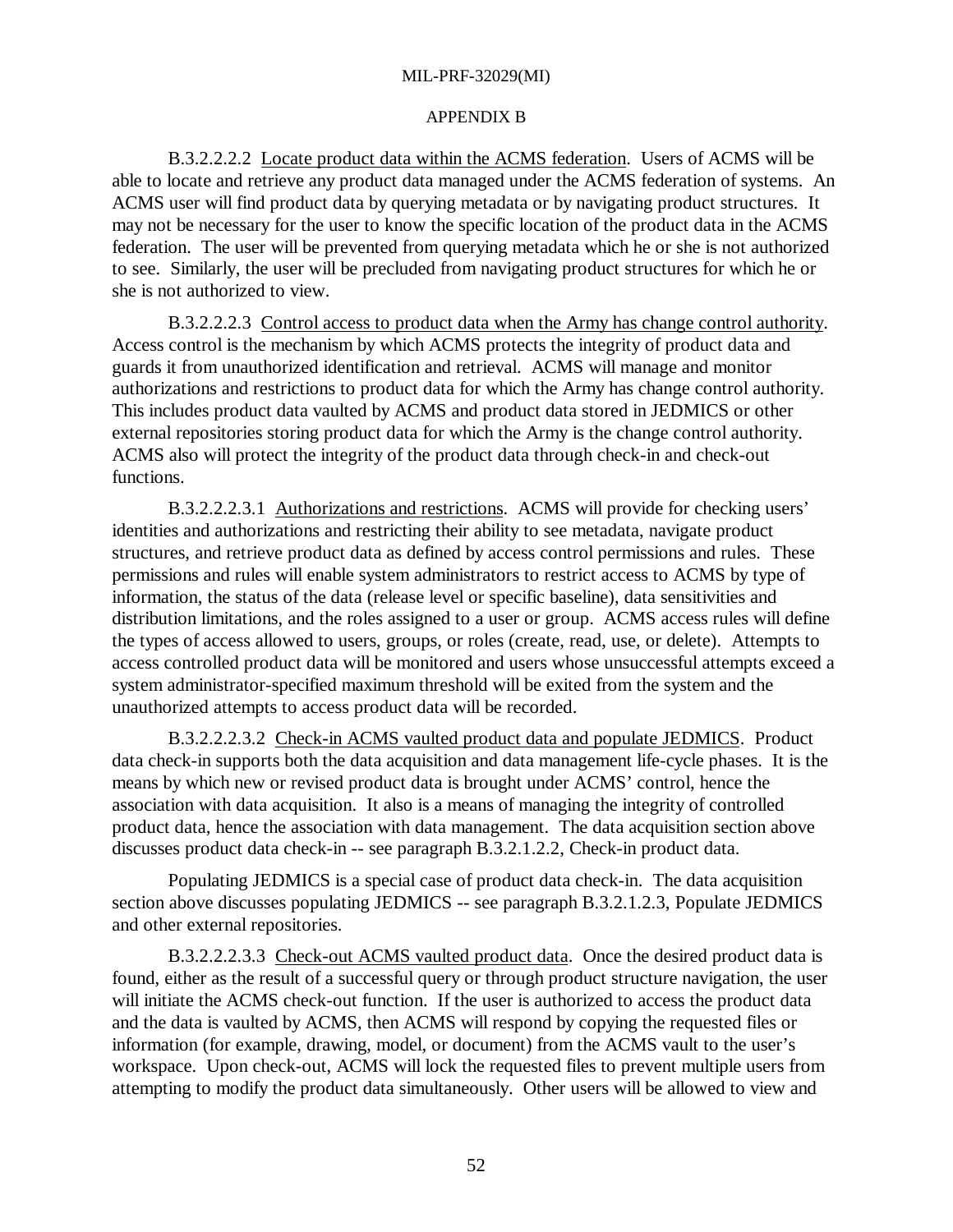#### APPENDIX B

B.3.2.2.2.2 Locate product data within the ACMS federation. Users of ACMS will be able to locate and retrieve any product data managed under the ACMS federation of systems. An ACMS user will find product data by querying metadata or by navigating product structures. It may not be necessary for the user to know the specific location of the product data in the ACMS federation. The user will be prevented from querying metadata which he or she is not authorized to see. Similarly, the user will be precluded from navigating product structures for which he or she is not authorized to view.

B.3.2.2.2.3 Control access to product data when the Army has change control authority. Access control is the mechanism by which ACMS protects the integrity of product data and guards it from unauthorized identification and retrieval. ACMS will manage and monitor authorizations and restrictions to product data for which the Army has change control authority. This includes product data vaulted by ACMS and product data stored in JEDMICS or other external repositories storing product data for which the Army is the change control authority. ACMS also will protect the integrity of the product data through check-in and check-out functions.

B.3.2.2.2.3.1 Authorizations and restrictions. ACMS will provide for checking users' identities and authorizations and restricting their ability to see metadata, navigate product structures, and retrieve product data as defined by access control permissions and rules. These permissions and rules will enable system administrators to restrict access to ACMS by type of information, the status of the data (release level or specific baseline), data sensitivities and distribution limitations, and the roles assigned to a user or group. ACMS access rules will define the types of access allowed to users, groups, or roles (create, read, use, or delete). Attempts to access controlled product data will be monitored and users whose unsuccessful attempts exceed a system administrator-specified maximum threshold will be exited from the system and the unauthorized attempts to access product data will be recorded.

B.3.2.2.2.3.2 Check-in ACMS vaulted product data and populate JEDMICS. Product data check-in supports both the data acquisition and data management life-cycle phases. It is the means by which new or revised product data is brought under ACMS' control, hence the association with data acquisition. It also is a means of managing the integrity of controlled product data, hence the association with data management. The data acquisition section above discusses product data check-in -- see paragraph B.3.2.1.2.2, Check-in product data.

Populating JEDMICS is a special case of product data check-in. The data acquisition section above discusses populating JEDMICS -- see paragraph B.3.2.1.2.3, Populate JEDMICS and other external repositories.

B.3.2.2.2.3.3 Check-out ACMS vaulted product data. Once the desired product data is found, either as the result of a successful query or through product structure navigation, the user will initiate the ACMS check-out function. If the user is authorized to access the product data and the data is vaulted by ACMS, then ACMS will respond by copying the requested files or information (for example, drawing, model, or document) from the ACMS vault to the user's workspace. Upon check-out, ACMS will lock the requested files to prevent multiple users from attempting to modify the product data simultaneously. Other users will be allowed to view and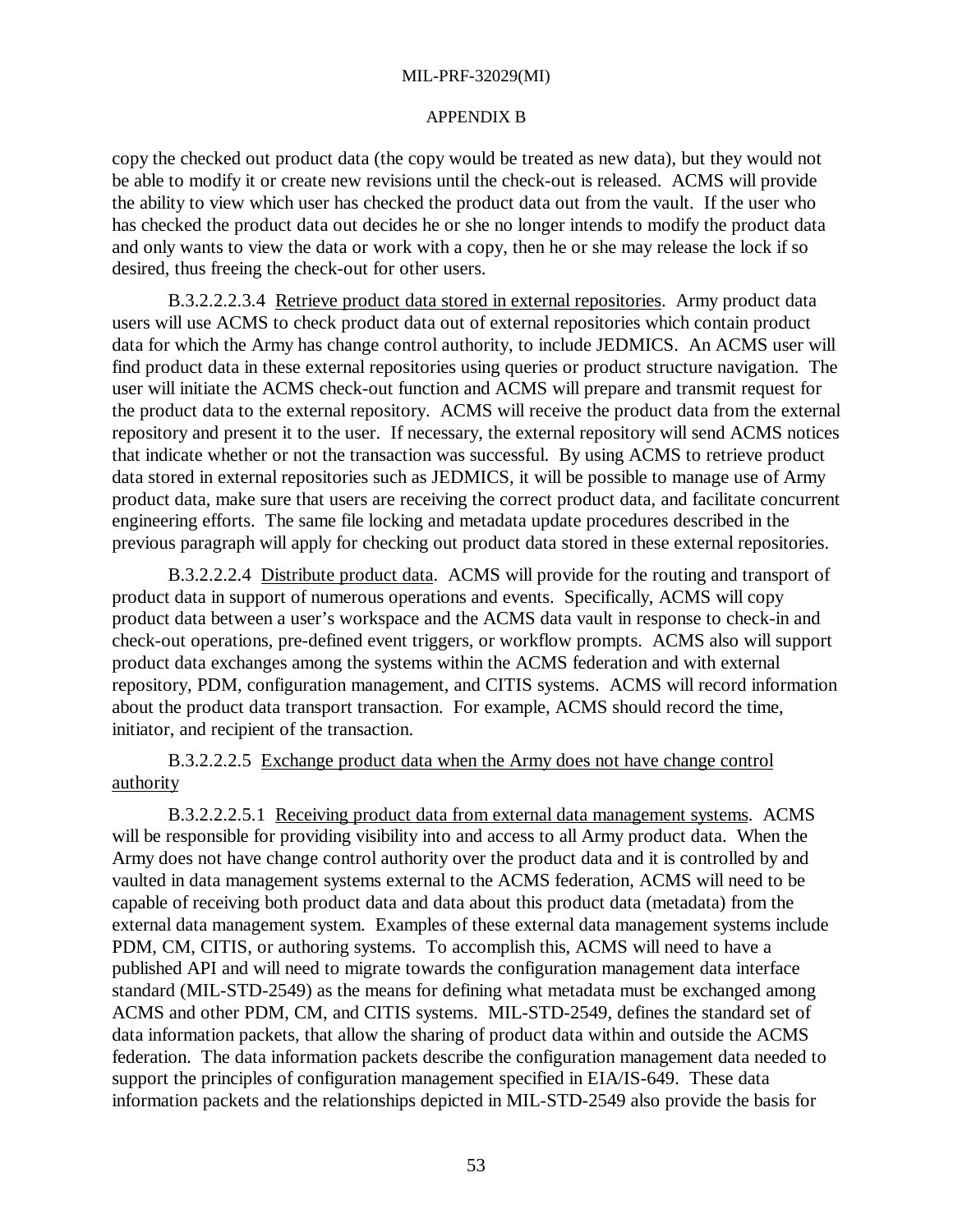#### APPENDIX B

copy the checked out product data (the copy would be treated as new data), but they would not be able to modify it or create new revisions until the check-out is released. ACMS will provide the ability to view which user has checked the product data out from the vault. If the user who has checked the product data out decides he or she no longer intends to modify the product data and only wants to view the data or work with a copy, then he or she may release the lock if so desired, thus freeing the check-out for other users.

B.3.2.2.2.3.4 Retrieve product data stored in external repositories. Army product data users will use ACMS to check product data out of external repositories which contain product data for which the Army has change control authority, to include JEDMICS. An ACMS user will find product data in these external repositories using queries or product structure navigation. The user will initiate the ACMS check-out function and ACMS will prepare and transmit request for the product data to the external repository. ACMS will receive the product data from the external repository and present it to the user. If necessary, the external repository will send ACMS notices that indicate whether or not the transaction was successful. By using ACMS to retrieve product data stored in external repositories such as JEDMICS, it will be possible to manage use of Army product data, make sure that users are receiving the correct product data, and facilitate concurrent engineering efforts. The same file locking and metadata update procedures described in the previous paragraph will apply for checking out product data stored in these external repositories.

B.3.2.2.2.4 Distribute product data. ACMS will provide for the routing and transport of product data in support of numerous operations and events. Specifically, ACMS will copy product data between a user's workspace and the ACMS data vault in response to check-in and check-out operations, pre-defined event triggers, or workflow prompts. ACMS also will support product data exchanges among the systems within the ACMS federation and with external repository, PDM, configuration management, and CITIS systems. ACMS will record information about the product data transport transaction. For example, ACMS should record the time, initiator, and recipient of the transaction.

B.3.2.2.2.5 Exchange product data when the Army does not have change control authority

B.3.2.2.2.5.1 Receiving product data from external data management systems. ACMS will be responsible for providing visibility into and access to all Army product data. When the Army does not have change control authority over the product data and it is controlled by and vaulted in data management systems external to the ACMS federation, ACMS will need to be capable of receiving both product data and data about this product data (metadata) from the external data management system. Examples of these external data management systems include PDM, CM, CITIS, or authoring systems. To accomplish this, ACMS will need to have a published API and will need to migrate towards the configuration management data interface standard (MIL-STD-2549) as the means for defining what metadata must be exchanged among ACMS and other PDM, CM, and CITIS systems. MIL-STD-2549*,* defines the standard set of data information packets, that allow the sharing of product data within and outside the ACMS federation. The data information packets describe the configuration management data needed to support the principles of configuration management specified in EIA/IS-649. These data information packets and the relationships depicted in MIL-STD-2549 also provide the basis for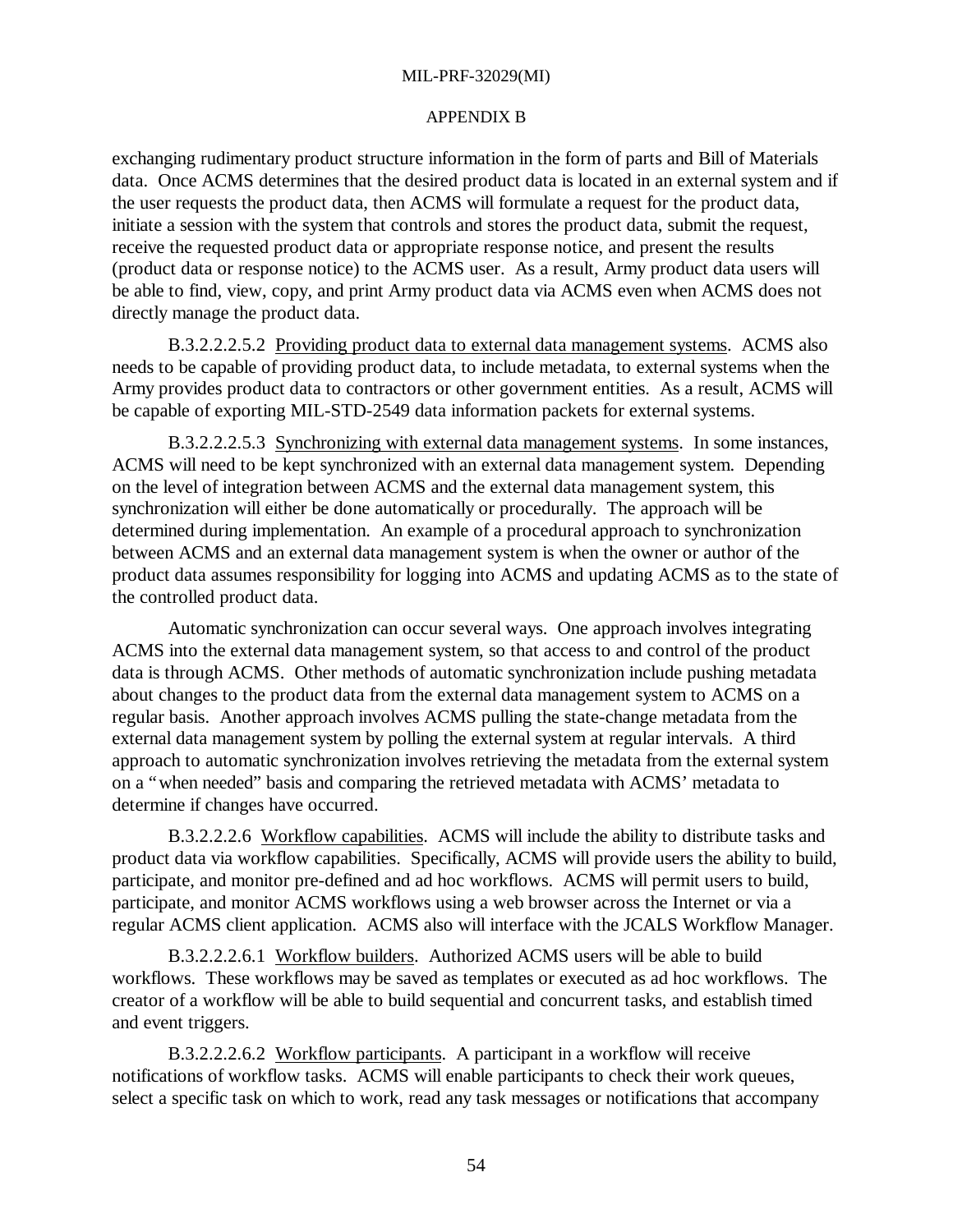## APPENDIX B

exchanging rudimentary product structure information in the form of parts and Bill of Materials data. Once ACMS determines that the desired product data is located in an external system and if the user requests the product data, then ACMS will formulate a request for the product data, initiate a session with the system that controls and stores the product data, submit the request, receive the requested product data or appropriate response notice, and present the results (product data or response notice) to the ACMS user. As a result, Army product data users will be able to find, view, copy, and print Army product data via ACMS even when ACMS does not directly manage the product data.

B.3.2.2.2.5.2 Providing product data to external data management systems. ACMS also needs to be capable of providing product data, to include metadata, to external systems when the Army provides product data to contractors or other government entities. As a result, ACMS will be capable of exporting MIL-STD-2549 data information packets for external systems.

B.3.2.2.2.5.3 Synchronizing with external data management systems. In some instances, ACMS will need to be kept synchronized with an external data management system. Depending on the level of integration between ACMS and the external data management system, this synchronization will either be done automatically or procedurally. The approach will be determined during implementation. An example of a procedural approach to synchronization between ACMS and an external data management system is when the owner or author of the product data assumes responsibility for logging into ACMS and updating ACMS as to the state of the controlled product data.

Automatic synchronization can occur several ways. One approach involves integrating ACMS into the external data management system, so that access to and control of the product data is through ACMS. Other methods of automatic synchronization include pushing metadata about changes to the product data from the external data management system to ACMS on a regular basis. Another approach involves ACMS pulling the state-change metadata from the external data management system by polling the external system at regular intervals. A third approach to automatic synchronization involves retrieving the metadata from the external system on a "when needed" basis and comparing the retrieved metadata with ACMS' metadata to determine if changes have occurred.

B.3.2.2.2.6 Workflow capabilities. ACMS will include the ability to distribute tasks and product data via workflow capabilities. Specifically, ACMS will provide users the ability to build, participate, and monitor pre-defined and ad hoc workflows. ACMS will permit users to build, participate, and monitor ACMS workflows using a web browser across the Internet or via a regular ACMS client application. ACMS also will interface with the JCALS Workflow Manager.

B.3.2.2.2.6.1 Workflow builders. Authorized ACMS users will be able to build workflows. These workflows may be saved as templates or executed as ad hoc workflows. The creator of a workflow will be able to build sequential and concurrent tasks, and establish timed and event triggers.

B.3.2.2.2.6.2 Workflow participants. A participant in a workflow will receive notifications of workflow tasks. ACMS will enable participants to check their work queues, select a specific task on which to work, read any task messages or notifications that accompany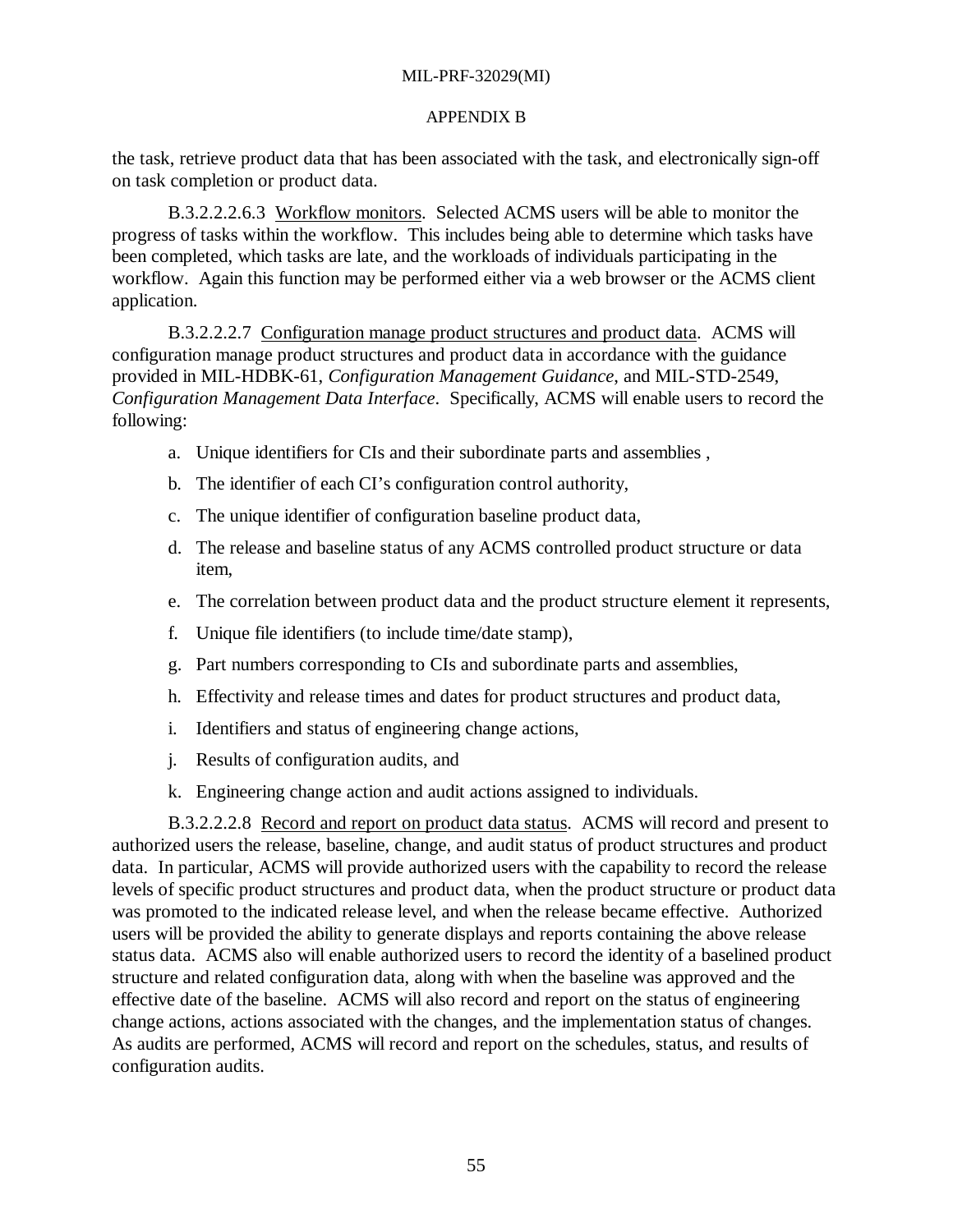#### APPENDIX B

the task, retrieve product data that has been associated with the task, and electronically sign-off on task completion or product data.

B.3.2.2.2.6.3 Workflow monitors. Selected ACMS users will be able to monitor the progress of tasks within the workflow. This includes being able to determine which tasks have been completed, which tasks are late, and the workloads of individuals participating in the workflow. Again this function may be performed either via a web browser or the ACMS client application.

B.3.2.2.2.7 Configuration manage product structures and product data. ACMS will configuration manage product structures and product data in accordance with the guidance provided in MIL-HDBK-61, *Configuration Management Guidance*, and MIL-STD-2549, *Configuration Management Data Interface*. Specifically, ACMS will enable users to record the following:

- a. Unique identifiers for CIs and their subordinate parts and assemblies ,
- b. The identifier of each CI's configuration control authority,
- c. The unique identifier of configuration baseline product data,
- d. The release and baseline status of any ACMS controlled product structure or data item,
- e. The correlation between product data and the product structure element it represents,
- f. Unique file identifiers (to include time/date stamp),
- g. Part numbers corresponding to CIs and subordinate parts and assemblies,
- h. Effectivity and release times and dates for product structures and product data,
- i. Identifiers and status of engineering change actions,
- j. Results of configuration audits, and
- k. Engineering change action and audit actions assigned to individuals.

B.3.2.2.2.8 Record and report on product data status. ACMS will record and present to authorized users the release, baseline, change, and audit status of product structures and product data. In particular, ACMS will provide authorized users with the capability to record the release levels of specific product structures and product data, when the product structure or product data was promoted to the indicated release level, and when the release became effective. Authorized users will be provided the ability to generate displays and reports containing the above release status data. ACMS also will enable authorized users to record the identity of a baselined product structure and related configuration data, along with when the baseline was approved and the effective date of the baseline. ACMS will also record and report on the status of engineering change actions, actions associated with the changes, and the implementation status of changes. As audits are performed, ACMS will record and report on the schedules, status, and results of configuration audits.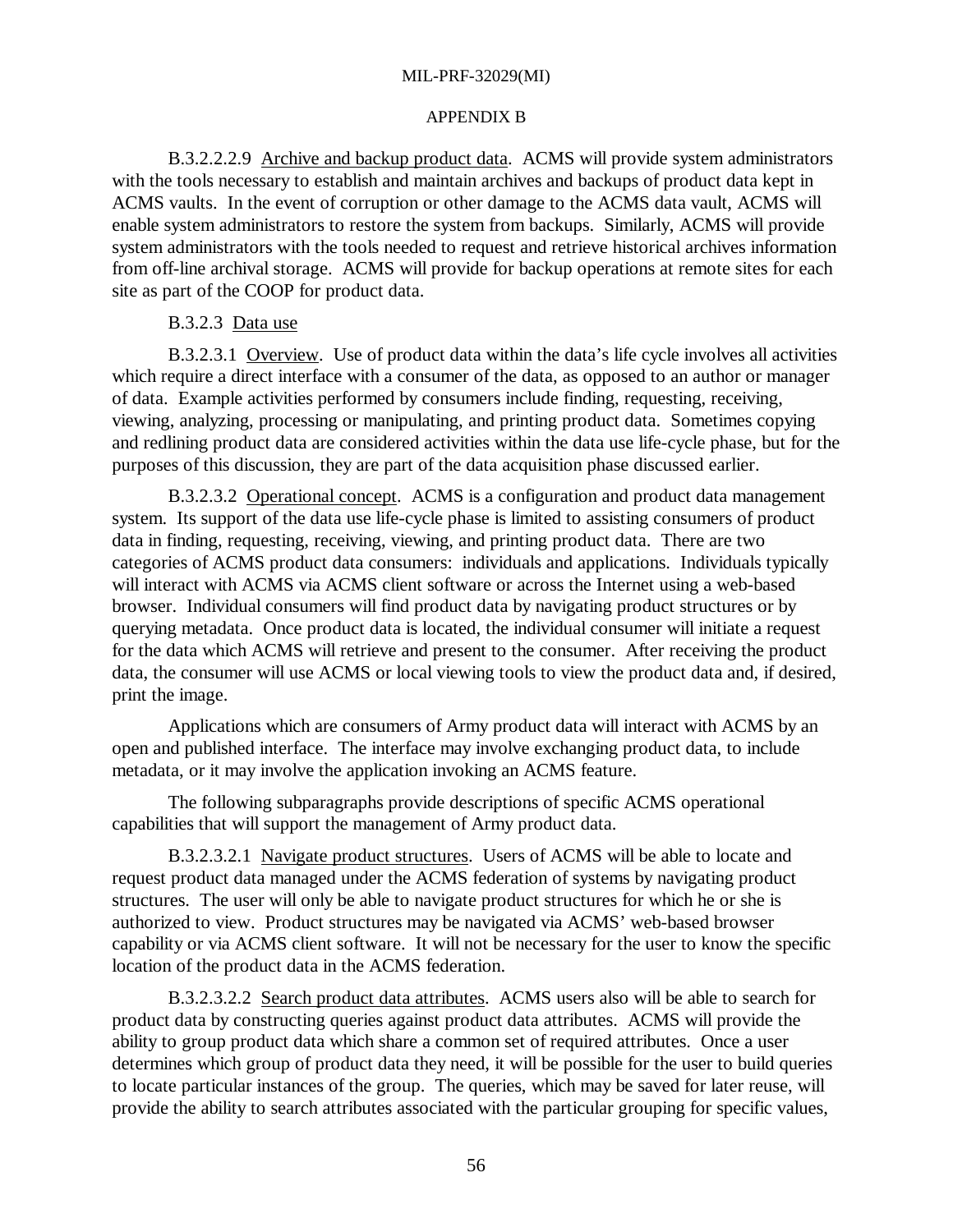#### APPENDIX B

B.3.2.2.2.9 Archive and backup product data. ACMS will provide system administrators with the tools necessary to establish and maintain archives and backups of product data kept in ACMS vaults. In the event of corruption or other damage to the ACMS data vault, ACMS will enable system administrators to restore the system from backups. Similarly, ACMS will provide system administrators with the tools needed to request and retrieve historical archives information from off-line archival storage. ACMS will provide for backup operations at remote sites for each site as part of the COOP for product data.

#### B.3.2.3 Data use

B.3.2.3.1 Overview. Use of product data within the data's life cycle involves all activities which require a direct interface with a consumer of the data, as opposed to an author or manager of data. Example activities performed by consumers include finding, requesting, receiving, viewing, analyzing, processing or manipulating, and printing product data. Sometimes copying and redlining product data are considered activities within the data use life-cycle phase, but for the purposes of this discussion, they are part of the data acquisition phase discussed earlier.

B.3.2.3.2 Operational concept. ACMS is a configuration and product data management system. Its support of the data use life-cycle phase is limited to assisting consumers of product data in finding, requesting, receiving, viewing, and printing product data. There are two categories of ACMS product data consumers: individuals and applications. Individuals typically will interact with ACMS via ACMS client software or across the Internet using a web-based browser. Individual consumers will find product data by navigating product structures or by querying metadata. Once product data is located, the individual consumer will initiate a request for the data which ACMS will retrieve and present to the consumer. After receiving the product data, the consumer will use ACMS or local viewing tools to view the product data and, if desired, print the image.

Applications which are consumers of Army product data will interact with ACMS by an open and published interface. The interface may involve exchanging product data, to include metadata, or it may involve the application invoking an ACMS feature.

The following subparagraphs provide descriptions of specific ACMS operational capabilities that will support the management of Army product data.

B.3.2.3.2.1 Navigate product structures. Users of ACMS will be able to locate and request product data managed under the ACMS federation of systems by navigating product structures. The user will only be able to navigate product structures for which he or she is authorized to view. Product structures may be navigated via ACMS' web-based browser capability or via ACMS client software. It will not be necessary for the user to know the specific location of the product data in the ACMS federation.

B.3.2.3.2.2 Search product data attributes. ACMS users also will be able to search for product data by constructing queries against product data attributes. ACMS will provide the ability to group product data which share a common set of required attributes. Once a user determines which group of product data they need, it will be possible for the user to build queries to locate particular instances of the group. The queries, which may be saved for later reuse, will provide the ability to search attributes associated with the particular grouping for specific values,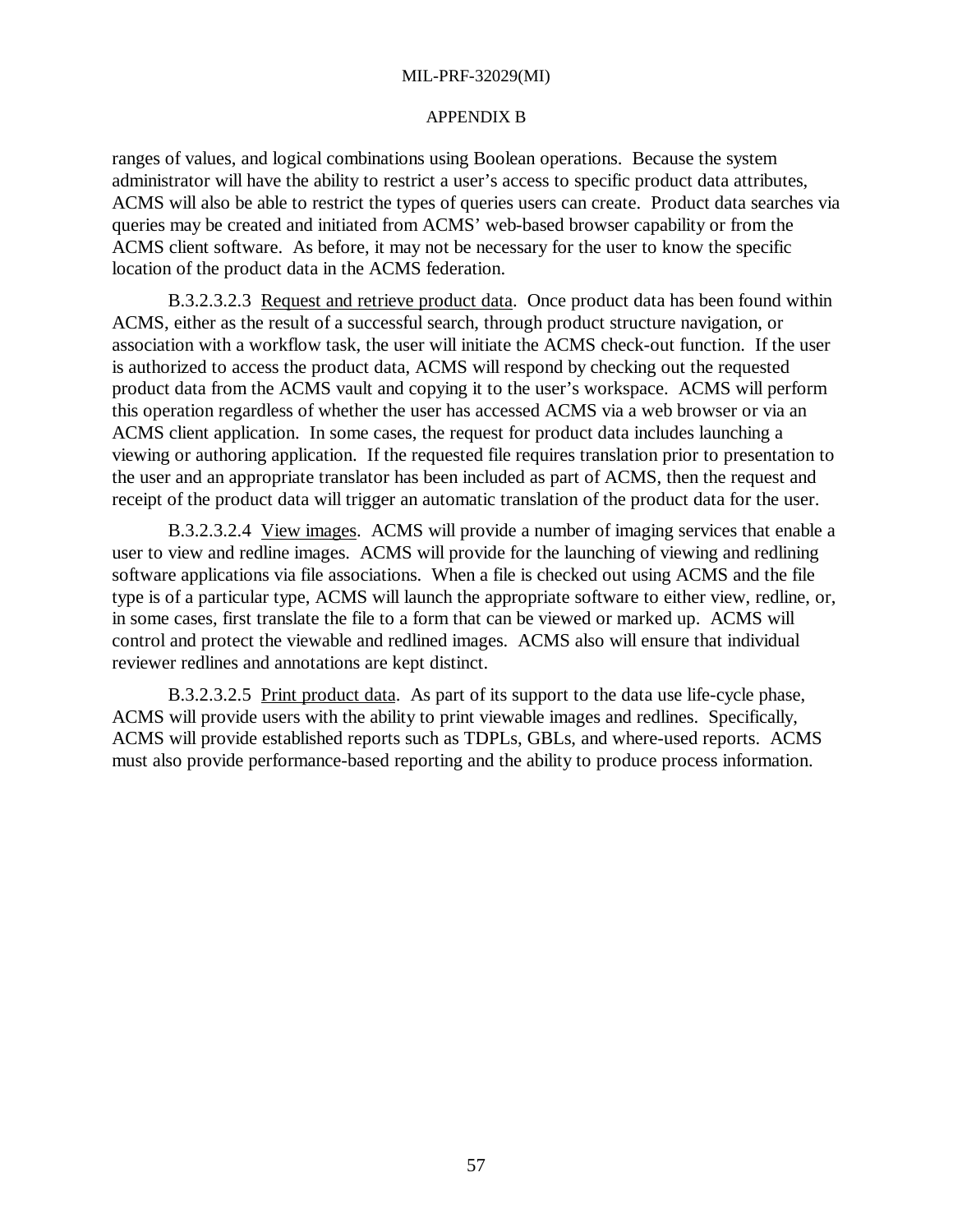#### APPENDIX B

ranges of values, and logical combinations using Boolean operations. Because the system administrator will have the ability to restrict a user's access to specific product data attributes, ACMS will also be able to restrict the types of queries users can create. Product data searches via queries may be created and initiated from ACMS' web-based browser capability or from the ACMS client software. As before, it may not be necessary for the user to know the specific location of the product data in the ACMS federation.

B.3.2.3.2.3 Request and retrieve product data. Once product data has been found within ACMS, either as the result of a successful search, through product structure navigation, or association with a workflow task, the user will initiate the ACMS check-out function. If the user is authorized to access the product data, ACMS will respond by checking out the requested product data from the ACMS vault and copying it to the user's workspace. ACMS will perform this operation regardless of whether the user has accessed ACMS via a web browser or via an ACMS client application. In some cases, the request for product data includes launching a viewing or authoring application. If the requested file requires translation prior to presentation to the user and an appropriate translator has been included as part of ACMS, then the request and receipt of the product data will trigger an automatic translation of the product data for the user.

B.3.2.3.2.4 View images. ACMS will provide a number of imaging services that enable a user to view and redline images. ACMS will provide for the launching of viewing and redlining software applications via file associations. When a file is checked out using ACMS and the file type is of a particular type, ACMS will launch the appropriate software to either view, redline, or, in some cases, first translate the file to a form that can be viewed or marked up. ACMS will control and protect the viewable and redlined images. ACMS also will ensure that individual reviewer redlines and annotations are kept distinct.

B.3.2.3.2.5 Print product data. As part of its support to the data use life-cycle phase, ACMS will provide users with the ability to print viewable images and redlines. Specifically, ACMS will provide established reports such as TDPLs, GBLs, and where-used reports. ACMS must also provide performance-based reporting and the ability to produce process information.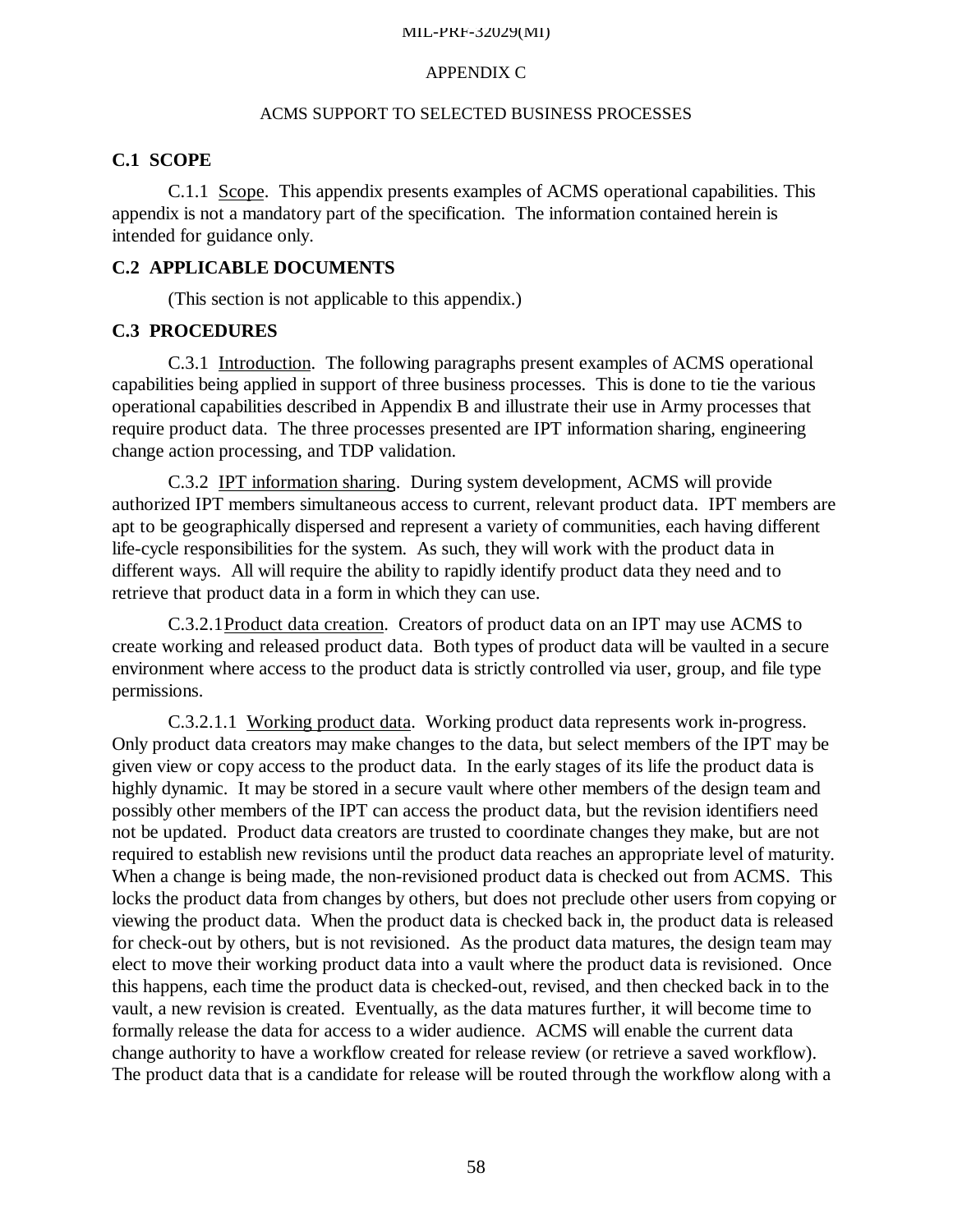#### APPENDIX C

# ACMS SUPPORT TO SELECTED BUSINESS PROCESSES

#### **C.1 SCOPE**

C.1.1 Scope. This appendix presents examples of ACMS operational capabilities. This appendix is not a mandatory part of the specification. The information contained herein is intended for guidance only.

## **C.2 APPLICABLE DOCUMENTS**

(This section is not applicable to this appendix.)

## **C.3 PROCEDURES**

C.3.1 Introduction. The following paragraphs present examples of ACMS operational capabilities being applied in support of three business processes. This is done to tie the various operational capabilities described in Appendix B and illustrate their use in Army processes that require product data. The three processes presented are IPT information sharing, engineering change action processing, and TDP validation.

C.3.2 IPT information sharing. During system development, ACMS will provide authorized IPT members simultaneous access to current, relevant product data. IPT members are apt to be geographically dispersed and represent a variety of communities, each having different life-cycle responsibilities for the system. As such, they will work with the product data in different ways. All will require the ability to rapidly identify product data they need and to retrieve that product data in a form in which they can use.

C.3.2.1Product data creation. Creators of product data on an IPT may use ACMS to create working and released product data. Both types of product data will be vaulted in a secure environment where access to the product data is strictly controlled via user, group, and file type permissions.

C.3.2.1.1 Working product data. Working product data represents work in-progress. Only product data creators may make changes to the data, but select members of the IPT may be given view or copy access to the product data. In the early stages of its life the product data is highly dynamic. It may be stored in a secure vault where other members of the design team and possibly other members of the IPT can access the product data, but the revision identifiers need not be updated. Product data creators are trusted to coordinate changes they make, but are not required to establish new revisions until the product data reaches an appropriate level of maturity. When a change is being made, the non-revisioned product data is checked out from ACMS. This locks the product data from changes by others, but does not preclude other users from copying or viewing the product data. When the product data is checked back in, the product data is released for check-out by others, but is not revisioned. As the product data matures, the design team may elect to move their working product data into a vault where the product data is revisioned. Once this happens, each time the product data is checked-out, revised, and then checked back in to the vault, a new revision is created. Eventually, as the data matures further, it will become time to formally release the data for access to a wider audience. ACMS will enable the current data change authority to have a workflow created for release review (or retrieve a saved workflow). The product data that is a candidate for release will be routed through the workflow along with a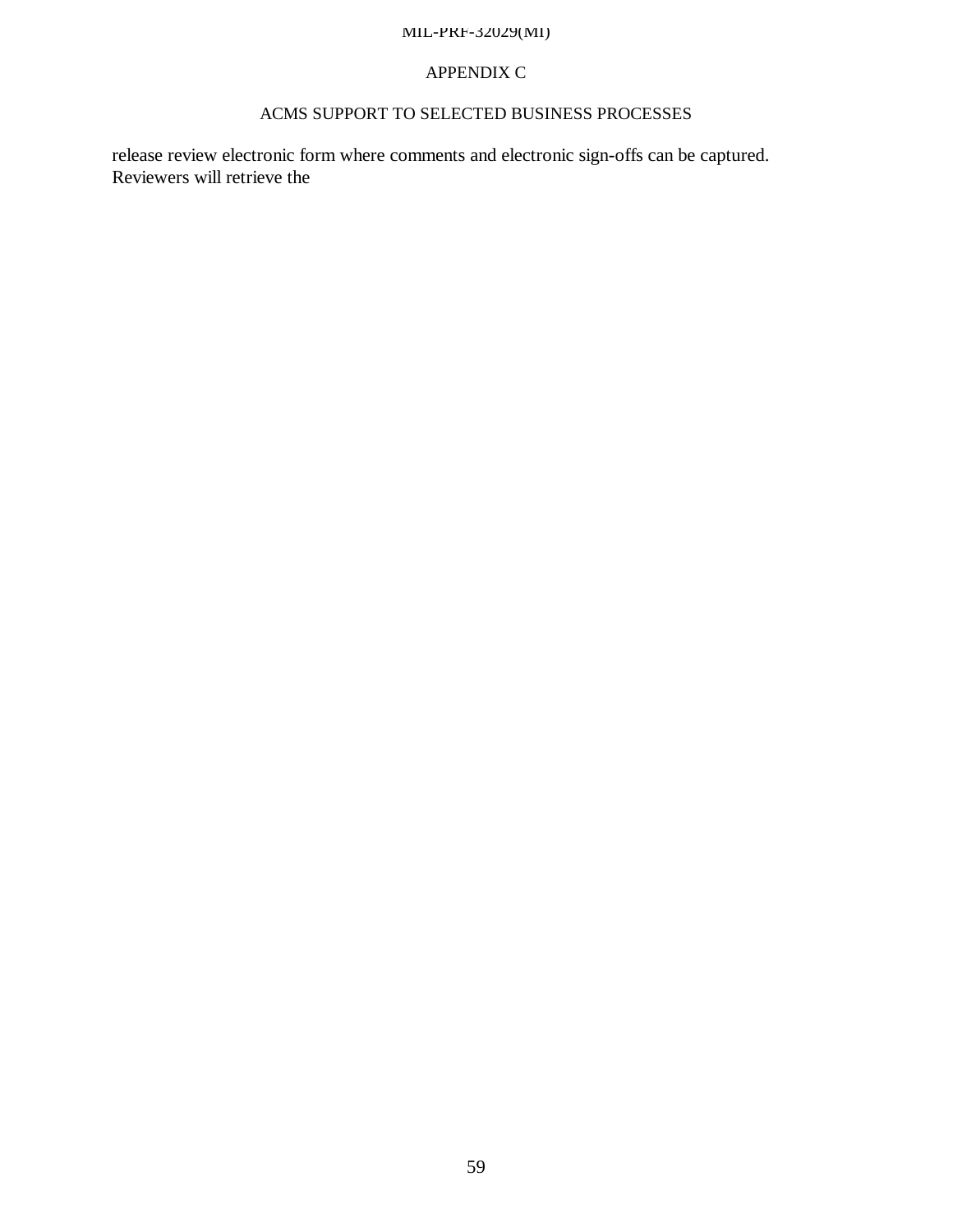# APPENDIX C

# ACMS SUPPORT TO SELECTED BUSINESS PROCESSES

release review electronic form where comments and electronic sign-offs can be captured. Reviewers will retrieve the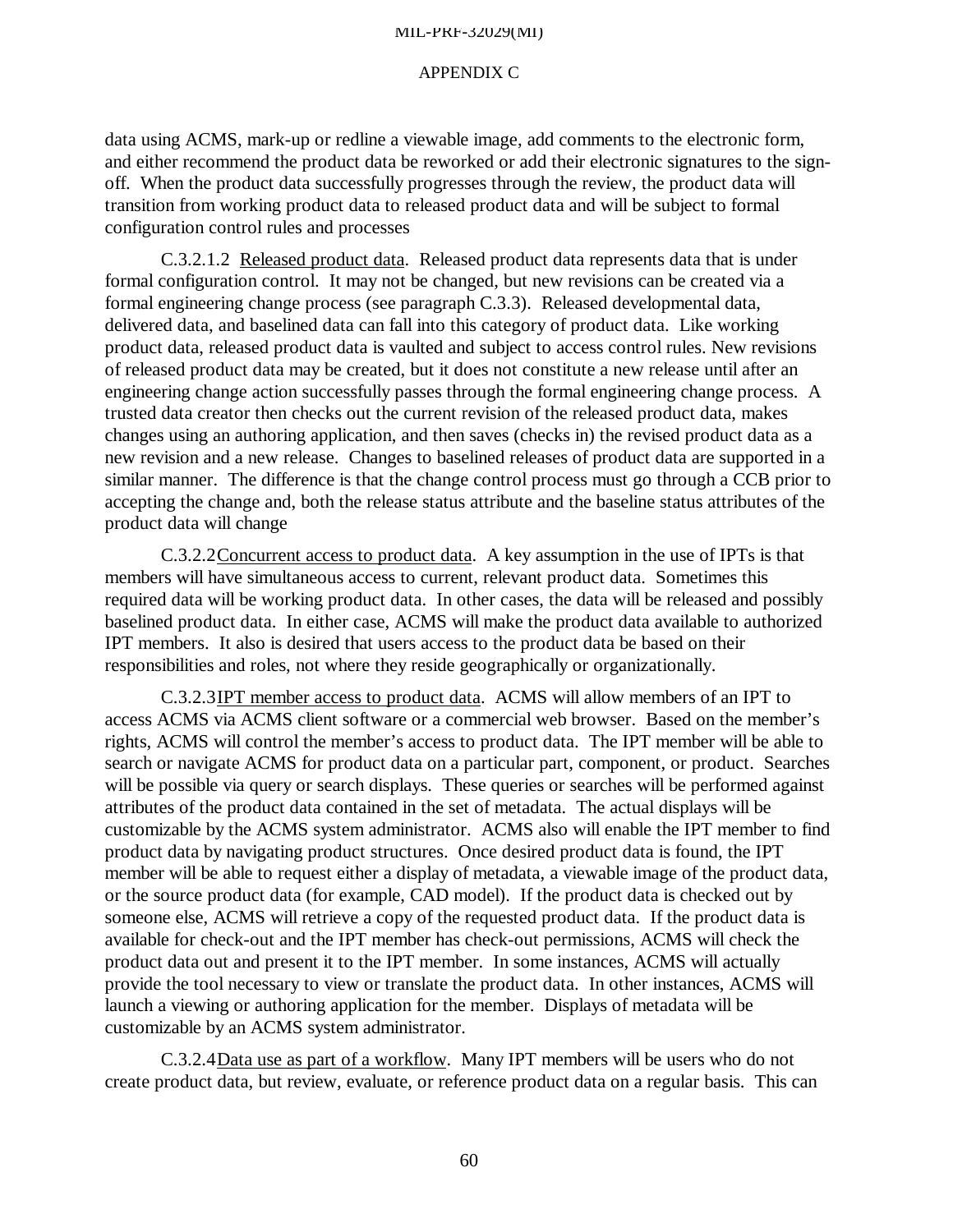#### APPENDIX C

data using ACMS, mark-up or redline a viewable image, add comments to the electronic form, and either recommend the product data be reworked or add their electronic signatures to the signoff. When the product data successfully progresses through the review, the product data will transition from working product data to released product data and will be subject to formal configuration control rules and processes

C.3.2.1.2 Released product data. Released product data represents data that is under formal configuration control. It may not be changed, but new revisions can be created via a formal engineering change process (see paragraph C.3.3). Released developmental data, delivered data, and baselined data can fall into this category of product data. Like working product data, released product data is vaulted and subject to access control rules. New revisions of released product data may be created, but it does not constitute a new release until after an engineering change action successfully passes through the formal engineering change process. A trusted data creator then checks out the current revision of the released product data, makes changes using an authoring application, and then saves (checks in) the revised product data as a new revision and a new release. Changes to baselined releases of product data are supported in a similar manner. The difference is that the change control process must go through a CCB prior to accepting the change and, both the release status attribute and the baseline status attributes of the product data will change

C.3.2.2Concurrent access to product data. A key assumption in the use of IPTs is that members will have simultaneous access to current, relevant product data. Sometimes this required data will be working product data. In other cases, the data will be released and possibly baselined product data. In either case, ACMS will make the product data available to authorized IPT members. It also is desired that users access to the product data be based on their responsibilities and roles, not where they reside geographically or organizationally.

C.3.2.3IPT member access to product data. ACMS will allow members of an IPT to access ACMS via ACMS client software or a commercial web browser. Based on the member's rights, ACMS will control the member's access to product data. The IPT member will be able to search or navigate ACMS for product data on a particular part, component, or product. Searches will be possible via query or search displays. These queries or searches will be performed against attributes of the product data contained in the set of metadata. The actual displays will be customizable by the ACMS system administrator. ACMS also will enable the IPT member to find product data by navigating product structures. Once desired product data is found, the IPT member will be able to request either a display of metadata, a viewable image of the product data, or the source product data (for example, CAD model). If the product data is checked out by someone else, ACMS will retrieve a copy of the requested product data. If the product data is available for check-out and the IPT member has check-out permissions, ACMS will check the product data out and present it to the IPT member. In some instances, ACMS will actually provide the tool necessary to view or translate the product data. In other instances, ACMS will launch a viewing or authoring application for the member. Displays of metadata will be customizable by an ACMS system administrator.

C.3.2.4Data use as part of a workflow. Many IPT members will be users who do not create product data, but review, evaluate, or reference product data on a regular basis. This can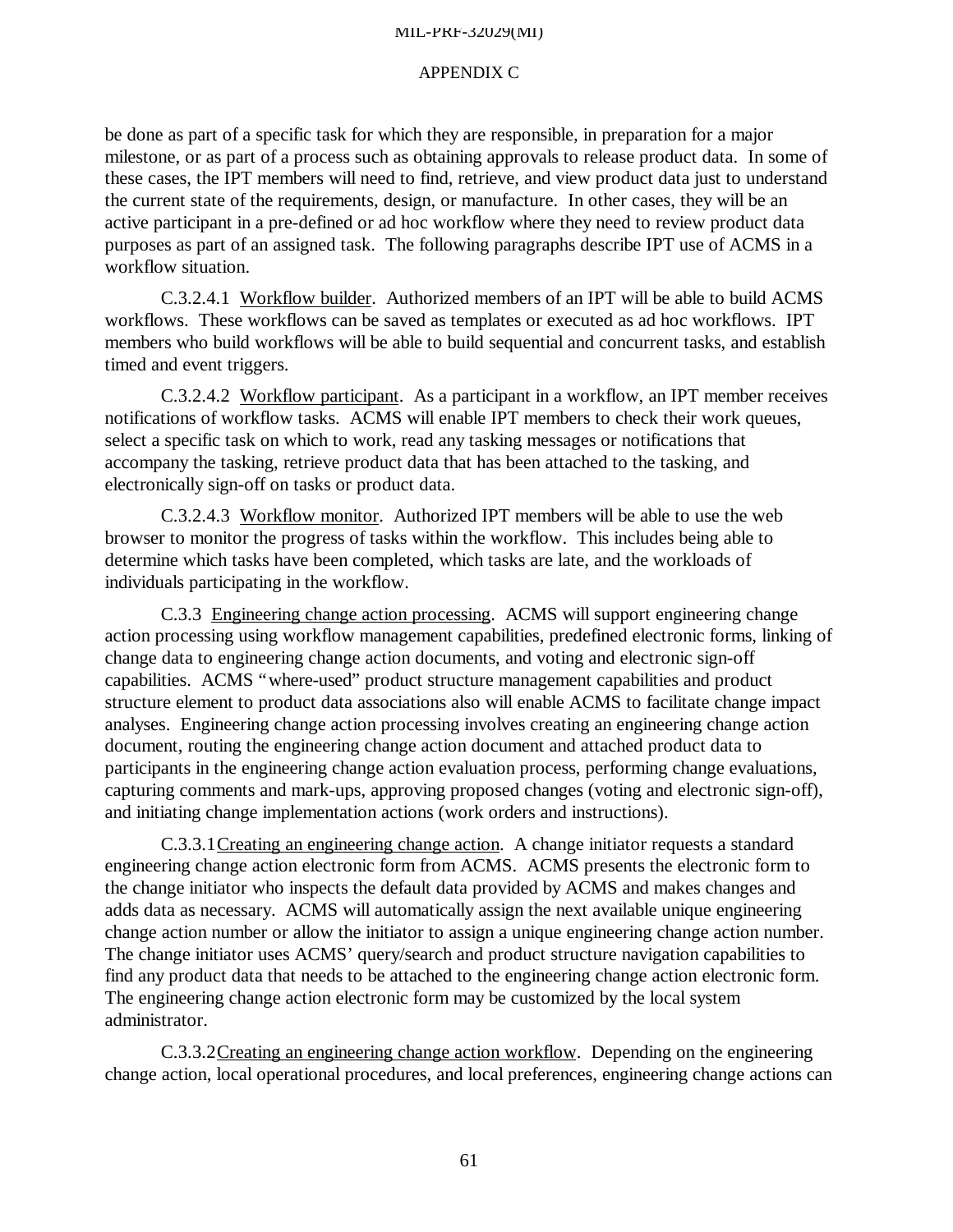#### APPENDIX C

be done as part of a specific task for which they are responsible, in preparation for a major milestone, or as part of a process such as obtaining approvals to release product data. In some of these cases, the IPT members will need to find, retrieve, and view product data just to understand the current state of the requirements, design, or manufacture. In other cases, they will be an active participant in a pre-defined or ad hoc workflow where they need to review product data purposes as part of an assigned task. The following paragraphs describe IPT use of ACMS in a workflow situation.

C.3.2.4.1 Workflow builder. Authorized members of an IPT will be able to build ACMS workflows. These workflows can be saved as templates or executed as ad hoc workflows. IPT members who build workflows will be able to build sequential and concurrent tasks, and establish timed and event triggers.

C.3.2.4.2 Workflow participant. As a participant in a workflow, an IPT member receives notifications of workflow tasks. ACMS will enable IPT members to check their work queues, select a specific task on which to work, read any tasking messages or notifications that accompany the tasking, retrieve product data that has been attached to the tasking, and electronically sign-off on tasks or product data.

C.3.2.4.3 Workflow monitor. Authorized IPT members will be able to use the web browser to monitor the progress of tasks within the workflow. This includes being able to determine which tasks have been completed, which tasks are late, and the workloads of individuals participating in the workflow.

C.3.3 Engineering change action processing. ACMS will support engineering change action processing using workflow management capabilities, predefined electronic forms, linking of change data to engineering change action documents, and voting and electronic sign-off capabilities. ACMS "where-used" product structure management capabilities and product structure element to product data associations also will enable ACMS to facilitate change impact analyses. Engineering change action processing involves creating an engineering change action document, routing the engineering change action document and attached product data to participants in the engineering change action evaluation process, performing change evaluations, capturing comments and mark-ups, approving proposed changes (voting and electronic sign-off), and initiating change implementation actions (work orders and instructions).

C.3.3.1Creating an engineering change action. A change initiator requests a standard engineering change action electronic form from ACMS. ACMS presents the electronic form to the change initiator who inspects the default data provided by ACMS and makes changes and adds data as necessary. ACMS will automatically assign the next available unique engineering change action number or allow the initiator to assign a unique engineering change action number. The change initiator uses ACMS' query/search and product structure navigation capabilities to find any product data that needs to be attached to the engineering change action electronic form. The engineering change action electronic form may be customized by the local system administrator.

C.3.3.2Creating an engineering change action workflow. Depending on the engineering change action, local operational procedures, and local preferences, engineering change actions can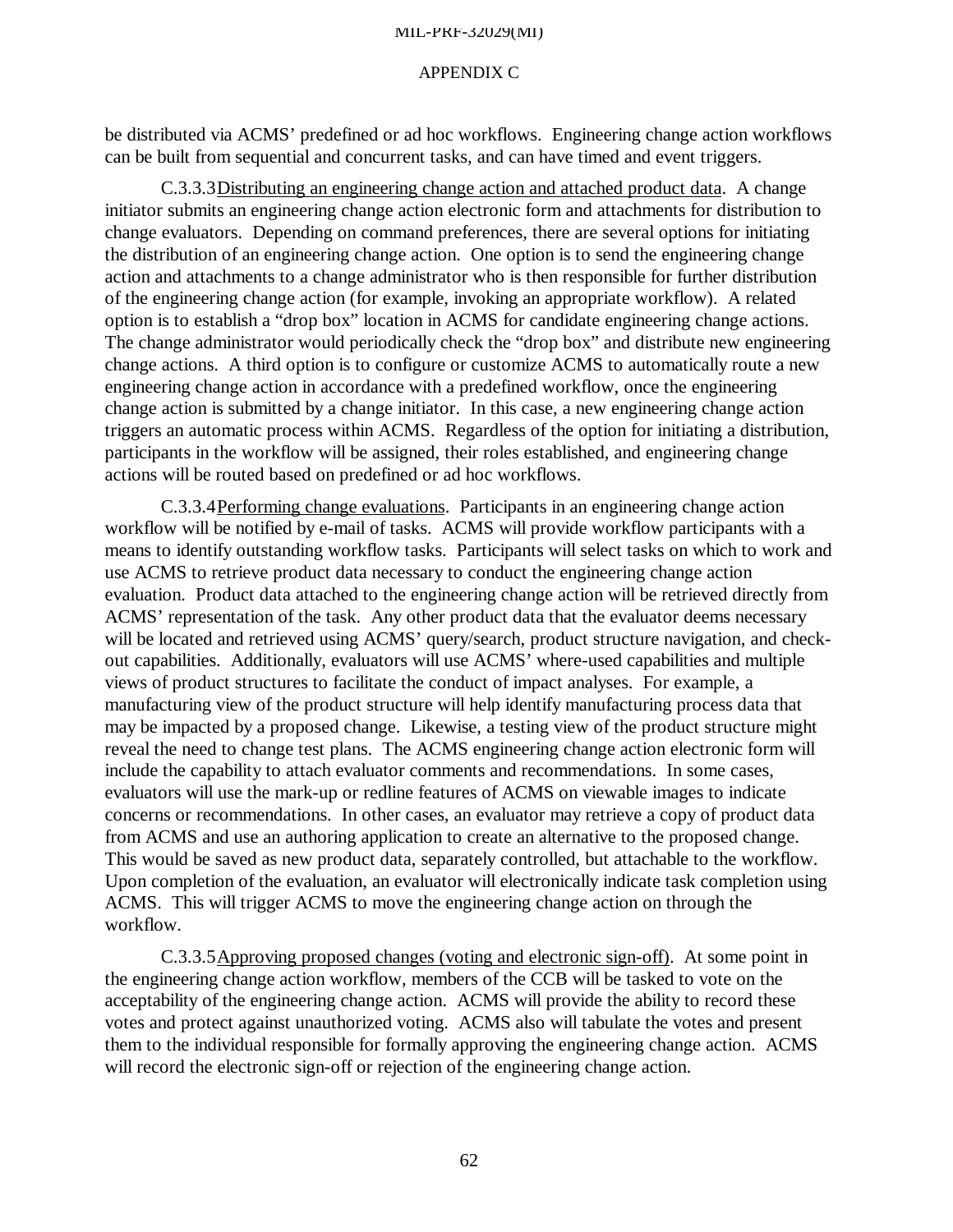#### APPENDIX C

be distributed via ACMS' predefined or ad hoc workflows. Engineering change action workflows can be built from sequential and concurrent tasks, and can have timed and event triggers.

C.3.3.3Distributing an engineering change action and attached product data. A change initiator submits an engineering change action electronic form and attachments for distribution to change evaluators. Depending on command preferences, there are several options for initiating the distribution of an engineering change action. One option is to send the engineering change action and attachments to a change administrator who is then responsible for further distribution of the engineering change action (for example, invoking an appropriate workflow). A related option is to establish a "drop box" location in ACMS for candidate engineering change actions. The change administrator would periodically check the "drop box" and distribute new engineering change actions. A third option is to configure or customize ACMS to automatically route a new engineering change action in accordance with a predefined workflow, once the engineering change action is submitted by a change initiator. In this case, a new engineering change action triggers an automatic process within ACMS. Regardless of the option for initiating a distribution, participants in the workflow will be assigned, their roles established, and engineering change actions will be routed based on predefined or ad hoc workflows.

C.3.3.4Performing change evaluations. Participants in an engineering change action workflow will be notified by e-mail of tasks. ACMS will provide workflow participants with a means to identify outstanding workflow tasks. Participants will select tasks on which to work and use ACMS to retrieve product data necessary to conduct the engineering change action evaluation. Product data attached to the engineering change action will be retrieved directly from ACMS' representation of the task. Any other product data that the evaluator deems necessary will be located and retrieved using ACMS' query/search, product structure navigation, and checkout capabilities. Additionally, evaluators will use ACMS' where-used capabilities and multiple views of product structures to facilitate the conduct of impact analyses. For example, a manufacturing view of the product structure will help identify manufacturing process data that may be impacted by a proposed change. Likewise, a testing view of the product structure might reveal the need to change test plans. The ACMS engineering change action electronic form will include the capability to attach evaluator comments and recommendations. In some cases, evaluators will use the mark-up or redline features of ACMS on viewable images to indicate concerns or recommendations. In other cases, an evaluator may retrieve a copy of product data from ACMS and use an authoring application to create an alternative to the proposed change. This would be saved as new product data, separately controlled, but attachable to the workflow. Upon completion of the evaluation, an evaluator will electronically indicate task completion using ACMS. This will trigger ACMS to move the engineering change action on through the workflow.

C.3.3.5Approving proposed changes (voting and electronic sign-off). At some point in the engineering change action workflow, members of the CCB will be tasked to vote on the acceptability of the engineering change action. ACMS will provide the ability to record these votes and protect against unauthorized voting. ACMS also will tabulate the votes and present them to the individual responsible for formally approving the engineering change action. ACMS will record the electronic sign-off or rejection of the engineering change action.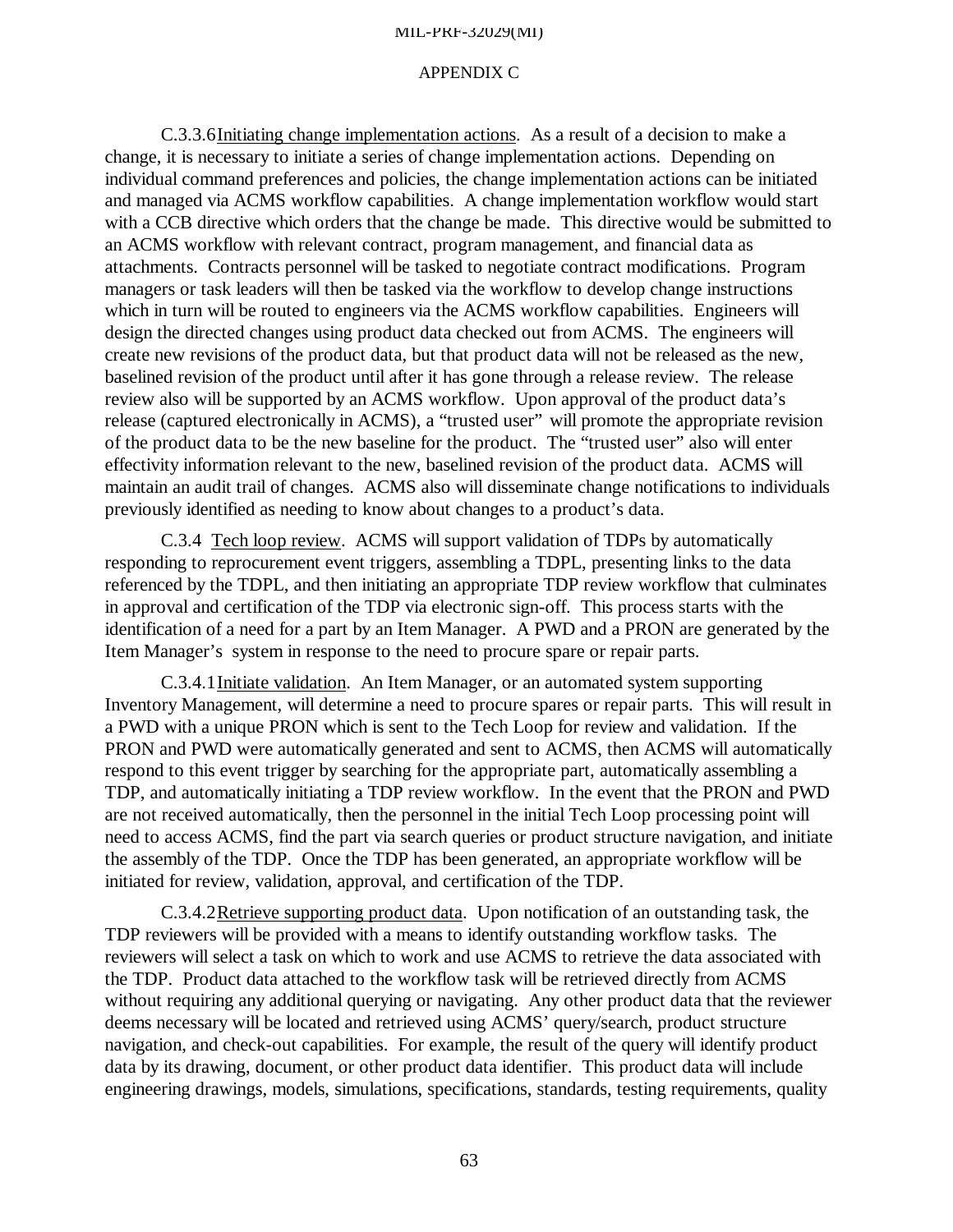#### APPENDIX C

C.3.3.6Initiating change implementation actions. As a result of a decision to make a change, it is necessary to initiate a series of change implementation actions. Depending on individual command preferences and policies, the change implementation actions can be initiated and managed via ACMS workflow capabilities. A change implementation workflow would start with a CCB directive which orders that the change be made. This directive would be submitted to an ACMS workflow with relevant contract, program management, and financial data as attachments. Contracts personnel will be tasked to negotiate contract modifications. Program managers or task leaders will then be tasked via the workflow to develop change instructions which in turn will be routed to engineers via the ACMS workflow capabilities. Engineers will design the directed changes using product data checked out from ACMS. The engineers will create new revisions of the product data, but that product data will not be released as the new, baselined revision of the product until after it has gone through a release review. The release review also will be supported by an ACMS workflow. Upon approval of the product data's release (captured electronically in ACMS), a "trusted user" will promote the appropriate revision of the product data to be the new baseline for the product. The "trusted user" also will enter effectivity information relevant to the new, baselined revision of the product data. ACMS will maintain an audit trail of changes. ACMS also will disseminate change notifications to individuals previously identified as needing to know about changes to a product's data.

C.3.4 Tech loop review.ACMS will support validation of TDPs by automatically responding to reprocurement event triggers, assembling a TDPL, presenting links to the data referenced by the TDPL, and then initiating an appropriate TDP review workflow that culminates in approval and certification of the TDP via electronic sign-off. This process starts with the identification of a need for a part by an Item Manager. A PWD and a PRON are generated by the Item Manager's system in response to the need to procure spare or repair parts.

C.3.4.1Initiate validation. An Item Manager, or an automated system supporting Inventory Management, will determine a need to procure spares or repair parts. This will result in a PWD with a unique PRON which is sent to the Tech Loop for review and validation. If the PRON and PWD were automatically generated and sent to ACMS, then ACMS will automatically respond to this event trigger by searching for the appropriate part, automatically assembling a TDP, and automatically initiating a TDP review workflow. In the event that the PRON and PWD are not received automatically, then the personnel in the initial Tech Loop processing point will need to access ACMS, find the part via search queries or product structure navigation, and initiate the assembly of the TDP. Once the TDP has been generated, an appropriate workflow will be initiated for review, validation, approval, and certification of the TDP.

C.3.4.2Retrieve supporting product data. Upon notification of an outstanding task, the TDP reviewers will be provided with a means to identify outstanding workflow tasks. The reviewers will select a task on which to work and use ACMS to retrieve the data associated with the TDP. Product data attached to the workflow task will be retrieved directly from ACMS without requiring any additional querying or navigating. Any other product data that the reviewer deems necessary will be located and retrieved using ACMS' query/search, product structure navigation, and check-out capabilities. For example, the result of the query will identify product data by its drawing, document, or other product data identifier. This product data will include engineering drawings, models, simulations, specifications, standards, testing requirements, quality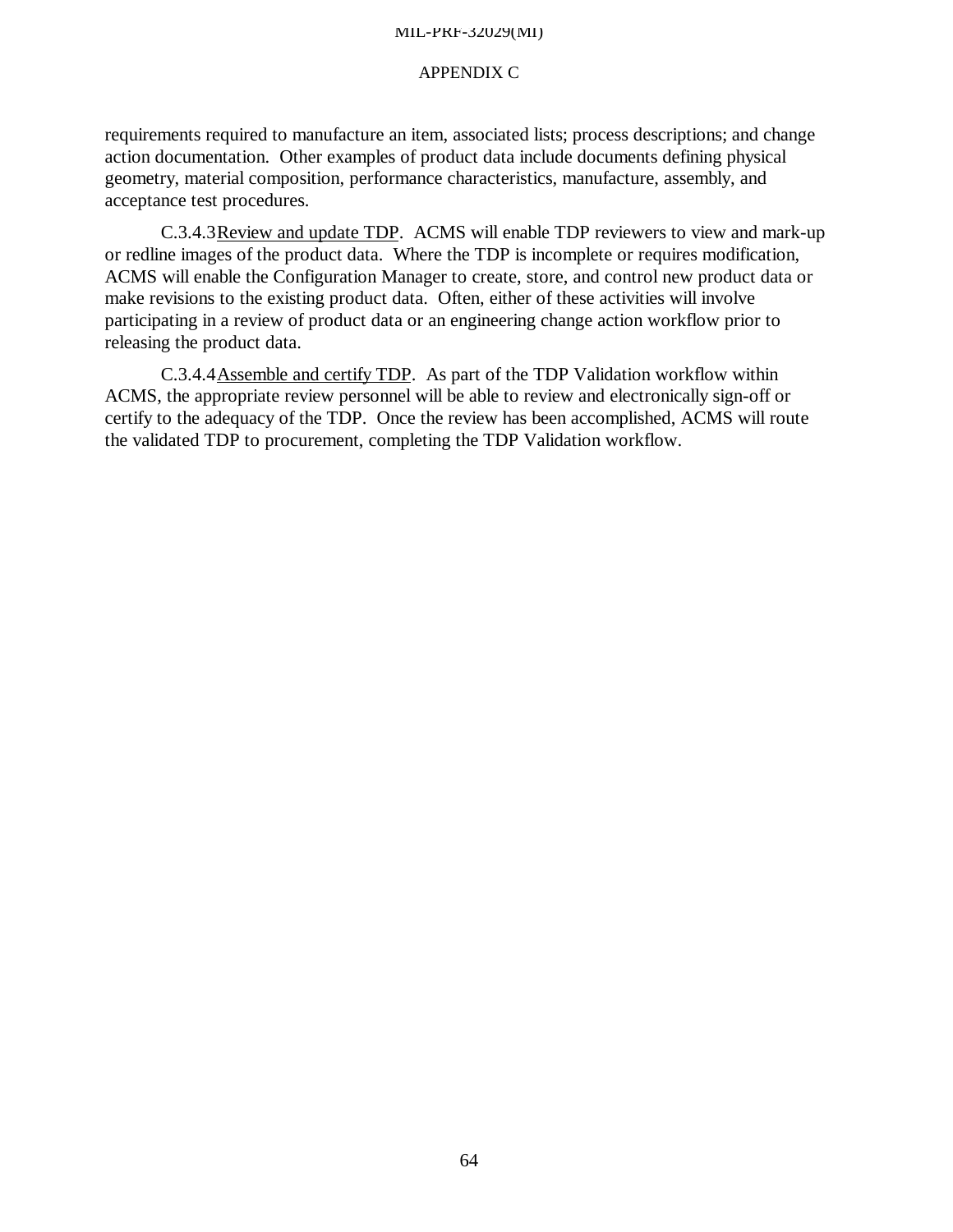## APPENDIX C

requirements required to manufacture an item, associated lists; process descriptions; and change action documentation. Other examples of product data include documents defining physical geometry, material composition, performance characteristics, manufacture, assembly, and acceptance test procedures.

C.3.4.3Review and update TDP. ACMS will enable TDP reviewers to view and mark-up or redline images of the product data. Where the TDP is incomplete or requires modification, ACMS will enable the Configuration Manager to create, store, and control new product data or make revisions to the existing product data. Often, either of these activities will involve participating in a review of product data or an engineering change action workflow prior to releasing the product data.

C.3.4.4Assemble and certify TDP. As part of the TDP Validation workflow within ACMS, the appropriate review personnel will be able to review and electronically sign-off or certify to the adequacy of the TDP. Once the review has been accomplished, ACMS will route the validated TDP to procurement, completing the TDP Validation workflow.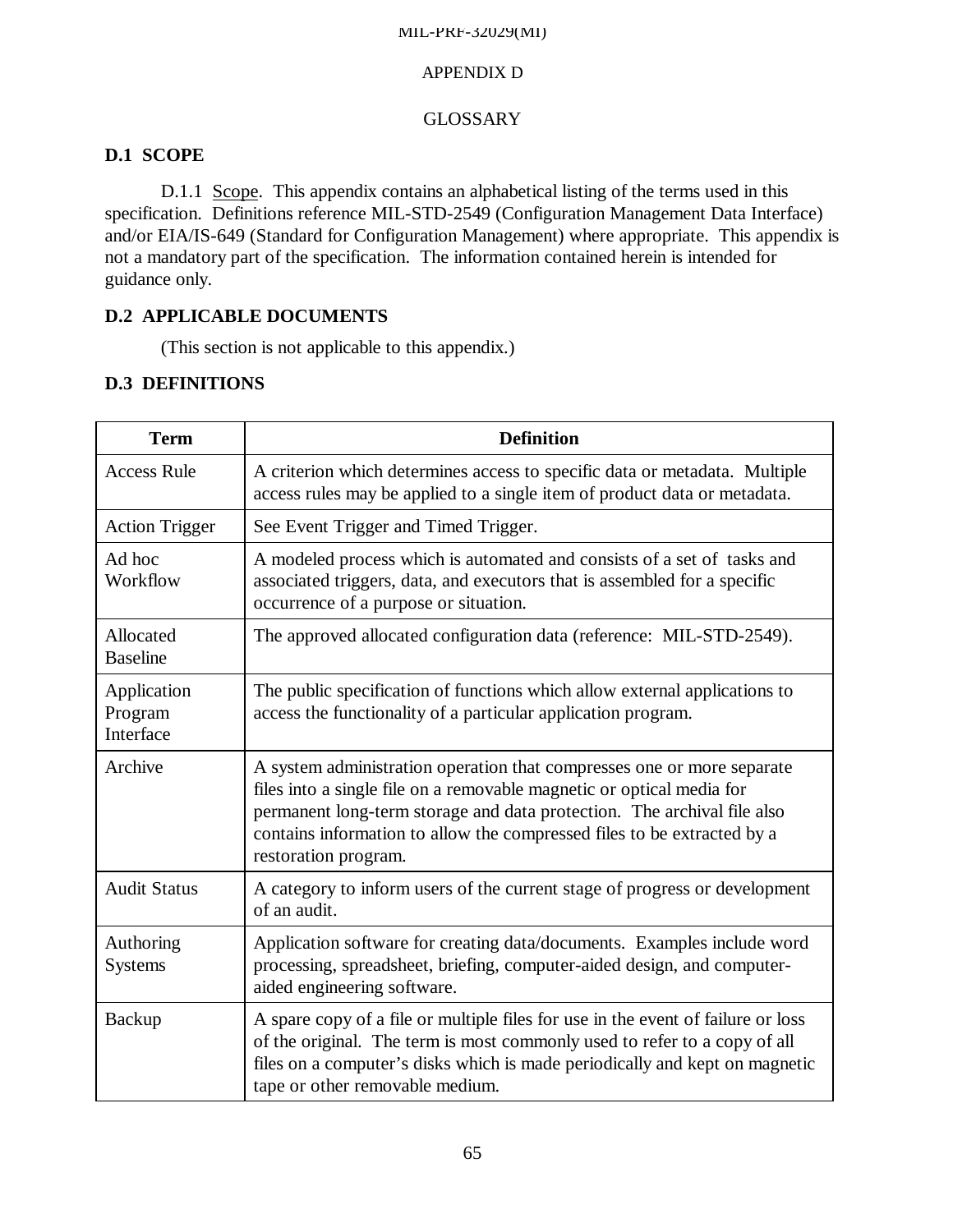# APPENDIX D

# GLOSSARY

# **D.1 SCOPE**

D.1.1 Scope. This appendix contains an alphabetical listing of the terms used in this specification. Definitions reference MIL-STD-2549 (Configuration Management Data Interface) and/or EIA/IS-649 (Standard for Configuration Management) where appropriate. This appendix is not a mandatory part of the specification. The information contained herein is intended for guidance only.

# **D.2 APPLICABLE DOCUMENTS**

(This section is not applicable to this appendix.)

# **D.3 DEFINITIONS**

| <b>Term</b>                         | <b>Definition</b>                                                                                                                                                                                                                                                                                                             |
|-------------------------------------|-------------------------------------------------------------------------------------------------------------------------------------------------------------------------------------------------------------------------------------------------------------------------------------------------------------------------------|
| <b>Access Rule</b>                  | A criterion which determines access to specific data or metadata. Multiple<br>access rules may be applied to a single item of product data or metadata.                                                                                                                                                                       |
| <b>Action Trigger</b>               | See Event Trigger and Timed Trigger.                                                                                                                                                                                                                                                                                          |
| Ad hoc<br>Workflow                  | A modeled process which is automated and consists of a set of tasks and<br>associated triggers, data, and executors that is assembled for a specific<br>occurrence of a purpose or situation.                                                                                                                                 |
| Allocated<br><b>Baseline</b>        | The approved allocated configuration data (reference: MIL-STD-2549).                                                                                                                                                                                                                                                          |
| Application<br>Program<br>Interface | The public specification of functions which allow external applications to<br>access the functionality of a particular application program.                                                                                                                                                                                   |
| Archive                             | A system administration operation that compresses one or more separate<br>files into a single file on a removable magnetic or optical media for<br>permanent long-term storage and data protection. The archival file also<br>contains information to allow the compressed files to be extracted by a<br>restoration program. |
| <b>Audit Status</b>                 | A category to inform users of the current stage of progress or development<br>of an audit.                                                                                                                                                                                                                                    |
| Authoring<br><b>Systems</b>         | Application software for creating data/documents. Examples include word<br>processing, spreadsheet, briefing, computer-aided design, and computer-<br>aided engineering software.                                                                                                                                             |
| Backup                              | A spare copy of a file or multiple files for use in the event of failure or loss<br>of the original. The term is most commonly used to refer to a copy of all<br>files on a computer's disks which is made periodically and kept on magnetic<br>tape or other removable medium.                                               |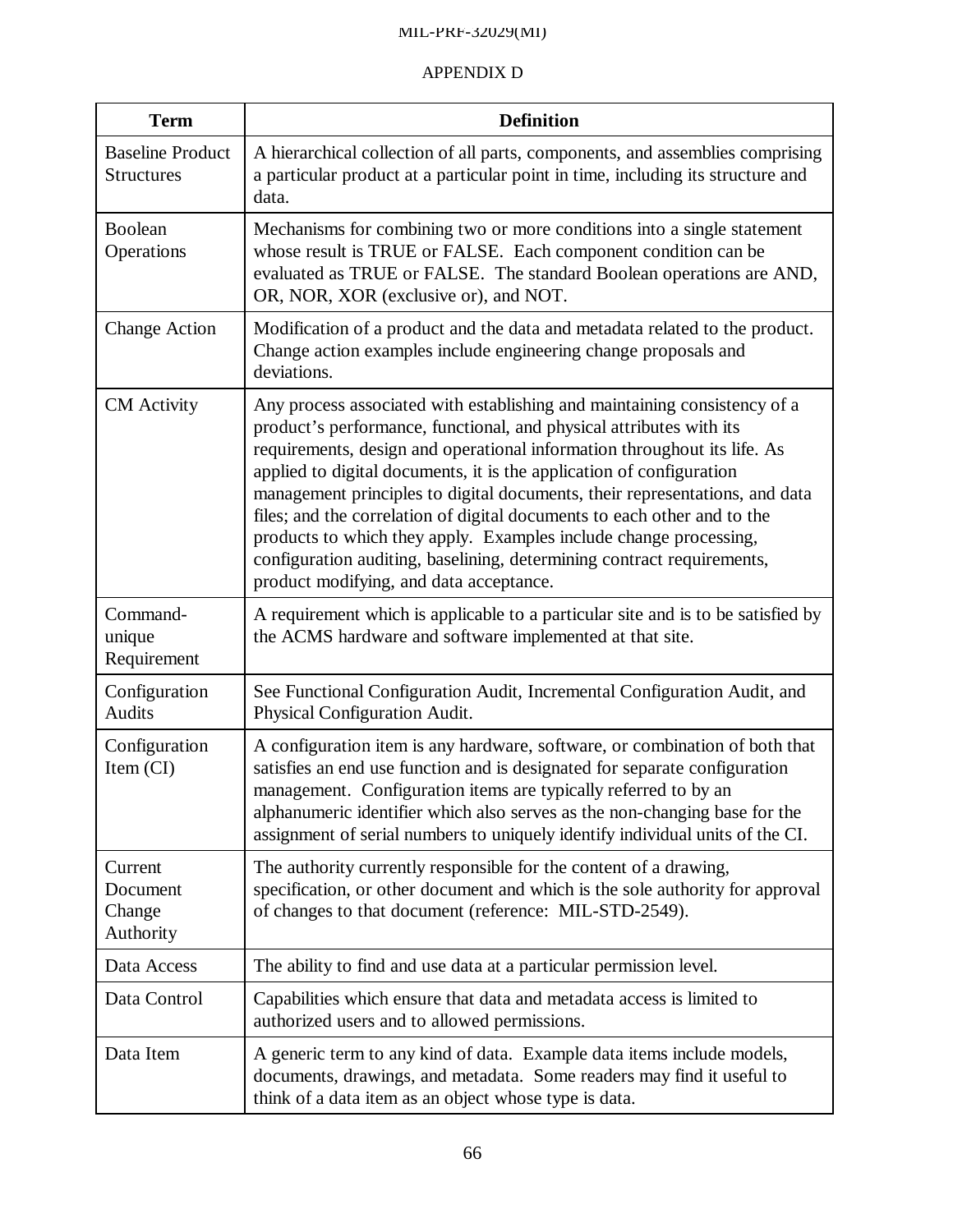| <b>Term</b>                                  | <b>Definition</b>                                                                                                                                                                                                                                                                                                                                                                                                                                                                                                                                                                                                                                         |
|----------------------------------------------|-----------------------------------------------------------------------------------------------------------------------------------------------------------------------------------------------------------------------------------------------------------------------------------------------------------------------------------------------------------------------------------------------------------------------------------------------------------------------------------------------------------------------------------------------------------------------------------------------------------------------------------------------------------|
| <b>Baseline Product</b><br><b>Structures</b> | A hierarchical collection of all parts, components, and assemblies comprising<br>a particular product at a particular point in time, including its structure and<br>data.                                                                                                                                                                                                                                                                                                                                                                                                                                                                                 |
| <b>Boolean</b><br>Operations                 | Mechanisms for combining two or more conditions into a single statement<br>whose result is TRUE or FALSE. Each component condition can be<br>evaluated as TRUE or FALSE. The standard Boolean operations are AND,<br>OR, NOR, XOR (exclusive or), and NOT.                                                                                                                                                                                                                                                                                                                                                                                                |
| <b>Change Action</b>                         | Modification of a product and the data and metadata related to the product.<br>Change action examples include engineering change proposals and<br>deviations.                                                                                                                                                                                                                                                                                                                                                                                                                                                                                             |
| <b>CM</b> Activity                           | Any process associated with establishing and maintaining consistency of a<br>product's performance, functional, and physical attributes with its<br>requirements, design and operational information throughout its life. As<br>applied to digital documents, it is the application of configuration<br>management principles to digital documents, their representations, and data<br>files; and the correlation of digital documents to each other and to the<br>products to which they apply. Examples include change processing,<br>configuration auditing, baselining, determining contract requirements,<br>product modifying, and data acceptance. |
| Command-<br>unique<br>Requirement            | A requirement which is applicable to a particular site and is to be satisfied by<br>the ACMS hardware and software implemented at that site.                                                                                                                                                                                                                                                                                                                                                                                                                                                                                                              |
| Configuration<br>Audits                      | See Functional Configuration Audit, Incremental Configuration Audit, and<br>Physical Configuration Audit.                                                                                                                                                                                                                                                                                                                                                                                                                                                                                                                                                 |
| Configuration<br>Item (CI)                   | A configuration item is any hardware, software, or combination of both that<br>satisfies an end use function and is designated for separate configuration<br>management. Configuration items are typically referred to by an<br>alphanumeric identifier which also serves as the non-changing base for the<br>assignment of serial numbers to uniquely identify individual units of the CI.                                                                                                                                                                                                                                                               |
| Current<br>Document<br>Change<br>Authority   | The authority currently responsible for the content of a drawing,<br>specification, or other document and which is the sole authority for approval<br>of changes to that document (reference: MIL-STD-2549).                                                                                                                                                                                                                                                                                                                                                                                                                                              |
| Data Access                                  | The ability to find and use data at a particular permission level.                                                                                                                                                                                                                                                                                                                                                                                                                                                                                                                                                                                        |
| Data Control                                 | Capabilities which ensure that data and metadata access is limited to<br>authorized users and to allowed permissions.                                                                                                                                                                                                                                                                                                                                                                                                                                                                                                                                     |
| Data Item                                    | A generic term to any kind of data. Example data items include models,<br>documents, drawings, and metadata. Some readers may find it useful to<br>think of a data item as an object whose type is data.                                                                                                                                                                                                                                                                                                                                                                                                                                                  |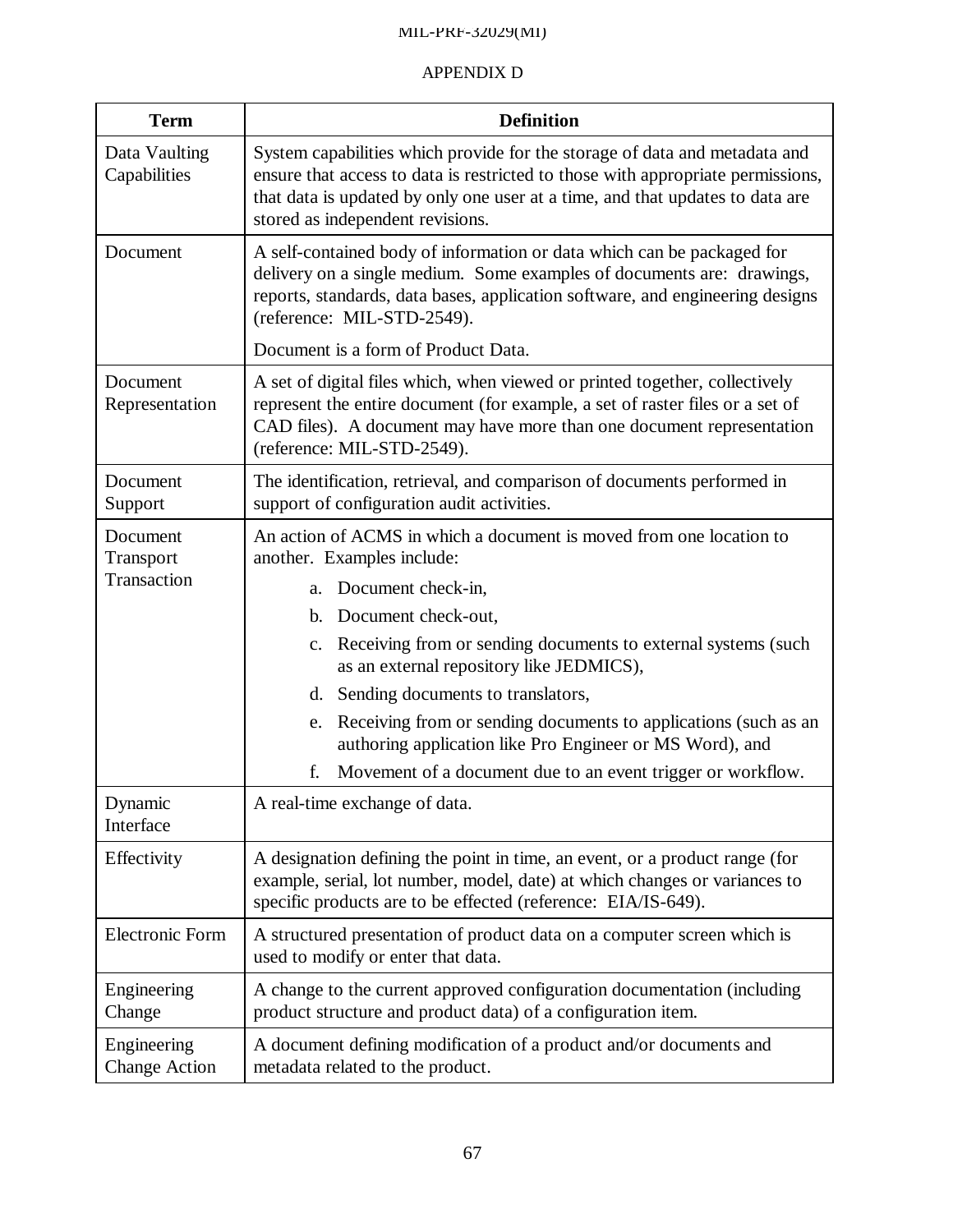| <b>Term</b>                         | <b>Definition</b>                                                                                                                                                                                                                                                                  |
|-------------------------------------|------------------------------------------------------------------------------------------------------------------------------------------------------------------------------------------------------------------------------------------------------------------------------------|
| Data Vaulting<br>Capabilities       | System capabilities which provide for the storage of data and metadata and<br>ensure that access to data is restricted to those with appropriate permissions,<br>that data is updated by only one user at a time, and that updates to data are<br>stored as independent revisions. |
| Document                            | A self-contained body of information or data which can be packaged for<br>delivery on a single medium. Some examples of documents are: drawings,<br>reports, standards, data bases, application software, and engineering designs<br>(reference: MIL-STD-2549).                    |
|                                     | Document is a form of Product Data.                                                                                                                                                                                                                                                |
| Document<br>Representation          | A set of digital files which, when viewed or printed together, collectively<br>represent the entire document (for example, a set of raster files or a set of<br>CAD files). A document may have more than one document representation<br>(reference: MIL-STD-2549).                |
| Document<br>Support                 | The identification, retrieval, and comparison of documents performed in<br>support of configuration audit activities.                                                                                                                                                              |
| Document<br>Transport               | An action of ACMS in which a document is moved from one location to<br>another. Examples include:                                                                                                                                                                                  |
| Transaction                         | Document check-in,<br>a.                                                                                                                                                                                                                                                           |
|                                     | Document check-out,<br>b.                                                                                                                                                                                                                                                          |
|                                     | Receiving from or sending documents to external systems (such<br>$\mathbf{c}$ .<br>as an external repository like JEDMICS),                                                                                                                                                        |
|                                     | d. Sending documents to translators,                                                                                                                                                                                                                                               |
|                                     | Receiving from or sending documents to applications (such as an<br>e.<br>authoring application like Pro Engineer or MS Word), and                                                                                                                                                  |
|                                     | f.<br>Movement of a document due to an event trigger or workflow.                                                                                                                                                                                                                  |
| Dynamic<br>Interface                | A real-time exchange of data.                                                                                                                                                                                                                                                      |
| Effectivity                         | A designation defining the point in time, an event, or a product range (for<br>example, serial, lot number, model, date) at which changes or variances to<br>specific products are to be effected (reference: EIA/IS-649).                                                         |
| <b>Electronic Form</b>              | A structured presentation of product data on a computer screen which is<br>used to modify or enter that data.                                                                                                                                                                      |
| Engineering<br>Change               | A change to the current approved configuration documentation (including<br>product structure and product data) of a configuration item.                                                                                                                                            |
| Engineering<br><b>Change Action</b> | A document defining modification of a product and/or documents and<br>metadata related to the product.                                                                                                                                                                             |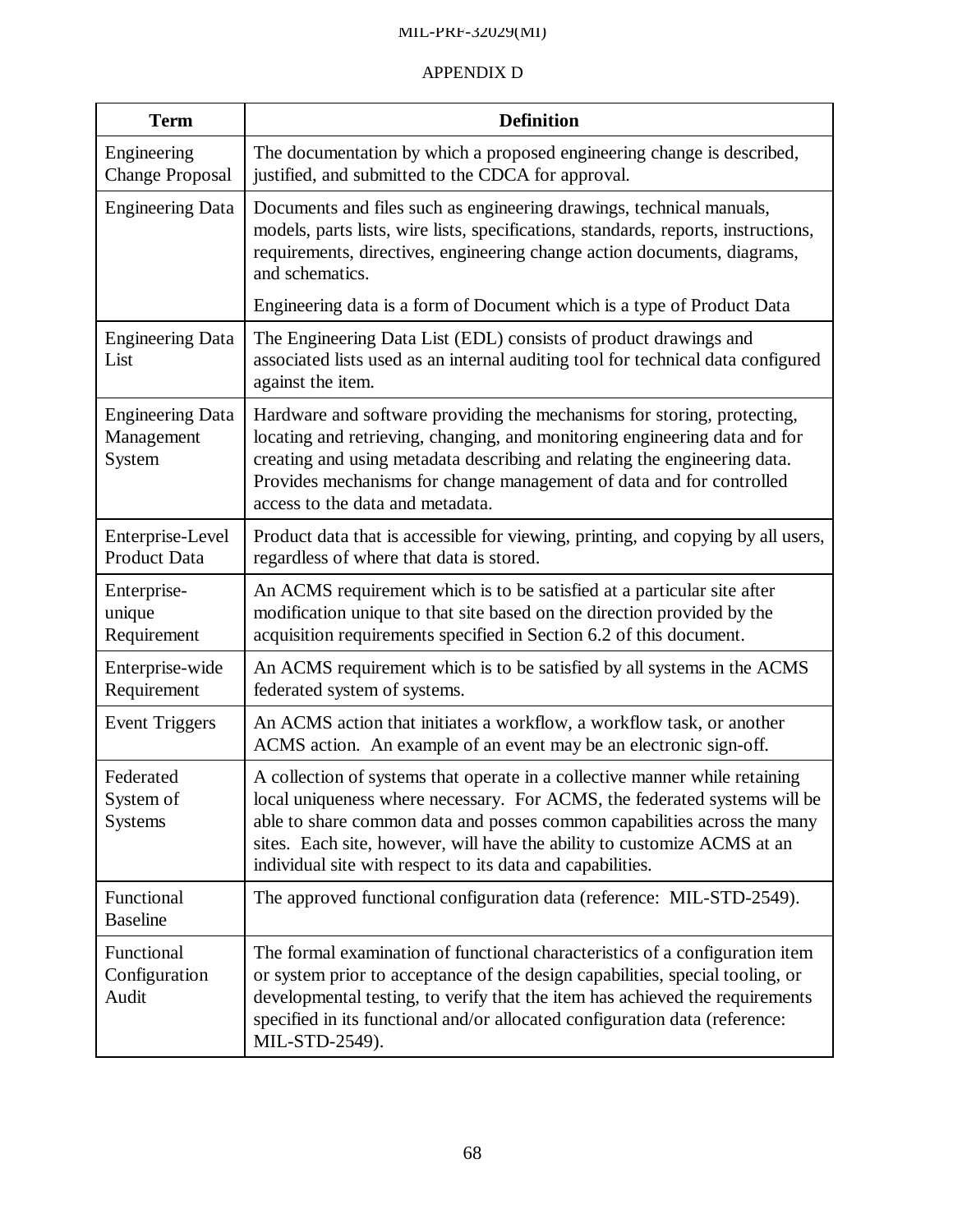| <b>Term</b>                                     | <b>Definition</b>                                                                                                                                                                                                                                                                                                                                                              |
|-------------------------------------------------|--------------------------------------------------------------------------------------------------------------------------------------------------------------------------------------------------------------------------------------------------------------------------------------------------------------------------------------------------------------------------------|
| Engineering<br><b>Change Proposal</b>           | The documentation by which a proposed engineering change is described,<br>justified, and submitted to the CDCA for approval.                                                                                                                                                                                                                                                   |
| <b>Engineering Data</b>                         | Documents and files such as engineering drawings, technical manuals,<br>models, parts lists, wire lists, specifications, standards, reports, instructions,<br>requirements, directives, engineering change action documents, diagrams,<br>and schematics.                                                                                                                      |
|                                                 | Engineering data is a form of Document which is a type of Product Data                                                                                                                                                                                                                                                                                                         |
| <b>Engineering Data</b><br>List                 | The Engineering Data List (EDL) consists of product drawings and<br>associated lists used as an internal auditing tool for technical data configured<br>against the item.                                                                                                                                                                                                      |
| <b>Engineering Data</b><br>Management<br>System | Hardware and software providing the mechanisms for storing, protecting,<br>locating and retrieving, changing, and monitoring engineering data and for<br>creating and using metadata describing and relating the engineering data.<br>Provides mechanisms for change management of data and for controlled<br>access to the data and metadata.                                 |
| Enterprise-Level<br>Product Data                | Product data that is accessible for viewing, printing, and copying by all users,<br>regardless of where that data is stored.                                                                                                                                                                                                                                                   |
| Enterprise-<br>unique<br>Requirement            | An ACMS requirement which is to be satisfied at a particular site after<br>modification unique to that site based on the direction provided by the<br>acquisition requirements specified in Section 6.2 of this document.                                                                                                                                                      |
| Enterprise-wide<br>Requirement                  | An ACMS requirement which is to be satisfied by all systems in the ACMS<br>federated system of systems.                                                                                                                                                                                                                                                                        |
| <b>Event Triggers</b>                           | An ACMS action that initiates a workflow, a workflow task, or another<br>ACMS action. An example of an event may be an electronic sign-off.                                                                                                                                                                                                                                    |
| Federated<br>System of<br><b>Systems</b>        | A collection of systems that operate in a collective manner while retaining<br>local uniqueness where necessary. For ACMS, the federated systems will be<br>able to share common data and posses common capabilities across the many<br>sites. Each site, however, will have the ability to customize ACMS at an<br>individual site with respect to its data and capabilities. |
| Functional<br><b>Baseline</b>                   | The approved functional configuration data (reference: MIL-STD-2549).                                                                                                                                                                                                                                                                                                          |
| Functional<br>Configuration<br>Audit            | The formal examination of functional characteristics of a configuration item<br>or system prior to acceptance of the design capabilities, special tooling, or<br>developmental testing, to verify that the item has achieved the requirements<br>specified in its functional and/or allocated configuration data (reference:<br>MIL-STD-2549).                                 |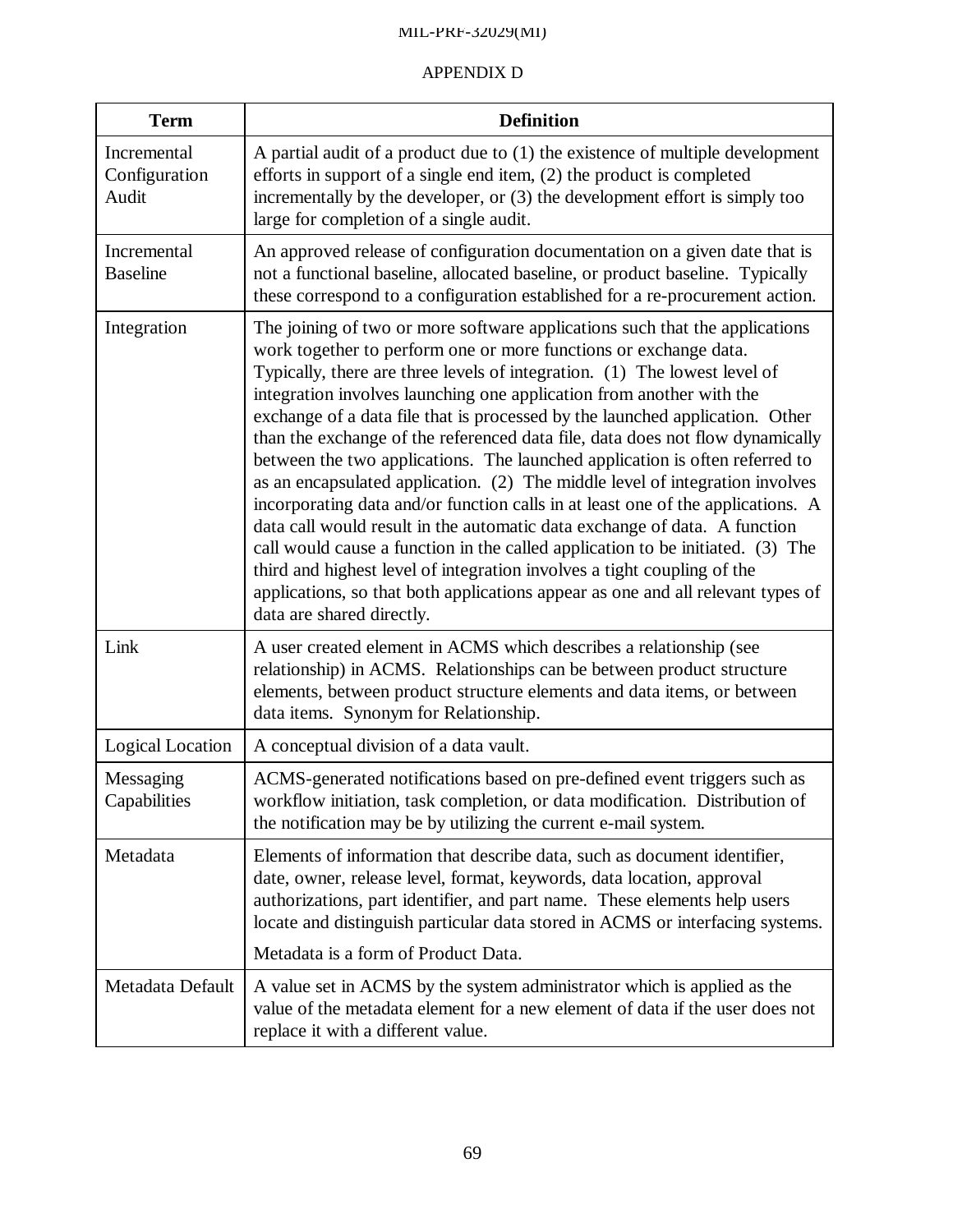| <b>Term</b>                           | <b>Definition</b>                                                                                                                                                                                                                                                                                                                                                                                                                                                                                                                                                                                                                                                                                                                                                                                                                                                                                                                                                                                                                                                                 |
|---------------------------------------|-----------------------------------------------------------------------------------------------------------------------------------------------------------------------------------------------------------------------------------------------------------------------------------------------------------------------------------------------------------------------------------------------------------------------------------------------------------------------------------------------------------------------------------------------------------------------------------------------------------------------------------------------------------------------------------------------------------------------------------------------------------------------------------------------------------------------------------------------------------------------------------------------------------------------------------------------------------------------------------------------------------------------------------------------------------------------------------|
| Incremental<br>Configuration<br>Audit | A partial audit of a product due to $(1)$ the existence of multiple development<br>efforts in support of a single end item, $(2)$ the product is completed<br>incrementally by the developer, or $(3)$ the development effort is simply too<br>large for completion of a single audit.                                                                                                                                                                                                                                                                                                                                                                                                                                                                                                                                                                                                                                                                                                                                                                                            |
| Incremental<br><b>Baseline</b>        | An approved release of configuration documentation on a given date that is<br>not a functional baseline, allocated baseline, or product baseline. Typically<br>these correspond to a configuration established for a re-procurement action.                                                                                                                                                                                                                                                                                                                                                                                                                                                                                                                                                                                                                                                                                                                                                                                                                                       |
| Integration                           | The joining of two or more software applications such that the applications<br>work together to perform one or more functions or exchange data.<br>Typically, there are three levels of integration. (1) The lowest level of<br>integration involves launching one application from another with the<br>exchange of a data file that is processed by the launched application. Other<br>than the exchange of the referenced data file, data does not flow dynamically<br>between the two applications. The launched application is often referred to<br>as an encapsulated application. (2) The middle level of integration involves<br>incorporating data and/or function calls in at least one of the applications. A<br>data call would result in the automatic data exchange of data. A function<br>call would cause a function in the called application to be initiated. (3) The<br>third and highest level of integration involves a tight coupling of the<br>applications, so that both applications appear as one and all relevant types of<br>data are shared directly. |
| Link                                  | A user created element in ACMS which describes a relationship (see<br>relationship) in ACMS. Relationships can be between product structure<br>elements, between product structure elements and data items, or between<br>data items. Synonym for Relationship.                                                                                                                                                                                                                                                                                                                                                                                                                                                                                                                                                                                                                                                                                                                                                                                                                   |
| Logical Location                      | A conceptual division of a data vault.                                                                                                                                                                                                                                                                                                                                                                                                                                                                                                                                                                                                                                                                                                                                                                                                                                                                                                                                                                                                                                            |
| Messaging<br>Capabilities             | ACMS-generated notifications based on pre-defined event triggers such as<br>workflow initiation, task completion, or data modification. Distribution of<br>the notification may be by utilizing the current e-mail system.                                                                                                                                                                                                                                                                                                                                                                                                                                                                                                                                                                                                                                                                                                                                                                                                                                                        |
| Metadata                              | Elements of information that describe data, such as document identifier,<br>date, owner, release level, format, keywords, data location, approval<br>authorizations, part identifier, and part name. These elements help users<br>locate and distinguish particular data stored in ACMS or interfacing systems.                                                                                                                                                                                                                                                                                                                                                                                                                                                                                                                                                                                                                                                                                                                                                                   |
|                                       | Metadata is a form of Product Data.                                                                                                                                                                                                                                                                                                                                                                                                                                                                                                                                                                                                                                                                                                                                                                                                                                                                                                                                                                                                                                               |
| Metadata Default                      | A value set in ACMS by the system administrator which is applied as the<br>value of the metadata element for a new element of data if the user does not<br>replace it with a different value.                                                                                                                                                                                                                                                                                                                                                                                                                                                                                                                                                                                                                                                                                                                                                                                                                                                                                     |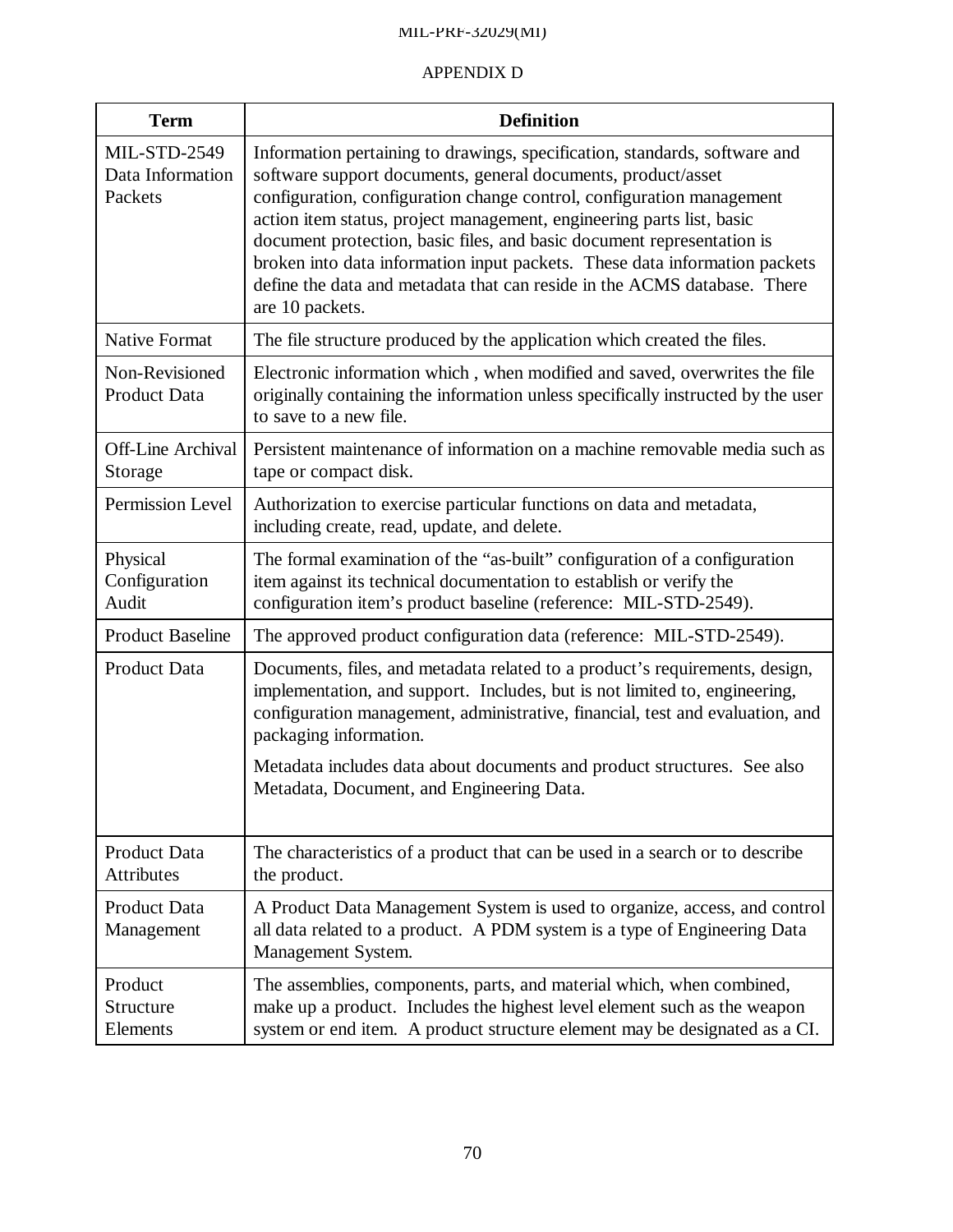| <b>Term</b>                                        | <b>Definition</b>                                                                                                                                                                                                                                                                                                                                                                                                                                                                                                                                   |
|----------------------------------------------------|-----------------------------------------------------------------------------------------------------------------------------------------------------------------------------------------------------------------------------------------------------------------------------------------------------------------------------------------------------------------------------------------------------------------------------------------------------------------------------------------------------------------------------------------------------|
| <b>MIL-STD-2549</b><br>Data Information<br>Packets | Information pertaining to drawings, specification, standards, software and<br>software support documents, general documents, product/asset<br>configuration, configuration change control, configuration management<br>action item status, project management, engineering parts list, basic<br>document protection, basic files, and basic document representation is<br>broken into data information input packets. These data information packets<br>define the data and metadata that can reside in the ACMS database. There<br>are 10 packets. |
| <b>Native Format</b>                               | The file structure produced by the application which created the files.                                                                                                                                                                                                                                                                                                                                                                                                                                                                             |
| Non-Revisioned<br>Product Data                     | Electronic information which, when modified and saved, overwrites the file<br>originally containing the information unless specifically instructed by the user<br>to save to a new file.                                                                                                                                                                                                                                                                                                                                                            |
| <b>Off-Line Archival</b><br>Storage                | Persistent maintenance of information on a machine removable media such as<br>tape or compact disk.                                                                                                                                                                                                                                                                                                                                                                                                                                                 |
| Permission Level                                   | Authorization to exercise particular functions on data and metadata,<br>including create, read, update, and delete.                                                                                                                                                                                                                                                                                                                                                                                                                                 |
| Physical<br>Configuration<br>Audit                 | The formal examination of the "as-built" configuration of a configuration<br>item against its technical documentation to establish or verify the<br>configuration item's product baseline (reference: MIL-STD-2549).                                                                                                                                                                                                                                                                                                                                |
| <b>Product Baseline</b>                            | The approved product configuration data (reference: MIL-STD-2549).                                                                                                                                                                                                                                                                                                                                                                                                                                                                                  |
| <b>Product Data</b>                                | Documents, files, and metadata related to a product's requirements, design,<br>implementation, and support. Includes, but is not limited to, engineering,<br>configuration management, administrative, financial, test and evaluation, and<br>packaging information.<br>Metadata includes data about documents and product structures. See also                                                                                                                                                                                                     |
|                                                    | Metadata, Document, and Engineering Data.                                                                                                                                                                                                                                                                                                                                                                                                                                                                                                           |
| Product Data<br><b>Attributes</b>                  | The characteristics of a product that can be used in a search or to describe<br>the product.                                                                                                                                                                                                                                                                                                                                                                                                                                                        |
| Product Data<br>Management                         | A Product Data Management System is used to organize, access, and control<br>all data related to a product. A PDM system is a type of Engineering Data<br>Management System.                                                                                                                                                                                                                                                                                                                                                                        |
| Product<br>Structure<br>Elements                   | The assemblies, components, parts, and material which, when combined,<br>make up a product. Includes the highest level element such as the weapon<br>system or end item. A product structure element may be designated as a CI.                                                                                                                                                                                                                                                                                                                     |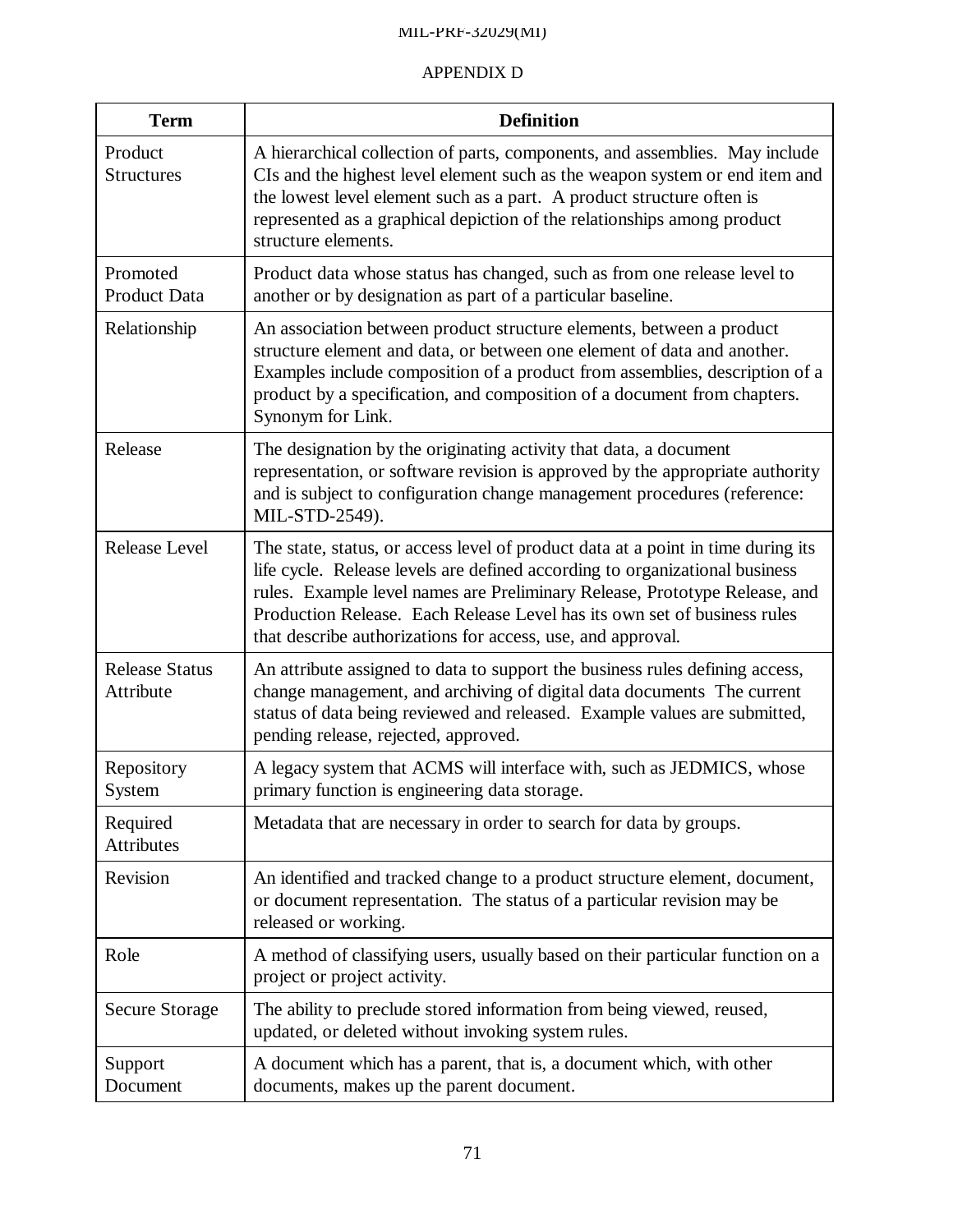| <b>Term</b>                        | <b>Definition</b>                                                                                                                                                                                                                                                                                                                                                                        |
|------------------------------------|------------------------------------------------------------------------------------------------------------------------------------------------------------------------------------------------------------------------------------------------------------------------------------------------------------------------------------------------------------------------------------------|
| Product<br><b>Structures</b>       | A hierarchical collection of parts, components, and assemblies. May include<br>CIs and the highest level element such as the weapon system or end item and<br>the lowest level element such as a part. A product structure often is<br>represented as a graphical depiction of the relationships among product<br>structure elements.                                                    |
| Promoted<br><b>Product Data</b>    | Product data whose status has changed, such as from one release level to<br>another or by designation as part of a particular baseline.                                                                                                                                                                                                                                                  |
| Relationship                       | An association between product structure elements, between a product<br>structure element and data, or between one element of data and another.<br>Examples include composition of a product from assemblies, description of a<br>product by a specification, and composition of a document from chapters.<br>Synonym for Link.                                                          |
| Release                            | The designation by the originating activity that data, a document<br>representation, or software revision is approved by the appropriate authority<br>and is subject to configuration change management procedures (reference:<br>MIL-STD-2549).                                                                                                                                         |
| Release Level                      | The state, status, or access level of product data at a point in time during its<br>life cycle. Release levels are defined according to organizational business<br>rules. Example level names are Preliminary Release, Prototype Release, and<br>Production Release. Each Release Level has its own set of business rules<br>that describe authorizations for access, use, and approval. |
| <b>Release Status</b><br>Attribute | An attribute assigned to data to support the business rules defining access,<br>change management, and archiving of digital data documents The current<br>status of data being reviewed and released. Example values are submitted,<br>pending release, rejected, approved.                                                                                                              |
| Repository<br>System               | A legacy system that ACMS will interface with, such as JEDMICS, whose<br>primary function is engineering data storage.                                                                                                                                                                                                                                                                   |
| Required<br>Attributes             | Metadata that are necessary in order to search for data by groups.                                                                                                                                                                                                                                                                                                                       |
| Revision                           | An identified and tracked change to a product structure element, document,<br>or document representation. The status of a particular revision may be<br>released or working.                                                                                                                                                                                                             |
| Role                               | A method of classifying users, usually based on their particular function on a<br>project or project activity.                                                                                                                                                                                                                                                                           |
| <b>Secure Storage</b>              | The ability to preclude stored information from being viewed, reused,<br>updated, or deleted without invoking system rules.                                                                                                                                                                                                                                                              |
| Support<br>Document                | A document which has a parent, that is, a document which, with other<br>documents, makes up the parent document.                                                                                                                                                                                                                                                                         |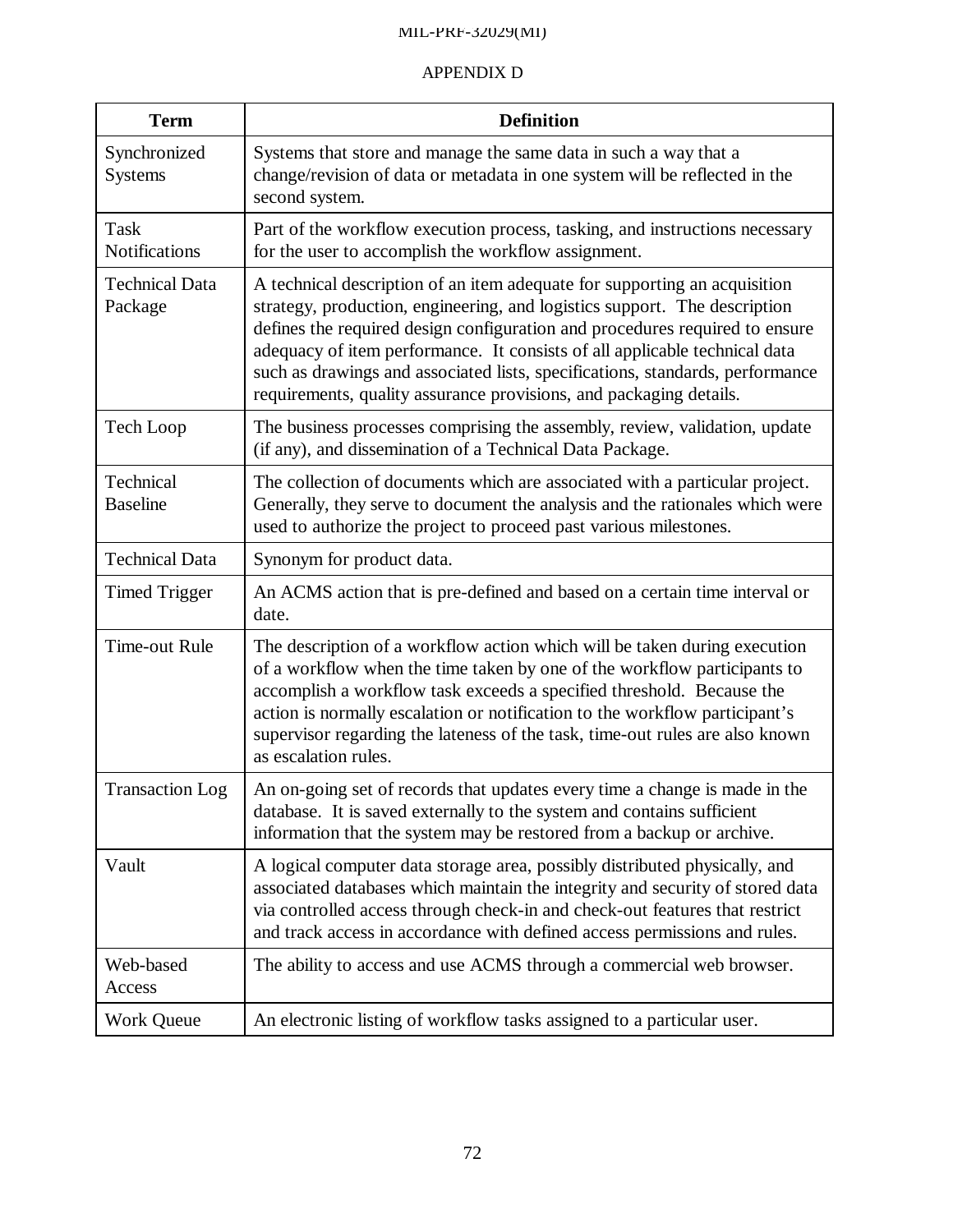| <b>Term</b>                      | <b>Definition</b>                                                                                                                                                                                                                                                                                                                                                                                                                                                          |
|----------------------------------|----------------------------------------------------------------------------------------------------------------------------------------------------------------------------------------------------------------------------------------------------------------------------------------------------------------------------------------------------------------------------------------------------------------------------------------------------------------------------|
| Synchronized<br>Systems          | Systems that store and manage the same data in such a way that a<br>change/revision of data or metadata in one system will be reflected in the<br>second system.                                                                                                                                                                                                                                                                                                           |
| Task<br><b>Notifications</b>     | Part of the workflow execution process, tasking, and instructions necessary<br>for the user to accomplish the workflow assignment.                                                                                                                                                                                                                                                                                                                                         |
| <b>Technical Data</b><br>Package | A technical description of an item adequate for supporting an acquisition<br>strategy, production, engineering, and logistics support. The description<br>defines the required design configuration and procedures required to ensure<br>adequacy of item performance. It consists of all applicable technical data<br>such as drawings and associated lists, specifications, standards, performance<br>requirements, quality assurance provisions, and packaging details. |
| Tech Loop                        | The business processes comprising the assembly, review, validation, update<br>(if any), and dissemination of a Technical Data Package.                                                                                                                                                                                                                                                                                                                                     |
| Technical<br><b>Baseline</b>     | The collection of documents which are associated with a particular project.<br>Generally, they serve to document the analysis and the rationales which were<br>used to authorize the project to proceed past various milestones.                                                                                                                                                                                                                                           |
| <b>Technical Data</b>            | Synonym for product data.                                                                                                                                                                                                                                                                                                                                                                                                                                                  |
| <b>Timed Trigger</b>             | An ACMS action that is pre-defined and based on a certain time interval or<br>date.                                                                                                                                                                                                                                                                                                                                                                                        |
| Time-out Rule                    | The description of a workflow action which will be taken during execution<br>of a workflow when the time taken by one of the workflow participants to<br>accomplish a workflow task exceeds a specified threshold. Because the<br>action is normally escalation or notification to the workflow participant's<br>supervisor regarding the lateness of the task, time-out rules are also known<br>as escalation rules.                                                      |
| <b>Transaction Log</b>           | An on-going set of records that updates every time a change is made in the<br>database. It is saved externally to the system and contains sufficient<br>information that the system may be restored from a backup or archive.                                                                                                                                                                                                                                              |
| Vault                            | A logical computer data storage area, possibly distributed physically, and<br>associated databases which maintain the integrity and security of stored data<br>via controlled access through check-in and check-out features that restrict<br>and track access in accordance with defined access permissions and rules.                                                                                                                                                    |
| Web-based<br>Access              | The ability to access and use ACMS through a commercial web browser.                                                                                                                                                                                                                                                                                                                                                                                                       |
| <b>Work Queue</b>                | An electronic listing of workflow tasks assigned to a particular user.                                                                                                                                                                                                                                                                                                                                                                                                     |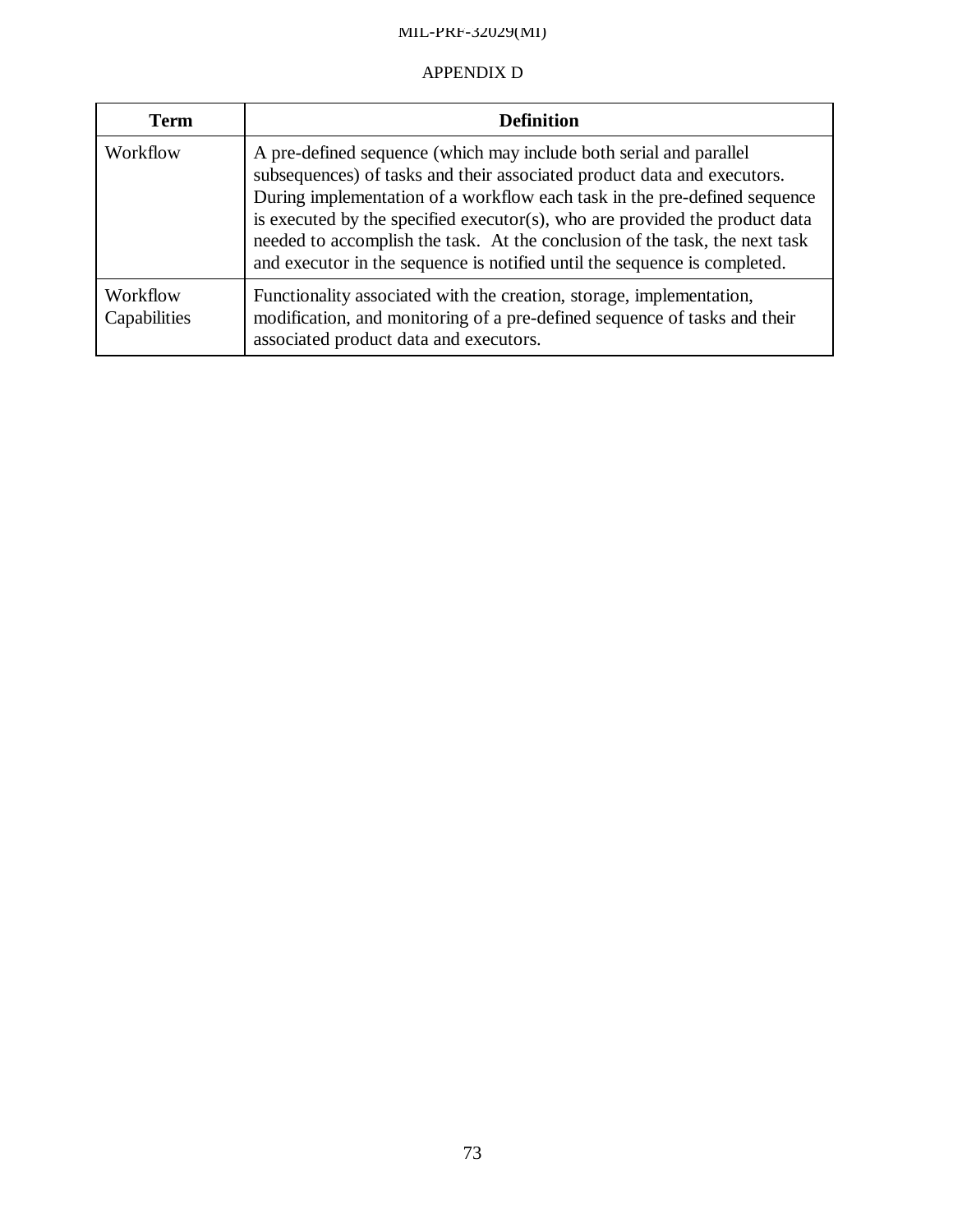## APPENDIX D

| <b>Term</b>              | <b>Definition</b>                                                                                                                                                                                                                                                                                                                                                                                                                                                     |  |  |
|--------------------------|-----------------------------------------------------------------------------------------------------------------------------------------------------------------------------------------------------------------------------------------------------------------------------------------------------------------------------------------------------------------------------------------------------------------------------------------------------------------------|--|--|
| Workflow                 | A pre-defined sequence (which may include both serial and parallel<br>subsequences) of tasks and their associated product data and executors.<br>During implementation of a workflow each task in the pre-defined sequence<br>is executed by the specified executor(s), who are provided the product data<br>needed to accomplish the task. At the conclusion of the task, the next task<br>and executor in the sequence is notified until the sequence is completed. |  |  |
| Workflow<br>Capabilities | Functionality associated with the creation, storage, implementation,<br>modification, and monitoring of a pre-defined sequence of tasks and their<br>associated product data and executors.                                                                                                                                                                                                                                                                           |  |  |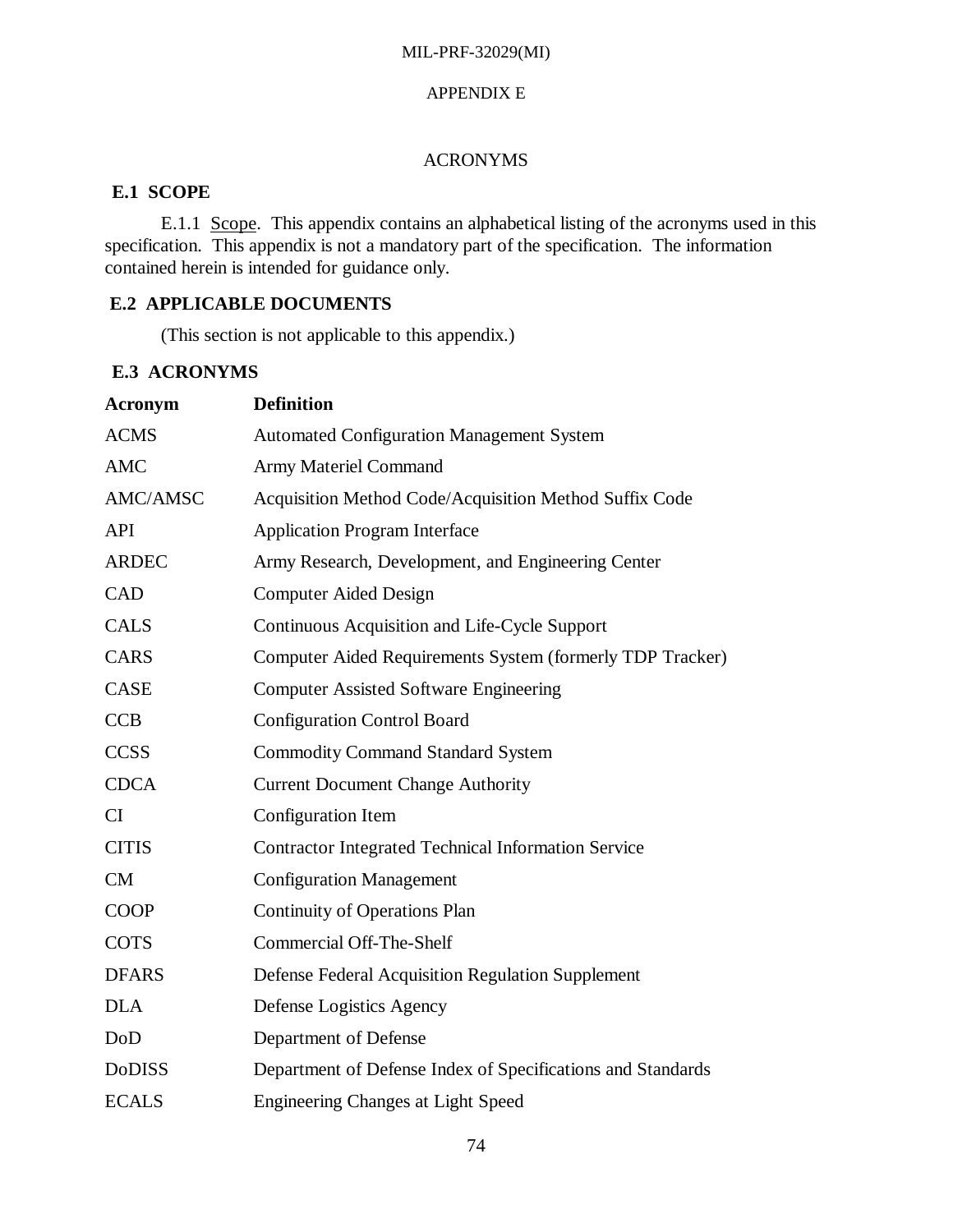## APPENDIX E

## ACRONYMS

# **E.1 SCOPE**

E.1.1 Scope. This appendix contains an alphabetical listing of the acronyms used in this specification. This appendix is not a mandatory part of the specification. The information contained herein is intended for guidance only.

# **E.2 APPLICABLE DOCUMENTS**

(This section is not applicable to this appendix.)

# **E.3 ACRONYMS**

| <b>Acronym</b> | <b>Definition</b>                                           |  |  |
|----------------|-------------------------------------------------------------|--|--|
| <b>ACMS</b>    | <b>Automated Configuration Management System</b>            |  |  |
| <b>AMC</b>     | <b>Army Materiel Command</b>                                |  |  |
| AMC/AMSC       | Acquisition Method Code/Acquisition Method Suffix Code      |  |  |
| <b>API</b>     | <b>Application Program Interface</b>                        |  |  |
| <b>ARDEC</b>   | Army Research, Development, and Engineering Center          |  |  |
| CAD            | <b>Computer Aided Design</b>                                |  |  |
| <b>CALS</b>    | Continuous Acquisition and Life-Cycle Support               |  |  |
| <b>CARS</b>    | Computer Aided Requirements System (formerly TDP Tracker)   |  |  |
| <b>CASE</b>    | <b>Computer Assisted Software Engineering</b>               |  |  |
| <b>CCB</b>     | <b>Configuration Control Board</b>                          |  |  |
| <b>CCSS</b>    | <b>Commodity Command Standard System</b>                    |  |  |
| <b>CDCA</b>    | <b>Current Document Change Authority</b>                    |  |  |
| <b>CI</b>      | Configuration Item                                          |  |  |
| <b>CITIS</b>   | <b>Contractor Integrated Technical Information Service</b>  |  |  |
| <b>CM</b>      | <b>Configuration Management</b>                             |  |  |
| <b>COOP</b>    | <b>Continuity of Operations Plan</b>                        |  |  |
| <b>COTS</b>    | <b>Commercial Off-The-Shelf</b>                             |  |  |
| <b>DFARS</b>   | Defense Federal Acquisition Regulation Supplement           |  |  |
| <b>DLA</b>     | Defense Logistics Agency                                    |  |  |
| DoD            | Department of Defense                                       |  |  |
| <b>DoDISS</b>  | Department of Defense Index of Specifications and Standards |  |  |
| <b>ECALS</b>   | <b>Engineering Changes at Light Speed</b>                   |  |  |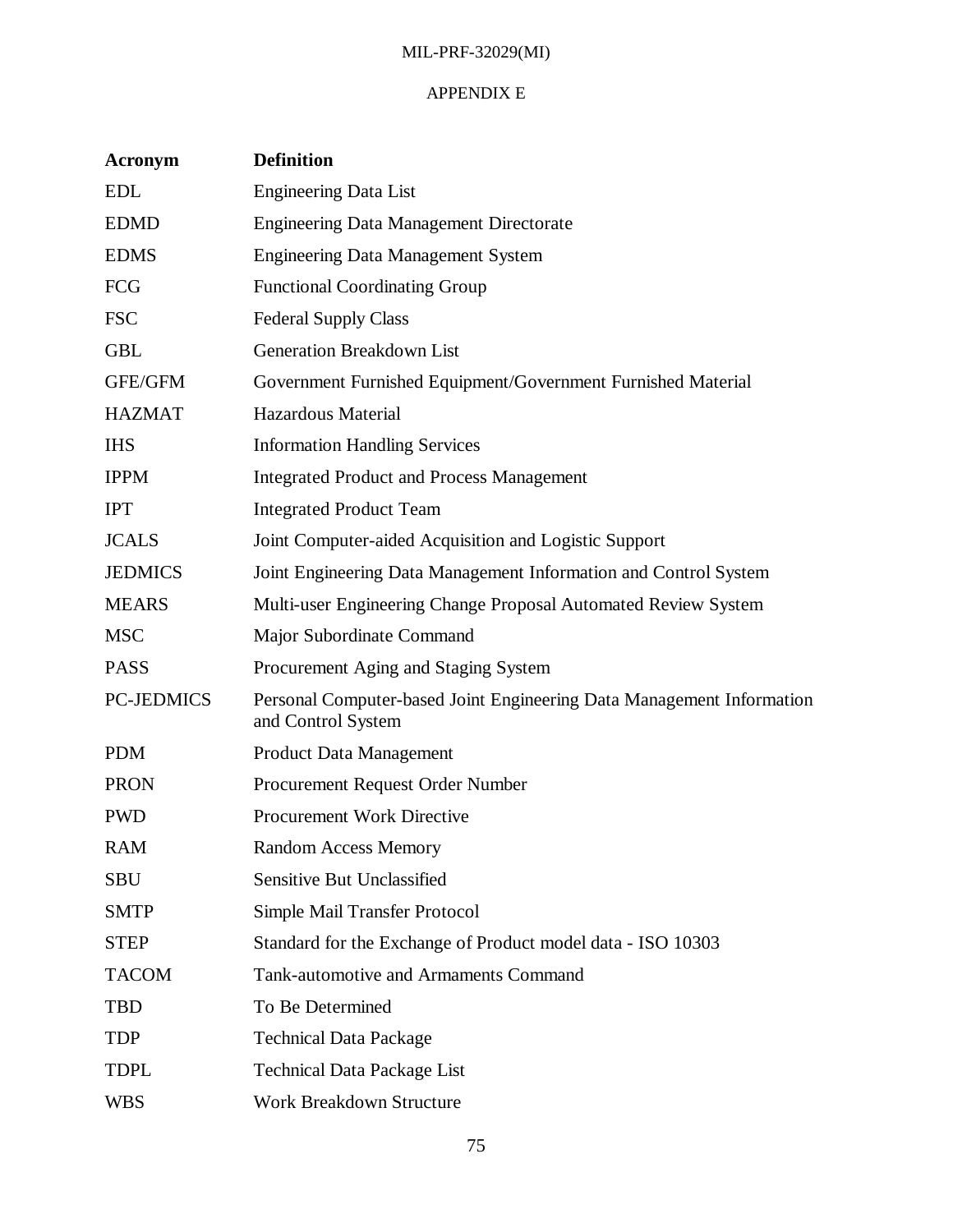## APPENDIX E

| <b>Acronym</b>    | <b>Definition</b>                                                                           |
|-------------------|---------------------------------------------------------------------------------------------|
| <b>EDL</b>        | <b>Engineering Data List</b>                                                                |
| <b>EDMD</b>       | <b>Engineering Data Management Directorate</b>                                              |
| <b>EDMS</b>       | <b>Engineering Data Management System</b>                                                   |
| <b>FCG</b>        | <b>Functional Coordinating Group</b>                                                        |
| <b>FSC</b>        | <b>Federal Supply Class</b>                                                                 |
| <b>GBL</b>        | Generation Breakdown List                                                                   |
| GFE/GFM           | Government Furnished Equipment/Government Furnished Material                                |
| <b>HAZMAT</b>     | <b>Hazardous Material</b>                                                                   |
| <b>IHS</b>        | <b>Information Handling Services</b>                                                        |
| <b>IPPM</b>       | <b>Integrated Product and Process Management</b>                                            |
| <b>IPT</b>        | <b>Integrated Product Team</b>                                                              |
| <b>JCALS</b>      | Joint Computer-aided Acquisition and Logistic Support                                       |
| <b>JEDMICS</b>    | Joint Engineering Data Management Information and Control System                            |
| <b>MEARS</b>      | Multi-user Engineering Change Proposal Automated Review System                              |
| <b>MSC</b>        | Major Subordinate Command                                                                   |
| <b>PASS</b>       | Procurement Aging and Staging System                                                        |
| <b>PC-JEDMICS</b> | Personal Computer-based Joint Engineering Data Management Information<br>and Control System |
| <b>PDM</b>        | <b>Product Data Management</b>                                                              |
| <b>PRON</b>       | Procurement Request Order Number                                                            |
| <b>PWD</b>        | <b>Procurement Work Directive</b>                                                           |
| RAM               | <b>Random Access Memory</b>                                                                 |
| <b>SBU</b>        | <b>Sensitive But Unclassified</b>                                                           |
| <b>SMTP</b>       | Simple Mail Transfer Protocol                                                               |
| <b>STEP</b>       | Standard for the Exchange of Product model data - ISO 10303                                 |
| <b>TACOM</b>      | Tank-automotive and Armaments Command                                                       |
| <b>TBD</b>        | To Be Determined                                                                            |
| <b>TDP</b>        | <b>Technical Data Package</b>                                                               |
| <b>TDPL</b>       | <b>Technical Data Package List</b>                                                          |
| <b>WBS</b>        | Work Breakdown Structure                                                                    |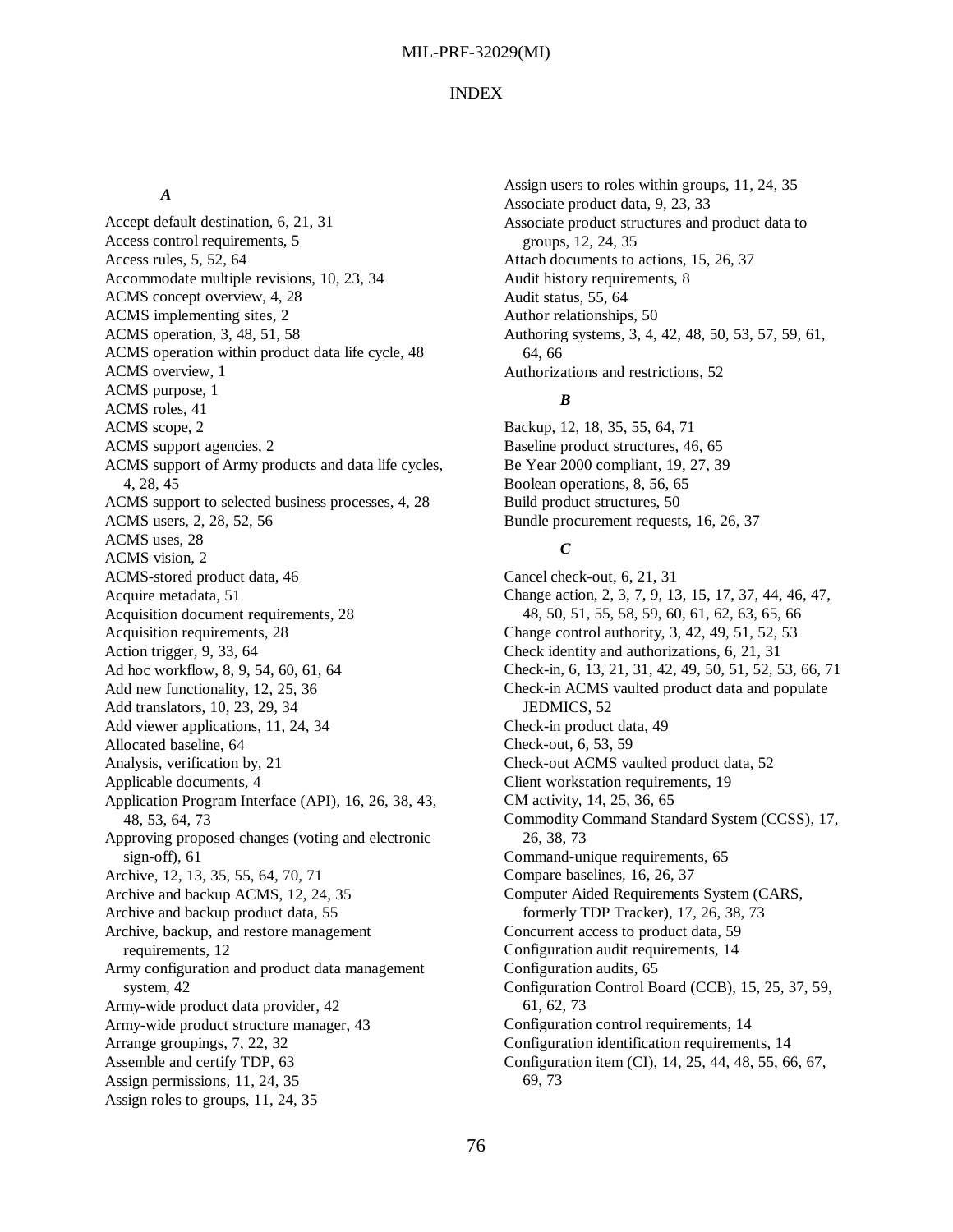#### INDEX

#### *A*

Accept default destination, 6, 21, 31 Access control requirements, 5 Access rules, 5, 52, 64 Accommodate multiple revisions, 10, 23, 34 ACMS concept overview, 4, 28 ACMS implementing sites, 2 ACMS operation, 3, 48, 51, 58 ACMS operation within product data life cycle, 48 ACMS overview, 1 ACMS purpose, 1 ACMS roles, 41 ACMS scope, 2 ACMS support agencies, 2 ACMS support of Army products and data life cycles, 4, 28, 45 ACMS support to selected business processes, 4, 28 ACMS users, 2, 28, 52, 56 ACMS uses, 28 ACMS vision, 2 ACMS-stored product data, 46 Acquire metadata, 51 Acquisition document requirements, 28 Acquisition requirements, 28 Action trigger, 9, 33, 64 Ad hoc workflow, 8, 9, 54, 60, 61, 64 Add new functionality, 12, 25, 36 Add translators, 10, 23, 29, 34 Add viewer applications, 11, 24, 34 Allocated baseline, 64 Analysis, verification by, 21 Applicable documents, 4 Application Program Interface (API), 16, 26, 38, 43, 48, 53, 64, 73 Approving proposed changes (voting and electronic sign-off), 61 Archive, 12, 13, 35, 55, 64, 70, 71 Archive and backup ACMS, 12, 24, 35 Archive and backup product data, 55 Archive, backup, and restore management requirements, 12 Army configuration and product data management system, 42 Army-wide product data provider, 42 Army-wide product structure manager, 43 Arrange groupings, 7, 22, 32 Assemble and certify TDP, 63 Assign permissions, 11, 24, 35 Assign roles to groups, 11, 24, 35

Assign users to roles within groups, 11, 24, 35 Associate product data, 9, 23, 33 Associate product structures and product data to groups, 12, 24, 35 Attach documents to actions, 15, 26, 37 Audit history requirements, 8 Audit status, 55, 64 Author relationships, 50 Authoring systems, 3, 4, 42, 48, 50, 53, 57, 59, 61, 64, 66 Authorizations and restrictions, 52

#### *B*

Backup, 12, 18, 35, 55, 64, 71 Baseline product structures, 46, 65 Be Year 2000 compliant, 19, 27, 39 Boolean operations, 8, 56, 65 Build product structures, 50 Bundle procurement requests, 16, 26, 37

## *C*

Cancel check-out, 6, 21, 31 Change action, 2, 3, 7, 9, 13, 15, 17, 37, 44, 46, 47, 48, 50, 51, 55, 58, 59, 60, 61, 62, 63, 65, 66 Change control authority, 3, 42, 49, 51, 52, 53 Check identity and authorizations, 6, 21, 31 Check-in, 6, 13, 21, 31, 42, 49, 50, 51, 52, 53, 66, 71 Check-in ACMS vaulted product data and populate JEDMICS, 52 Check-in product data, 49 Check-out, 6, 53, 59 Check-out ACMS vaulted product data, 52 Client workstation requirements, 19 CM activity, 14, 25, 36, 65 Commodity Command Standard System (CCSS), 17, 26, 38, 73 Command-unique requirements, 65 Compare baselines, 16, 26, 37 Computer Aided Requirements System (CARS, formerly TDP Tracker), 17, 26, 38, 73 Concurrent access to product data, 59 Configuration audit requirements, 14 Configuration audits, 65 Configuration Control Board (CCB), 15, 25, 37, 59, 61, 62, 73 Configuration control requirements, 14 Configuration identification requirements, 14 Configuration item (CI), 14, 25, 44, 48, 55, 66, 67, 69, 73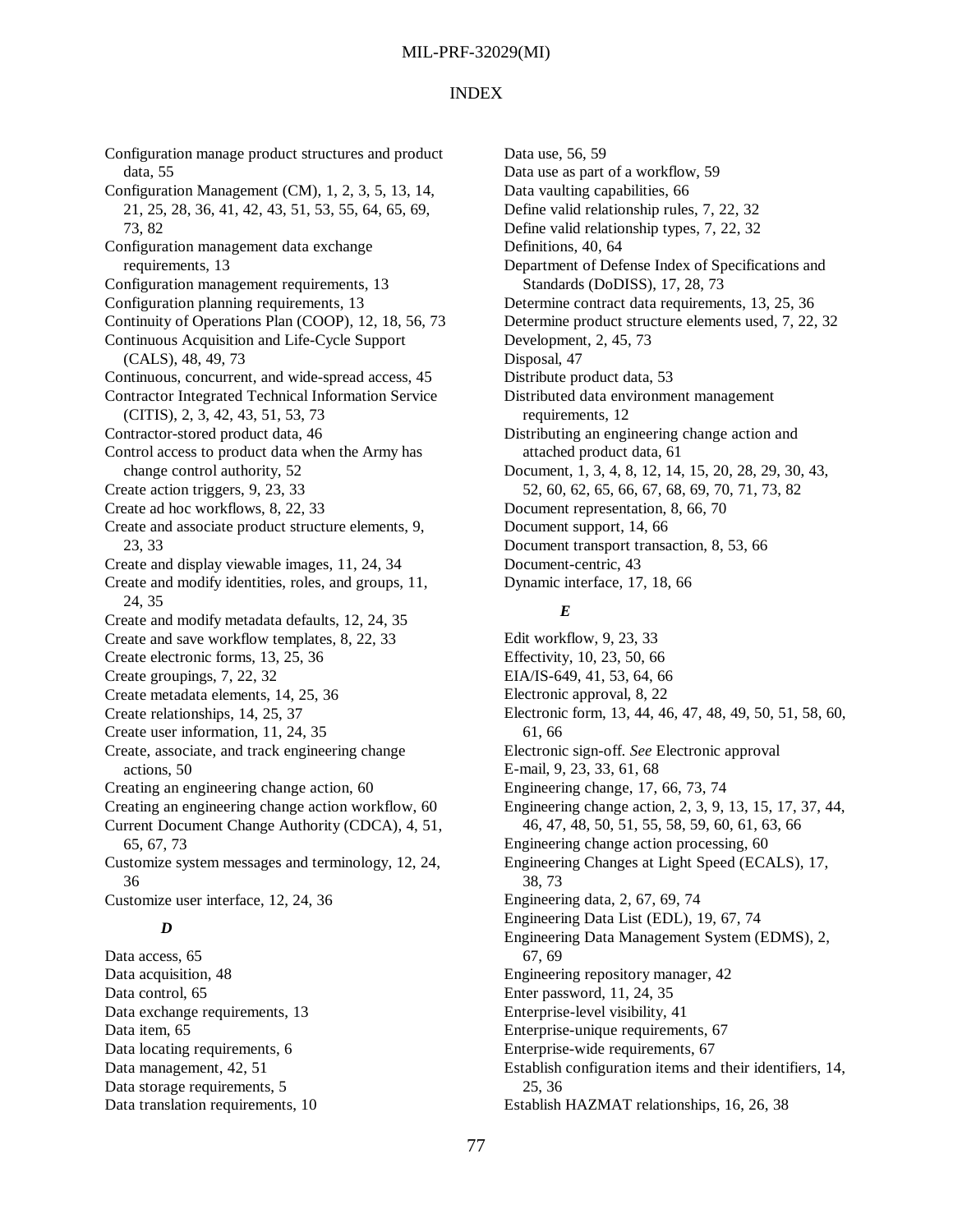#### INDEX

Configuration manage product structures and product data, 55 Configuration Management (CM), 1, 2, 3, 5, 13, 14, 21, 25, 28, 36, 41, 42, 43, 51, 53, 55, 64, 65, 69, 73, 82 Configuration management data exchange requirements, 13 Configuration management requirements, 13 Configuration planning requirements, 13 Continuity of Operations Plan (COOP), 12, 18, 56, 73 Continuous Acquisition and Life-Cycle Support (CALS), 48, 49, 73 Continuous, concurrent, and wide-spread access, 45 Contractor Integrated Technical Information Service (CITIS), 2, 3, 42, 43, 51, 53, 73 Contractor-stored product data, 46 Control access to product data when the Army has change control authority, 52 Create action triggers, 9, 23, 33 Create ad hoc workflows, 8, 22, 33 Create and associate product structure elements, 9, 23, 33 Create and display viewable images, 11, 24, 34 Create and modify identities, roles, and groups, 11, 24, 35 Create and modify metadata defaults, 12, 24, 35 Create and save workflow templates, 8, 22, 33 Create electronic forms, 13, 25, 36 Create groupings, 7, 22, 32 Create metadata elements, 14, 25, 36 Create relationships, 14, 25, 37 Create user information, 11, 24, 35 Create, associate, and track engineering change actions, 50 Creating an engineering change action, 60 Creating an engineering change action workflow, 60 Current Document Change Authority (CDCA), 4, 51, 65, 67, 73 Customize system messages and terminology, 12, 24, 36 Customize user interface, 12, 24, 36 *D*

Data access, 65 Data acquisition, 48 Data control, 65 Data exchange requirements, 13 Data item, 65 Data locating requirements, 6 Data management, 42, 51 Data storage requirements, 5 Data translation requirements, 10

Data use, 56, 59 Data use as part of a workflow, 59 Data vaulting capabilities, 66 Define valid relationship rules, 7, 22, 32 Define valid relationship types, 7, 22, 32 Definitions, 40, 64 Department of Defense Index of Specifications and Standards (DoDISS), 17, 28, 73 Determine contract data requirements, 13, 25, 36 Determine product structure elements used, 7, 22, 32 Development, 2, 45, 73 Disposal, 47 Distribute product data, 53 Distributed data environment management requirements, 12 Distributing an engineering change action and attached product data, 61 Document, 1, 3, 4, 8, 12, 14, 15, 20, 28, 29, 30, 43, 52, 60, 62, 65, 66, 67, 68, 69, 70, 71, 73, 82 Document representation, 8, 66, 70 Document support, 14, 66 Document transport transaction, 8, 53, 66 Document-centric, 43 Dynamic interface, 17, 18, 66

#### *E*

Edit workflow, 9, 23, 33 Effectivity, 10, 23, 50, 66 EIA/IS-649, 41, 53, 64, 66 Electronic approval, 8, 22 Electronic form, 13, 44, 46, 47, 48, 49, 50, 51, 58, 60, 61, 66 Electronic sign-off. *See* Electronic approval E-mail, 9, 23, 33, 61, 68 Engineering change, 17, 66, 73, 74 Engineering change action, 2, 3, 9, 13, 15, 17, 37, 44, 46, 47, 48, 50, 51, 55, 58, 59, 60, 61, 63, 66 Engineering change action processing, 60 Engineering Changes at Light Speed (ECALS), 17, 38, 73 Engineering data, 2, 67, 69, 74 Engineering Data List (EDL), 19, 67, 74 Engineering Data Management System (EDMS), 2, 67, 69 Engineering repository manager, 42 Enter password, 11, 24, 35 Enterprise-level visibility, 41 Enterprise-unique requirements, 67 Enterprise-wide requirements, 67 Establish configuration items and their identifiers, 14, 25, 36 Establish HAZMAT relationships, 16, 26, 38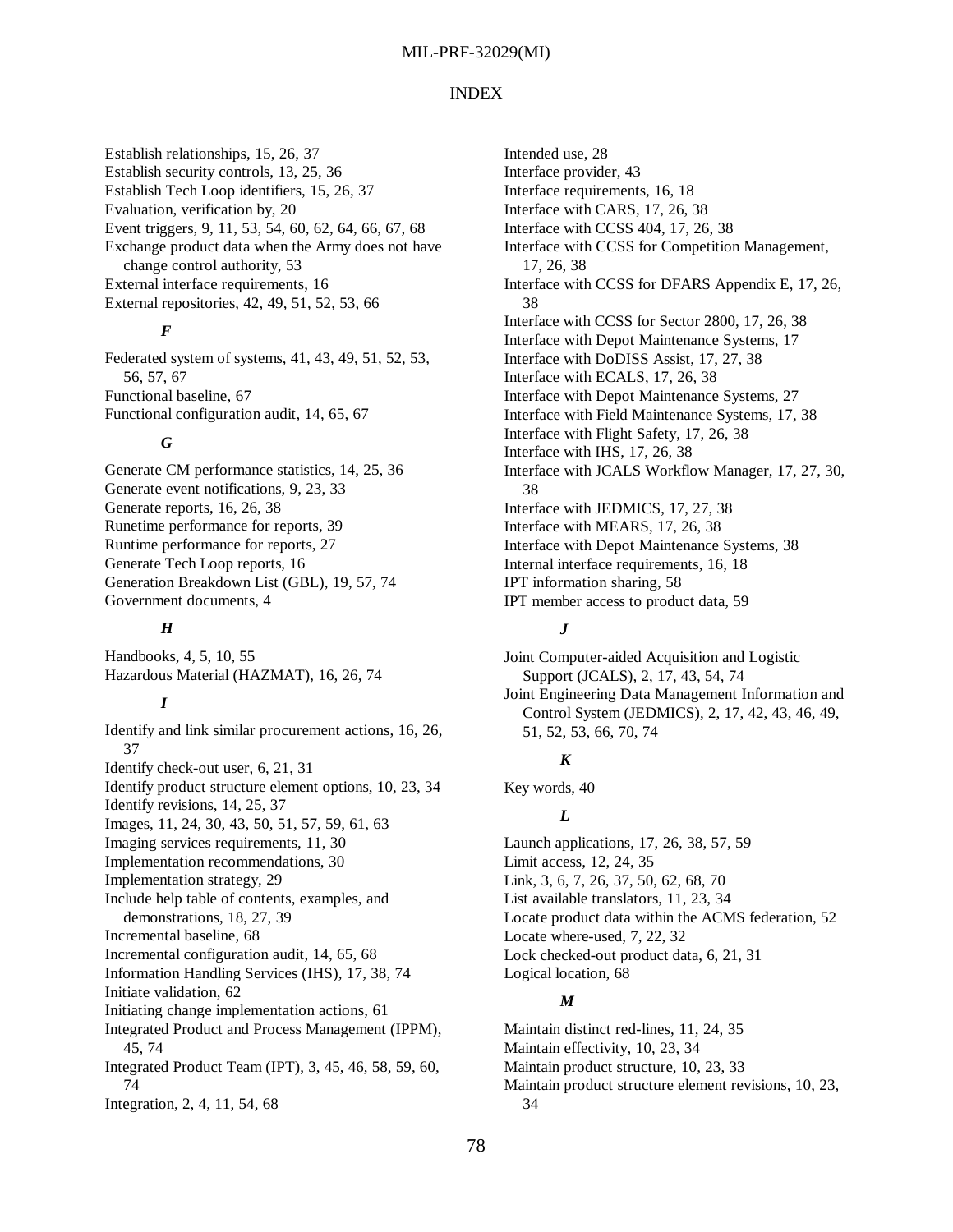#### INDEX

Establish relationships, 15, 26, 37 Establish security controls, 13, 25, 36 Establish Tech Loop identifiers, 15, 26, 37 Evaluation, verification by, 20 Event triggers, 9, 11, 53, 54, 60, 62, 64, 66, 67, 68 Exchange product data when the Army does not have change control authority, 53 External interface requirements, 16 External repositories, 42, 49, 51, 52, 53, 66

## *F*

Federated system of systems, 41, 43, 49, 51, 52, 53, 56, 57, 67 Functional baseline, 67 Functional configuration audit, 14, 65, 67

#### *G*

Generate CM performance statistics, 14, 25, 36 Generate event notifications, 9, 23, 33 Generate reports, 16, 26, 38 Runetime performance for reports, 39 Runtime performance for reports, 27 Generate Tech Loop reports, 16 Generation Breakdown List (GBL), 19, 57, 74 Government documents, 4

#### *H*

Handbooks, 4, 5, 10, 55 Hazardous Material (HAZMAT), 16, 26, 74

## *I*

Identify and link similar procurement actions, 16, 26, 37 Identify check-out user, 6, 21, 31 Identify product structure element options, 10, 23, 34 Identify revisions, 14, 25, 37 Images, 11, 24, 30, 43, 50, 51, 57, 59, 61, 63 Imaging services requirements, 11, 30 Implementation recommendations, 30 Implementation strategy, 29 Include help table of contents, examples, and demonstrations, 18, 27, 39 Incremental baseline, 68 Incremental configuration audit, 14, 65, 68 Information Handling Services (IHS), 17, 38, 74 Initiate validation, 62 Initiating change implementation actions, 61 Integrated Product and Process Management (IPPM), 45, 74 Integrated Product Team (IPT), 3, 45, 46, 58, 59, 60, 74

Integration, 2, 4, 11, 54, 68

Intended use, 28 Interface provider, 43 Interface requirements, 16, 18 Interface with CARS, 17, 26, 38 Interface with CCSS 404, 17, 26, 38 Interface with CCSS for Competition Management, 17, 26, 38 Interface with CCSS for DFARS Appendix E, 17, 26, 38 Interface with CCSS for Sector 2800, 17, 26, 38 Interface with Depot Maintenance Systems, 17 Interface with DoDISS Assist, 17, 27, 38 Interface with ECALS, 17, 26, 38 Interface with Depot Maintenance Systems, 27 Interface with Field Maintenance Systems, 17, 38 Interface with Flight Safety, 17, 26, 38 Interface with IHS, 17, 26, 38 Interface with JCALS Workflow Manager, 17, 27, 30, 38 Interface with JEDMICS, 17, 27, 38 Interface with MEARS, 17, 26, 38 Interface with Depot Maintenance Systems, 38 Internal interface requirements, 16, 18 IPT information sharing, 58 IPT member access to product data, 59

#### *J*

Joint Computer-aided Acquisition and Logistic Support (JCALS), 2, 17, 43, 54, 74 Joint Engineering Data Management Information and Control System (JEDMICS), 2, 17, 42, 43, 46, 49, 51, 52, 53, 66, 70, 74

## *K*

Key words, 40

## *L*

Launch applications, 17, 26, 38, 57, 59 Limit access, 12, 24, 35 Link, 3, 6, 7, 26, 37, 50, 62, 68, 70 List available translators, 11, 23, 34 Locate product data within the ACMS federation, 52 Locate where-used, 7, 22, 32 Lock checked-out product data, 6, 21, 31 Logical location, 68

## *M*

Maintain distinct red-lines, 11, 24, 35 Maintain effectivity, 10, 23, 34 Maintain product structure, 10, 23, 33 Maintain product structure element revisions, 10, 23, 34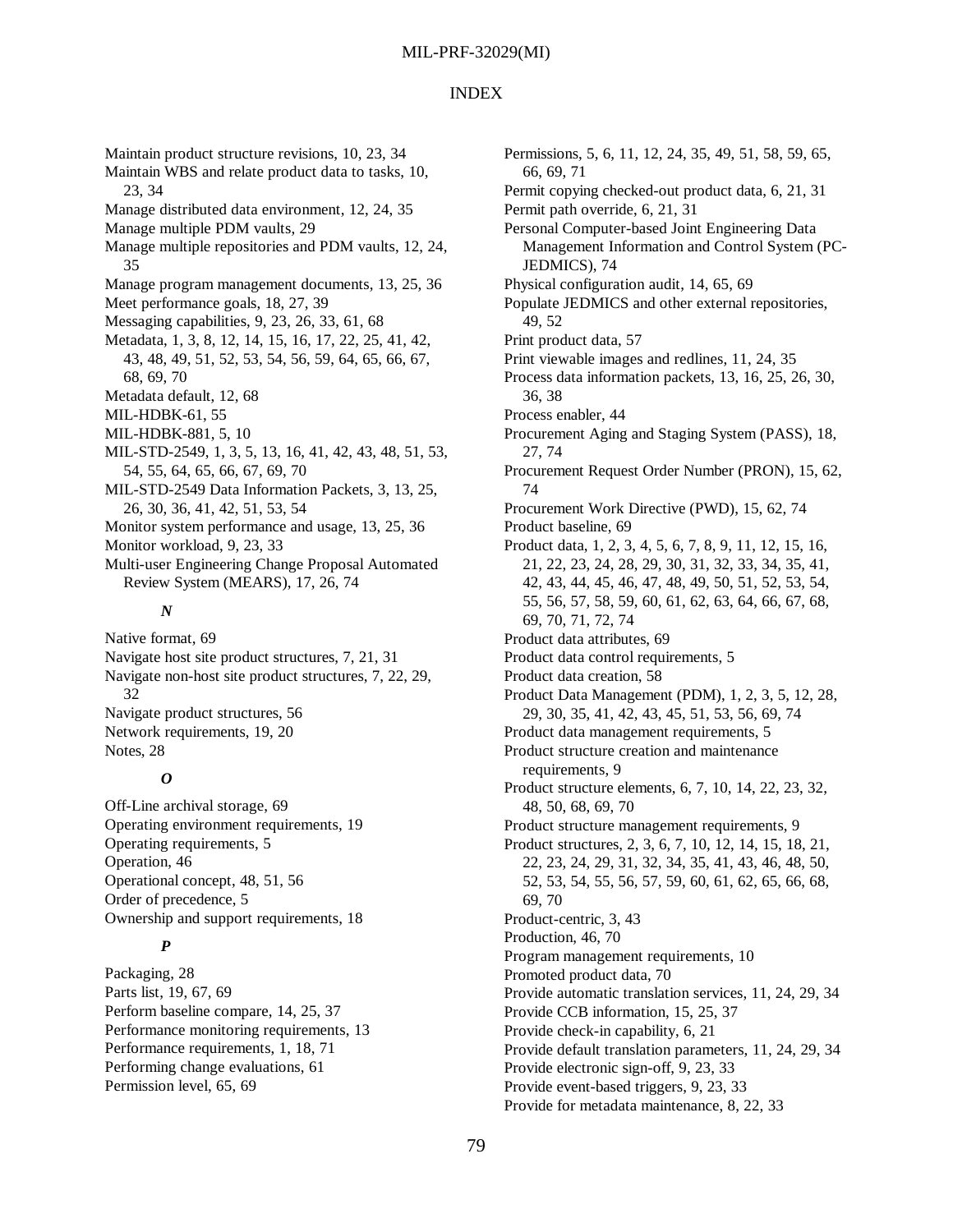#### INDEX

Maintain product structure revisions, 10, 23, 34 Maintain WBS and relate product data to tasks, 10, 23, 34 Manage distributed data environment, 12, 24, 35 Manage multiple PDM vaults, 29 Manage multiple repositories and PDM vaults, 12, 24, 35 Manage program management documents, 13, 25, 36 Meet performance goals, 18, 27, 39 Messaging capabilities, 9, 23, 26, 33, 61, 68 Metadata, 1, 3, 8, 12, 14, 15, 16, 17, 22, 25, 41, 42, 43, 48, 49, 51, 52, 53, 54, 56, 59, 64, 65, 66, 67, 68, 69, 70 Metadata default, 12, 68 MIL-HDBK-61, 55 MIL-HDBK-881, 5, 10 MIL-STD-2549, 1, 3, 5, 13, 16, 41, 42, 43, 48, 51, 53, 54, 55, 64, 65, 66, 67, 69, 70 MIL-STD-2549 Data Information Packets, 3, 13, 25, 26, 30, 36, 41, 42, 51, 53, 54 Monitor system performance and usage, 13, 25, 36 Monitor workload, 9, 23, 33 Multi-user Engineering Change Proposal Automated Review System (MEARS), 17, 26, 74 *N*

Native format, 69 Navigate host site product structures, 7, 21, 31 Navigate non-host site product structures, 7, 22, 29, 32 Navigate product structures, 56 Network requirements, 19, 20 Notes, 28

### *O*

Off-Line archival storage, 69 Operating environment requirements, 19 Operating requirements, 5 Operation, 46 Operational concept, 48, 51, 56 Order of precedence, 5 Ownership and support requirements, 18

## *P*

Packaging, 28 Parts list, 19, 67, 69 Perform baseline compare, 14, 25, 37 Performance monitoring requirements, 13 Performance requirements, 1, 18, 71 Performing change evaluations, 61 Permission level, 65, 69

Permissions, 5, 6, 11, 12, 24, 35, 49, 51, 58, 59, 65, 66, 69, 71 Permit copying checked-out product data, 6, 21, 31 Permit path override, 6, 21, 31 Personal Computer-based Joint Engineering Data Management Information and Control System (PC-JEDMICS), 74 Physical configuration audit, 14, 65, 69 Populate JEDMICS and other external repositories, 49, 52 Print product data, 57 Print viewable images and redlines, 11, 24, 35 Process data information packets, 13, 16, 25, 26, 30, 36, 38 Process enabler, 44 Procurement Aging and Staging System (PASS), 18, 27, 74 Procurement Request Order Number (PRON), 15, 62, 74 Procurement Work Directive (PWD), 15, 62, 74 Product baseline, 69 Product data, 1, 2, 3, 4, 5, 6, 7, 8, 9, 11, 12, 15, 16, 21, 22, 23, 24, 28, 29, 30, 31, 32, 33, 34, 35, 41, 42, 43, 44, 45, 46, 47, 48, 49, 50, 51, 52, 53, 54, 55, 56, 57, 58, 59, 60, 61, 62, 63, 64, 66, 67, 68, 69, 70, 71, 72, 74 Product data attributes, 69 Product data control requirements, 5 Product data creation, 58 Product Data Management (PDM), 1, 2, 3, 5, 12, 28, 29, 30, 35, 41, 42, 43, 45, 51, 53, 56, 69, 74 Product data management requirements, 5 Product structure creation and maintenance requirements, 9 Product structure elements, 6, 7, 10, 14, 22, 23, 32, 48, 50, 68, 69, 70 Product structure management requirements, 9 Product structures, 2, 3, 6, 7, 10, 12, 14, 15, 18, 21, 22, 23, 24, 29, 31, 32, 34, 35, 41, 43, 46, 48, 50, 52, 53, 54, 55, 56, 57, 59, 60, 61, 62, 65, 66, 68, 69, 70 Product-centric, 3, 43 Production, 46, 70 Program management requirements, 10 Promoted product data, 70 Provide automatic translation services, 11, 24, 29, 34 Provide CCB information, 15, 25, 37 Provide check-in capability, 6, 21 Provide default translation parameters, 11, 24, 29, 34 Provide electronic sign-off, 9, 23, 33 Provide event-based triggers, 9, 23, 33 Provide for metadata maintenance, 8, 22, 33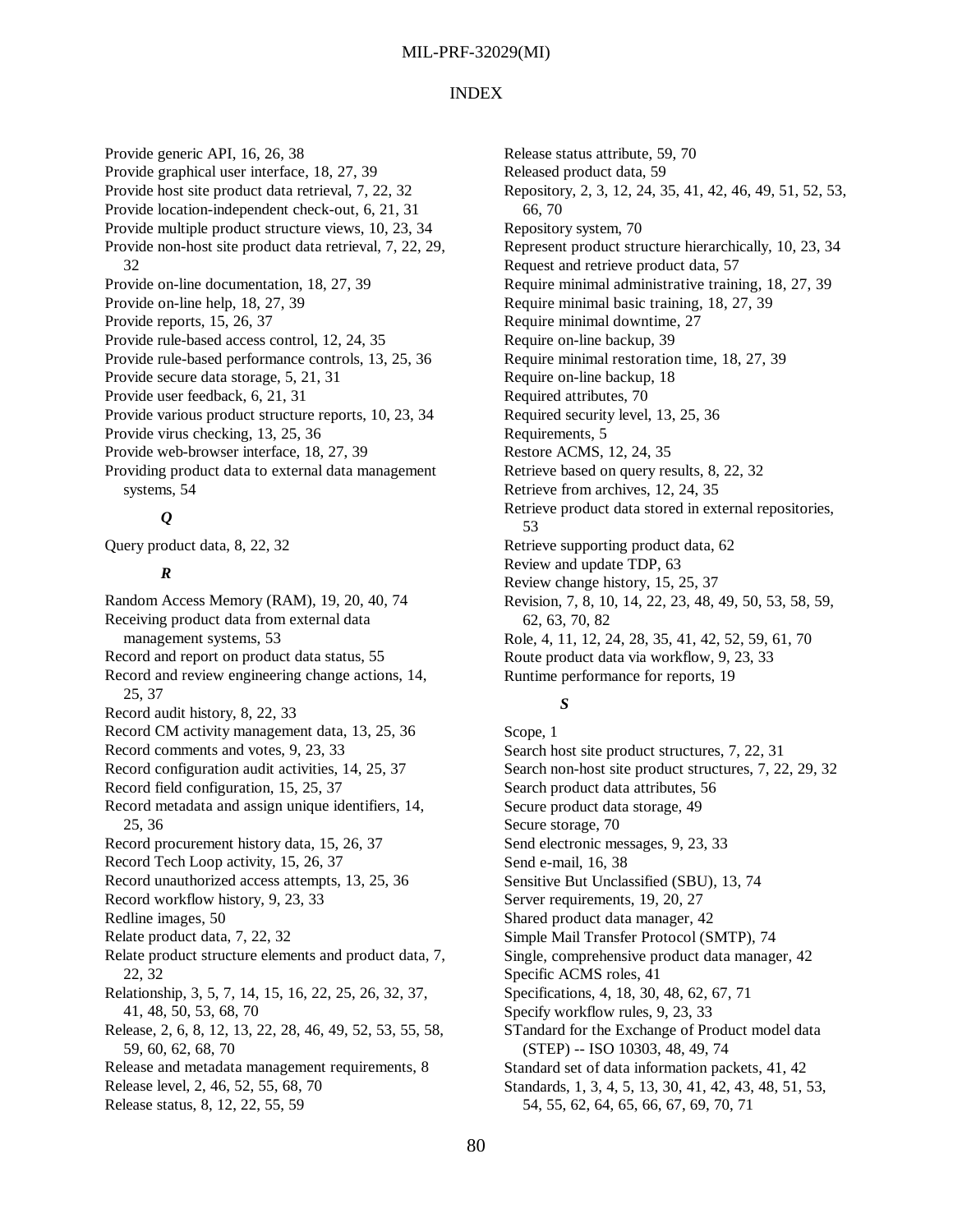#### INDEX

Provide generic API, 16, 26, 38 Provide graphical user interface, 18, 27, 39 Provide host site product data retrieval, 7, 22, 32 Provide location-independent check-out, 6, 21, 31 Provide multiple product structure views, 10, 23, 34 Provide non-host site product data retrieval, 7, 22, 29, 32 Provide on-line documentation, 18, 27, 39 Provide on-line help, 18, 27, 39 Provide reports, 15, 26, 37 Provide rule-based access control, 12, 24, 35 Provide rule-based performance controls, 13, 25, 36 Provide secure data storage, 5, 21, 31 Provide user feedback, 6, 21, 31 Provide various product structure reports, 10, 23, 34 Provide virus checking, 13, 25, 36 Provide web-browser interface, 18, 27, 39 Providing product data to external data management systems, 54

## *Q*

Query product data, 8, 22, 32

## *R*

Random Access Memory (RAM), 19, 20, 40, 74 Receiving product data from external data management systems, 53 Record and report on product data status, 55 Record and review engineering change actions, 14, 25, 37 Record audit history, 8, 22, 33 Record CM activity management data, 13, 25, 36 Record comments and votes, 9, 23, 33 Record configuration audit activities, 14, 25, 37 Record field configuration, 15, 25, 37 Record metadata and assign unique identifiers, 14, 25, 36 Record procurement history data, 15, 26, 37 Record Tech Loop activity, 15, 26, 37 Record unauthorized access attempts, 13, 25, 36 Record workflow history, 9, 23, 33 Redline images, 50 Relate product data, 7, 22, 32 Relate product structure elements and product data, 7, 22, 32 Relationship, 3, 5, 7, 14, 15, 16, 22, 25, 26, 32, 37, 41, 48, 50, 53, 68, 70 Release, 2, 6, 8, 12, 13, 22, 28, 46, 49, 52, 53, 55, 58, 59, 60, 62, 68, 70 Release and metadata management requirements, 8 Release level, 2, 46, 52, 55, 68, 70 Release status, 8, 12, 22, 55, 59

Release status attribute, 59, 70 Released product data, 59 Repository, 2, 3, 12, 24, 35, 41, 42, 46, 49, 51, 52, 53, 66, 70 Repository system, 70 Represent product structure hierarchically, 10, 23, 34 Request and retrieve product data, 57 Require minimal administrative training, 18, 27, 39 Require minimal basic training, 18, 27, 39 Require minimal downtime, 27 Require on-line backup, 39 Require minimal restoration time, 18, 27, 39 Require on-line backup, 18 Required attributes, 70 Required security level, 13, 25, 36 Requirements, 5 Restore ACMS, 12, 24, 35 Retrieve based on query results, 8, 22, 32 Retrieve from archives, 12, 24, 35 Retrieve product data stored in external repositories, 53 Retrieve supporting product data, 62 Review and update TDP, 63 Review change history, 15, 25, 37 Revision, 7, 8, 10, 14, 22, 23, 48, 49, 50, 53, 58, 59, 62, 63, 70, 82 Role, 4, 11, 12, 24, 28, 35, 41, 42, 52, 59, 61, 70 Route product data via workflow, 9, 23, 33 Runtime performance for reports, 19

## *S*

Scope, 1 Search host site product structures, 7, 22, 31 Search non-host site product structures, 7, 22, 29, 32 Search product data attributes, 56 Secure product data storage, 49 Secure storage, 70 Send electronic messages, 9, 23, 33 Send e-mail, 16, 38 Sensitive But Unclassified (SBU), 13, 74 Server requirements, 19, 20, 27 Shared product data manager, 42 Simple Mail Transfer Protocol (SMTP), 74 Single, comprehensive product data manager, 42 Specific ACMS roles, 41 Specifications, 4, 18, 30, 48, 62, 67, 71 Specify workflow rules, 9, 23, 33 STandard for the Exchange of Product model data (STEP) -- ISO 10303, 48, 49, 74 Standard set of data information packets, 41, 42 Standards, 1, 3, 4, 5, 13, 30, 41, 42, 43, 48, 51, 53, 54, 55, 62, 64, 65, 66, 67, 69, 70, 71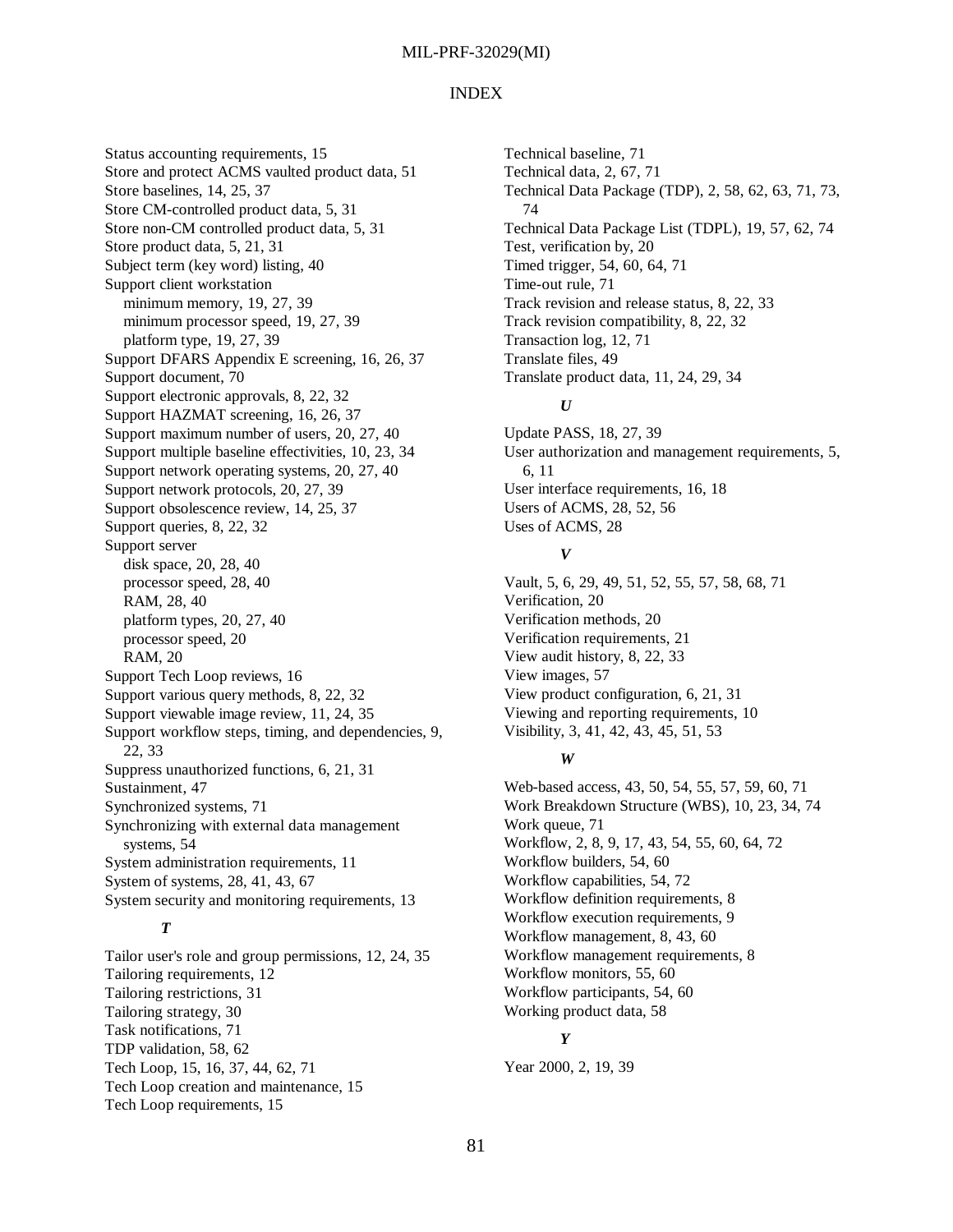#### INDEX

Status accounting requirements, 15 Store and protect ACMS vaulted product data, 51 Store baselines, 14, 25, 37 Store CM-controlled product data, 5, 31 Store non-CM controlled product data, 5, 31 Store product data, 5, 21, 31 Subject term (key word) listing, 40 Support client workstation minimum memory, 19, 27, 39 minimum processor speed, 19, 27, 39 platform type, 19, 27, 39 Support DFARS Appendix E screening, 16, 26, 37 Support document, 70 Support electronic approvals, 8, 22, 32 Support HAZMAT screening, 16, 26, 37 Support maximum number of users, 20, 27, 40 Support multiple baseline effectivities, 10, 23, 34 Support network operating systems, 20, 27, 40 Support network protocols, 20, 27, 39 Support obsolescence review, 14, 25, 37 Support queries, 8, 22, 32 Support server disk space, 20, 28, 40 processor speed, 28, 40 RAM, 28, 40 platform types, 20, 27, 40 processor speed, 20 RAM, 20 Support Tech Loop reviews, 16 Support various query methods, 8, 22, 32 Support viewable image review, 11, 24, 35 Support workflow steps, timing, and dependencies, 9, 22, 33 Suppress unauthorized functions, 6, 21, 31 Sustainment, 47 Synchronized systems, 71 Synchronizing with external data management systems, 54 System administration requirements, 11 System of systems, 28, 41, 43, 67 System security and monitoring requirements, 13

## *T*

Tailor user's role and group permissions, 12, 24, 35 Tailoring requirements, 12 Tailoring restrictions, 31 Tailoring strategy, 30 Task notifications, 71 TDP validation, 58, 62 Tech Loop, 15, 16, 37, 44, 62, 71 Tech Loop creation and maintenance, 15 Tech Loop requirements, 15

Technical baseline, 71 Technical data, 2, 67, 71 Technical Data Package (TDP), 2, 58, 62, 63, 71, 73, 74 Technical Data Package List (TDPL), 19, 57, 62, 74 Test, verification by, 20 Timed trigger, 54, 60, 64, 71 Time-out rule, 71 Track revision and release status, 8, 22, 33 Track revision compatibility, 8, 22, 32 Transaction log, 12, 71 Translate files, 49 Translate product data, 11, 24, 29, 34

#### *U*

Update PASS, 18, 27, 39 User authorization and management requirements, 5, 6, 11 User interface requirements, 16, 18 Users of ACMS, 28, 52, 56 Uses of ACMS, 28

## *V*

Vault, 5, 6, 29, 49, 51, 52, 55, 57, 58, 68, 71 Verification, 20 Verification methods, 20 Verification requirements, 21 View audit history, 8, 22, 33 View images, 57 View product configuration, 6, 21, 31 Viewing and reporting requirements, 10 Visibility, 3, 41, 42, 43, 45, 51, 53

#### *W*

Web-based access, 43, 50, 54, 55, 57, 59, 60, 71 Work Breakdown Structure (WBS), 10, 23, 34, 74 Work queue, 71 Workflow, 2, 8, 9, 17, 43, 54, 55, 60, 64, 72 Workflow builders, 54, 60 Workflow capabilities, 54, 72 Workflow definition requirements, 8 Workflow execution requirements, 9 Workflow management, 8, 43, 60 Workflow management requirements, 8 Workflow monitors, 55, 60 Workflow participants, 54, 60 Working product data, 58

## *Y*

Year 2000, 2, 19, 39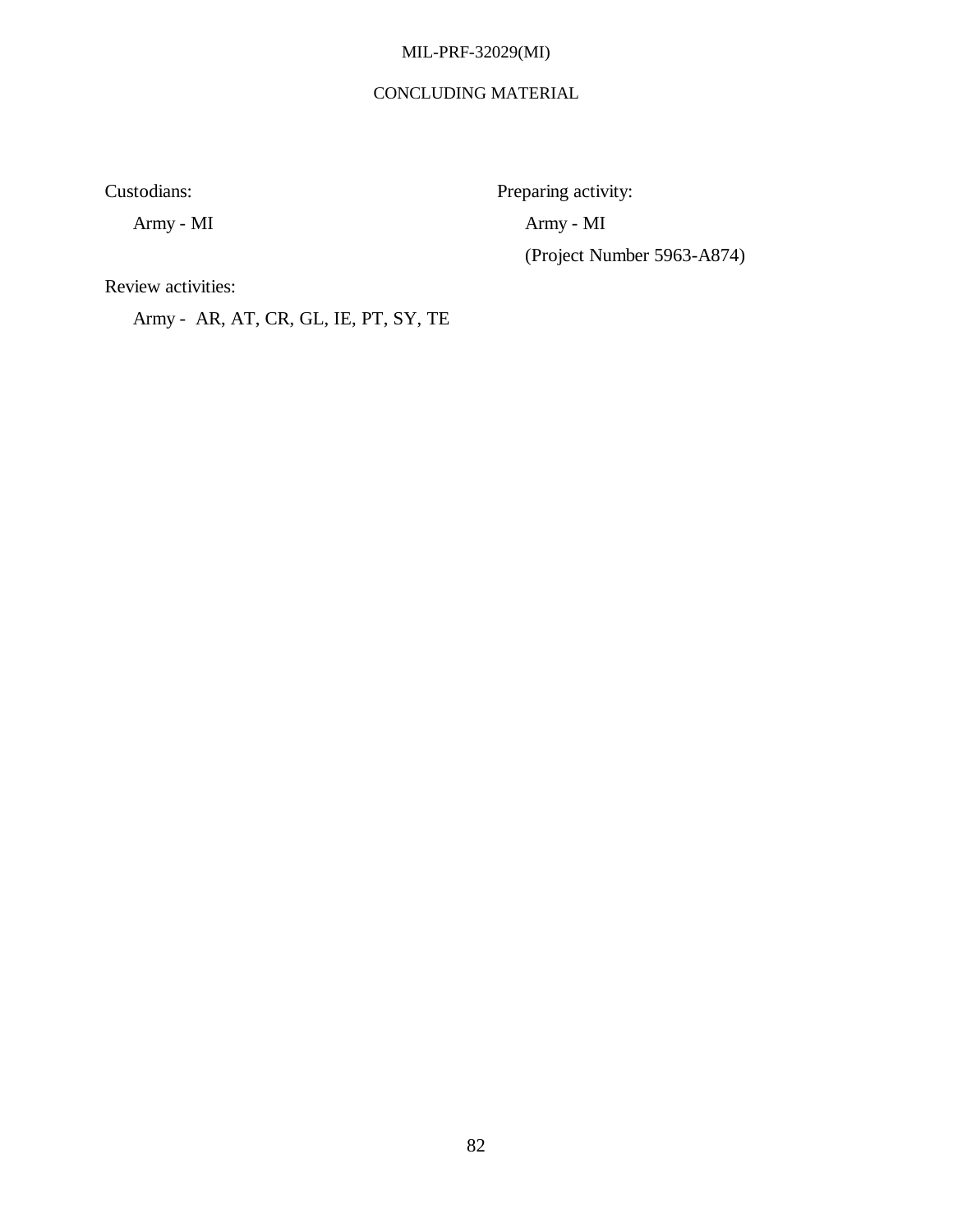## CONCLUDING MATERIAL

(Project Number 5963-A874)

Custodians: Preparing activity:

Army - MI Army - MI

Review activities:

Army - AR, AT, CR, GL, IE, PT, SY, TE